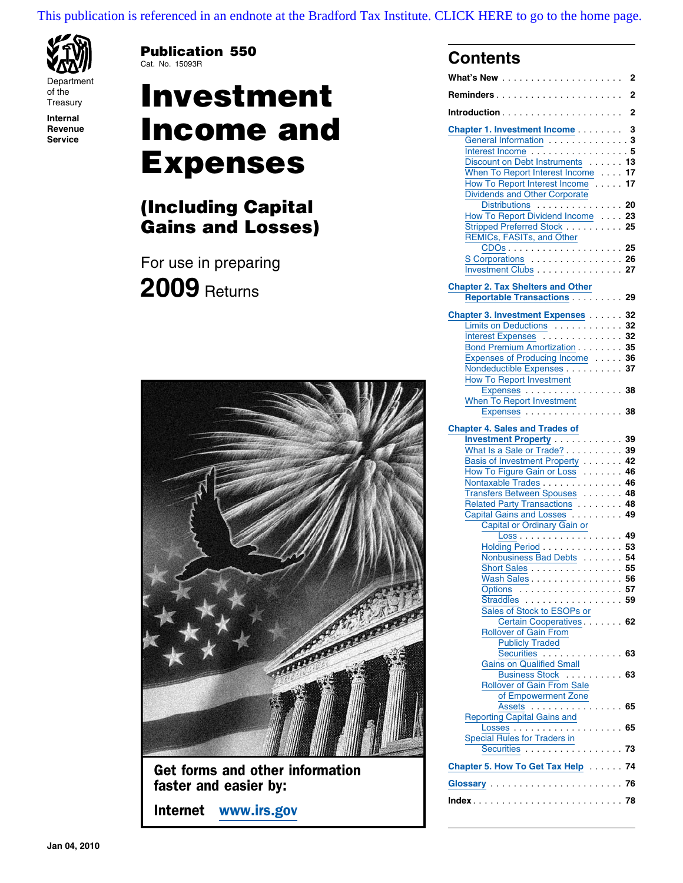[This publication is referenced in an endnote at the Bradford Tax Institute. CLICK HERE to go to the home page.](http://bradfordtaxinstitute.com/)



**Publication 550 PUDIICATION 550<br>Cat. No. 15093R** Contents

## **Treasury Investment Reminders .............................** 2 **Introduction** ..................... **<sup>2</sup> Internal Revenue Income and Service Income and General Information .................. Expenses**

## **(Including Capital Gains and Losses)**



Internet www.irs.gov

| <b>ЧДДУ!!</b>      | Cat. No. 15093H                 |                                                                                                                                                                                                                                |
|--------------------|---------------------------------|--------------------------------------------------------------------------------------------------------------------------------------------------------------------------------------------------------------------------------|
| Department         |                                 |                                                                                                                                                                                                                                |
| of the<br>Treasury | <b>Investment</b>               |                                                                                                                                                                                                                                |
| Internal           |                                 |                                                                                                                                                                                                                                |
| Revenue<br>Service | <b>Income and</b>               | Chapter 1. Investment Income 3<br>General Information 3                                                                                                                                                                        |
|                    |                                 |                                                                                                                                                                                                                                |
|                    | <b>Expenses</b>                 | Discount on Debt Instruments 13<br>When To Report Interest Income 17                                                                                                                                                           |
|                    |                                 | How To Report Interest Income  17<br><b>Dividends and Other Corporate</b>                                                                                                                                                      |
|                    | <b>(Including Capital</b>       | Distributions  20                                                                                                                                                                                                              |
|                    | <b>Gains and Losses)</b>        | How To Report Dividend Income 23<br>Stripped Preferred Stock 25                                                                                                                                                                |
|                    |                                 | REMICs, FASITs, and Other                                                                                                                                                                                                      |
|                    | For use in preparing            | S Corporations  26                                                                                                                                                                                                             |
|                    |                                 | Investment Clubs 27                                                                                                                                                                                                            |
|                    | 2009 Returns                    | <b>Chapter 2. Tax Shelters and Other</b><br><b>Reportable Transactions 29</b>                                                                                                                                                  |
|                    |                                 | Chapter 3. Investment Expenses 32                                                                                                                                                                                              |
|                    |                                 | Limits on Deductions  32<br>Interest Expenses 32                                                                                                                                                                               |
|                    |                                 | Bond Premium Amortization  35                                                                                                                                                                                                  |
|                    |                                 | Expenses of Producing Income 36<br>Nondeductible Expenses 37                                                                                                                                                                   |
|                    |                                 | <b>How To Report Investment</b><br>Expenses 38                                                                                                                                                                                 |
|                    |                                 | When To Report Investment                                                                                                                                                                                                      |
|                    |                                 |                                                                                                                                                                                                                                |
|                    |                                 | <b>Chapter 4. Sales and Trades of</b><br><b>Investment Property</b> 1.1 2.1 2.1 39                                                                                                                                             |
|                    |                                 | What Is a Sale or Trade? 39<br>Basis of Investment Property  42                                                                                                                                                                |
|                    |                                 | How To Figure Gain or Loss 46                                                                                                                                                                                                  |
|                    |                                 | Nontaxable Trades 46<br>Transfers Between Spouses  48                                                                                                                                                                          |
|                    |                                 | Related Party Transactions 48<br>Capital Gains and Losses 49                                                                                                                                                                   |
|                    |                                 | Capital or Ordinary Gain or                                                                                                                                                                                                    |
|                    |                                 | Holding Period  53                                                                                                                                                                                                             |
|                    |                                 | Nonbusiness Bad Debts 54<br>Short Sales 55                                                                                                                                                                                     |
|                    |                                 |                                                                                                                                                                                                                                |
|                    |                                 | Options 57<br>Straddles 59                                                                                                                                                                                                     |
|                    |                                 | Sales of Stock to ESOPs or<br>Certain Cooperatives 62                                                                                                                                                                          |
|                    |                                 | <b>Rollover of Gain From</b>                                                                                                                                                                                                   |
|                    |                                 | <b>Publicly Traded</b><br>Securities 63                                                                                                                                                                                        |
|                    |                                 | <b>Gains on Qualified Small</b><br>Business Stock  63                                                                                                                                                                          |
|                    |                                 | <b>Rollover of Gain From Sale</b>                                                                                                                                                                                              |
|                    |                                 | of Empowerment Zone<br>Assets 65                                                                                                                                                                                               |
|                    |                                 | <b>Reporting Capital Gains and</b>                                                                                                                                                                                             |
|                    |                                 | <b>Special Rules for Traders in</b>                                                                                                                                                                                            |
|                    |                                 | Securities  73                                                                                                                                                                                                                 |
|                    | Get forms and other information | Chapter 5. How To Get Tax Help 74                                                                                                                                                                                              |
|                    | faster and easier by:           | Glossary Charles and Clossary Charles and Charles and The Charles and The Charles and The Charles and The Charles and The Charles and The Charles and The Charles and The Charles and The Charles and The Charles and The Char |
|                    |                                 |                                                                                                                                                                                                                                |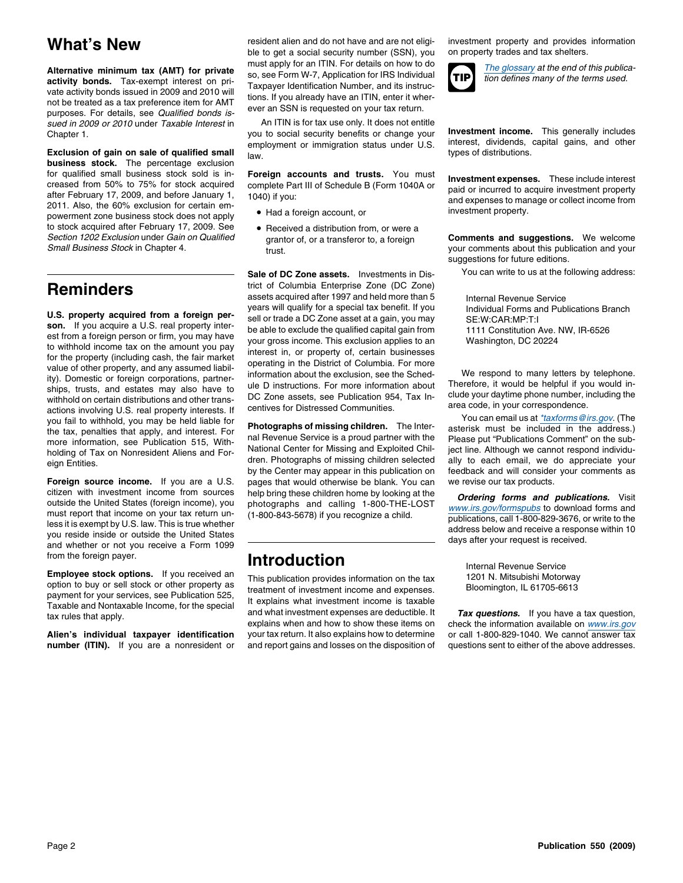Value activity bonds issued in 2009 and 2010 Millions. If you already have an ITIN, enter it where<br>not be treated as a tax preference item for AMT ever an SSN is requested on your tax return.<br>purposes. For details, see Qua sued in 2009 or 2010 under Taxable Interest in

**business stock.** The percentage exclusion for qualified small business stock sold is infor qualified small business stock sold is in-<br>creased from 50% to 75% for stock acquired complete Part III of Schedule B (Form 1040A or<br>after February 17, 2009, and before January 1, 1040) if you:<br>2011. Also, the 60% excl 2011. Also, the 60% exclusion for certain em-<br>powerment zone business stock does not apply  $\bullet$  Had a foreign account, or investment property. to stock acquired after February 17, 2009. See <br>Section 1202 Exclusion under Gain on Qualified arantor of or a transferor to a foreign

son. If you acquire a U.S. real property inter-<br>est from a foreign person or firm, you may have<br>to withhold income tax on the amount you pay<br>for the property (including cash, the fair market<br>for the property (including cas

citizen with investment income from sources help bring these children home by looking at the contract portering forms and publications. Visit outside the United States (foreign income), you photographs and calling 1-800-TH

**number (ITIN).** If you are a nonresident or and report gains and losses on the disposition of questions sent to either of the above addresses.

ble to get a social security number (SSN), you Alternative minimum tax (AMT) for private must apply for an ITIN. For details on how to do<br>activity bonds. Tax-exempt interest on pri-<br>vate activity bonds issued in 2009 and 2010 will the strap of the strap of the terms us

Chapter 1.<br>Chapter 1. School of gain on sale of qualified small and the security benefits or change your<br>letter the security benefits or change your **Investment income.** This generally includes<br>**Exclusion of gain on sale o** 

- Had a foreign account, or
- 

**Reminders Reminders Reminders Reminders Enterprise Zone** (DC Zone) **Reminders Reminders Enterprise Zone (DC Zone) Internal Revenue Service** years will qualify for a special tax benefit. If you Individual Forms and Publications Branch **U.S. property acquired from a foreign per-** sell or trade a DC Zone asset at a gain, you may SE:W:CAR:MP:T:I<br>**son.** If you acqu

more information, see Publication 515, With-<br>holding of Tax on Nonresident Alians and Eor-<br>holding of Tax on Nonresident Alians and Eor-<br>holding of Tax on Nonresident Alians and Eor-<br>National Center for Missing and Exploit holding of Tax on Nonresident Aliens and For-<br>dren. Photographs of missing children selected ally to each email, we do appreciate your<br>by the Center may appear in this publication on feedback and will consider your comment **Foreign source income.** If you are a U.S. pages that would otherwise be blank. You can we revise our tax products.

## from the foreign payer.<br>**Internal Revenue Service**<br>**Internal Revenue Service**<br>Moton **Internal Revenue Service**<br>Moton **Internal Revenue Service**

**Employee stock options.** If you received an<br>option to buy or sell stock or other property as<br>payment for your services, see Publication 525,<br>Taxable and Nontaxable Income, for the special and what investment expenses are **Alien's individual taxpayer identification** your tax return. It also explains how to determine or call 1-800-829-1040. We cannot answer tax

**What's New** resident alien and do not have and are not eligi-<br>ble to get a social security number (SSN), you on property trades and tax shelters.



Section 1202 Exclusion under Gain on Qualified grantor of, or a transferor to, a foreign **Comments and suggestions.** We welcome First Stock in Chapter 4. your comments about this publication and your trust. suggestions for future editions.

Sale of DC Zone assets. Investments in Dis-<br>You can write to us at the following address: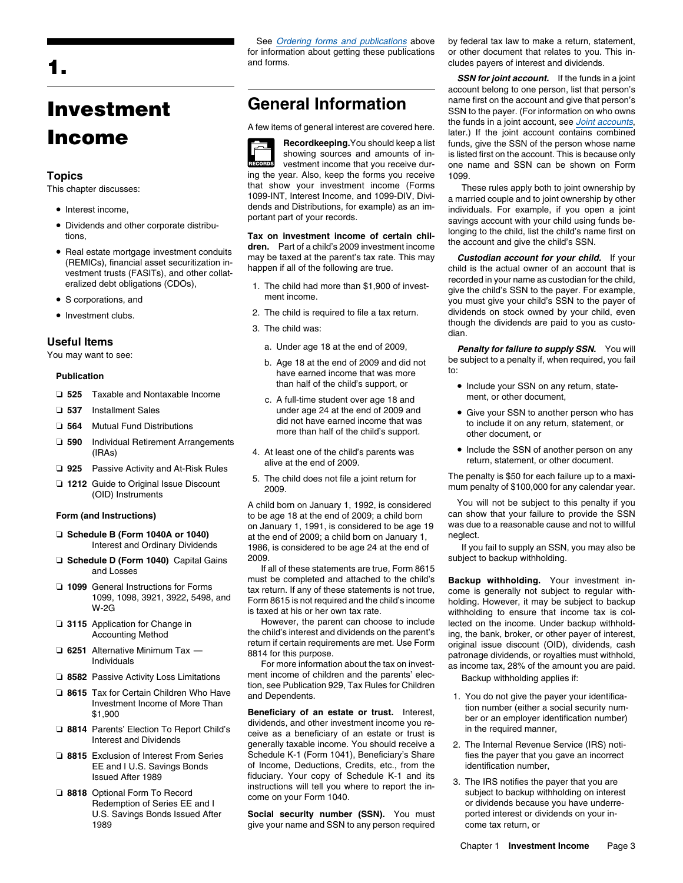- 
- 
- Real estate mortgage investment conduits
- 
- Investment clubs.

- 
- 
- 
- ❏ **590** Individual Retirement Arrangements
- ❏ **925** Passive Activity and At-Risk Rules
- 

- 
- 
- 
- 
- 
- 
- 
- 
- 
- 

for information about getting these publications or other document that relates to you. This in-<br>and forms of interest and dividends



- 
- 
- -
	- than half of the child's support, or •
- ❏ **<sup>525</sup>** Taxable and Nontaxable Income ment, or other document, c. A full-time student over age 18 and under age 24 at the end of 2009 and • Give your SSN to another person who has
	- alive at the end of 2009. The statement, or other document.
	-

on January 1, 1991, is considered to be age 19 was due<br>at the end of 2009: a child born on January 1. Peglect. <p>❑ <b>Schedule B (Form 1040A or 1040)</b></p>\n<p>❑ <b>1040A or 1040</b></p>\n<p>❑ <b>1040A or 1040</b></p>\n<p>❑ <b>1040A or 1040</b></p>\n<p>❑ <b>1040A or 1040</b></p>\n<p>❑ <b>1040A or 1040</b></p>\n<p>❑ <b>1040A or 1040</b></p>\n<p>❑ <b>1040A or 1040</b></p>\n<p>❑ <b>1040A or 1040</b></p>\n<p>❑ <b>1 1986, is considered to be age 24 at the end of If you fail to supply an SSN, you may also be ❏ **Schedule D (Form 1040)** Capital Gains 2009. subject to backup withholding.

If all of these statements are true, Form 8615<br>must be completed and attached to the child's must be completed and attached to the child's **Backup withholding.** Your investment in-<br>tax return. If any of these statements is not true, come is generally not subject to regular with-

❏ **<sup>8582</sup>** Passive Activity Loss Limitations ment income of children and the parents' elec- Backup withholding applies if: tion, see Publication 929, Tax Rules for Children

<p>■ 8615 Tax for Certain Children Who Have and Dependants.</p>\n<p>1. You do not give the payer your identification number (either a social security number) and the particular 1. You do not give the payer your identification number (either a social security number) and the particular 2. The internal Revenue Service (IRS) not interest and Dividends.</p>\n<p>2. The Internal Revenue Service (IRS) not interest.</p>\n<p>3814 Parents' Electronic Theory of an estate or trust is generally taxable income. You should receive a 2. The Internal Revenue Service (IRS) not interest.</p> ❏ **8815** Exclusion of Interest From Series Schedule K-1 (Form 1041), Beneficiary's Share fies the payer that you gave an incorrect EE and I U.S. Savings Bonds of Income, Deductions, Credits, etc., from the Issued After 1989 fiduciary. Your copy of Schedule K-1 and its<br>instructions will tell you where to report the in-<br>Redemption of Series EE and I come on your Form 1040.<br>or dividends because you have underre-<br>or dividends b

U.S. Savings Bonds Issued After **Social security number (SSN).** You must ported interest or dividends on your in-1989 give your name and SSN to any person required come tax return, or

See Ordering forms and publications above by federal tax law to make a return, statement, cludes payers of interest and dividends.

**SSN for joint account.** If the funds in a joint account belong to one person, list that person's **Investment** General Information **State on the account and give that person's** SSN to the payer. (For information on who owns A few items of general interest are covered here.<br>A few items of general interest are covered here.<br>Record keep a list account account contains combined<br>showing sources and amounts of in-<br>is listed first on the account. Th showing sources and amounts of in-<br>is listed first on the account. This is because only<br>vestment income that you receive dur-<br>one name and SSN can be shown on Form one name and SSN can be shown on Form

Interest income, income, income, income, income, income, income, income, income, income, income, income, income, income, income, income, income, income, income, income, income, income, income, income, income, income, incom Dividends and other corporate distribute<br> **Tax on investment income of certain chil-** longing to the child, list the child's name first on<br> **Conditional condition** divident Part of a child's 2009 investment income<br> **Part o** 

• Real estate mortgage investment conduits<br>
(REMICs), financial asset securitization in-<br>
vestment trusts (FASITs), and other collat-<br>
eralized debt obligations (CDOs),<br>
and other collat-<br>
1. The child had more than \$1,900 • S corporations, and ment income.<br>• S corporations, and ment income.<br>• you must give your child's SSN to the payer of 2. The child is required to file a tax return. dividends on stock owned by your child, even •though the dividends are paid to you as custo-<br>dian.

Useful Items<br>You may want to see: http://www.ilfab.org/commanary want to see:<br>b. Age 18 at the end of 2009 and did not be subject to a penalty if, when required, you fail<br>have earned income that was more to: to:

- Include your SSN on any return, state-
- <del>Give your SSN to another person who has did not have earned income that was and to include it on any return, statement, or **564** Mutual Fund Distributions more than half of the child's support.<br>
 564 Mutual Fund Distrib</del>
	- 4. At least one of the child's parents was Include the SSN of another person on any (IRAs)

The penalty is \$50 for each failure up to a maxi-<br> **1212** Guide to Original Issue Discount 2009.<br>
(OID) Instruments<br>
A child horn on January 1, 1992, is considered You will not be subject to this penalty if you

A child born on January 1, 1992, is considered You will not be subject to this penalty if you<br>to be age 18 at the end of 2009: a child born can show that your failure to provide the SSN **Form (and Instructions)** to be age 18 at the end of 2009; a child born can show that your failure to provide the SSN<br>On January 1, 1991, is considered to be age 19, was due to a reasonable cause and not to willful

Later of Forms tax return. If any of these statements is not true, come is generally not subject to regular with 1099, 1098, 3921, 3922, 5498, and Form 8615 is not required and the child's income holding. However, it may ❏ **<sup>3115</sup>** Application for Change in However, the parent can choose to include lected on the income. Under backup withhold-Accounting Method the child's interest and dividends on the parent's ing, the bank, broker, or other payer of interest,<br>
eligencian Missimum Transaction of interest return if certain requirements are met. Use Form original □ 6251 Alternative Minimum Tax – 8814 for this purpose.<br>
Individuals For more information about the tax on invest-<br>
For more information about the tax on invest-<br>
The state of the acception of children and the parents' el

- 
- 
- 
-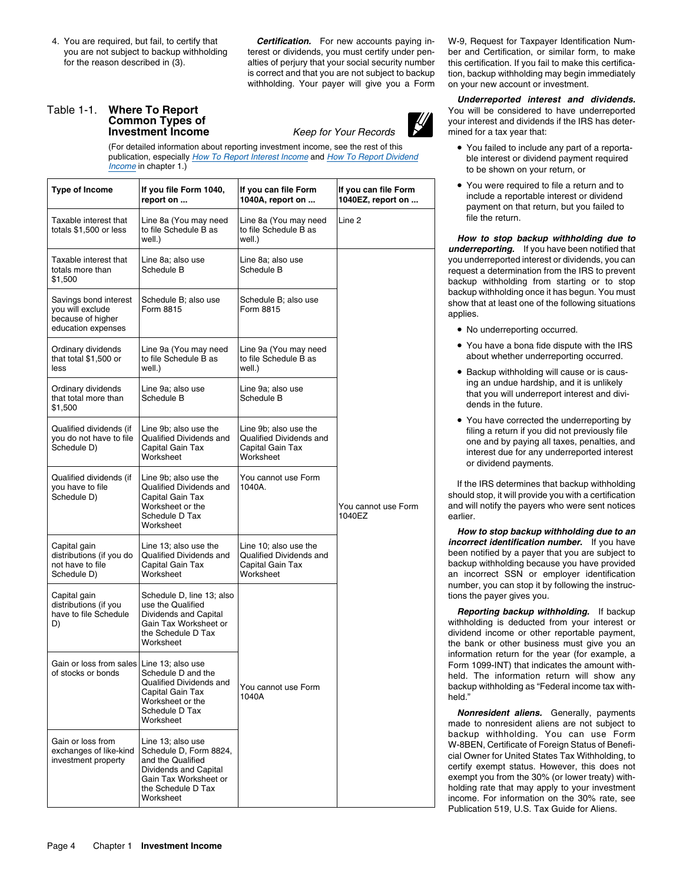4. You are required, but fail, to certify that *Certification.* For new accounts paying in- W-9, Request for Taxpayer Identification Numyou are not subject to backup withholding terest or dividends, you must certify under pen- ber and Certification, or similar form, to make<br>for the reason described in (3). The alties of periury that your social security nu alties of perjury that your social security number this certification. If you fail to make this certifica-<br>is correct and that you are not subject to backup tion, backup withholding may begin immediately withholding. Your payer will give you a Form on your new account or investment.

# **Investment Income** Keep for Your Records **Music mined for a tax year that:**



|  | Type of Income                                                              | If you file Form 1040,<br>report on                                                                                                                   | If you can file Form<br>1040A, report on                                          | If you can file Form<br>1040EZ, report on | • You were required to file a return and to<br>include a reportable interest or dividend<br>payment on that return, but you failed to                                                                                                                                                                                                              |
|--|-----------------------------------------------------------------------------|-------------------------------------------------------------------------------------------------------------------------------------------------------|-----------------------------------------------------------------------------------|-------------------------------------------|----------------------------------------------------------------------------------------------------------------------------------------------------------------------------------------------------------------------------------------------------------------------------------------------------------------------------------------------------|
|  | Taxable interest that<br>totals \$1,500 or less                             | Line 8a (You may need<br>to file Schedule B as<br>well.)                                                                                              | Line 8a (You may need<br>to file Schedule B as<br>well.)                          | Line 2                                    | file the return.<br>How to stop backup withholding due to                                                                                                                                                                                                                                                                                          |
|  | Taxable interest that<br>totals more than<br>\$1,500                        | Line 8a; also use<br>Schedule B                                                                                                                       | Line 8a; also use<br>Schedule B                                                   |                                           | underreporting. If you have been notified that<br>you underreported interest or dividends, you can<br>request a determination from the IRS to prevent<br>backup withholding from starting or to stop                                                                                                                                               |
|  | Savings bond interest<br>you will exclude<br>because of higher              | Schedule B; also use<br>Form 8815                                                                                                                     | Schedule B; also use<br>Form 8815                                                 |                                           | backup withholding once it has begun. You must<br>show that at least one of the following situations<br>applies.                                                                                                                                                                                                                                   |
|  | education expenses                                                          |                                                                                                                                                       |                                                                                   |                                           | • No underreporting occurred.<br>• You have a bona fide dispute with the IRS                                                                                                                                                                                                                                                                       |
|  | Ordinary dividends<br>that total \$1,500 or<br>less                         | Line 9a (You may need<br>to file Schedule B as<br>well.)                                                                                              | Line 9a (You may need<br>to file Schedule B as<br>well.)                          |                                           | about whether underreporting occurred.<br>• Backup withholding will cause or is caus-                                                                                                                                                                                                                                                              |
|  | Ordinary dividends<br>that total more than<br>\$1,500                       | Line 9a; also use<br>Schedule B                                                                                                                       | Line 9a; also use<br>Schedule B                                                   |                                           | ing an undue hardship, and it is unlikely<br>that you will underreport interest and divi-<br>dends in the future.                                                                                                                                                                                                                                  |
|  | Qualified dividends (if<br>you do not have to file<br>Schedule D)           | Line 9b; also use the<br>Qualified Dividends and<br>Capital Gain Tax<br>Worksheet                                                                     | Line 9b; also use the<br>Qualified Dividends and<br>Capital Gain Tax<br>Worksheet |                                           | • You have corrected the underreporting by<br>filing a return if you did not previously file<br>one and by paying all taxes, penalties, and<br>interest due for any underreported interest<br>or dividend payments.                                                                                                                                |
|  | Qualified dividends (if<br>you have to file<br>Schedule D)                  | Line 9b; also use the<br>Qualified Dividends and<br>Capital Gain Tax<br>Worksheet or the<br>Schedule D Tax<br>Worksheet                               | You cannot use Form<br>1040A.                                                     | You cannot use Form<br>1040EZ             | If the IRS determines that backup withholding<br>should stop, it will provide you with a certification<br>and will notify the payers who were sent notices<br>earlier.                                                                                                                                                                             |
|  | Capital gain<br>distributions (if you do<br>not have to file<br>Schedule D) | Line 13; also use the<br>Qualified Dividends and<br>Capital Gain Tax<br>Worksheet                                                                     | Line 10; also use the<br>Qualified Dividends and<br>Capital Gain Tax<br>Worksheet |                                           | How to stop backup withholding due to an<br>incorrect identification number. If you have<br>been notified by a payer that you are subject to<br>backup withholding because you have provided<br>an incorrect SSN or employer identification<br>number, you can stop it by following the instruc-                                                   |
|  | Capital gain<br>distributions (if you<br>have to file Schedule<br>D)        | Schedule D, line 13; also<br>use the Qualified<br>Dividends and Capital<br>Gain Tax Worksheet or<br>the Schedule D Tax<br>Worksheet                   |                                                                                   |                                           | tions the payer gives you.<br>Reporting backup withholding. If backup<br>withholding is deducted from your interest or<br>dividend income or other reportable payment,<br>the bank or other business must give you an                                                                                                                              |
|  | Gain or loss from sales Line 13; also use<br>of stocks or bonds             | Schedule D and the<br>Qualified Dividends and<br>Capital Gain Tax<br>Worksheet or the<br>Schedule D Tax                                               | You cannot use Form<br>1040A                                                      |                                           | information return for the year (for example, a<br>Form 1099-INT) that indicates the amount with-<br>held. The information return will show any<br>backup withholding as "Federal income tax with-<br>held."                                                                                                                                       |
|  |                                                                             | Worksheet                                                                                                                                             |                                                                                   |                                           | <b>Nonresident aliens.</b> Generally, payments<br>made to nonresident aliens are not subject to                                                                                                                                                                                                                                                    |
|  | Gain or loss from<br>exchanges of like-kind<br>investment property          | Line 13; also use<br>Schedule D, Form 8824,<br>and the Qualified<br>Dividends and Capital<br>Gain Tax Worksheet or<br>the Schedule D Tax<br>Worksheet |                                                                                   |                                           | backup withholding. You can use Form<br>W-8BEN, Certificate of Foreign Status of Benefi-<br>cial Owner for United States Tax Withholding, to<br>certify exempt status. However, this does not<br>exempt you from the 30% (or lower treaty) with-<br>holding rate that may apply to your investment<br>income. For information on the 30% rate, see |
|  |                                                                             |                                                                                                                                                       |                                                                                   |                                           | Publication 519 LLS Tax Guide for Aliens                                                                                                                                                                                                                                                                                                           |

tion, backup withholding may begin immediately

### *Underreported interest and dividends.* Table 1-1. **Where To Report Common Types of You will be considered to have underreported Common Types of Vour interest and dividends if the IRS has deter**your interest and dividends if the IRS has deter-

- 
- You were required to file a return and to

- No underreporting occurred.
- You have a bona fide dispute with the IRS about whether underreporting occurred.
- Backup withholding will cause or is caus-
- You have corrected the underreporting by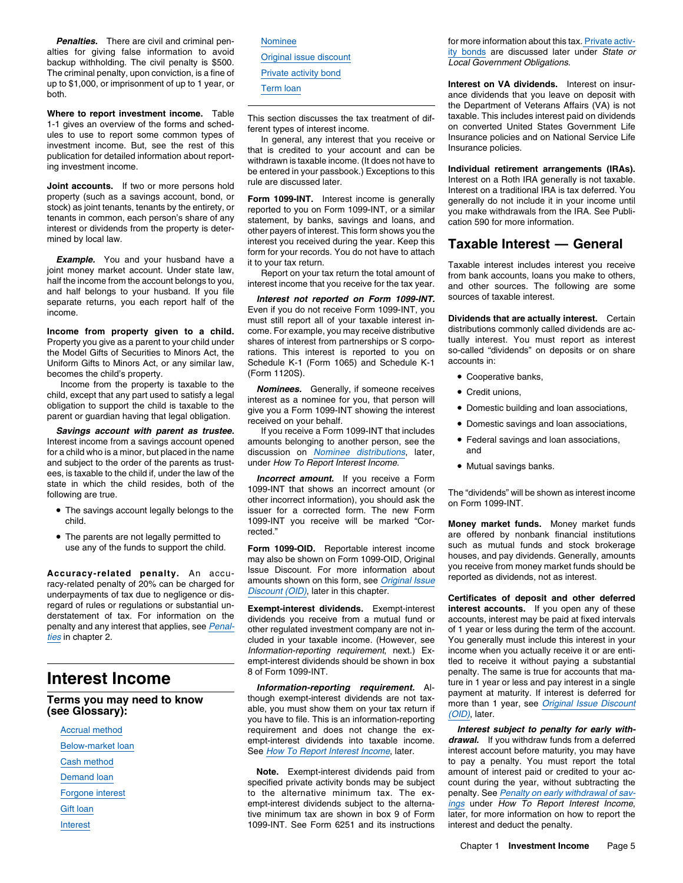The criminal penalty, upon conviction, is a fine of Private activity bond up to \$1,000, or imprisonment of up to 1 year, or **Interest on VA dividends.** Interest on insur-<br>both. ance dividends that you leave on deposit with

Uniform Gifts to Minors Act, or any similar law, Schedule K-1 (Form 1065) and Schedule K-1 becomes the child's property. (Form 1120S). becomes the child's property.  $(Form 1120S)$ .  $\bullet$  Cooperative banks,

Income from the property is taxable to the *Nominees.* Generally, if someone receives • Credit unions,

Interest income from a savings account opened amounts belonging to another person, see the Fed<br>for a child who is a minor, but placed in the pame discussion, on *Nominee distributions* later and for a child who is a minor, but placed in the name discussion on Nominee distributions, later, and subject to the order of the parents as trust- under How To Report Interest Income. • Mutual savings banks. and subject to the bild if, under the law of the<br>ees, is taxable to the child if, under the law of the<br>state in which the child resides, both of the<br>following are true.<br>following are true.

- The savings account legally belongs to the
- 

• The parents are order by non-tendant of the count.<br>
Legislated the security. An accuracy-related penalty. An accu-<br>
Legislated penalty and accuracy-related penalty. An accu-<br>
Legislated penalty of 20% can be charged for

The metal, any interest that you receive or<br>investment income. But, see the rest of this<br>publication for detailed information about report-<br>ing investment income.<br>ing investment income.<br>ing investment income.<br>the entered i

**Joint accounts.** If two or more persons hold<br>property (such as a savings account, bond, or<br>property (such as a savings account, bond, or<br>tendents, tenants by the entitiers on a traditional IRA is taxele-<br>stock) as joint t

must still report all of your taxable interest in-<br>come. For example, you may receive distributive distributions commonly called dividends are ac-**Income from property given to a child.** come. For example, you may receive distributive distributions commonly called dividends are ac-<br>Property you give as a parent to your child under shares of interest from partnership Property you give as a parent to your child under shares of interest from partnerships or S corpo- tually interest. You must report as interest the nations. This interest is reported to you on so-called "dividends" on depo the Model Gifts of Securities to Minors Act, the rations. This interest is reported to you on so-called "dividends" on the rations of the rations. This interest is reported to you on so-called "dividends in:

child, except that any part used to satisfy a legal **Notified Montries.** Generally, it sollied the economic except that any part used to satisfy a legal interest as a nominee for you, that person will<br>parent or guardian ha rent or guardian naving that legal obligation. <br>**Savings account with parent as trustee.** If you receive a Form 1099-INT that includes **COM COM COM COM COM** 

other incorrect information), you should ask the on Form 1099-INT. issuer for a corrected form. The new Form

Information-reporting requirement, next.) Ex- income when you actually receive it or are entiempt-interest dividends should be shown in box tled to receive it without paying a substantial<br>8 of Form 1099-INT. Sane is true for accounts that ma-

Accrual method<br> **Accrual method** requirement and does not change the ex-<br> **Relay method** empt-interest dividends into taxable income. *drawal***.** If you withdraw funds from a deferred

Forgone interest **the alternative minimum tax.** The ex- penalty. See Penalty on early withdrawal of savempt-interest dividends subject to the alterna- ings under How To Report Interest Income,<br>tive minimum tax are shown in box 9 of Form later, for more information on how to report the Interest 1099-INT. See Form 6251 and its instructions interest and deduct the penalty.

**Penalties.** There are civil and criminal pen- Nominee **For a state of the contract of the Contract** of the activalties for giving false information to avoid altiginal issue discount in the state or original issue discount backup withholding. The civil penalty is \$500. Local Government Obligations.

Where to report investment income. Table<br>1-1 gives an overview of the forms and sched-<br>1-1 gives an overview of the forms and sched-<br>1.1 gives an overted United States Government Life

- 
- 
- 
- 
- Federal savings and loan associations,
- 

child. 1099-INT you receive will be marked "Cor-<br>**The parents are not legally permitted to**<br>rected."<br>rected."<br>such as mutual funds and stock brokerage

**Interest Income**<br>
<sup>8 of Form 1099-INT.<br> **IFFORE**<br> **IFFORE**<br> **Example 19 of Form 1099-INT.**<br> **IFFORE**<br> **IFFORE**<br> **IFFORE**<br> **IFFORE**<br> **IFFORE**<br> **IFFORE**<br> **IFFORE**<br> **IFFORE**<br> **IFFORE**<br> **IFFORE**<br> **IFFORE**<br> **IFFORE**<br> **IFFORE**<br></sup>

empt-interest dividends into taxable income. *drawal.* If you withdraw funds from a deferred Below-market loan See How To Report Interest Income, later. interest account before maturity, you may have Cash method<br> **Cash method** to pay a penalty. You must report the total<br> **Note.** Exempt-interest dividends paid from amount of interest paid or credited to your ac-Note. Exempt-interest dividends paid from amount of interest paid or credited to your ac-<br>Demand loan specified private activity bonds may be subject count during the year, without subtracting the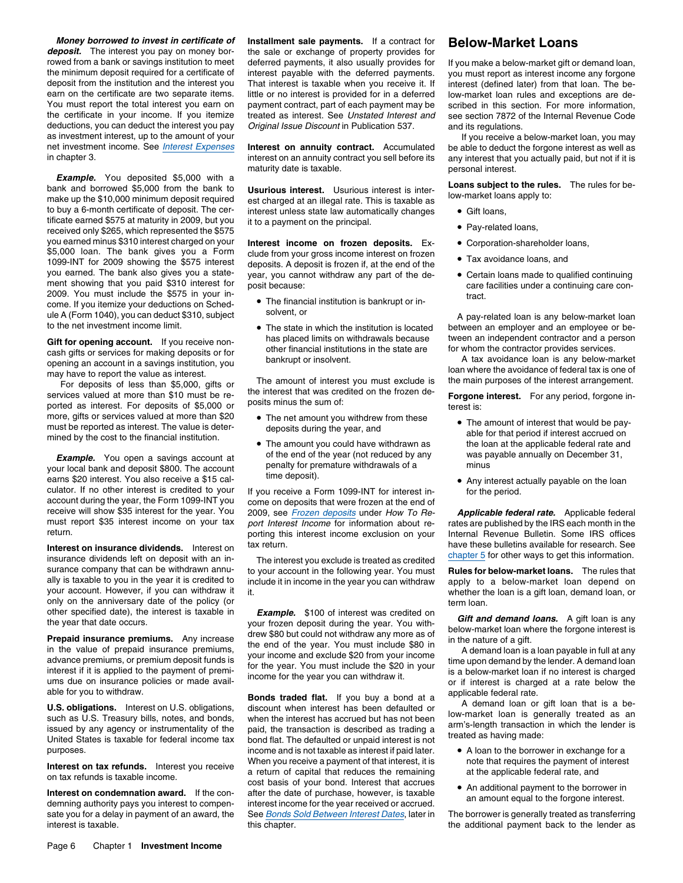*deposit.* The interest you pay on money bor-<br>rowed from a bank or savings institution to meet<br>deferred payments, it also usually provides for rowed from a bank or savings institution to meet deferred payments, it also usually provides for If you make a below-market gift or demand loan, the minimum deposit required for a certificate of interest payable with the d the minimum deposit required for a certificate of interest payable with the deferred payments. you must report as interest income any forgone deposit from the institution and the interest you That interest is taxable when earn on the certificate are two separate items. little or no interest is provided for in a deferred low-market loan rules and exceptions are de-<br>You must report the total interest you earn on payment contract, part of each You must report the total interest you earn on payment contract, part of each payment may be scribed in this section. For more information, the certificate in your income. If you itemize treated as interest. See *Unstated* deductions, you can deduct the interest you pay Original Issue Discount in Publication 537. and its regulations<br>as investment interest, up to the amount of your as investment interest, up to the amount of your<br>net investment income. See *Interest Expenses* **Interest on annuity contract.** Accumulated be able to deduct the forgone interest as well as

**Example.** You deposited \$5,000 with a **Loans subject to the rules.** The rules for be-<br>bank and borrowed \$5,000 from the bank to **Usurious interest.** Usurious interest is inter-<br>make up the \$10,000 minimum deposit required make up the \$10,000 minimum deposit required est charged at an illegal rate. This is taxable as<br>to buy a 6-month certificate of deposit. The cer-<br>interest unless state law automatically changes tificate earned \$575 at maturity in 2009, but you it to a payment on the principal.<br>received only \$265 which represented the \$575 received only \$265, which represented the \$575 you earned minus \$310 interest charged on your<br>
\$5,000 loan. The bank gives you a Form clude from your gross income interest on frozen • Corporation-shareholder loans, and<br>
1099-INT for 2009 showing the \$575 interest denos Tax avoidance loans, and 1099-INT for 2009 showing the \$575 interest deposits. A deposit is frozen if, at the end of the<br>you earned. The bank also gives you a state-<br>you earned. The bank also gives you a state-<br>you cannot you earned. The bank also gives you a state-<br>ment showing that you paid \$310 interest for posit because:<br>2009. You must include the \$575 in your in-<br>2009. You must include the \$575 in your in-The financial institution is bankrupt or in-<br>Come. If you itemize your deduct \$310, subject solvent, or ule A (Form 1040), you can deduct \$310, subject A pay-related loan is any below-market loan to the net investment income limit. • The state in which the institution is located

Gift for opening account. If you receive non-<br>cash gifts or services for making deposits or for<br>opening an account in a savings institution, you bankrupt or insolvent.<br>may have to report the value as interest.<br>For deposits

more, gifts or services valued at more than \$20 • The net amount you withdrew from these • The amount of interest that would be pay-<br>must be reported as interest. The value is deter-<br>eposits during the year, and

**Example.** You open a savings account at of the end of the year (not reduced by any was payable annually on December 31,<br>your local bank and deposit \$800. The account penalty for premature withdrawals of a minus<br>earns \$20 culator. If no other interest is credited to your If you receive a Form 1099-INT for interest in-<br>account during the year, the Form 1099-INT you come on deposits that were frozen at the end of

insurance dividends left on deposit with an in-<br>straince company that can be withdrawn annu-<br>to your account in the following year. You must surance company that can be withdrawn annu-<br>ally is taxable to you in the year it is credited to include it in income in the year you can withdraw annly to a helow-market loan, depend on ally is taxable to you in the year it is credited to include it in income in the year you can withdraw apply to a below-market loan depend on your account. However, if you can withdraw it it. only on the anniversary date of the policy (or term loan. the policy of term loan.

*Money borrowed to invest in certificate of* **Installment sale payments.** If a contract for **Below-Market Loans**

maturity date is taxable. example interest.

interest unless state law automatically changes  $\bullet$  Gift loans,

- The financial institution is bankrupt or in-
- 

- 
- $\bullet$  The amount you could have withdrawn as

account during the year, the Form 1099-INT you come on deposits that were frozen at the end of<br>receive will show \$35 interest for the year. You come on deposits under *How To Re-Applicable federal rate.* Applicable feder return. porting this interest income exclusion on your Internal Revenue Bulletin. Some IRS offices

it. However, it it is a gift loan, demand loan, or

other specified date), the interest is taxable in<br>the year that date occurs. wour frozen deposit during the year. You with-<br>**Prepaid insurance premiums.** Any increase the sum of the year was credited on<br>in the value of pre

able for you to withdraw.<br> **U.S. obligations.** Interest on U.S. obligations, discount when interest has been defaulted or<br>
such as U.S. Treasury bills, notes, and bonds, when the interest has accrued but has not been<br>
issu purposes. income and is not taxable as interest if paid later. • A loan to the borrower in exchange for a Interest on tax refunds. Interest you receive When you receive a payment of that interest, it is note that requires the payment of interest<br>on tax refunds is taxable income. <br>cost basis of your bond. Interest that accrues or tax returned is taxable income.<br>
Interest on condemnation award. If the con-<br>
demning authority pays you interest to compen-<br>
interest income for the year received or accrued.<br>
an amount equal to the forgone interest. sate you for a delay in payment of an award, the See Bonds Sold Between Interest Dates, later in The borrower is generally treated as transferring interest is taxable. This chapter. This chapter as the additional payment back to the lender as

That interest is taxable when you receive it. If interest (defined later) from that loan. The be-<br>little or no interest is provided for in a deferred in ow-market loan rules and exceptions are desee section 7872 of the Internal Revenue Code

be able to deduct the forgone interest as well as in chapter 3. **interest on an annuity contract you sell before its** any interest that you actually paid, but not if it is

- 
- 
- 
- 
- 

between an employer and an employee or be-

- The amount of interest that would be pay-<br>mined by the cost to the financial institution.<br>The amount you could have withdrawn as the loan at the applicable federal rate and<br>the loan at the applicable federal rate and
	- Any interest actually payable on the loan

Interest on insurance dividends. Interest on tax return.<br>insurance dividends left on denosit with an in-<br>The interest use such also tracted as exaliated chapter 5 for other ways to get this information.

- 
-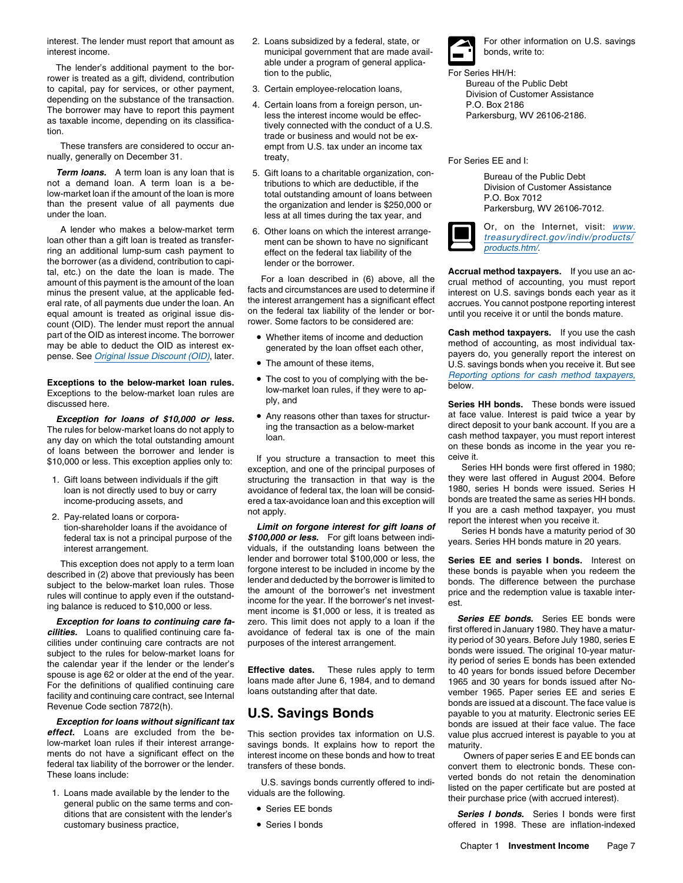The lender's additional payment to the bor-<br>
rower is treated as a gift, dividend, contribution<br>
to capital, pay for services, or other payment,<br>
depending on the substance of the transaction.<br>
The borrower may have to rep

nually, generally on December 31. The end of treaty, treaty, the end of the Series EE and I:

**Term loans.** A term loan is any loan that is 5. Gift loans to a charitable organization, con-<br>not a demand loan. A term loan is a be-<br>low-market loan if the amount of the loan is more total outstanding amount of loans bet

A lender who makes a below-market term 6. Other loans on which the interest arrange-<br>loan other than a gift loan is treated as transfer-<br>ring an additional lump-sum cash payment to effect on the federal tax liability of th the borrower (as a dividend, contribution to capi- lender or the borrower. tal, etc.) on the date the loan is made. The<br>amount of this payment is the amount of the loan is made. The<br>minus the present value, at the applicable fed-<br>real rate, of all payments due under the loan. An<br>eral rate, of all

Exceptions to the below-market loan rules.<br>
Exceptions to the below-market loan rules are<br>
discussed here.<br>
discussed here.<br>
Series HH bonds. These bonds were issued<br>
discussed here.<br>
Series HH bonds. These bonds were issu

**Exception for loans of \$10,000 or less.** • Any reasons other than taxes for structur-<br>The rules for below-market loans do not apply to<br>any day on which the total outstanding amount<br>of loans between the borrower and lender

- 
- 2. Pay-related loans or corpora-<br>
tion-shareholder loans if the avoidance of **Limit on forgone interest for gift loans of**<br>
tederal tax is not a principal purpose of the \$100,000 or less. For gift loans between indi-<br>
inte

general public on the same terms and con-<br>ditions that are consistent with the lender's **Series EE** bonds were first **Series I bonds.** Series I bonds were first

- interest. The lender must report that amount as 2. Loans subsidized by a federal, state, or For other information on U.S. savings interest income.<br>The leader's edditional pour ent to the best able under a program of general applica-<br>The leader's edditional pour ent to the best able under a program of general applica-
	-
	- These transfers are considered to occur an- empt from U.S. tax under an income tax
		-
		-

- Whether items of income and deduction
- The amount of these items,
- 
- Any reasons other than taxes for structur-

1. Gift loans between individuals if the gift structuring the transaction in that way is the they were last offered in August 2004. Before is used to buy or carry avoidance of federal tax, the loan will be consid- 1980, se loan is not directly used to buy or carry avoidance of federal tax, the loan will be consid-<br>income-producing assets, and ered a tax-avoidance loan and this exception will bonds are treated the same as series HH bonds. income-producing assets, and ered a tax-avoidance loan and this exception will bonds are treated the same as series HH bonds.<br>If you are a cash method taxpayer, you must

This exception does not apply to a term loan<br>described in (2) above that previously has been forgone interest to be included in income by the<br>subject to the below-market loan rules. Those<br>subject to the below-market loan r

effect. Loans are excluded from the be-<br>low-market loan rules if their interest arrange-<br>ments do not have a significant effect on the interest income on these bonds and how to treat<br>federal tax liability of the borrower o

- 
- 





may be able to deduct the OID as interest ex- method of accounting, as most individual tax- generated by the loan offset each other, payers do, you generally report the interest on pense. See Original Issue Discount (OID), later. U.S. savings bonds when you receive it. But see • The cost to you of complying with the be-<br> $\frac{Reporting options for cash method taxpayers, below.}{}$ 

cilities under continuing care contracts are not<br>subject to the rules for below-market loans for<br>the calendar year if the lender or the lender's<br>spouse is age 62 or older at the end of the year.<br>Frective dates. These rules

These loans include:<br>1. Loans made available by the lender to the viduals are the following.<br>1. Loans made available by the lender to the viduals are the following.<br>1. Loans made available by the lender to the viduals are

customary business practice, **•** Series I bonds **offered in 1998.** These are inflation-indexed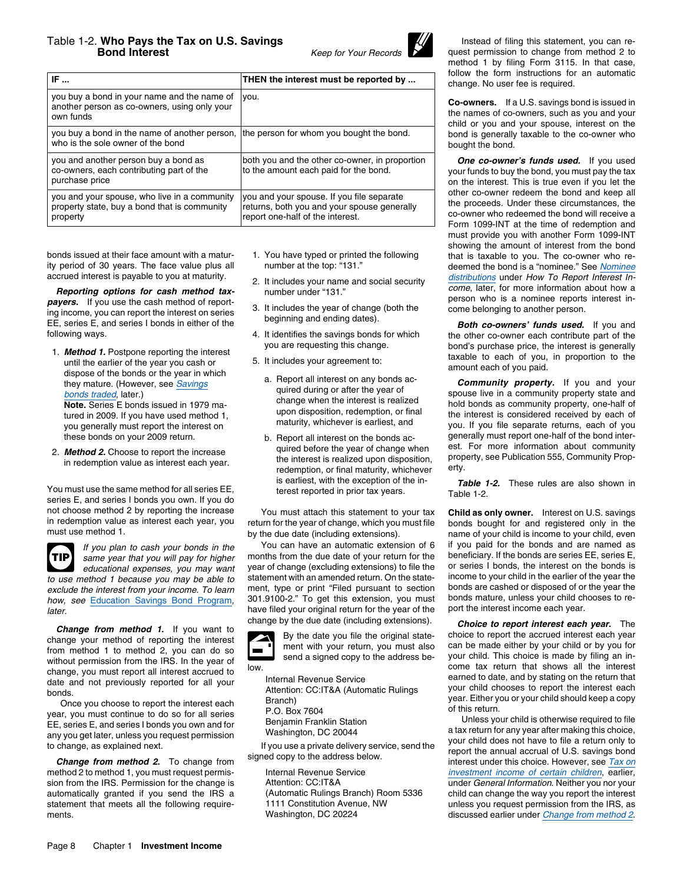## Table 1-2. **Who Pays the Tax on U.S. Savings** Table 1-2. **Who Pays the Tax on U.S. Savings** *Instead of filing this statement, you can re-*<br> **Instead of filing this statement, you can re-**<br> **Instead of filing this statemen**



| IF                                                                                                                          | THEN the interest must be reported by                                                                                        | follow the form instructions for an automatic<br>change. No user fee is required.                                                                                                           |  |  |  |
|-----------------------------------------------------------------------------------------------------------------------------|------------------------------------------------------------------------------------------------------------------------------|---------------------------------------------------------------------------------------------------------------------------------------------------------------------------------------------|--|--|--|
| you buy a bond in your name and the name of<br>another person as co-owners, using only your<br>own funds                    | Ivou.                                                                                                                        | <b>Co-owners.</b> If a U.S. savings bond is issued in<br>the names of co-owners, such as you and your<br>child or you and your spouse, interest on the                                      |  |  |  |
| you buy a bond in the name of another person, the person for whom you bought the bond.<br>who is the sole owner of the bond |                                                                                                                              | bond is generally taxable to the co-owner who<br>bought the bond.                                                                                                                           |  |  |  |
| you and another person buy a bond as<br>co-owners, each contributing part of the<br>purchase price                          | both you and the other co-owner, in proportion<br>to the amount each paid for the bond.                                      | One co-owner's funds used. If you used<br>your funds to buy the bond, you must pay the tax<br>on the interest. This is true even if you let the                                             |  |  |  |
| you and your spouse, who live in a community<br>property state, buy a bond that is community<br>property                    | you and your spouse. If you file separate<br>returns, both you and your spouse generally<br>report one-half of the interest. | other co-owner redeem the bond and keep all<br>the proceeds. Under these circumstances, the<br>co-owner who redeemed the bond will receive a<br>Form 1099-INT at the time of redemption and |  |  |  |

bonds issued at their face amount with a matur-<br>
ity period of 30 years. The face value plus all mumber at the top: "131." deemed the bond is a "nominee." See Nominee

accrued interest is payable to you at maturity.<br> **Reporting options for cash method tax-**<br> **Reporting options for cash method tax-**<br> **Reporting options for cash method tax-**<br> **Reporting options for cash method tax-**<br> **Repo** 



- 
- 
- 
- 
- -
	-

educational expenses, you may want year of change (excluding extensions) to file the or series I bonds, the interest on the bonds is educational expenses, you may hand year of change (excluding extending or the the search exclude the interest from your income. To learn ment, type or print "Filed pursuant to section bonds are cashed or disposed of or the year the learn the year the holds how. see Education Savings Bond Program. 301.9100-2." how, see Education Savings Bond Program, 301.9100-2." To get this extension, you must bonds mature, unless your child ch<br>later the port the interest income each year. have filed your original return for the year of the later.

**Bond Interest** Mexican Change Transformation Change from the Mexican Change from method 2 to the Keep for Your Records **Change of the Change from method 2 to** method 1 by filing Form 3115. In that case, follow the form instructions for an automatic change. No user fee is required.

One co-owner's funds used. If you used your funds to buy the bond, you must pay the tax on the interest. This is true even if you let the must provide you with another Form 1099-INT showing the amount of interest from the bond deemed the bond is a "nominee." See Nominee

following ways. 4. It identifies the savings bonds for which the other co-owner each contribute part of the other co-owner each contribute part of the vertex is quentifies the savings bonds for which the other co-owner eac

**1. Method 1.** Postpone reporting the interest until the earlier of the year you cash or dispose of the bonds or the year in which they mature. (However, see *Savings* and the particle in 2009. If you have used method 1, these bonds on your 2009 return.<br>b. Report all interest on the bonds ac-<br>quired before the year of change when est. For more information about community 2. **Method 2.** Choose to report the increase **of the interest is realized upon disposition**, est. For more information about community Property, see Publication 555, Community Property in redemption value as interest each

is earliest, with the exception of the in-<br>You must use the same method for all series EE,<br>series E, and series I bonds you own. If you do<br>Series E, and series I bonds you own. If you do

not choose method 2 by reporting the increase You must attach this statement to your tax Child as only owner. Interest on U.S. savings<br>in redemption value as interest each year, you return for the year of change, which you If you plan to cash your bonds in the You can have an automatic extension of 6 if you paid for the bonds and are named as  $\epsilon$  series E, series E, series E, series E, series E, series E, series E, series E, series E, seri same year that you will pay for higher months from the due date of your return for the beneficiary. If the bonds are series EE, series E, series E, series E, series E, series E, series E, series E, series E, series E, seri to use method 1 because you may be able to statement with an amended return. On the state-<br>exclude the interest from your income. To learn ment, type or print "Filed pursuant to section bonds are cashed or disposed of or t

**Change from method 1.** If you want to change by the due date (including extensions). **Choice to report interest each year**. The change your method of reporting the interest text of the original state-<br>
from method 1 to me

Once you choose to report the interest each being the series of this return.<br>
The year, you must continue to do so for all series and series and series and series bonds you own and for<br>
E. series E, and series I bonds you method 2 to method 1, you must request permis-<br>
Internal Revenue Service<br>
Internal Revenue Service<br>
Internal Revenue Service<br>
Internal Revenue Service<br>
Internal Revenue Service<br>
Internal Revenue Service<br>
Internal Internal sion from the IRS. Permission for the change is Attention: CC:IT&A under General Information. Neither you nor your<br>automatically granted if you send the IRS a (Automatic Rulings Branch) Room 5336 child can change the way y automatically granted if you send the IRS a (Automatic Rulings Branch) Room 5336 child can change the way you report the interest statement that meets all the following require-<br>1111 Constitution Avenue, NW and the system generals on from the IRS, as ments. **Washington, DC 20224** discussed earlier under Change from method 2.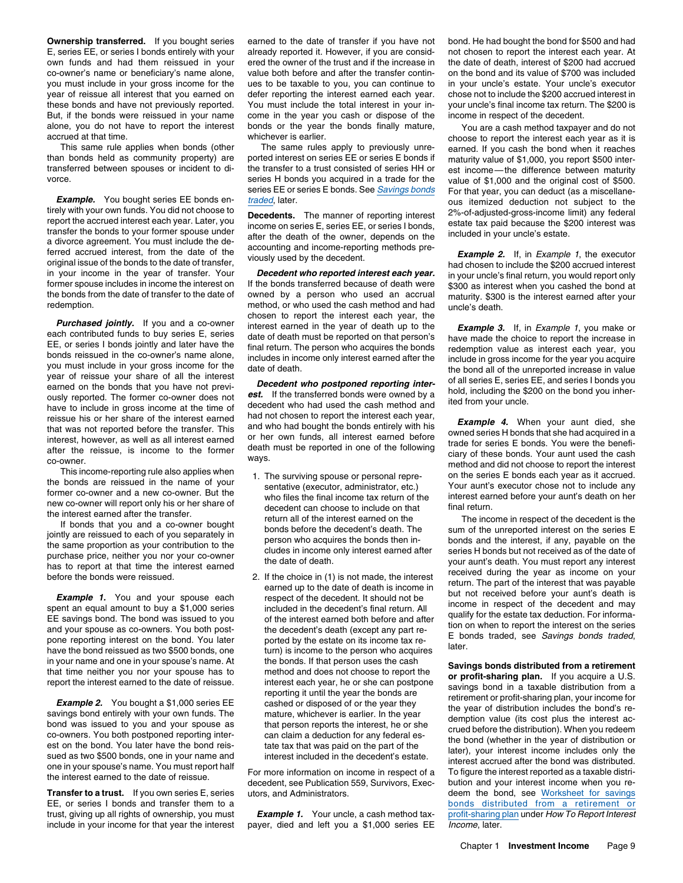own funds and had them reissued in your ered the owner of the trust and if the increase in the date of death, interest of \$200 had accrued co-owner's name or beneficiary's name alone, value both before and after the transfer contin- on the bond and its value of \$700 was included you must include in your gross income for the ues to be taxable to you, you can continue to in your uncle's estate. Your uncle's executor vear of reissue all interest that you earned on defer reporting the interest earned these bonds and have not previously reported. You must include the total interest in your in- your uncle's final income tax return. The \$200 is But, if the bonds were reissued in your name come in the year you cash or dispose of the income in respect of the decedent. alone, you do not have to report the interest bonds or the year the bonds finally mature, You are a cash method taxpayer and do not whichever is earlier.

**Example.** You bought series EE bonds en-<br>tirely with your own funds. You did not choose to<br>report the accrued interest each year. Later, you can be income on series EE bonds income on series E. See Savings bonds<br>transfer in your income in the year of transfer. Your **Decedent who reported interest each year.** in your uncle's final return, you would report only former spouse includes in income the interest on If the bonds transferred because former spouse includes in income the interest on If the bonds transferred because of death were \$300 as interest when you cashed the bond at<br>the bonds from the date of transfer to the date of owned by a person who used an the bonds from the date of transfer to the date of owned by a person who used an accrual maturity. \$300 is the interest earned after your<br>redemption.

**Purchased jointly.** If you and a co-owner chere the interest each of the interest earned in the year of death up to the **Example 3.** If, in *Example 1*, you make or EE, or series l bonds in buy series. Series date of dea

EE, or series I bonds and transfer them to a bonds distributed from a retirement or trust, giving up all rights of ownership, you must *Example 1.* Your uncle, a cash method tax- profit-sharing plan under How To Report Interest include in your income for that year the interest payer, died and left you a \$1,000 series  $EE$  *Income*, later.

**Ownership transferred.** If you bought series earned to the date of transfer if you have not bond. He had bought the bond for \$500 and had E, series EE, or series I bonds entirely with your already reported it. However, if you are consid- not chosen to report the interest each year. At defer reporting the interest earned each year.

This same rule applies when bonds (other The same rules apply to previously unre-<br>than bonds held as community property) are ported interest on series EE or series E bonds if maturity value of \$1,000, you report \$500 inter than bonds held as community property) are ported interest on series EE or series E bonds if maturity value of \$1,000, you report \$500 inter-<br>transferred between spouses or incident to di- the transfer to a trust consisted transferred between spouses or incident to di-<br>series H bonds you acquired in a trade for the yellie of \$1,000 and the original cost of \$500 series H bonds you acquired in a trade for the value of \$1,000 and the original cost of \$500.<br>series EE or series E bonds. See *Savings bonds* For that year, you can deduct (as a miscellane-

method, or who used the cash method and had uncle's death.

- 
- 

Transfer to a trust. If you own series E, series utors, and Administrators. The state of the bond, see Worksheet for savings

rued at that time.<br>This same rule applies when bonds (other and the same rules apply to previously unre- earned. If you cash the bond when it reaches

the interest earned after the transfer.<br>
If bonds the interest earned on the<br>
lighting are reissued to each of you separately in<br>
lighting are reissued to each of you separately in<br>
the same proportion as your contribution

in your rame and one in your spouse's name. At<br>the bonds. If that person uses the cash<br>that time neither you nor your spouse has to method and does not choose to report the interest each oreport<br>freport the interest each o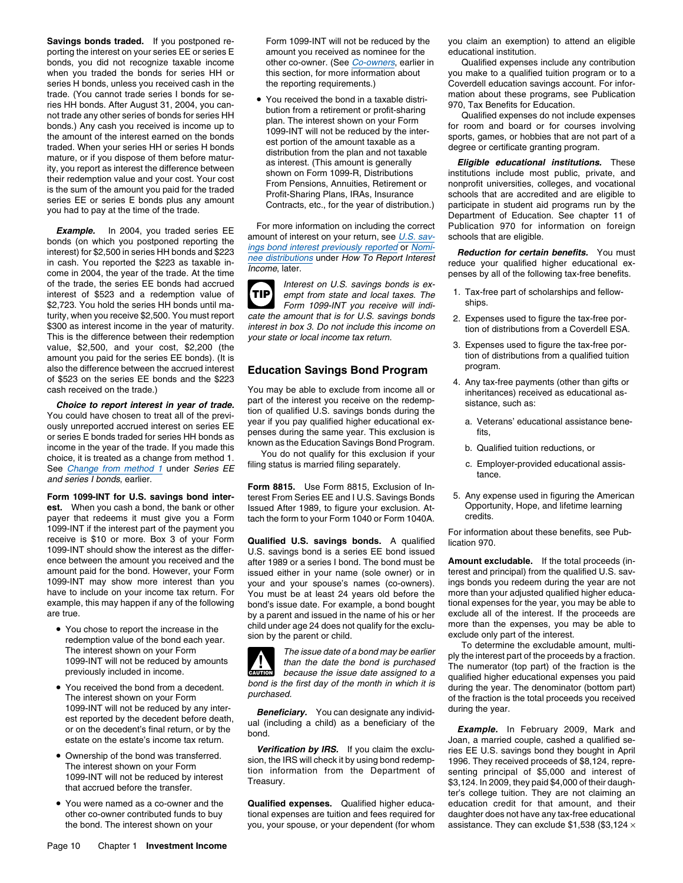**Savings bonds traded.** If you postponed re-<br>Form 1099-INT will not be reduced by the you claim an exemption) to attend an eligible porting the interest on your series EE or series E amount you received as nominee for the educational institution.<br>bonds, you did not recognize taxable income other co-owner. (See *Co-owners*, earlier in Qualified expenses bonds, you did not recognize taxable income when you traded the bonds for series HH or this section, for more information about you make to a qualified tuition program or to a series H bonds, unless you received cash in the the reporting requirements.) Coverdell education savings account. For infortrade. (You cannot trade series I bonds for se-<br>
Fou received the bond in a taxable distri-<br>
mation about these programs, see Publication is a setimate of the bond in a taxable distriction about these programs, see Publica Figure 1.1 The matter and the bond in a taxable distriction of the bond in a taxable distri-<br>
The History Courage of the bond in a taxable distriction form a retirement or profit-sharing Pans and the bond solone with a mou

**Example.** In 2004, you traded series EE for more information on including the correct Publication 970 for information on foreign<br>bonds (on which you postponed reporting the amount of interest on your return, see *U.S. sa* of the trade, the series EE bonds had accrued<br>interest of \$523 and a redemption value of **IIP** empt from state and local taxes. The 1. Tax-free part of scholarships and fellow-<br>\$2.723 You hold the series HH bonds until ma \$2,723. You hold the series HH bonds until ma- Form 1099-INT you receive will inditurity, when you receive \$2,500. You must report cate the amount that is for U.S. savings bonds 2. Expenses used to figure the tax-free por-<br>\$300 as interest income in the year of maturity. interest in box 3. Do not includ This is the difference between their redemption your state or local income tax return.<br>
value, \$2,500, and your cost, \$2,200 (the<br>
amount you paid for the series FF bonds). (It is amount you paid for the series EE bonds). (It is<br>also the difference between the accrued interest. Education Covince Bond Broarcom ............................

also the difference between the accrued interest<br>
of \$523 on the series EE bonds and the \$223<br>
can the series to mean of the interest you receive on the redemp-<br>
can converge to report interest in year of trade.<br>
You coul

**est.** When you cash a bond, the bank or other Issued After 1989, to figure your exclusion. At- Opportunity of the form to your Form 1040 or Form 1040 and Credits. payer that redeems it must give you a Form tach the form to your Form 1040 or Form 1040A. 1099-INT if the interest part of the payment you<br>
receive is \$10 or more. Box 3 of your Form **Qualified U.S. savings bonds.** A qualified lication 970.<br>
1099-INT should show the interest as the differ- U.S. savings bond is ence between the amount you received and the after 1989 or a series I bond. The bond must be **Amount excludable.** If the total proceeds (inamount paid for the bond. However, your Form issued either in your name (sole owner) or in terest and principal) from the qualified U.S. sav-<br>1099-INT may show more interest than you vour and your spouse's names (co-owners 1099-INT may show more interest than you your and your spouse's names (co-owners). ings bonds you redeem during the year are not have to include on your income tax return. For You must be at least 24 years old before the m have to include on your income tax return. For You must be at least 24 years old before the more than your adjusted qualified higher educa-<br>example, this may happen if any of the following bond's issue date. For example, a example, this may happen if any of the following bond's issue date. For example, a bond bought are true

- You chose to report the increase in the child under age 24 does not quality for the exclude only part of the interest.<br>
The interest signal was a controlled only be actual to the interest.<br>
The interest shown on your Fo
- 1099-INT will not be reduced by any inter-<br>est reported by the decedent before death, ual (including a child) as a beneficiary of the<br>or on the decedent's final return, or by the bond.<br>estate on the estate's income tax ret
- 
- You were named as a co-owner and the

**TIP**

**Form 1099-INT for U.S. savings bond inter-** terest From Series EE and I U.S. Savings Bonds 5. Any expense used in figuring the American est. When you cash a bond, the bank or other Issued After 1989 to figure your exclusi

U.S. savings bond is a series EE bond issued by a parent and issued in the name of his or her exclude all of the interest. If the proceeds are child under age 24 does not qualify for the exclu- more than the expenses, you may be able to • You chose to report the increase in the child under age 24 does not qualify for the exclu- more than the expenses, you redemption value of the bond each year sion by the parent or child.

**AUTION** previously included in income.<br>• You received the bond from a decedent. bond is the first day of the month in which it is<br>the month in which it is qualified higher educational expenses you paid<br>during the year. The denomi

- 
- 
- 
- -
	-
	-
- 

You received the bond from a decedent. The interest shown on your Form purchased.<br>The interest shown on your Form purchased. The interest shown on your Form of the fraction is the total proceeds you received

• Ownership of the bond was transferred. **Verification by IRS.** If you claim the exclu-<br>Frank interest shown an your Farm sion, the IRS will check it by using bond redemp-<br>The interest shown an your Farm • Ownership of the bond was transferred.<br>
The interest shown on your Form<br>
1099-INT will not be reduced by interest<br>
tion information from the Department of senting principal of \$5,000 and interest of<br>
that accrued before **Qualified expenses.** Qualified higher educa- education credit for that amount, and their other co-owner contributed funds to buy tional expenses are tuition and fees required for daughter does not have any tax-free educational the bond. The interest shown on your you, your spouse, or your dependent (for whom assistance. They can exclude \$1,538 (\$3,124  $\times$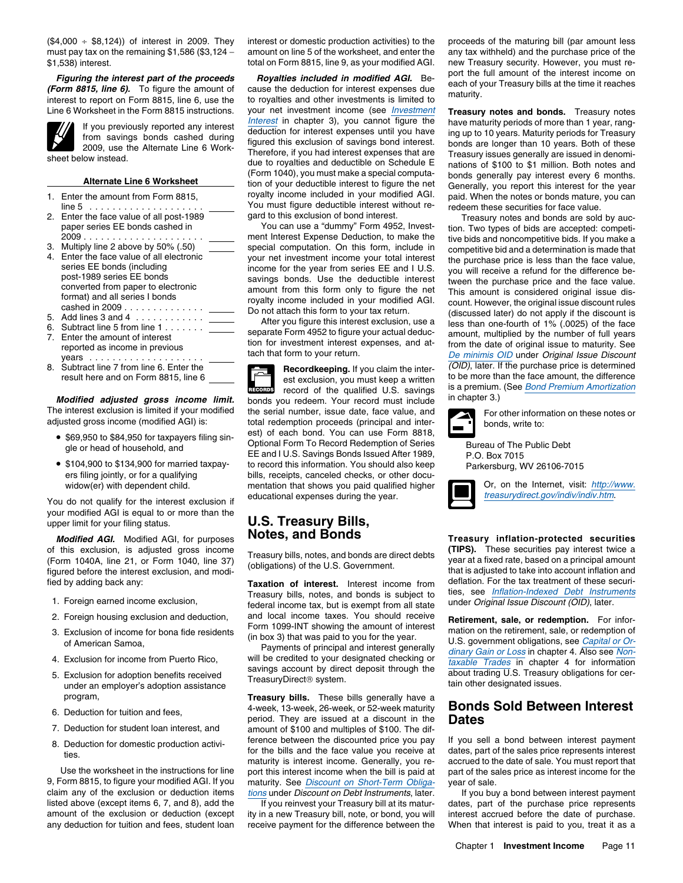must pay tax on the remaining \$1,586 (\$3,124 − amount on line 5 of the worksheet, and enter the any tax withheld) and the purchase price of the most re-<br>\$1.538) interest. However, you must re-<br>\$1.538) interest. However, y

**Figuring the interest part of the proceeds Royalties included in modified AGI.** Be-<br>**(Form 8815, line 6).** To figure the amount of cause the deduction for interest expenses due<br>interest to report on Form 8815, line 6, u



- 
- 
- 
- 
- 
- 
- 
- 

The interest exclusion is limited if your modified the serial number, issue date, face value, and<br>adjusted gross income (modified AGI) is: total redemption proceeds (principal and inter-<br>honds, write to:

- 
- 

You do not qualify for the interest exclusion if educational expenses during the year. your modified AGI is equal to or more than the upper limit for your filing status. **U.S. Treasury Bills,**

- 
- 
- 
- 
- 
- 
- 
- 

listed above (except items 6, 7, and 8), add the If you reinvest your Treasury bill at its matur-<br>amount of the exclusion or deduction (except ity in a new Treasury bill, note, or bond, you will interest accrued before the any deduction for tuition and fees, student loan receive payment for the difference between the When that interest is paid to you, treat it as a

(\$4,000 <sup>÷</sup> \$8,124)) of interest in 2009. They interest or domestic production activities) to the proceeds of the maturing bill (par amount less

Line 6 Worksheet in the Form 8815 instructions. your net investment income (see *Investment* **Treasury notes and bonds.** Treasury notes **Treasury notes** in chapter 3), you cannot figure the have maturity periods of more th If you previously reported any interest<br>from savings bonds cashed during<br>figured this exclusion of savings bond interest.<br>2009, use the Alternate Line 6 Work-<br>sheet below instead.<br>due to royalties and deductible on Schedul 1. Enter the amount from Form 8815, row royalty income included in your modified AGI. paid. When the notes or bonds mature, you can line 5 .................... You must figure deductible interest without re- redeem these securities for face value.

paper series EE bonds cashed in You can use a "dummy" Form 4952, Invest- tion. Two types of bids are accepted: competi-

result here and on Form 8815, line 6 **to be more than the face amount, the difference** est exclusion, you must keep a written is a premium. (See Bond Premium Amortization **Modified adjusted gross income limit.** bonds you r bonds you redeem. Your record must include total redemption proceeds (principal and inter- $\Box$  bonds, write to: est) of each bond. You can use Form 8818,<br>
est) of each bond. You can use Form 8818,<br>
Optional Form To Record Redemption of Series \$69,950 to \$84,950 for taxpayers filling sin-<br>gle or head of household, and<br>\$104,900 to \$134,900 for married taxpay-<br>\$104,900 to \$134,900 for married taxpay-<br>\$104,900 to \$134,900 for married taxpay-<br>\$106-70 • \$104,900 to \$134,900 for married taxpay- to record this information. You should also keep Parkersburg, WV 26106-7015 ers filing jointly, or for a qualifying bills, receipts, canceled checks, or other docuwidow(er) with dependent child. mentation that shows you paid qualified higher  $\Box$  Or, on the Internet, visit: http://www.

Treasury bills, notes, and bonds is subject to thes, see Inflation-Indexed Debt Instrum<br>1. Foreign earned income exclusion, federal income tax, but is exempt from all state under Original Issue Discount (OID), later.

program, **Treasury bills.** These bills generally have a 4-week, 13-week, 26-week, or 52-week maturity **Bonds Sold Between Interest**<br>6. Deduction for tuition and fees, period. They are issued at a discount in the **Dates**<br>7. Deduction for student loan interest, and amount of \$100 amount of \$100 and multiples of \$100. The dif-8. Deduction for domestic production activi-<br>ference between the discounted price you pay If you sell a bond between interest payment<br>for the bills and the face value you receive at dates, part of the sales price represent Use the worksheet in the instructions for line port this interest income when the bill is paid at part of the sales price as interest income for the 9, Form 8815, to figure your modified AGI. If you maturity. See *Discount* 9, Form 8815, to figure your modified AGI. If you maturity. See *Discount on Short-Term Obliga-* year of sale.<br>claim any of the exclusion or deduction items *tions* under *Discount on Debt Instruments*. later. If you buy

ity in a new Treasury bill, note, or bond, you will interest accrued before the date of purchase.

\$1,538) interest. total on Form 8815, line 9, as your modified AGI. new Treasury security. However, you must re-<br>Finance of the interest income on Presenting included in medified AGI. p. port the full amount of the interes

Alternate Line 6 Worksheet (Form 1040), you must make a special computa-<br>tion of your deductible interest to figure the net Generally, you report this interest for the year<br>the amount from Eorm 8815 royalty income included

2. Enter the face value of all post-1989 gard to this exclusion of bond interest. Treasury notes and bonds are sold by auc-<br>paper series EE bonds cashed in You can use a "dummy" Form 4952, Invest-<br>tion. Two types of bids a <sup>2009</sup> ..................... ment Interest Expense Deduction, to make the tive bids and noncompetitive bids. If you make a 3. Multiply line 2 above by 50% (.50) special computation. On this form, include in competitive bid and a determination is made that 4. Enter the face value of all electronic your net investment income your total interest the purchase price is less than the face value, series EE bonds (including income for the year from series EE and I U.S. you will receive a refund for the difference be- post-1989 series EE bonds savings bonds. Use the deductible interest tween the purchase price and the face value. converted from paper to electronic amount from this form only to figure the net This amount is considered original issue dis- format) and all series I bonds royalty income included in your modified AGI. count. However, the original issue discount rules cashed in 2009 .............. Do not attach this form to your tax return. (discussed later) do not apply if the discount is 5. Add lines 3 and 4 ............ After you figure this interest exclusion, use a less than one-fourth of 1% (.0025) of the face 6. Subtract line 5 from line 1 ....... separate Form 4952 to figure your actual deduc- amount, multiplied by the number of full years 7. Enter the amount of interest tion for investment interest expenses, and at- from the date of original issue to maturity. See reported as income in previous tach that form to your return. De minimis OID under Original Issue Discount years .................... 8. Subtract line 7 from line 6. Enter the **Record Keeping.** If you claim the inter-<br>result here and on Form 8815, line 6 **Record Keeping.** If you claim the inter-<br>result here and on Form 8815, line 6





**Modified AGI.** Modified AGI, for purposes **Notes, and Bonds Treasury inflation-protected securities** of this exclusion, is adjusted gross income<br>
(Form 1040A, line 21, or Form 1040, line 37) (obligations) of the U.S. Government.<br>
figured before the interest exclusion, and modi-<br>
(obligations) of the U.S. Government.<br>
that fied by adding back any: **Taxation of interest.** Interest income from deflation. For the tax treatment of these securi-<br>Treasury bills notes and bonds is subject to ties, see *Inflation-Indexed Debt Instruments* 

2. Foreign housing exclusion and deduction, and local income taxes. You should receive<br>3. Exclusion of income for bona fide residents (in box 3) that was paid to you for the year.<br>1. Form 1099-INT showing the amount of in 4. Exclusion for income from Puerto Rico, will be credited to your designated checking or<br>5. Exclusion for adoption benefits received<br>19. Treasury Direct ® system.<br>19. Treasury Direct & System.<br>19. Treasury Direct ® system

tions under Discount on Debt Instruments, later. If you buy a bond between interest payment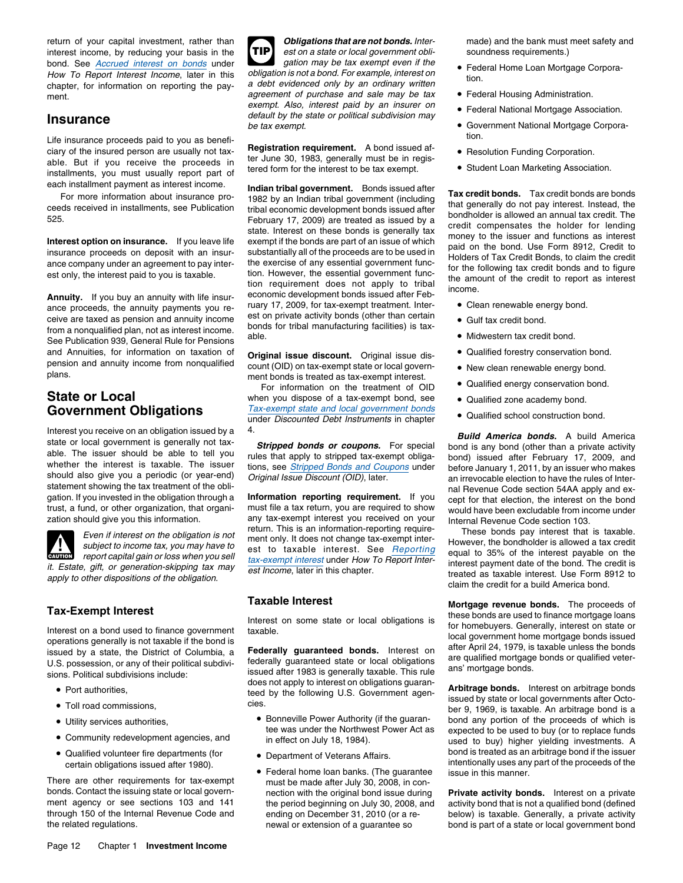return of your capital investment, rather than *Obligations that are not bonds.* Inter- made) and the bank must meet safety and interest income, by reducing your basis in the  $\llbracket \text{TIP} \rrbracket$  est on a state or local government obli-<br>soundness requirements.) bond. See Accrued interest on bonds under gation may be tax exempt even if the How To Report Interest Income, later in this obligation is not a bond. For example, interest on the chapter of the chapter of the chapter of the chapter of the chapter of the chapter of the chapter of the chapter of the ch chapter, for information on reporting the payment. The method of purchase and sale may be tax • Federal Housing Administration.

Life insurance proceeds paid to you as benefi-<br>ciary of the insured person are usually not tax-<br>able. But if you receive the proceeds in the June 30, 1983, generally must be in regis-<br>installments, you must usually report

**Annuity.** If you buy an annuity with life insur-<br>ance proceeds, the annuity payments you re-<br>ceive are taxed as pension and annuity income<br>from a nonqualified plan, not as interest income.<br>See Publication 939, General Rul and Annuities, for information on taxation of **Original issue discount**. Original issue dis-<br>pension and annuity income from nonqualified count (OID) on tax-exempt state or local govern-<br>plans. **and annuity income from non** 

Interest you receive on an obligation issued by a<br>state or local government is generally not tax-<br>able. The issuer should be able to tell you rules that apply to stripped tax-exempt obliga-<br>whether the interest is taxable. should also give you a periodic (or year-end) Original Issue Discount (OID), later.<br>statement showing the tax treatment of the obli-<br>gation. If you invested in the obligation through a<br>trust, a fund, or other organization,



issued by a state, the District of Columbia, a **Federally guaranteed bonds.** Interest on after April 24, 1979, is taxable unless the bonds<br>U.S. possession, or any of their political subdivi-<br>sions. Political subdivisions i

- Port authorities
- 
- Utility services authorities,
- Community redevelopment agencies, and
- Qualified volunteer fire departments (for

There are other requirements for tax-exempt must be made after July 30, 2008, in con-<br>bonds. Contact the issuing state or local govern-<br>nection with the original bond issue during bonds. Contact the issuing state or local govern- nection with the original bond issue during **Private activity bonds.** Interest on a private

**TIP** exempt. Also, interest paid by an insurer on • Federal National Mortgage Association. Federal National Mortgage Association. default by the state or political subdivision may **Insurance** be tax exempt. • Government National Mortgage Corpora-

each installment payment as interest income.<br>
For more information about insurance pro-<br>
For more information about insurance pro-<br>
Eebruary 17, 2009) are tracted as issued are bondholder is allowed an annual tax credit. T

For information on the treatment of OID **State or Local** when you dispose of a tax-exempt bond, see • Qualified zone academy bond.<br>**Government Obligations** *Tax-exempt state and local government bonds* **Government Obligations** Tax-exempt state and local government bonds • Qualified school construction bond. under Discounted Debt Instruments in chapter

must file a tax return, you are required to show would have been excluded from income under<br>any tax-exempt interest you received on your<br>have been excluded code section 103 zation should give you this information. any tax-exempt interest you received on your Internal Revenue Code section 103. Even if interest on the obligation is not<br>subject to income tax, you may have to<br>report capital gain or loss when you sell<br>to the subject to the interest under How To Benort Inter-

does not apply to interest on obligations guaran-

- 
- Department of Veterans Affairs.
- Federal home loan banks. (The guarantee issue in this manner.

- Federal Home Loan Mortgage Corpora-
- 
- 
- 
- 
- 

- 
- 
- 
- 
- 
- · Qualified energy conservation bond.
- 
- 

the point of the credit is the credit is the credit of the credit is the credit of the credit is the credit is<br>it. Estate, gift, or generation-skipping tax may est income, later in this chapter.<br>apply to other dispositions

**Taxable Interest**<br>Interest mess bonds. The proceeds of<br>Interest on a bond used to finance government<br>Interest on some state or local obligations is<br>Interest on a bond used to finance government<br>Interest on some state or l

 Port authorities, **Arbitrage bonds.** Interest on arbitrage bonds teed by the following U.S. Government agen- issued by state or local governments after Octo- cies. •tomather 9, 1969, is taxable. An arbitrage bond is a<br>■ Bonneville Power Authority (if the guaran-<br>bond any portion of the proceeds of which is Bonneville Power Authority (if the guaran-<br>tee was under the Northwest Power Act as expected to be used to buy (or to replace funds expected to be used to buy (or to replace funds in effect on July 18, 1984). The same agencies agencies agencies of the superpretation of the effect on July 18, 1984). bond is treated as an arbitrage bond if the issuer certain obligations issued after 1980).<br>• Federal home loan banks. (The guarantee issue in this manner.

the period beginning on July 30, 2008, and activity bond that is not a qualified bond (defined through 150 of the Internal Revenue Code and ending on December 31, 2010 (or a re-<br>the related regulations. https://www.is taxable. Generally, a private activity<br>newal or extension of a guarantee so bond is part of a state the related regulations. The related regulations. The related regulations of a guarantee so bond is part of a state or local government bond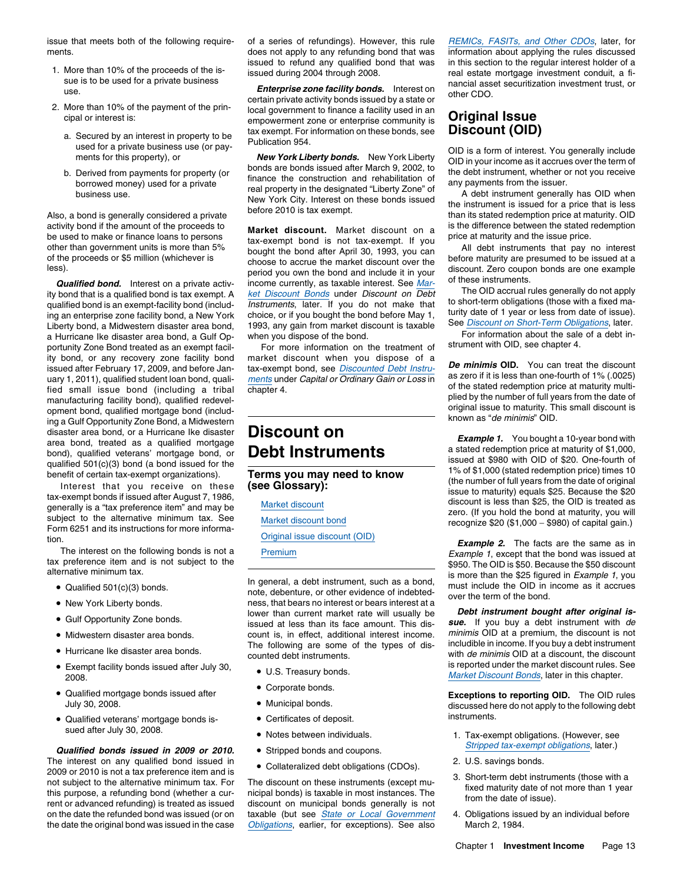- 
- -
	-

qualified bond is an exempt-facility bond (includ-<br>ing an enterprise zone facility bond, a New York<br>Liberty bond, a Nidwestern disaster area bond,<br>Liberty bond, a Midwestern disaster area bond,<br>a Midwestern disaster area b a Hurricane Ike disaster area bond, a Gulf Op- when you dispose of the bond.<br>14 portunity Zone Bond treated as an exempt facil- For more information on the treatment of strument with OID, see chapter 4. Fied small issue bond (including a tribal chapter 4.<br>
manufacturing facility bond), qualified redevel-<br>
opment bond, qualified mortgage bond (includ-<br>
ing a Gulf Opportunity Zone Bond, a Midwestern<br>
ing a Gulf Opportunity

Form 6251 and its instructions for more informa-<br>
Original issue discount (OID)<br>
The interest on the following bonds is not a<br>
Premium<br>
Premium<br>
Premium<br>
Premium<br>
Example 1. except that the bond was issued at

- 
- New York Liberty bonds.
- 
- Midwestern disaster area bonds
- 
- 
- Qualified mortgage bonds issued after
- Qualified veterans' mortgage bonds is-<br>• Certificates of deposit. The state of the instruments. sued after July 30, 2008. • • • • Notes between individuals.

The interest on any qualified bond issued in <br>2009 or 2010 is not a tax preference item and is <br>2009 or 2010 is not a tax preference item and is 2009 or 2010 is not a tax preference item and is<br>not subject to the alternative minimum tax. For The discount on these instruments (except mu-<br>this purpose, a refunding bond (whether a cur-<br>rent or advanced refunding) is t on the date the refunded bond was issued (or on taxable (but see State or Local Government 4. Obligations issued by an individual before the date the original bond was issued in the case Obligations, earlier, for exceptions). See also March 2, 1984.

issue that meets both of the following require- of a series of refundings). However, this rule REMICs, FASITs, and Other CDOs, later, for

1. More than 10% of the proceeds of the issued to refund any qualified bond that was<br>sue is to be used for a private business<br>the prime issued during 2004 through 2008.<br>**Enterprise zone facility bonds**. Interest on the reg

a. Secured by an interest in property to be<br>
used for a private business use (or pay-<br>
ments for this property), or<br>
b. Derived from payments for property (or<br>
b. Derived from payments for property (or<br>
bonds are bonds iss

activity bond if the amount of the proceeds to<br>be used to make or finance loans to persons<br>of the proceeds or \$5 million (whichever is<br>less).<br>**Calified bond.** Interest on a private activ-<br>income currently, as taxable inter **Qualified bond.** Interest on a private active income currently, as taxable interest. See Mar-<br>ity bond that is a qualified bond is tax exempt. A ket Discount Bonds under Discount on Debt The OID accrual rules generally do

ity bond, or any recovery zone facility bond market discount when you dispose of a<br>issued after February 17, 2009, and before Jan-<br>upred 1, 2011) qualified student leap bond quali menteupder Carital or Ordinary Gain or Los and the student loan bond, quali-<br>fied email issue, hand (including a tribol opportor 4 under Capital or Ordinary Gain or Loss in discuss that stated redemption price at maturity multi-

• Qualified 501(c)(3) bonds. The Must include the OID in income as it accrues note, debenture, or other evidence of indebted-<br>
note, debenture, or other evidence of indebted-<br>
over the term of the bond. ness, that bears no interest or bears interest at a **Debt instrument bought after original is-**<br>• Gulf Opportunity Zone bonds.<br>• Gulf Opportunity Zone bonds.<br>• issued at less than its face amount. This dis-<br>• **Sue.** If you buy a debt instrument with de issued at less than its face amount. This discount is, in effect, additional interest income. minimis OID at a premium, the discount is not<br>The following are some of the types of dis-<br>includible in income. If you buy a debt instrument • Hurricane Ike disaster area bonds. The following are some of the types of dis-<br>counted debt instruments.

- 
- Corporate bonds.
- 
- Certificates of deposit.
- 
- 
- 

ments. does not apply to any refunding bond that was<br>issued to refund any qualified bond that was in this section to the regular interest holder of a

disaster area bond, or a Hurricane Ike disaster<br>
area bond, treated as a qualified mortgage<br>
bond), qualified solid and issued at a maturity of \$1,000,<br>
qualified solid (c)(3) bond (a bond issued of or<br>
benefit of certain

The interest on the following bonds is not a<br>tax preference item and is not subject to the<br>alternative minimum tax.<br>alternative minimum tax.<br>alternative minimum tax.<br>alternative minimum tax.<br>alternative minimum tax.<br>altern

with de minimis OID at a discount, the discount • Exempt facility bonds issued after July 30, and streaming the market discount rules. See Exempt facility bonds issued after July 30, **•** U.S. Treasury bonds. Market Discount Bonds, later in this chapter.<br>2008. Market Discount Bonds, later in this chapter.

Qualified mortgage bonds issued after **Exceptions to reporting OID.** The OID rules<br>July 30, 2008. July 30, 2008. discussed here do not apply to the following debt

- 1. Tax-exempt obligations. (However, see Gualified bonds issued in 2009 or 2010. • Stripped bonds and coupons. Stripped tax-exempt obligations, later.)
	-
	-
	-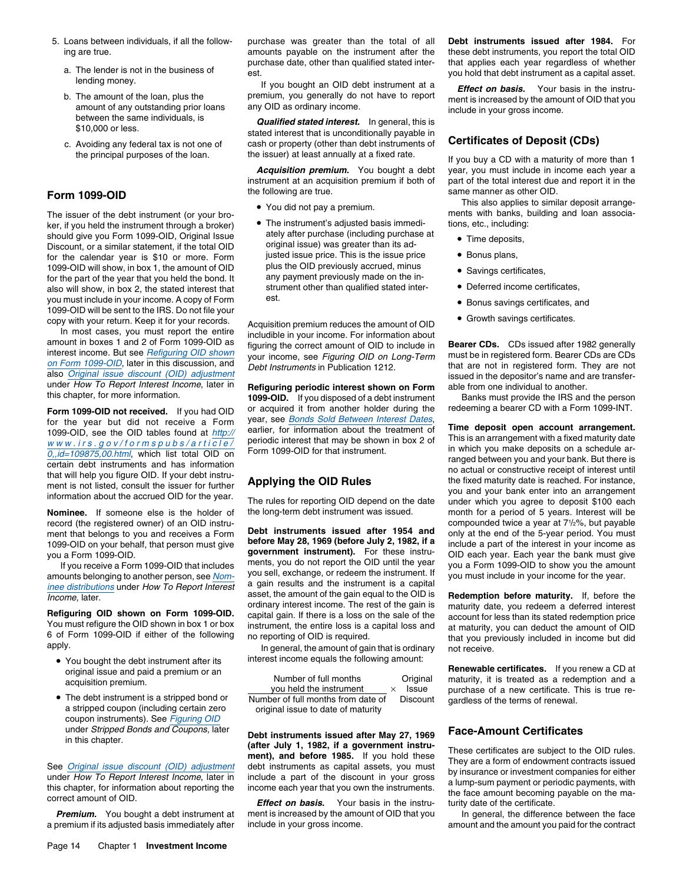- -
	- b. The amount of the loan, plus the premium, you generally do not have to report ment is increased by the amount of OID that you<br>amount of any outstanding prior loans any OID as ordinary income.<br>between the same individual
	-

ker, if you held the instrument through a broker) • The instrument's adjusted basis immedi-<br>should give you Form 1099-OID, Original Issue ately after purchase (including purchase at should give you Form 1099-OID, Original Issue ately after purchase (including purchase at **•** Time deposits, <br>Discount or a similar statement if the total OID original issue) was greater than its ad-Discount, or a similar statement, if the total OID original issue) was greater than its ad-<br>for the calendar vear is \$10 or more. Form justed issue price. This is the issue price • Bonus plans, for the calendar year is \$10 or more. Form justed issue price. This is the issue price<br>1099-OID will show, in box 1, the amount of OID plus the OID previously accrued, minus 1099-OID will show, in box 1, the amount of OID plus the OID previously accrued, minus • Savings certificates,<br>for the part of the year that you held the bond. It any payment previously made on the infor the part of the year that you held the bond. It any payment previously made on the in-<br>also will show, in box 2, the stated interest that strument other than qualified stated inter-<br>e Deferred income certificates, also will show, in box 2, the stated interest that strument include in your income A copy of Form est. you must include in your income. A copy of Form est. est. example a set of the set of the set of the set of the set of the set of the set of the set of the set of the set of the set of the set of the set of the set of the 1099-OID will be sent to the IRS. Do not file your

copy with your return. Keep it for your records.<br>
In most cases, you must report the entire<br>
amount in boxes 1 and 2 of Form 1099-OID as<br>
includible in your income. For information about<br>
figuring the correct amount of OID under How To Report Interest Income, later in **Refiguring periodic interest shown on Form** able from one individual to another.<br>this chapter, for more information. **1099-OID.** If you disposed of a debt instrument Banks mus

For the year but did not receive a Form year, see *Bonds Sold Between Interest Dates*.<br>
1099-OID, see the OID tables found at *http://* earlier, for information about the treatment of  $w w . i r s . g o v / f o r m s p u b s / a r t i c l e / 0.5$ <br>

- You bought the debt instrument after its interest income equals the following amount:
- The debt instrument is a stripped bond or coupon instruments). See Figuring OID<br>under Stripped Bonds and Coupons, later

a premium if its adjusted basis immediately after include in your gross income. The amount and the amount you paid for the contract

Page 14 Chapter 1 **Investment Income**

5. Loans between individuals, if all the follow- purchase was greater than the total of all **Debt instruments issued after 1984.** For

a. The lender is not in the business of est.<br>
lending money. If you bought an OID debt instrument at a *Effect on basis.* Your basis in the instru-<br>
b. The amount of the loan, plus the premium, you generally do not have to

- 
- 

**1099-OID.** If you disposed of a debt instrument Form 1099-OID not received. If you had OID or acquired it from another holder during the redeeming a bearer CD with a Form 1099-INT.<br>for the vear but did not receive a Form year, see *Bonds Sold Between Interest Dates*,

ment that belongs to you and receives a Form **Debt instruments issued after 1954 and** only at the end of the 5-year period. You must<br>1099-OID on your behalf, that person must give **before May 28, 1969 (before July 2, 1982,** you a Form 1099-OID. **government instrument).** For these instru-<br>If you receive a Form 1099-OID that includes<br>amounts belonging to another person, see <u>Nom-</u> you sell, exchange, or redeem the instrument. If<br>inee distributi inee distributions under How To Report Interest a gain results and the instrument is a capital<br>Income, later. If, before the asset, the amount of the gain equal to the OID is **Redemption before maturity.** If, before the<br>In

| <u>Unginal issue and paid a premium or an</u><br>acquisition premium. | Number of full months              | Original        | maturity, it is treated as a rede |
|-----------------------------------------------------------------------|------------------------------------|-----------------|-----------------------------------|
|                                                                       | you held the instrument            | Issue           | purchase of a new certificate. T  |
| The debt instrument is a stripped bond or                             | Number of full months from date of | <b>Discount</b> | gardless of the terms of renewal. |
| a stripped coupon (including certain zero                             | original issue to date of maturity |                 |                                   |

under *Stripped Bonds and Coupons*, later<br>in this chapter. **Calce Amount Certificates**<br>in this chapter. **(a)** adjustment<br>See *Original issue discount (OID) adjustment*<br>See *Original issue discount (OID) adjustment*<br>under

**Premium.** You bought a debt instrument at ment is increased by the amount of OID that you In general, the difference between the face

ing are true. amounts payable on the instrument after the these debt instruments, you report the total OID purchase date, other than qualified stated inter- that applies each year regardless of whether

the principal purposes of the loan. the issuer) at least annually at a fixed rate.<br>Acquisition premium. You bought a debt year, you must include in income each year a year, you must include in income each year a instrument at an acquisition premium if both of part of the total interest due and report it in the

**Form 1099-OID** the following are true. same manner as other OID.<br>• You did not pay a premium. This also applies to similar deposit arrange-<br>• You did not pay a premium. The issuer of the debt instrument (or your bro-<br>
Fine instrument's adjusted basis immedi-<br>
Figure 1000 hand the instrument through a broker) • The instrument's adjusted basis immedi-<br>
tions, etc., including:

- 
- 
- 
- 
- 
- Growth savings certificates.

**Nominee.** If someone else is the holder of the long-term debt instrument was issued. month for a period of 5 years. Interest will be record (the registered owner) of an OID instru-<br>ment that belongs to you and receives a Form **Debt instruments issued after 1954 and** only at the end of the 5-year period. You must

ordinary interest income. The rest of the gain is<br>
You must refiguring OID shown on Form 1099-OID.<br>
You must refigure the OID shown in box 1 or box<br>
6 of Form 1099-OID if either of the following<br>
in general, the entire los

original issue and paid a premium or an<br>acquisition premium.<br>you held the instrument the same of a new certificate of a new certificate. This is true re-<br>you held the instrument the same of a new certificate. This is true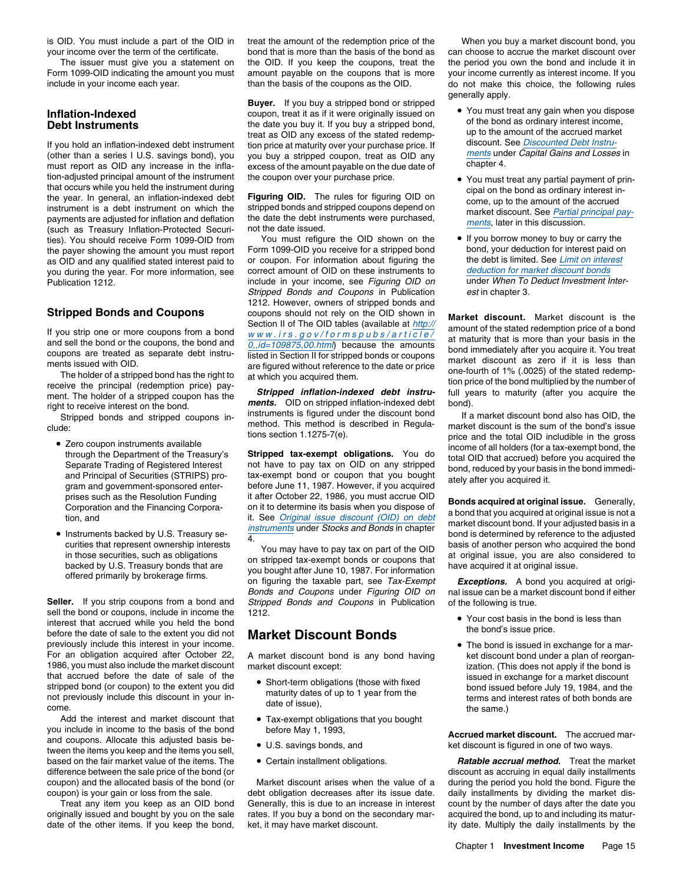If you hold an inflation-indexed debt instrument tion price at maturity over your purchase price. If alsocult a series I U.S. savings bond), you you buy a stripped coupon, treat as OID any ments under Capital Gains and Lo must report as OID any increase in the infla-<br>tion-adjusted principal amount of the instrument the coupon over your purchase price. tion-adjusted principal amount of the instrument the coupon over your purchase price. • You must treat any partial payment of prin-Fraction and the instrument diversion over your purchase price.<br>
the you must treat any partial payment of prin-<br>
the year. In general, an inflation-indexed debt<br>
instrument is a debt instrument on which the stripped bonds ties). You should receive Form 1099-OID from You must refigure the OID shown on the • If you borrow money to buy or carry the the paver showing the amount you must report Form 1099-OID you receive for a stripped bond bond, the payer showing the amount you must report Form 1099-OID you receive for a stripped bond bond, your deduction for interest paid on<br>as OID and any qualified stated interest paid to or coupon. For information about figurin as OID and any qualified stated interest paid to or coupon. For information about figuring the the debt is limited. See Limit on interest paid to verticle of the stated in the vear. For more information, see correct amount you during the year. For more information, see correct amount of OID on these instruments to deduction for market discount bonds<br>Publication 1212.<br>Publication 1212.

- Zero coupon instruments available • Zero coupon instruments available<br>through the Department of the Treasury's<br>Stripped tax-exempt obligations. You do<br>Separate Trading of Registered Interest<br>and Principal of Securities (STRIPS) pro-<br>gram and government-spo
- Instruments backed by U.S. Treasury services and bender the divergence to the adjusted<br>
in those securities, such as obligations<br>
backed by U.S. Treasury bonds that are<br>
backed by U.S. Treasury bonds that are<br>
on strippe

sell the bond or coupons, include in income the 1212. interest that accrued while you held the bond before the date of sale to the extent you did not **Market Discount Bonds** previously include this interest in your income. • The bond is issued in exchange for a mar-For an obligation acquired after October 22, A market discount bond is any bond having ket discount bond under a plan of reorgan-<br>1986 you must also include the market discount market discount except: ization. (This does n that accrued before the date of sale of the issued in exchange for a market discount<br>stripped bond (or coupon) to the extent you did<br>method is a mathematic date of un to 1 year from the bond issued before July 19, 1984, an

Add the interest and market discount that you include in income to the basis of the bond before May 1, 1993,<br>and coupons. Allocate this adjusted basis be-<br>turns the items usual to items usually a U.S. savings bonds, and **and** the items of two ways. tween the items you keep and the items you sell, based on the fair market value of the items. The • Certain installment obligations. difference between the sale price of the bond (or discount as accruing in equal daily installments coupon) and the allocated basis of the bond (or Market discount arises when the value of a during the period you hold the bond. Figure the

is OID. You must include a part of the OID in treat the amount of the redemption price of the When you buy a market discount bond, you your income over the term of the certificate. bond that is more than the basis of the bond as can choose to accrue the market discount over The issuer must give you a statement on the OID. If you keep the coupons, treat the the period you own the bond and include it in<br>Form 1099-OID indicating the amount you must amount payable on the coupons that is more your amount payable on the coupons that is more include in your income each year. than the basis of the coupons as the OID. do not make this choice, the following rules

**Buyer.** If you buy a stripped bond or stripped **Inflation-Indexed**<br> **Debt Instruments**<br> **Debt Instruments**<br>
If you hold an inflation-indexed debt instrument tion price at maturity over your purchase price. If<br>
If you hold an inflation-indexed debt instrument tion price

include in your income, see Figuring OID on Stripped Bonds and Coupons in Publication est in chapter 3. 1212. However, owners of stripped bonds and

ments. OID on stripped inflation-indexed debt bond).<br>
right to receive interest on the bond.<br>
Stripped bonds and stripped coupons in instruments is figured under the discount bond is a market discount bond also has OID. th Stripped bonds and stripped coupons in-<br>method. This method is described in Regula-

prises such as the Resolution Funding it after October 22, 1986, you must accrue OID<br>Corporation and the Financing Corpora-<br>tion, and it. See *Original issue discount (OID) on debt*<br>Instruments hacked by U.S. Treasury se-<br>

Bonds and Coupons under Figuring OID on nal issue can be a market discount bond if either **Seller.** If you strip coupons from a bond and *Stripped Bonds and Coupons* in Publication of the following is true.<br>sell the bond or coupons, include in income the 1212.

1986, market discount except: include the market discount except: include the market discount except:

- 
- Tax-exempt obligations that you bought
- 
- 

coupon) is your gain or loss from the sale. debt obligation decreases after its issue date. daily installments by dividing the market dis-Treat any item you keep as an OID bond Generally, this is due to an increase in interest count by the number of days after the date you originally issued and bought by you on the sale rates. If you buy a bond on the secondary mar- acquired the bond, up to and including its maturdate of the other items. If you keep the bond, ket, it may have market discount. ity date. Multiply the daily installments by the

generally apply.

- You must treat any gain when you dispose
- 
- 

**Stripped Bonds and Coupons**<br>
If you strip one or more coupons from a bond<br>
If you strip one or more coupons from a bond<br>
and sell the bond or the coupons, the bond and<br>
and sell the bond or the coupons, the bond and<br>
and ment. The holder of a stripped coupon has the *Stripped inflation-indexed debt instru-* full years to maturity (after you acquire the ment. The holder of a stripped coupon has the *Stripped inflation-indexed debt instru* 

clude:<br>clude: method. This method is described in Regula-<br>price and the total OID includible in the gross price and the total OID includible in the gross

- 
- stripped bond (or coupon) to the extent you did<br>not previously include this discount in your in-<br>not previously include this discount in your in-<br>come.<br>come.<br>the same.)

Ratable accrual method. Treat the market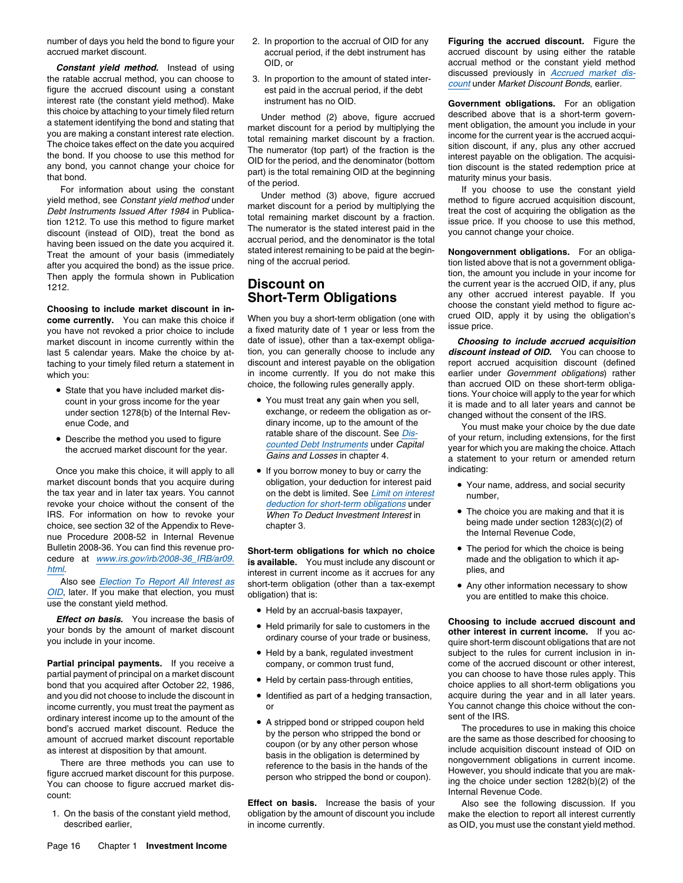**Constant yield method.** Instead of using OID, or accrual method or the constant yield method<br>the ratable accrual method, you can choose to 3. In proportion to the amount of stated inter-<br>figure the accrued discount using interest rate (the constant yield method). Make instrument has no OID.<br>
this choice by attaching to your timely filed return<br>
a statement identifying the bond and stating that market discount for a period by multiplying th

you are making a constant interest rate election. The choice also that the set of the current year is the accrued acqui-<br>The choice takes effect on the date you acquired that book at the bond, if any, bus any bond, you ca

come currently. You can make this choice if When you buy a short-term obligation (one with crued OID, apply it by using the obligation's you have not revoked a prior choice to include a fixed maturity date of 1 year or les market discount in income currently within the date of issue), other than a tax-exempt obliga- *Choosing to include accrued acquisition* last 5 calendar years. Make the choice by at- tion, you can generally choose to include any *discount instead of OID.* You can choose to include to vertion, you can choose to a table to the those to the those to the the taching to your timely filed return a statement in discount and interest payable on the obligation report accrued acquisition discount (defined which vou:<br>which you: in income currently. If you do not make this earlier und

- 
- Describe the method you used to figure

market discount bonds that you acquire during obligation, your deduction for interest paid  $\bullet$  Your name, address, and social security the tax year and in later tax years. You cannot on the debt is limited. See Limit on interest number, revoke your choice without the consent of the deduction for short-term obligations under revoke your choice without the consent of the IRS. For information on how to revoke your When To Deduct Investment Interest in **IRS.** For information on how to revoke your When To Deduct Investment Interest in being made under section 1283(c)(2) of choice see section choice, see section 32 of the Appendix to Reve-<br>
nue Procedure 2008-52 in Internal Revenue<br>
Code, nue Procedure 2008-52 in Internal Revenue Bulletin 2008-36. You can find this revenue pro-<br>
cedure at www.irs.gov/irb/2008-36\_IRB/ar09. **is available** You must include any discount or made and the obligation to which it ap-

Also see *Election To Report All Interest as* short-term obligation (other than a tax-exempt  $O/D$ , later. If you make that election, you must obligation) that is:<br>use the constant yield method. We use the constant yield m

**Effect on basis.** You increase the basis of **Choosing to include accrued discount and** your bonds by the amount of market discount **•** Held primarily for sale to customers in the **Choosing to include accrued discount and** 

**Partial principal payments.** If you receive a company, or common trust fund, come of the accrued discount or other interest, partial payment of principal on a market discount the company, or common trust fund, the come of bond that you acquired after October 22, 1986, income currently, you must treat the payment as or ordinary interest income up to the amount of the sent of the sent of the IRS.<br>bond's accrued market discount. Reduce the service the service who etripped coupon held The procedures to use in making this choice

- 
- 

which you: in income currently. If you do not make this earlier under Government obligations) rather<br>choice, the following rules generally apply. It han accrued OID on these short-term obliga-

- State that you have included market dis-<br>
count in your gross income for the year<br>
under section 1278(b) of the Internal Rev-<br>
enue Code, and<br>
and the IRS.<br>
enue Code, and<br>
and the IRS.<br>
count in your gross income for th
- Once you make this choice, it will apply to all  $\bullet$  If you borrow money to buy or carry the  $\bullet$  indicating:

cedure at www.irs.gov/irb/2008-36\_IRB/ar09. is available. You must include any discount or made and the obligation interest in current income as it accrues for any plies, and interest in current income as it accrues for an

- Held by an accrual-basis taxpayer,
- 
- Held by a bank, regulated investment
- 
- 
- 

1. On the basis of the constant yield method, obligation by the amount of discount you include make the election to report all interest currently described earlier, in income currently described earlier, as OID, you must u

number of days you held the bond to figure your 2. In proportion to the accrual of OID for any **Figuring the accrued discount.** Figure the accrued market discount.<br>
accrual period, if the debt instrument has accrual discount by using either the ratable<br>
accrual method or the constant yield method

**EXECUTTLE ON TERM OBLIGATIONS**<br> **Choosing to include market discount in in-**<br> **Choosing to include market discount in in-**<br> **Choose the constant yield method to figure ac-**<br> **Choose the constant yield method to figure ac-**

choice, the following rules generally apply. than accrued OID on these short-term obliga-<br>tions. Your choice will apply to the year for which

Describe the method you used to figure<br>the accrued market discount for the year.<br>The accrued market discount for the year.<br>Gains and Losses in chapter 4.<br>Gains and Losses in chapter 4.<br>a statement to your return or amended

- 
- The choice you are making and that it is
- 
- 

you include in your income.<br>you include in your income.<br>quire short-term discount obligations that are not subject to the rules for current inclusion in inpou can choose to have those rules apply. This vou can choose to have those rules apply. This • choice applies to all short-term obligations you and you did not choose to include the discount in **•** Identified as part of a hedging transaction, acquire during the year and in all later years.<br>income currently, you must treat the payment as or

Fractive definite the accruded market discount and one of a component of accruded market discount explored to the assume and the component of accruded market discount reportable<br>as interest at disposition by that amount. T

**Effect on basis.** Increase the basis of your Also see the following discussion. If you described earlier, in in income currently. An also in income currently as OID, you must use the constant yield method.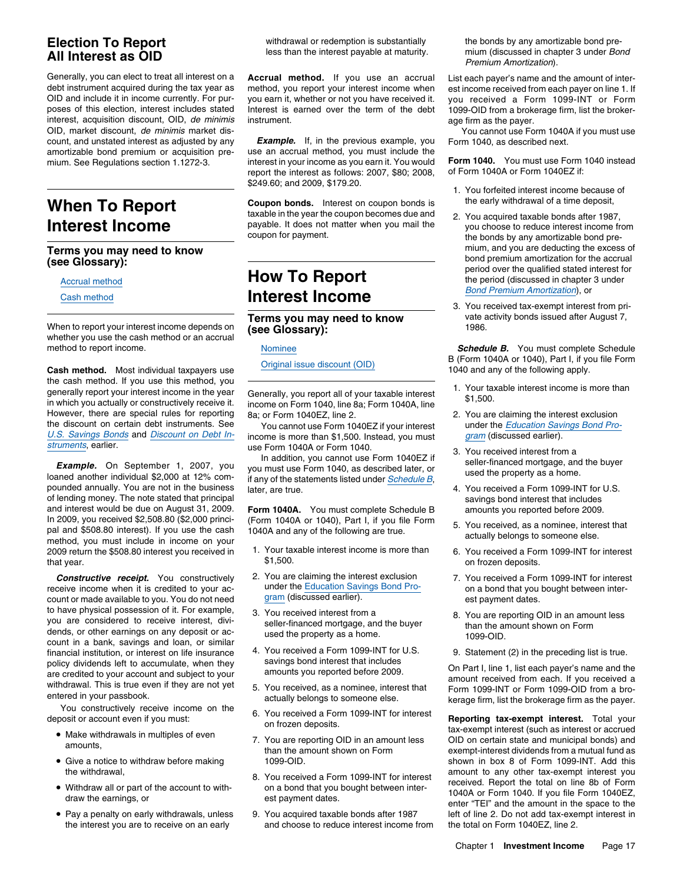# **All Interest as OID**<br>*All Interest as OID* **Discussed in cha**<br>*Premium Amortization*).

Generally, you can elect to treat all interest on a<br>debt instrument acquired during the tax year as method, you report your interest income when est income received from each payer on line 1. If debt instrument acquired during the tax year as method, you report your interest income when est income received from each payer on line 1. If<br>OID and include it in income currently. For pur- you earn it, whether or not yo OID and include it in income currently. For pur-<br>
poses of this election, interest includes stated Interest is earned over the term of the debt 1099-OID from a brokerage firm, list the brokerinterest, acquisition discount, OID, de minimis instrument. The manner of the payer age firm as the payer. OID, market discount, de minimis market dis-<br>
count, and unstated interest as adjusted by any **Example.** If, in the previous example, you Form 1040, as described next. count, and unstated interest as adjusted by any *Example.* If, in the previous example, you Form 1040, as described next. amortizable bond premium or acquisition pre- use an accrual method, you must include the

When to report your interest income depends on whether you use the cash method or an accrual

the cash method. If you use this method, you<br>generally report your interest income in the year Generally, you report all of your taxable interest<br>in which you actually or constructively receive it. income on Form 1040, lin However, there are special rules for reporting 8a; or Form 1040EZ, line 2. 2. You are claiming the interest exclusion<br>the discount on certain debt instruments. See You cannot use Form 1040EZ if your interest under the Educ the discount on certain debt instruments. See You cannot use Form 1040EZ if your interest under the *Education Savings Bond Pro-*<br>U.S. Savings Bonds and Discount on Debt In-<br>income is more than \$1.500. Instead, you must gr U.S. Savings Bonds and Discount on Debt In- income is more than \$1,500. Instead, you must gram (discussed educition earlier).

pounded annually. You are not in the business later, are true. and interest that includes of lending money. The note stated that principal savings bond interest that includes and interest would be due on August 31, 2009. and interest would be due on August 31, 2009. **Form 1040A.** You must complete Schedule B amounts you reported before 2009.<br>In 2009, you received \$2,508.80 (\$2,000 princi- (Form 1040A or 1040), Part I, if you file Form F Yo and \$508.80 interest. If you use the cash and any of the following are true.<br>
pal and \$508.80 interest. If you use the cash and any of the following are true.<br>
The structure in income on your method, you have the followin 2009 return the \$508.80 interest you received in 1. Your taxable interest income is more than 6. You received a Form 1099-INT for interest 51.500. that year. the control of the state of the state of the state of the state of the state of the state of the state of the state of the state of the state of the state of the state of the state of the state of the state of t

receive income when it is credited to your ac-<br>  $\frac{u}{dx}$  under the Education Savings Bond Pro-<br>  $\frac{u}{dx}$  on a bond that you bought between inter-<br>
est payment dates count or made available to you. You do not need gram (discussed earlier).<br>to have physical possession of it. For example, a you received interact from a to have physical possession of it. For example, and the seller-financed mortgage, and the buyer and the syou are reporting OID in an amount less<br>dends, or other earnings on any deposit or accuration and the buyer dends, or financial institution, or interest on life insurance 4. You received a Form 1099-INT for U.S. 9. Statement (2) in the preceding list is true.<br>
policy dividends left to accumulate when they savings bond interest that includ policy dividends left to accumulate, when they<br>are credited to your account and subject to your<br>actually belongs to someone else.<br>Withdrawal. This is true even if they are not yet<br>entered in your passbook.<br>The same and the

- 
- Give a notice to withdraw before making
- 
- Pay a penalty on early withdrawals, unless

mium. See Regulations section 1.1272-3. interest in your income as you earn it. You would **Form 1040.** You must use Form 1040 instead report the interest as follows: 2007, \$80; 2008, \$249.60; and 2009, \$179.20.

**When To Report** Coupon bonds. Interest on coupon bonds is the early withdrawal of a time deposit,<br>
taxable in the year the coupon becomes due and <br>
2. You acquired taxable bonds after 1987,

# Bond Premium Amortization), or Cash method **Interest Income**

**Example.** On September 1, 2007, you use the addition, you cannot use Form 1040EZ if seller-financed mortgage, and the buyer<br>loaned another individual \$2,000 at 12% com-<br>pounded annually. You are not in the business later,

- 
- **Constructive receipt.** You constructively 2. You are claiming the interest exclusion 7. You received a Form 1099-INT for interest exclusion 2. You received a Form 1099-INT for interest exclusion  $\frac{1}{2}$  and  $\frac{1}{2}$  on
	-
	-
	-
	-
	-
	-
	- the interest you are to receive on an early and choose to reduce interest income from the total on Form 1040EZ, line 2.

**Election To Report** withdrawal or redemption is substantially the bonds by any amortizable bond pre-<br> **All Interport as OID** less than the interest payable at maturity. The mium (discussed in chapter 3 under *Bond* 

1099-OID from a brokerage firm, list the broker-

- 1. You forfeited interest income because of
- taxable in the year the coupon becomes due and<br> **Interest Income** payable. It does not matter when you mail the you choose to reduce interest income from<br>
the bonds by any amortizable bond pre-**Terms you may need to know**<br>**(see Glossary):** bond premium amortization for the accrual period over the qualified stated interest for<br>period over the qualified stated interest for Accrual method **How To Report** period over the qualified stated interest for **How To Report** becaused in chapter 3 under
	- 3. You received tax-exempt interest from pri-**Terms you may need to know** vate activity bonds issued after August 7, (see Glossary):

method to report income. The *Nominee* **Schedule B.** You must complete Schedule **Schedule B.** You must complete Schedule B (Form 1040A or 1040), Part I, if you file Form Original issue discount (OID) **Cash method.** Most individual taxpayers use 1040 and any of the following apply.

- 
- 
- use Form 1040A or Form 1040.<br>In addition, you cannot use Form 1040EZ if saller-financed mortgage and
	-
	-
	-
	-
	-
	-

Make withdrawals in multiples of even<br>7. You are reporting OID in an amount less OID on certain state and municipal bonds) and<br>8. than the amount shown on Form exempt-interest dividends from a mutual fund as<br>8. exempt-inte Give a notice to withdraw before making 1099-OID.<br>Shown in box 8 of Form 1099-INT. Add this<br>shown in box 8 of Form 1099-INT. Add this the withdrawal,<br>
8. You received a Form 1099-INT for interest amount to any other tax-exempt interest you<br>
• Withdraw all or part of the account to with-<br>
2010 a Farm 1040 and the total on line 8b of Form 1040F7 Withdraw all or part of the account to with-<br>draw the earnings, or est payment dates.<br>Pay a penalty on early withdrawals, unless 9. You acquired taxable bonds after 1987 left of line 2. Do not add tax-exempt interest in left of line 2. Do not add tax-exempt interest in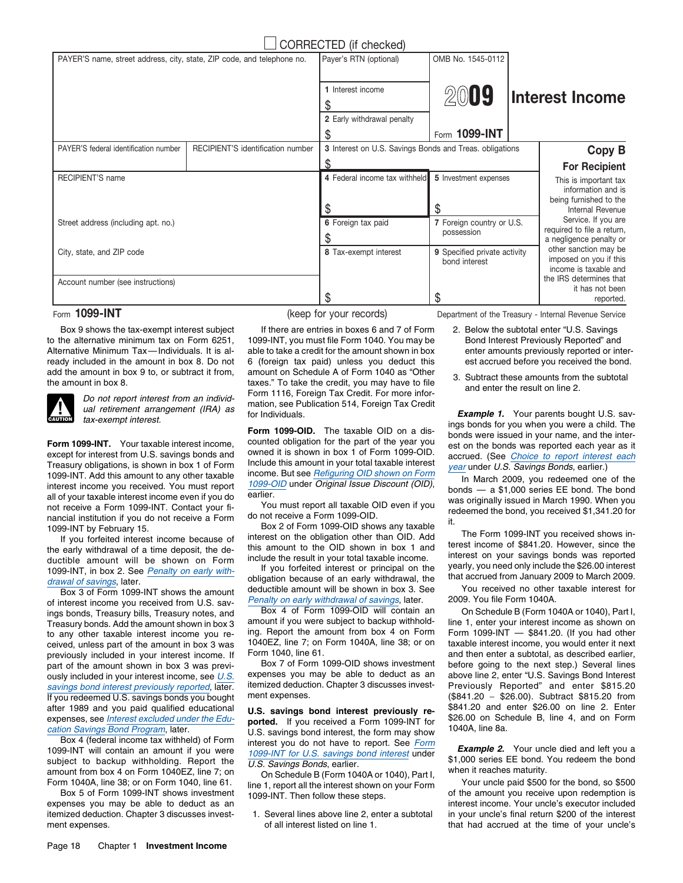|                                                                        |                                          | CORRECTED (if checked)                                  |                                               |                                                                              |
|------------------------------------------------------------------------|------------------------------------------|---------------------------------------------------------|-----------------------------------------------|------------------------------------------------------------------------------|
| PAYER'S name, street address, city, state, ZIP code, and telephone no. |                                          | Payer's RTN (optional)                                  | OMB No. 1545-0112                             |                                                                              |
|                                                                        |                                          | 1 Interest income<br>2 Early withdrawal penalty         | 2009                                          | Interest Income                                                              |
|                                                                        |                                          |                                                         | 1099-INT<br>Form                              |                                                                              |
| PAYER'S federal identification number                                  | <b>RECIPIENT'S identification number</b> | 3 Interest on U.S. Savings Bonds and Treas. obligations |                                               | <b>Copy B</b>                                                                |
|                                                                        |                                          |                                                         |                                               | <b>For Recipient</b>                                                         |
| <b>RECIPIENT'S name</b>                                                |                                          | 4 Federal income tax withheld                           | 5 Investment expenses                         | This is important tax<br>information and is<br>being furnished to the        |
|                                                                        |                                          |                                                         | \$                                            | Internal Revenue                                                             |
| Street address (including apt. no.)                                    |                                          | 6 Foreign tax paid                                      | 7 Foreign country or U.S.<br>possession       | Service. If you are<br>required to file a return,<br>a negligence penalty or |
| City, state, and ZIP code                                              |                                          | 8 Tax-exempt interest                                   | 9 Specified private activity<br>bond interest | other sanction may be<br>imposed on you if this<br>income is taxable and     |
| Account number (see instructions)                                      |                                          |                                                         | \$                                            | the IRS determines that<br>it has not been<br>reported.                      |

to the alternative minimum tax on Form 6251, 1099-INT, you must file Form 1040. You may be Bond Interest Previously Reported" and<br>Alternative Minimum Tax—Individuals. It is al-able to take a credit for the amount shown in ready included in the amount in box 8. Do not 6 (foreign tax paid) unless you deduct this est accrued before you received the bond.<br>add the amount in box 9 to, or subtract it from, amount on Schedule A of Form 1040 as "Oth



1099-INT. Add this amount to any other taxable<br>interest income you received. You must report the taxable<br>all of your taxable interest income even if you do<br>not receive a Form 1099-INT. Contact your fi-<br>nancial institution

ductible amount will be shown on Form include the result in your total taxable income. Interest on your savings bonds was reported<br>1099-INT, in box 2. See Penalty on early with-<br>drawal of savings, later. blugation because

of interest income you received from U.S. say-<br>ings bonds, Treasury bills, Treasury notes, and Box 4 of Form 1099-OID will contain an On Schedule B (Form 1040A or 1040), Part I,<br>Treasury bonds. Add the amount shown in box Treasury bonds. Add the amount shown in box 3 amount if you were subject to backup withhold-<br>to any other taxable interest income you re- ling. Report the amount from box 4 on Form to any other taxable interest income you re- ing. Report the amount from box 4 on Form Form 1099-INT — \$841.20. (If you had other<br>ceived, unless part of the amount in box 3 was 1040EZ, line 7; on Form 1040A, line 38; or on ceived, unless part of the amount in box 3 was 1040EZ, line 7; on Form 1040A, line 38; or on taxable interest income, you would enter it next<br>original the enter a subtotal, as described earlier. previously included in your interest income. If Form 1040, line 61.<br>nert of the amount shown in hox 3 was previ-<br>Box 7 of Form 1099-OID shows investment savings bond interest previously reported, later. Itemized deduction. Chapter 3 discusses invest- Previously Reported" and enter \$815.20<br>If you redeemed U.S. savings bonds you bought Ment expenses. It are the contest of th If you redeemed U.S. savings bonds you bought ment expenses. (\$841.20 <sup>−</sup> \$26.00). Subtract \$815.20 from after 1989 and you paid qualified educational **U.S. savings bond interest previously re-** \$841.20 and enter \$26.00 on line 2. Enter expenses, see *Interest excluded under the Edu*-<br>**ported.** If you received a Form 1099-INT

Box 4 (rederal income tax withheld) of Form interest you do not have to report. See Form **Example 2.** Your uncle died and left you a 1099-INT will contain an amount if you were *1099-INT for U.S. savings bond interest* und subject to backup withholding. Report the  $\overline{U.S. \overline{Savings Bonds}$ , earlier.  $$1,000$  series EE bond.<br>amount from box 4 on Form 1040EZ, line 7; on  $\overline{O}$  on Schedule B (Form 1040A or 1040), Part I.

(keep for your records)

Box 9 shows the tax-exempt interest subject If there are entries in boxes 6 and 7 of Form 2. Below the subtotal enter "U.S. Savings able to take a credit for the amount shown in box add the amount in box 9 to, or subtract it from, amount on Schedule A of Form 1040 as "Other<br>the amount in box 8.<br>Do not report interest from an individual form 1116, Foreign Tax Credit. For more infor-<br>later the result on

**Form 1099-INT.** Your taxable interest income, counted obligation for the part of the year you<br>except for interest from U.S. savings bonds and owned it is shown in box 1 of Form 1099-OID. accrued. (See Choice to report int owned it is shown in box 1 of Form 1099-OID. accrued. (See *Choice to report interest each* Include this amount in your total taxable interest *upper under LLS* Sovings Bonds certies). Treasury obligations, is shown in box 1 of Form Include this amount in your total taxable interest year under U.S. Savings Bonds, earlier.)<br>1099-INT. Add this amount to any other taxable income. But see *Refiguring OID sho* 

1099-INT by February 15.<br>
If you forfeited interest income because of interest on the obligation other than OID. Add<br>
If you forfeited interest income because of interest on the obligation other than OID. Add<br>
If you forfe

drawal of savings, later.<br>Box 3 of Form 1099-INT shows the amount deductible amount will be shown in box 3. See You received no other taxable interest for<br>of interest income you received from U.S. say. Penalty on early wit

part of the amount shown in box 3 was previ-<br>part of the amount shown in box 3 was previ-<br>part of Form 1099-OID shows investment before going to the next step.) Several lines ously included in your interest income, see  $\frac{U.S}{E}$  expenses you may be able to deduct as an above line 2, enter "U.S. Savings Bond Interest previously reported" and enter \$815.20

expenses, see *Interest excluded under the Edu*<br> **orted.** If you received a Form 1099-INT for \$26.00 on Schedule B, line 4, and on Form<br>
Box 4 (federal income tax withheld) of Form interest you do not have to report. See F

amount from box 4 on Form 1040EZ, line 7; on Conschedule B (Form 1040A or 1040), Part I, when it reaches maturity.<br>Form 1040A, line 38; or on Form 1040, line 61. Ine 1, report all the interest shown on your Form Your uncle

Form 1099-INT **DEPART ACCORD** (keep for your records) Department of the Treasury - Internal Revenue Service

- 
- 

**Form 1099-OID.** The taxable OID on a dis-<br>
Form 1099-OID. The taxable OID on a dis-<br>
counted obligation for the part of the year you and the honds were reported oneb year as it

itemized deduction. Chapter 3 discusses invest1. Several lines above line 2, enter a subtotal in your uncle's final return \$200 of the interest ment expenses. The same of all interest listed on line 1. That had accrued at the time of your uncle's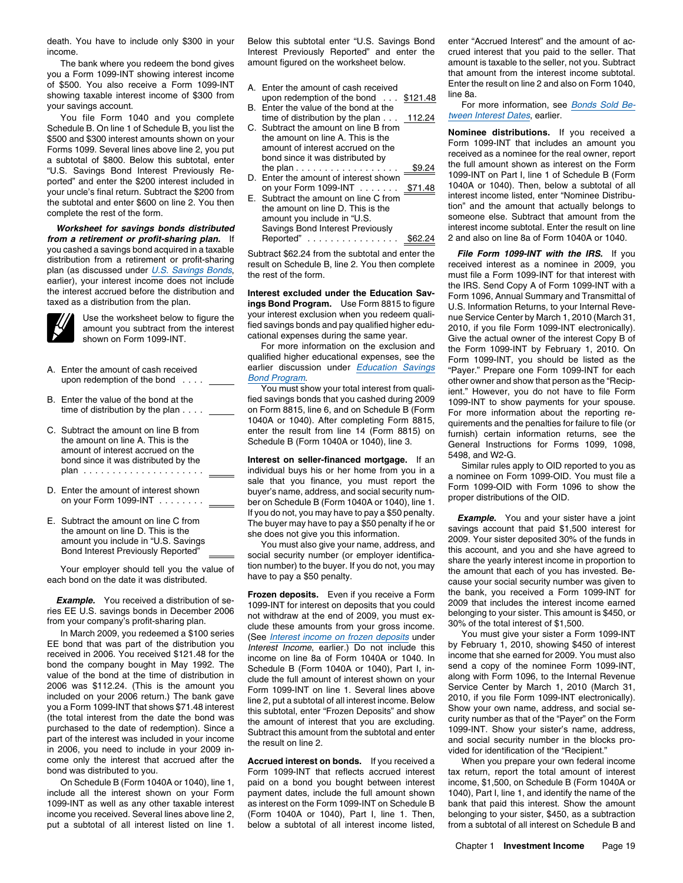income. Interest Previously Reported" and enter the crued interest that you paid to the seller. That

you a Form 1099-INT showing interest income of \$500. You also receive a Form 1099-INT A. Enter the amount of cash received<br>showing taxable interest income of \$300 from super redemption of the band of 101.49 line 8a. showing taxable interest income of \$300 from upon redemption of the bond  $\ldots$  \$121.48<br>your savings account. B. Enter the value of the bond at the

You file Form 1040 and you complete time of distribution by the plan . . . 112.24

**from a retirement or profit-sharing plan.** If Reported" .................. \$62.24



- 
- 
- 
- 
- 

In Materizoos, you redeemed a show series<br>E bond that was part of the distribution you<br>received \$121.48 for the<br>bond the company bought in May 1992. The<br>bond the company bought in May 1992. The<br>chedule B (Form 1040A or 104 bond the company bought in May 1992. The Schedule B (Form 1040A or 1040), Part I, in-<br>value of the bond at the time of distribution in clude the full amount of interest shown on your along with Form 1096, to the Internal R value of the bond at the time of distribution in<br>2006 was \$112.24. (This is the amount you<br>included on your 2006 return.) The bank gave in a substandance income Relow 2010, if you file Form 1099-INT electronically). purchased to the date of redemption). Since a subtract this amount from the subtotal and enter and social security number as that of the "Payer" on the Form purchased to the date of redemption). Since a Subtract this amoun in 2006, you need to include in your 2009 income only the interest that accrued after the **Accrued interest on bonds.** If you received a When you prepare your own federal income bond was distributed to you.<br>Form 1099-INT that reflects accrued interest tax return, re

death. You have to include only \$300 in your Below this subtotal enter "U.S. Savings Bond enter "Accrued Interest" and the amount of ac-

- 
- 
- 
- 

A. Enter the amount of cash received earlier discussion under *Education Savings* "Payer." Prepare one Form 1099-INT for each<br>earlier discussion under *Education Savings* "Payer." Prepare one Form 1099-INT for each

**Example.** You received a distribution of section of section of section of section of section of section of section of section of section of section of section of section of section of section of section of section of sect included on your 2006 return.) The bank gave<br>you a Form 1099-INT that shows \$71.48 interest this subtotal, enter "Frozen Deposits" and show 2010, if you file Form 1099-INT electronically).<br>(the total interest from the date

Form 1099-INT that reflects accrued interest tax return, report the total amount of interest On Schedule B (Form 1040A or 1040), line 1, paid on a bond you bought between interest income, \$1,500, on Schedule B (Form 1040A or include all the interest shown on your Form payment dates, include the full amount shown 1040), Part I, line 1, and identify the name of the 1099-INT as well as any other taxable interest as interest on the Form 1099-INT on Schedule B bank that paid this interest. Show the amount income you received. Several lines above line 2, (Form 1040A or 1040), Part I, line 1. Then, belonging to your sister, \$450, as a subtraction put a subtotal of all interest listed on line 1. below a subtotal of all interest income listed, from a subtotal of all interest on Schedule B and

The bank where you redeem the bond gives amount figured on the worksheet below. amount is taxable to the seller, not you. Subtract and you. Subtract income subtotal.

B. Enter the value of the bond at the Formore information, see Bonds Sold Be-<br>time of distribution by the plan . . . . . 112.24 tween Interest Dates, earlier.

Schedule B. On line 1 of Schedule B, you list the C. Subtract the amount on line B from<br>
\$500 and \$300 interest amounts shown on your<br>
\$500 and \$300 interest amounts shown on your<br>
\$500 and \$300 interest amounts shown on y *Worksheet for savings bonds distributed* Savings Bond Interest Previously interest income subtotal. Enter the result on line

you cashed a savings bond acquired in a taxable<br>
distribution from a retirement or profit-sharing<br>
plan (as discussed under U.S. Savings Bonds,<br>
earlier), your interest income does not include<br>
the rest of the form.<br>
the r amount you subtract from the interest the assumption of cash received<br>
the amount of cash received<br>
The same year.<br>
The amount of cash received<br>
the amount of cash received<br>
The amount of cash received<br>
the amount of cash upon redemption of the bond Bond Bond Program.<br>You must show your total interest from quali-<br>B. Enter the value of the bond at the form fied savings bonds that you cashed during 2009 1099-INT to show payments for your spou B. Enter the value of the bond at the the bond at the the plan  $\cdot \cdot \cdot \cdot \cdot$  on Form 8815, ine 6, and on Schedule B (Form 0400, ine 3, and on Schedule B (Form 10400, ine 3, and the perting re-<br>
D. Enter the amount of inter

E. Subtract the amount on line C from<br>the amount on line D. This is the<br>amount you include in "U.S. Savings<br>Bond Interest Previously Reported"<br>Nour employer should tell you the value of<br>each bond on the date it was distrib

the result on line 2. The included income and social security number in the blocks pro-<br>vided for identification of the "Recipient."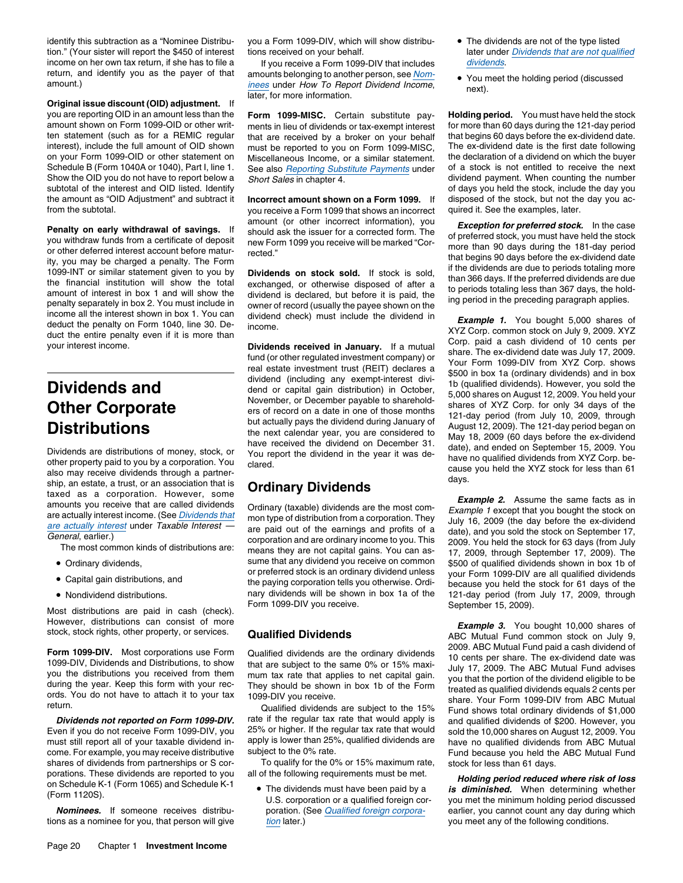identify this subtraction as a "Nominee Distribu- you a Form 1099-DIV, which will show distribu- • The dividends are not of the type listed tion." (Your sister will report the \$450 of interest ions received on your behalf. Income income on her or that are not qualified income on her own tax return, if she has to file a lif you receive a Form 1099-DIV that incl income on her own tax return, if she has to file a If you receive a Form 1099-DIV that includes  $\frac{dividends}{dt}$ <br>return, and identify you as the payer of that amounts belonging to another person, see Nomreturn, and identify you as the payer of that amounts belonging to another person, see  $N$   $\bullet$  You meet the holding period (discussed amount.)

**Original issue discount (OID) adjustment.** If you are reporting OID in an amount less than the **Form 1099-MISC.** Certain substitute pay- **Holding period.** You must have held the stock amount shown on Form 1099-OID or other writ- ments in lieu of dividends or tax-exemp amount shown on Form 1099-OID or other writ-<br>
The ments in lieu of dividends or tax-exempt interact of or days during that begins 60 days during the 121-day period<br>
ten statement (such as for a REMIC regular interact are r ten statement (such as for a HEMIC regular is that are received by a broker on your behalf ithat begins 60 days before the ex-dividend date.<br>interest), include the full amount of OID shown imust be reported to you on Form interest), include the full amount of OID shown must be reported to you on Form 1099-MISC, The ex-dividend date is the first date following<br>on your Form 1099-OID or other statement on Miscellaneous Income or a similar stat on your Form 1099-OID or other statement on Miscellaneous Income, or a similar statement.<br>Schedule B (Form 1040A or 1040), Part I, line 1. See also *Reporting Substitute Payments* under Schedule B (Form 1040A or 1040), Part I, line 1. See also *Reporting Substitute Payments* under of a stock is not entitled to receive the next Show the OID you do not have to report below a *Short Sales* in chapter 4. Chap Show the OID you do not have to report below a Short Sales in chapter 4. Show the payment. When counting the number subtotal of the interest and OID listed. Identify of days you held the stock, include the day you the amount as "OID Adjustment" and subtract it **Incorrect amount shown on a Form 1099.** If disposed of the stock, but not the day you action the subtotal.<br>
you receive a Form 1099 that shows an incorrect quired it. See the

**Penalty on early withdrawal of savings.** If should ask the issuer for a corrected form. The<br>you withdraw funds from a certificate of deposit now Form 1099 you receive will be marked "Cor-<br>or other deferred interest accoun

- Ordinary dividends,
- 
- Nondividend distributions.

Form 1099-DIV you receive. September 15, 2009). Most distributions are paid in cash (check). However, distributions can consist of more<br>stock, stock rights, other property, or services. **Qualified Dividends** ABC Mutual Fund common stock on July 9,

come. For example, you may receive distributive subject to the 0% rate. Fund because you held the ABC Mutual Fund<br>shares of dividends from partnerships or S cor-<br>To qualify for the 0% or 15% maximum rate. stock for less th shares of dividends from partnerships or S cor-<br>porations. These dividends are reported to you all of the following requirements must be met.

tions as a nominee for you, that person will give tion later.) you meet any of the following conditions.

inees under How To Report Dividend Income,<br>later, for more information. later, for more information.

you receive a Form 1099 that shows an incorrect quired it. See the examples, later.

sume that any dividend you receive on common \$500 of qualified dividends shown in box 1b of or preferred stock is an ordinary dividend unless vour Form 1099-DIV are all qualified dividends or preferred stock is an ordinary dividend unless your Form 1099-DIV are all qualified dividends<br>the paying corporation tells you otherwise. Ordi- because you held the stock for 61 days of the the paying corporation tells you otherwise. Ordi- nary dividends will be shown in box 1a of the

Qualified dividends are subject to the 15% Fund shows total ordinary dividends of \$1,000<br>Dividends not reported on Form 1099-DIV. rate if the regular tax rate that would apply is and qualified dividends of \$200. However, y Even if you do not receive Form 1099-DIV, you 25% or higher. If the regular tax rate that would sold the 10,000 shares on August 12, 2009. You must still report all of your taxable dividend in- apply is lower than 25%, qua apply is lower than 25%, qualified dividends are have no qualified dividends from ABC Mutual<br>Subject to the 0% rate.

- 
- 

income all the interest shown in box 1. You cought 5,000 shares of the interest shown in box 1. You bought 5,000 shares of deduct the entire penalty even if it is more dividends received in January. If a mutual Corp. paid

nary dividends will be shown in box 1a of the 121-day period (from July 17, 2009, through Form 1099-DIV you receive.

**Form 1099-DIV.** Most corporations use Form Qualified dividends are the ordinary dividends<br>1099-DIV, Dividends and Distributions, to show that are subject to the same 0% or 15% maxi-<br>1099-DIV, Dividends and Distributions,

porations. These dividends are reported to you all of the following requirements must be met. **Holding period reduced where risk of loss**<br>The dividends must have been paid by a **is diminished.** When determining whether (Fo U.S. corporation or a qualified foreign cor-<br>
poration. (See *Qualified foreign corpora*- earlier, you cannot count any day during which *Nominees.* If someone receives distribu- poration. (See *Qualified foreign corpora-* earlier, you cannot count any day during which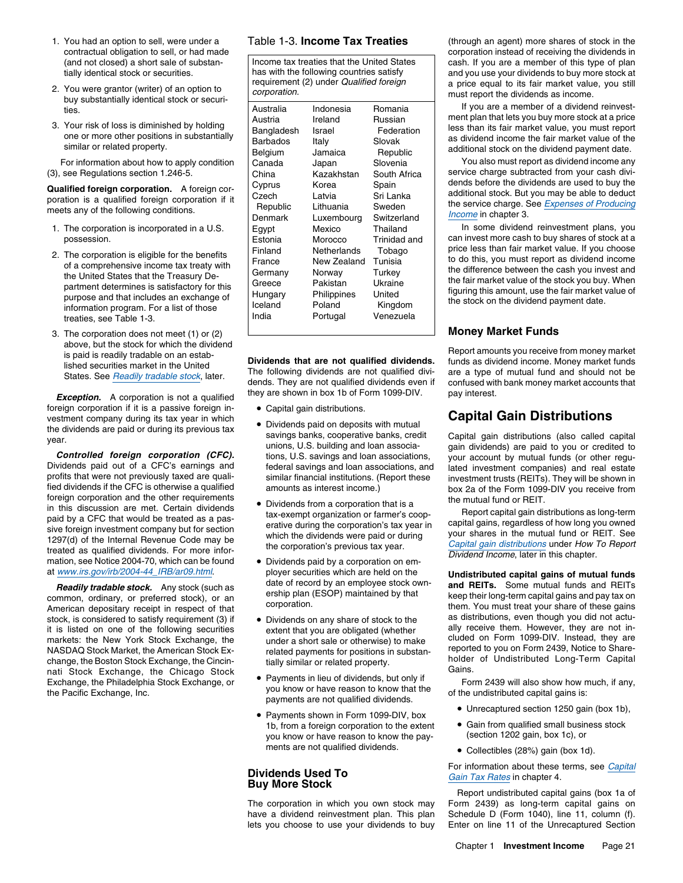- 
- 
- 

- 
- treaties, see Table 1-3.
- 3. The corporation does not meet (1) or (2) **Money Market Funds Money Market Funds**

foreign corporation if it is a passive foreign in-<br>vestment company during its tax year in which<br> $\sum_{n=1}^{\infty}$ vestment company during its tax year in which **Capital Gain Distributions**<br>the dividends are paid or during its previous tax **•** Dividends paid on deposits with mutual

Final discussion are met. Certain dividends<br>
paid by a CFC that would be treated as a pas-<br>
sive foreign investment company but for section<br>
1297(d) of the Internal Revenue Code may be<br>
treated as qualified dividends. For

common, ordinary, or preferred stock), or an ership plan (ESOP) maintained by that keep their long-term capital gains and pay tax on<br>American depositary receipt in respect of that corporation. The substantial state was the American depositary receipt in respect of that corporation.<br>stock, is considered to satisfy requirement (3) if a Dividends on any share of stock to the as distributions, even though you did not actustock, is considered to satisfy requirement (3) if <br>it is listed on one of the following securities extent that you are obligated (whether ally receive them. However, they are not in-<br>markets: the New York Stock Exchange, markets: the New York Stock Exchange, the cluder a short sale or otherwise) to make cluded on Form 1099-DIV. Instead, they are under a short sale or otherwise) to make cluded on Form 1099-DIV. Instead, they are very state-NASDAQ Stock Market, the American Stock Ex-<br>change, the Boston Stock Exchange, the Cincin-<br>nati Stock Exchange, the Chicago Stock<br>nati Stock Exchange, the Chicago Stock<br>nati Stock Exchange, the Chicago Stock nati Stock Exchange, the Chicago Stock<br>Exchange, the Philadelphia Stock Exchange, or Clayments in lieu of dividends, but only if Form 2439 will also show how much, if any,

| buy substantially identical stock of securi-<br>ties.<br>3. Your risk of loss is diminished by holding<br>one or more other positions in substantially<br>similar or related property.                                                                                                                      | Australia<br>Austria<br>Bangladesh<br><b>Barbados</b>                 | Indonesia<br>Ireland<br>Israel<br>Italy                                                      | Romania<br>Russian<br>Federation<br>Slovak                               | If you are a member of a dividend reinvest-<br>ment plan that lets you buy more stock at a price<br>less than its fair market value, you must report<br>as dividend income the fair market value of the<br>additional stock on the dividend payment date.                                                 |
|-------------------------------------------------------------------------------------------------------------------------------------------------------------------------------------------------------------------------------------------------------------------------------------------------------------|-----------------------------------------------------------------------|----------------------------------------------------------------------------------------------|--------------------------------------------------------------------------|-----------------------------------------------------------------------------------------------------------------------------------------------------------------------------------------------------------------------------------------------------------------------------------------------------------|
| For information about how to apply condition<br>(3), see Regulations section 1.246-5.                                                                                                                                                                                                                       | Belgium<br>Canada<br>China                                            | Jamaica<br>Japan<br>Kazakhstan                                                               | Republic<br>Slovenia<br>South Africa                                     | You also must report as dividend income any<br>service charge subtracted from your cash divi-                                                                                                                                                                                                             |
| <b>Qualified foreign corporation.</b> A foreign cor-<br>poration is a qualified foreign corporation if it<br>meets any of the following conditions.                                                                                                                                                         | Cyprus<br>Czech<br>Republic<br>Denmark                                | Korea<br>Latvia<br>Lithuania<br>Luxembourg                                                   | Spain<br>Sri Lanka<br>Sweden<br>Switzerland                              | dends before the dividends are used to buy the<br>additional stock. But you may be able to deduct<br>the service charge. See Expenses of Producing<br>Income in chapter 3.                                                                                                                                |
| 1. The corporation is incorporated in a U.S.<br>possession.                                                                                                                                                                                                                                                 | Egypt<br>Estonia                                                      | Mexico<br>Morocco                                                                            | Thailand<br>Trinidad and                                                 | In some dividend reinvestment plans, you<br>can invest more cash to buy shares of stock at a                                                                                                                                                                                                              |
| 2. The corporation is eligible for the benefits<br>of a comprehensive income tax treaty with<br>the United States that the Treasury De-<br>partment determines is satisfactory for this<br>purpose and that includes an exchange of<br>information program. For a list of those<br>treaties, see Table 1-3. | Finland<br>France<br>Germany<br>Greece<br>Hungary<br>Iceland<br>India | <b>Netherlands</b><br>New Zealand<br>Norway<br>Pakistan<br>Philippines<br>Poland<br>Portugal | Tobago<br>Tunisia<br>Turkev<br>Ukraine<br>United<br>Kingdom<br>Venezuela | price less than fair market value. If you choose<br>to do this, you must report as dividend income<br>the difference between the cash you invest and<br>the fair market value of the stock you buy. When<br>figuring this amount, use the fair market value of<br>the stock on the dividend payment date. |
|                                                                                                                                                                                                                                                                                                             |                                                                       |                                                                                              |                                                                          |                                                                                                                                                                                                                                                                                                           |

**Exception.** A corporation is not a qualified they are shown in box 1b of Form 1099-DIV. pay interest.

- 
- 
- 
- at www.irs.gov/irb/2004-44\_IRB/ar09.html. ployer securities which are held on the **Undistributed capital gains of mutual funds**
	-
- Exchange, the Philadelphia Stock Exchange, or<br>
the Pacific Exchange, let Philadelphia Stock Exchange, or<br>
you know or have reason to know that the of the undistributed capital gains is:<br>
payments are not qualified dividend
	- Payments shown in Form 1099-DIV, box 1b, from a foreign corporation to the extent <br>vou know or have reason to know the pay- (section 1202 gain, box 1c), or you know or have reason to know the payments are not qualified dividends. •

have a dividend reinvestment plan. This plan Schedule D (Form 1040), line 11, column (f). lets you choose to use your dividends to buy Enter on line 11 of the Unrecaptured Section

1. You had an option to sell, were under a Table 1-3. **Income Tax Treaties** (through an agent) more shares of stock in the contractual obligation to sell, or had made<br>
(and not closed) a short sale of substan-<br>
(Income tax treaties that the United States cash. If you are a member of this type of plan cash. If you are a member of this type of plan tially identical stock or securities. <br>requirement (2) under *Qualified foreign* a price equal to its fair market value, you still 2. You were grantor (writer) of an option to requirement (2) under Qualified foreign a price equal to its fair market value, you still<br>buy substantially identical stock or securi-

above, but the stock for which the dividend<br>is paid is readily tradable on an estab-<br>lished securities market in the United<br>States. See *Readily tradable stock*, later. The following dividends are not qualified divi-<br>State

From the dividends are paid or during its previous tax<br>
year.<br>
Controlled foreign corporation (CFC).<br>
Unions, U.S. building and loan associations, and loan associa-<br>
Dividends paid out of a CFC's earnings and loan associat

*Readily tradable stock.* Any stock (such as date of record by an employee stock own- **and REITs.** Some mutual funds and REITs

- Unrecaptured section 1250 gain (box 1b),<br>• Payments shown in Form 1099-DIV hox
	-
	- Collectibles (28%) gain (box 1d).

For information about these terms, see Capital **Dividends Used To** Gain Tax Rates in chapter 4. **Buy More Stock** Report undistributed capital gains (box 1a of

The corporation in which you own stock may Form 2439) as long-term capital gains on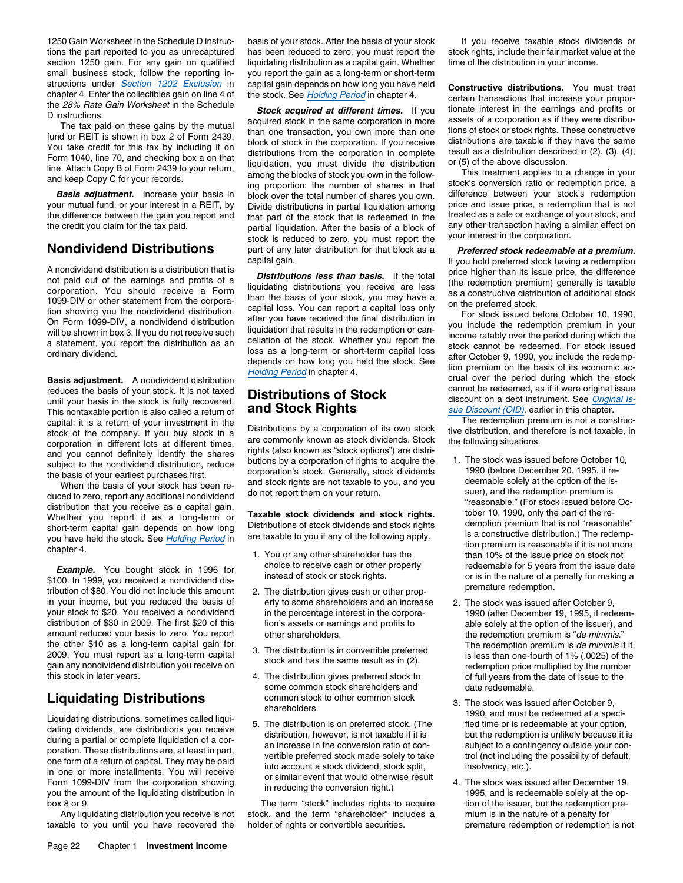tions the part reported to you as unrecaptured has been reduced to zero, you must report the stock rights, include their fair market value at the section 1250 gain. For any gain on qualified liquidating distribution as a c small business stock, follow the reporting in-<br>you report the gain as a long-term or short-term

until your basis in the stock is fully recovered. **Distributions of Stock** discount on a debt instrument. See *Original Is-*<br>This nontaxable portion is also called a return of **and Stock Rights** *sue Discount (OID)*, earli This nontaxable portion is also called a return of **and Stock Rights** sue the summary sue Discount (OID), earlier in this chapter.<br>Capital: it is a return of your investment in the stock of the company. If you buy stock in a Distributions by a corporation of its own stock tive distribution, and the<br>corporation in different lots at different times are commonly known as stock dividends. Stock the follo corporation in different lots at different times, are commonly known as stock dividends. Stock contains and you connect definitely identify the charge containst discriminations.

**Example.** You bought stock in 1996 for choice to receive cash or other property redeemable for 5 years from the issue date<br>\$100. In 1999, you received a nondividend dis-<br>tribution of \$80. You did not include this amount 2 in your income, but you reduced the basis of erty to some shareholders and an increase 2. The stock was issued after October 9, vour stock to \$20. You received a nondividend in the percentage interest in the corpora- 1990 distribution of \$30 in 2009. The first \$20 of this tion's assets or earnings and profits to able solely at the option of the issuer), and amount reduced your basis to zero. You report other shareholders. amount reduced your basis to zero. You report other shareholders. The redemption premium is "de minimis."<br>the other \$10 as a long-term capital gain for a report to the concentible professed and The redemption premium is de the other \$10 as a long-term capital gain for<br>2009. You must report as a long-term capital 3. The distribution is in convertible preferred The redemption premium is *de minimis* if it<br>gain any nondividend distribution you this stock in later years.  $\blacksquare$  4. The distribution gives preferred stock to of full years from the date of issue to the

Liquidating distributions, sometimes called liqui-<br>
dating distributions, sometimes called liqui-<br>
dating distributions, sometimes called liqui-<br>
dating dividends, are distributions you receive<br>
during a partial or complet box 8 or 9. The term "stock" includes rights to acquire tion of the issuer, but the redemption pre-

taxable to you until you have recovered the holder of rights or convertible securities. The premature redemption or redemption is not

liquidating distribution as a capital gain. Whether

structions under **Section** 1202 Exclusion in capital gain depends on how long you have held<br>the 28% Rate Gain Worksheet in the Schedule<br>the 28% Rate Gain Worksheet in the Schedule<br>Dinstructions.<br>Dinstructions.<br>Dinstructio **Basis adjustment.** Increase your basis in block over the total number of shares you own. difference between your stock's redemption your mutual fund, or your interest in a REIT, by Divide distributions in partial liquidat Divide distributions in partial liquidation among price and issue price, a redemption that is not<br>that part of the stock that is redeemed in the treated as a sale or exchange of your stock, and the difference between the gain you report and that part of the stock that is redeemed in the treated as a sale or exchange of your stock, and the credit you claim for the tax paid. partial liquidation. After the basis of the credit you claim for the tax paid.<br>any other transaction having a stock is reduced to zero, you must report the your interest in the corporation.<br>**Nondividend Distributions** part of any later distribution for that bloc part of any later distribution for that block as a **Preferred stock redeemable at a premium.** 

A nondividend distribution is a distribution that is<br>not paid out of the earnings and profits of a<br>not paid out of the earnings and profits of a<br>corporation. You should receive a Form<br>inquidating distributions you receive

- 
- 
- 
- some common stock shareholders and date redeemable.
- 

Any liquidating distribution you receive is not stock, and the term "shareholder" includes a mium is in the nature of a penalty for

1250 Gain Worksheet in the Schedule D instruc-<br>
basis of your stock If your stock and receive taxable stock in the basis of your stock If you receive taxable stock dividends or

reduces the basis of your stock. It is not taxed **Distributions of Stock** cannot be redeemed, as if it were original issue<br>cannot be redeemed, as if it were original issue

capital; it is a return of your investment in the<br>stock of the company if you buy stock in a Distributions by a corporation of its own stock tive distribution, and therefore is not taxable, in

- and you cannot definitely identify the shares in the basis of your earliest purchases first.<br>
Subject to the nondividend distribution, reduce<br>
the basis of your earliest purchases first.<br>
the basis of your earliest purchas
	- 1990 (after December 19, 1995, if redeem-
	-
	-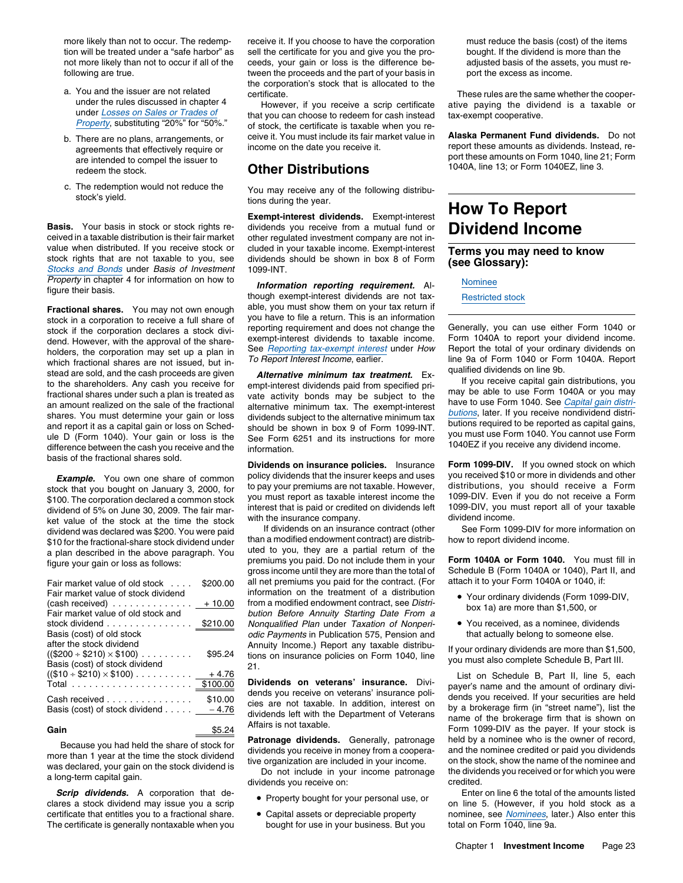- a. You and the issuer are not related<br>under the rules discussed in chapter 4<br>under the rules discussed in chapter 4<br>under *Losses on Sales or Trades of*<br>*Property*, substituting "20%" for "50%." of stock, the certificate i
- are intended to compel the issuer to **Other Distributions** redeem the stock. 1040A, line 13; or Form 1040EZ, line 3. redeem the stock. **Other Distributions**
- 

value when distributed. If you receive stock or cluded in your taxable income. Exempt-interest **Terms you may need to know**<br>stock rights that are not taxable to you, see dividends should be shown in box 8 of Form (see Glos

**Fractional shares.** You may not own enough<br>stock in a corporation to receive a full share of<br>stock if the corporation to receive a full share of<br>the corporation declares a stock dividend reporting requirement and does no and report it as a capital gain or loss on Sched-<br>ule D (Form 1040). Your gain or loss is the See Form 6251 and its instructions for more<br>difference between the cash you receive and the information. The matricons for more basis of the fractional shares sold.

ket value of the stock at the time the stock \$10 for the fractional-share stock dividend under than a modified endowment contract) are distrib-<br>a plan described in the above paragraph. You uted to you, they are a partial return of the

| Fair market value of old stock<br>Fair market value of stock dividend             | \$200.00 |
|-----------------------------------------------------------------------------------|----------|
|                                                                                   | $+10.00$ |
| Fair market value of old stock and<br>stock dividend                              | \$210.00 |
| Basis (cost) of old stock<br>after the stock dividend                             |          |
| $((\$200 \div \$210) \times \$100) \dots \dots$<br>Basis (cost) of stock dividend | \$95.24  |
| $((\$10 \div \$210) \times \$100) \dots \dots \dots$                              | $+4.76$  |
|                                                                                   | \$100.00 |
| Cash received                                                                     | \$10.00  |
| Basis (cost) of stock dividend                                                    | $-4.76$  |
|                                                                                   |          |

certificate that entitles you to a fractional share. • Capital assets or depreciable property The certificate is generally nontaxable when you bought for use in your business. But you total on Form 1040, line 9a.

more likely than not to occur. The redemp- receive it. If you choose to have the corporation must reduce the basis (cost) of the items tion will be treated under a "safe harbor" as sell the certificate for you and give you the pro- bought. If the dividend is more than the note than the note than the note than the note than the note of the assets, you must ceeds, your gain or loss is the difference befollowing are true. the proceeds and the part of your basis in port the excess as income. the corporation's stock that is allocated to the

c. The redemption would not reduce the You may receive any of the following distribu-<br>stock's yield. **tions during the year. How To Report**<br>**Exempt-interest dividends.** Exempt-interest

**Basis.** Your basis in stock or stock rights re-<br>ceived in a taxable distribution is their fair market other regulated investment company are not in-<br>value when distributed. If you receive stock or cluded in your taxable i

Property in chapter 4 for information on how to<br>
figure their basis. though exempt-interest dividends are not tax-<br> **Exactional shares** You may not own apough able, you must show them on your tax return if

**Example.** You own one share of common policy dividends that the insurer keeps and uses you received \$10 or more in dividends and other *policy* dividends and other policy dividends and other common policy divident of poli stock that you bought on January 3, 2000, for to pay your premiums are not taxable. However, distributions, you should receive a Form<br>\$100 The corporation declared a common stock you must report as taxable interest income \$100. The corporation declared a common stock you must report as taxable interest income the 1099-DIV. Even if you do not receive a Form<br>dividend of 5% on lune 30, 2009. The fair mare interest that is paid or credited on d dividend of 5% on June 30, 2009. The fair mar-<br>ket value of the stock at the time the stock with the insurance company.

dividend was declared was \$200. You were paid If dividends on an insurance contract (other See Form 1099-DIV for more information on S10 for the fractional-share stock dividend under than a modified endowment contract) are a plan described in the above paragraph. You uted to you, they are a partial return of the<br>figure your gain or loss as follows:<br>gross income until they are more than the total of Schedule B (Form 1040A or 1040), Part II, a all net premiums you paid for the contract. (For information on the treatment of a distribution  $\bullet$  Your ordinary dividends (Form 1099-DIV, from a modified endowment contract, see *Distri*box 1a) are more than \$1,500, or<br>bution Before Annuity Starting Date From a<br>Nongualified Plan under Taxation of Nonperi- • You received, as a nominee, dividends Nonqualified Plan under Taxation of Nonperiodic Payments in Publication 575, Pension and that actually belong to someone else. Annuity Income.) Report any taxable distribu-<br>tions on insurance policies on Form 1040, line you must also complete Schedule B, Part III.<br>21.

- 
- 

b. There are no plans, arrangements, or ceive it. You must include its fair market value in **Alaska Permanent Fund dividends.** Do not agreements that effectively require or income on the date you receive it.<br>
are intended

**Dividends on insurance policies.** Insurance **Form 1099-DIV.** If you owned stock on which

- 
- 

(1) List on Schedule B, Part II, line 5, each<br>
Dividends on veterans' insurance. Divi-<br>
poveds pomo and the amount of ordinary divi-Total **Dividends on veterans' insurance.** Divi- ..................... \$100.00 payer's name and the amount of ordinary divi- dends you receive on veterans' insurance poli- Cash received ............... \$10.00 dends you received. If your securities are held cies are not taxable. In addition, interest on Basis (cost) of stock dividend ..... <sup>−</sup> 4.76 by a brokerage firm (in "street name"), list the dividends left with the Department of Veterans name of the brokerage firm that is shown on Affairs is not taxable. **Gain** \$5.24 Form 1099-DIV as the payer. If your stock is Because you had held the share of stock for **Patronage dividends.** Generally, patronage held by a nominee who is the owner of record, dividends you receive in money from a coopera-<br>more than 1 year at the time the stock di

**Scrip dividends.** A corporation that de-<br>ares a stock dividend may issue you a scrip<br>ares a stock dividend may issue you a scrip clares a stock dividend may issue you a scrip<br>
example of the your personal use, or capital and the S. (However, if you hold stock as a certificate that entitles you to a fractional share. <br>
• Capital assets or depreciable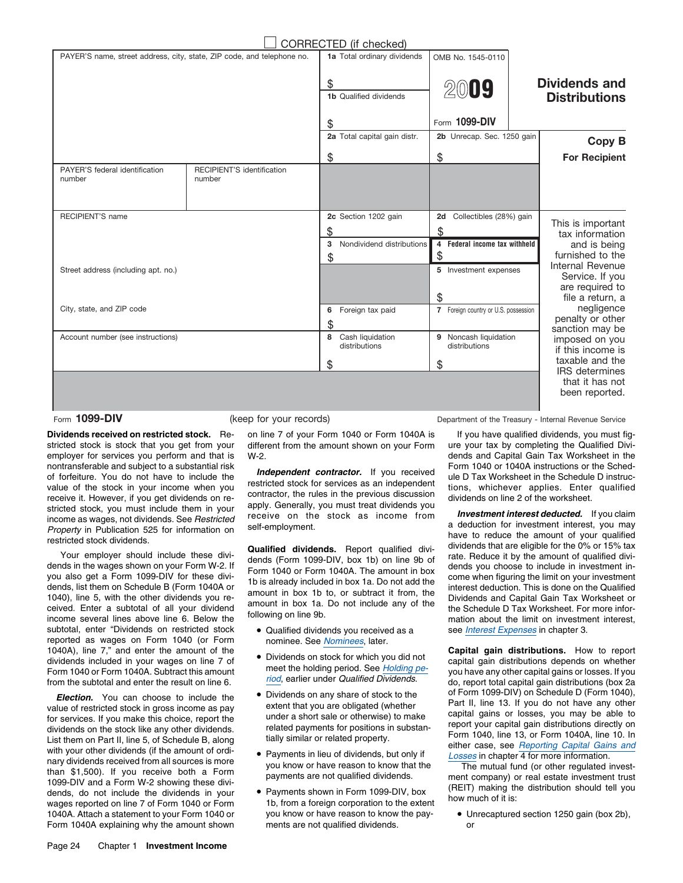|                                                                        |                                             | CORRECTED (if checked)                 |                                        |                                              |
|------------------------------------------------------------------------|---------------------------------------------|----------------------------------------|----------------------------------------|----------------------------------------------|
| PAYER'S name, street address, city, state, ZIP code, and telephone no. |                                             | 1a Total ordinary dividends            | OMB No. 1545-0110                      |                                              |
|                                                                        |                                             | \$<br><b>1b</b> Qualified dividends    | 2009                                   | <b>Dividends and</b><br><b>Distributions</b> |
|                                                                        |                                             | \$                                     | Form 1099-DIV                          |                                              |
|                                                                        |                                             | 2a Total capital gain distr.           | 2b Unrecap. Sec. 1250 gain             | Copy B                                       |
|                                                                        |                                             | \$                                     | \$                                     | <b>For Recipient</b>                         |
| PAYER'S federal identification<br>number                               | <b>RECIPIENT'S identification</b><br>number |                                        |                                        |                                              |
|                                                                        |                                             |                                        |                                        |                                              |
| RECIPIENT'S name                                                       |                                             | 2c Section 1202 gain                   | Collectibles (28%) gain<br>2d          | This is important                            |
|                                                                        |                                             | \$                                     | \$                                     | tax information                              |
|                                                                        |                                             | Nondividend distributions<br>3<br>\$   | 4 Federal income tax withheld<br>\$    | and is being<br>furnished to the             |
| Street address (including apt. no.)                                    |                                             |                                        | 5 Investment expenses                  | Internal Revenue<br>Service. If you          |
|                                                                        |                                             |                                        | \$                                     | are required to<br>file a return, a          |
| City, state, and ZIP code                                              |                                             | Foreign tax paid<br>6                  | 7 Foreign country or U.S. possession   | negligence<br>penalty or other               |
|                                                                        |                                             | \$                                     |                                        | sanction may be                              |
| Account number (see instructions)                                      |                                             | 8<br>Cash liquidation<br>distributions | 9 Noncash liquidation<br>distributions | imposed on you<br>if this income is          |
|                                                                        |                                             | \$                                     | \$                                     | taxable and the<br><b>IRS</b> determines     |
|                                                                        |                                             |                                        |                                        | that it has not<br>been reported.            |

stricted stock is stock that you get from your different from the amount shown on your Form ure your tax by completing the Qualified Diviemployer for services you perform and that is W-2.<br>Anontransferable and subject to a substantial risk endingle and Capital Gain Tax Worksheet in the Sched-

subtotal, enter "Dividends on restricted stock reported as wages on Form 1040 (or Form nominee. See Nominees, later.<br>1040A), line 7," and enter the amount of the 1040A), line 7," and enter the amount of the **Capital gain distributions.** How to report dividends included in your wages on line 7 of **Capital stributions** between the dividends on stock for which you did not capital gain

where the dividends (if the amount of our-<br>
nary dividends, but only if<br>
than \$1,500). If you receive both a Form<br>
1099-DIV and a Form W-2 showing these divi-<br>
dends, do not include the dividends in your<br>
wages reported on 1040A. Attach a statement to your Form 1040 or you know or have reason to know the pay- • Unrecaptured section 1250 gain (box 2b), Form 1040A explaining why the amount shown one ments are not qualified dividends.

**Dividends received on restricted stock.** Re- on line 7 of your Form 1040 or Form 1040A is If you have qualified dividends, you must fig-

- Qualified dividends you received as a see Interest Expenses in chapter 3.
- 
- Dividends on any share of stock to the
- 
- 

Form **1099-DIV Example 2009-DIV** (keep for your records) Department of the Treasury - Internal Revenue Service

montransferable and subject to a substantial risk<br>
of orderivence the contractor. If you received the line DT440 on that is the Sched-<br>
of the time state of the stock in your income when you<br>
or have to include the myous d

dividends included in your wages on line 7 of<br>
Form 1040 or Form 1040A. Subtract this amount<br>
from the subtotal and enter the result on line 6.<br>
from the subtotal and enter the result on line 6.<br>
from the subtotal and ente **Election.** You can choose to include the<br>value of restricted stock in gross income as pay<br>for services. If you make this choice, report the<br>dividends on the stock like any other dividends.<br>List them on Part II, line 5, of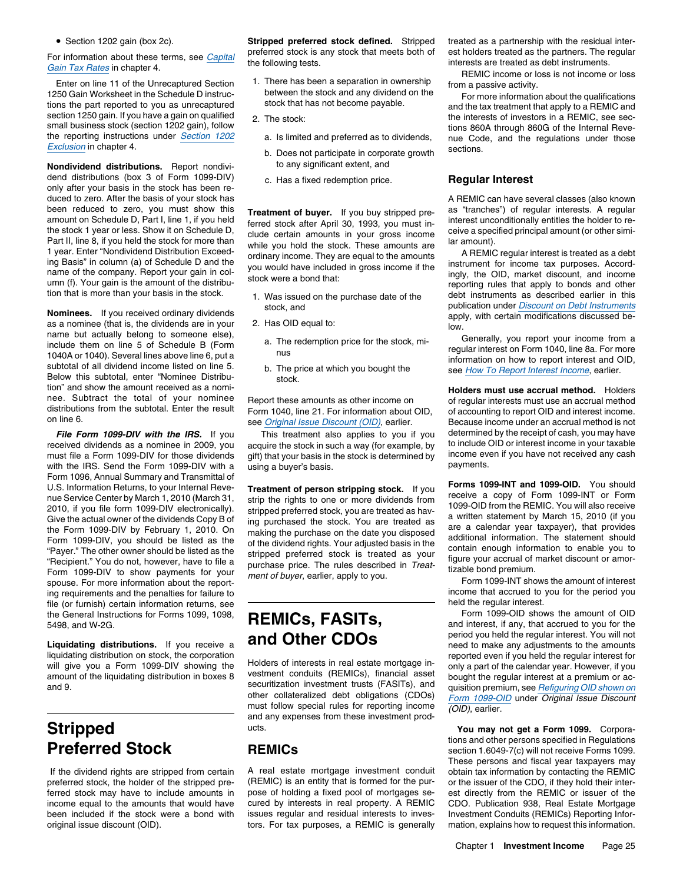• Section 1202 gain (box 2c).

Enter on line 11 of the Unrecaptured Section 1. There has been a separation in ownership from a passive activity.<br>1250 Gain Worksheet in the Schedule D instruc- between the stock and any dividend on the 1250 Gain Worksheet in the Schedule D instruc-<br>tions the part reported to you as unrecaptured<br>section 1250 gain. If you have a gain on qualified 2. The stock: that has not become payable.<br>section 1250 gain. If you have a g

**Nondividend distributions.** Report nondivi-<br>dend distributions (box 3 of Form 1099-DIV) can a fixed redemption price dend distributions (box 3 of Form 1099-DIV) c. Has a fixed redemption price. **Regular Interest** only after your basis in the stock has been rebeen reduced to zero, you must show this<br>amount on Schedule D, Part I, line 1, if you held<br>the stock after April 30, 1993, you must in-<br>the stock 1 year or less. Show it on Schedule D,<br>the stock for more than amounts in yo

**Nominees.** If you received ordinary dividends<br>as a nominee (that is, the dividends are in your 2. Has OID equal to: low.<br>name but actually belong to someone else), name but actually belong to someone else),<br>
include them on line 5 of Schedule B (Form a. The redemption price for the stock, mi-<br>
1040A or 1040). Several lines above line 6, put a<br>
subtotal of all dividend income listed o tion" and show the amount received as a nomi-<br>nee. Subtract the total of your nominee **Report these amounts as other income on** of require interacts must use an accrual method.

received dividends as a nominee in 2009, you acquire the stock in such a way (for example, by to include OID or interest income in your taxable<br>must file a Form 1099-DIV for those dividends aift) that your basis in the sto must file a Form 1099-DIV for those dividends gift) that your basis in the stock is determined by income even if you have not received any cash was ments. with the IRS. Send the Form 1099-DIV with a using a buyer's basis. Form 1096, Annual Summary and Transmittal of U.S. Information Returns, to your Internal Reve-<br>
Treatment of person stripping stock. If you<br>
Treatment of person stripping stock. If you<br>
Forms 1099-INT and 1099-OID. You should<br>
Treatment of person stripping stock. If y nue Service Center by March 1, 2010 (March 31, strip the rights to one or more dividends from<br>2010, if you file form 1099-DIV electronically). stripped preferred stock, you are treated as hav-<br>Give the actual owner of the Give the actual owner of the dividends Copy B of<br>the Form 1099-DIV by February 1, 2010. On<br>Form 1099-DIV by February 1, 2010. On<br>Form 1099-DIV, you should be listed as the<br>"Recipient." The other owner should be listed as t ing requirements and the penalties for failure to income that accrued to you for the period you<br>file (or furnish) certain information returns, see **income in the period set of the secular interest**. file (or furnish) certain information returns, see<br>the General Instructions for Forms 1099, 1098, **DEMILO EXCITO** FORM TO Form 1099-OID shows the amount of OID the General Instructions for Forms 1099, 1098, **REMICS, FASITS,** Form 1099-OID shows the amount of OID **Form 1099-OID** shows the amount of OID **Form 1099-OID** shows the amount of OID

original issue discount (OID). tors. For tax purposes, a REMIC is generally mation, explains how to request this information.

**Stripped preferred stock defined.** Stripped treated as a partnership with the residual inter-For information about these terms, see *Capital* preferred stock is any stock that meets both of est holders treated as the partners. The regular the following tests.<br> **Gain Tax Rates** in chapter 4. REMIC income or loss i

- 
- -
	-
	-

- 
- -
	-

liquidating distribution on stock, the corporation<br>
will give you a Form 1099-DIV showing the<br>
amount of the liquidating distribution in boxes 8<br>
amount of the liquidating distribution in boxes 8<br>
securitization investmen

preferred stock, the holder of the stripped pre- (REMIC) is an entity that is formed for the pur- or the issuer of the CDO, if they hold their inter-<br>ferred stock may have to include amounts in pose of holding a fixed pool ferred stock may have to include amounts in pose of holding a fixed pool of mortgages se-est directly from the REMIC or issuer of the income equal to the amounts that would have cured by interests in real property. A REMIC CDO. Publication 938, Real Estate Mortgage been included if the stock were a bond with issues regular and residual interests to inves- Investment Conduits (REMICs) Reporting Infor-

small business stock (section 1202 gain), follow the reporting instructions under *Section 1202* a. Is limited and preferred as to dividends, the code, and the regulations under those the reporting in chapter 4.<br>Exclusion

duced to zero. After the basis of your stock has<br>been reduced to zero, you must show this **Treatment of buver** if you buy stripped pre- as "tranches") of regular interests. A regular

tion that is more than your basis in the stock. 1. Was issued on the purchase date of the debt instruments as described earlier in this stock, and publication under *Discount on Debt Instruments*<br>apply, with certain modifications discussed be-

nee. Subtract the total of your nominee<br>distributions from the subtotal. Enter the result Form 1040, line 21. For information about OID, of accounting to report OID and interest income.<br>See Original Issue Discount (OID), e **File Form 1099-DIV with the IRS.** If you This treatment also applies to you if you determined by the receipt of cash, you may have receipt of cash, you may have receipt of cash, you may have receipt of cash, you may have

period you held the regular interest. You will not **Liquidating distributions.** If you receive a **and Other CDOs** period you held the regular interest. You will not

**Stripped** ucts. <br> **Stripped** ucts. The strip was all the set of the set of the set of the set of the set of the set of the set of the set of the set of the set of the set of the set of the set of the set of the set of the **Preferred Stock REMICs REGULATION REGULATION REGULATION REGULATION REGULATION REGULATION REGULATION REGULATION REGULATION REGULATION REGULATION** These persons and fiscal year taxpayers may If the dividend rights are stripped from certain A real estate mortgage investment conduit obtain tax information by contacting the REMIC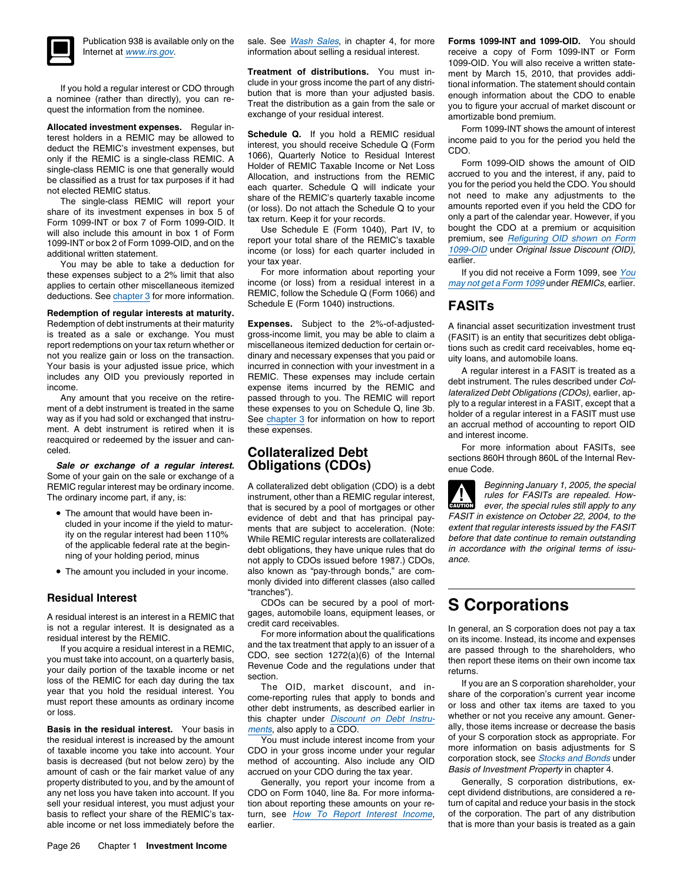

Form 1099-INT or box 7 of Form 1099-OID. It lax return. Neep it for your records.<br>Will also include this amount in box 1 of Form Use Schedule E (Form 1040), Part IV, to bought the CDO at a premium or acquisition<br>1099-INT o

For more information about reporting your<br>these expenses subject to a 2% limit that also for more information about reporting your<br>applies to certain other miscellaneous itemized income (or loss) from a residual interest

Redemption of debt instruments at their maturity **Expenses.** Subject to the 2%-of-adjusted- A financial asset securitization investment trust

Some of your gain on the sale or exchange of a

- The amount that would have been in-
- The amount you included in your income.

is not a regular interest. It is designated as a<br>residual interest by the REMIC.<br>If you acquire a residual interest in a REMIC,<br>why must take into account, on a quarterly basis,<br>you must take into account, on a quarterly b

of taxable income you take into account. Your CDO in your gross income under your regular more information on basis adjustments for S<br>basis is decreased (but not below zero) by the method of accounting. Also include any OI basis is decreased (but not below zero) by the method of accounting. Also include any OID corporation stock, see Stocks and Bonds under<br>amount of cash or the fair market value of any accrued on your CDO during the tax year property distributed to you, and by the amount of Generally, you report your income from a Generally, S corporation distributions, ex-<br>
any net loss you have taken into account. If you CDO on Form 1040, line 8a, For more i any net loss you have taken into account. If you CDO on Form 1040, line 8a. For more informa-cept dividend distributions, are considered a re-<br>sell your residual interest, you must adjust your tion about reporting these am sell your residual interest, you must adjust your tion about reporting these amounts on your rebasis to reflect your share of the REMIC's tax- turn, see How To Report Interest Income, of the corporation. The part of any distribution able income or net loss immediately before the earlier.

Allocated investment expenses. Regular in-<br>terest holders in a REMIC may be allowed to<br>deduct the REMIC may be allowed to<br>only if the REMIC's investment expenses, but<br>only if the REMIC's investment expenses, but<br>only if th

1099-INT or box 2 of Form 1099-OID, and on the report your total share of the HEMIC's taxable prefilming the menguing OID shown on Form<br>additional written statement.<br>Now may be able to take a deduction for your tax year.

Schedule E (Form 1040) instructions. **FASITs Redemption of regular interests at maturity.**

is treated as a sale or exchange. You must gross-income limit, you may be able to claim a (FASIT) is an entity that securitizes debt obligation or text number or miscellaneous itemized deduction for certain or two such as

The ordinary income part, if any, is:<br>that is secured by a pool of mortgages or other exament ever, the special rules still apply to any that is secured by a pool of mortgages or other • The amount that would have been in-<br>
cluded in your income if the yield to matur-<br>
ity on the regular interest had been 110%<br>
of the applicable federal rate at the begin-<br>
of the applicable federal rate at the begin-<br>
me also known as "pay-through bonds," are commonly divided into different classes (also called

**Residual Interest** CDOs can be secured by a pool of mort-<br>A residual interest is an interest in a REMIC that gages, automobile loans, equipment leases, or<br>is not a require interest. It is decignated as a credit card recei

Publication 938 is available only on the sale. See Wash Sales, in chapter 4, for more **Forms 1099-INT and 1099-OID.** You should Internet at www.irs.gov. information about selling a residual interest. receive a copy of Form 1099-INT or Form 1099-OID. You will also receive a written state-**Treatment of distributions.** You must in-<br>clude in your gross income the part of any distri-<br>tional information. The statement should contain If you hold a regular interest or CDO through<br>a nominee (rather than directly), you can re-<br>quest the information from the nominee.<br>quest the information from the nominee.<br>exchange of your residual interest.<br>a mortizable b

REMIC regular interest may be ordinary income. A collateralized debt obligation (CDO) is a debt Beginning January 1, 2005, the special and the special regular interest The ordinary income part if any is: **!**

this chapter under *Discount on Debt Instru*<br>Basis in the residual interest. Your basis in<br>the residual interest is increased by the amount<br>of taxable income you take into account Your. CDO in your gross income under your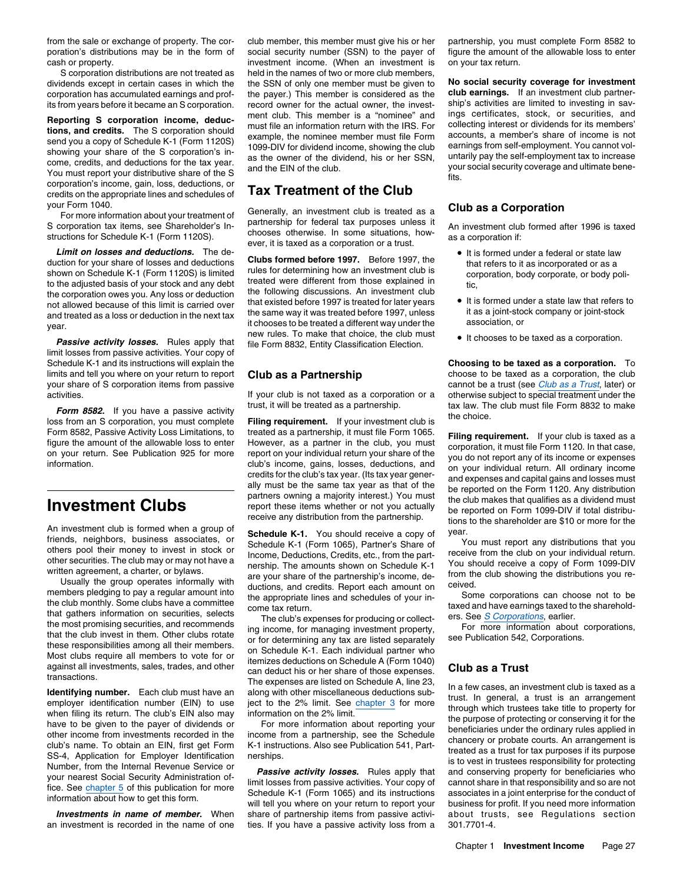cash or property. investment income. (When an investment is on your tax return.)

corporation's income, gain, loss, deductions, or credits on the appropriate lines and schedules of **Tax Treatment of the Club**

**Limit on losses and deductions.** The de-<br>vetion for your share of losses and deductions. Clubs formed before 1997. Before 1997, the

**Passive activity losses.** Rules apply that limit losses from passive activities. Your copy of Schedule K-1 and its instructions will explain the **Choosing to be taxed as a corporation.** To limits and tell you where on your return to report **Club as a Partnership** choose to be taxed as a corporation, the club your share of S corporation items from passive chub as a Trust, later) or your share of S corporation items from passive<br>If your club is not taxed as a corporation or a corberwise subject to special treatment under the

poration's distributions may be in the form of social security number (SSN) to the payer of figure the amount of the allowable loss to enter cash or property. S corporation distributions are not treated as held in the names of two or more club members,

your Form 1040.<br>For more information about your treatment of Generally, an investment club is treated as a **Club as a Corporation**<br>S corporation tax items, see Shareholder's In partnership for federal tax purposes unless i

duction for your share of losses and deductions<br>shown on Schedule K-1 (Form 1120S) is limited<br>to the adjusted basis of your stock and any debt<br>to the adjusted basis of your stock and any debt<br>the corporation owes you. Any not allowed because of this limit is carried over<br>and treated before 1997 is treated for later years<br>and treated as a loss or deduction in the next tax<br>it chooses to be treated a different way under the<br>response to be trea

Form 8582, Passive Activity Loss Limitations, to<br>
if the amount of the allowable loss to enter<br>
on your return. See Publication 925 for more<br>
on your return. See Publication 925 for more<br>
on your individual return your sha

An investment club is formed when a group of<br>friends, neighbors, business associates, or<br>others pool their money to invest in stock or<br>others pool their money to invest in stock or<br>other securities. The club may or may not

*Investments in name of member.* When share of partnership items from passive activi- about trusts, see Regulations section an investment is recorded in the name of one ties. If you have a passive activity loss from a 301.7701-4.

from the sale or exchange of property. The cor- club member, this member must give his or her partnership, you must complete Form 8582 to

dividends except in certain cases in which the the SSN of only one member must be given to **No social security coverage for investment** corporation has accumulated earnings and prof- the payer.) This member is considered as the **club earnings.** If an investment club partnerits from years before it became an S corporation. record owner for the actual owner, the invest-<br>ment club. This member is a "nominee" and ings certificates, stock, or securities, and **Reporting S corporation income, deduce**<br> **Reporting S corporation income, deduce**<br> **Reporting S corporation income, deduce**<br> **Reporting interest or dividends for its members**<br> **Reporting interest or dividends for its memb** 

- It is formed under a federal or state law
- 
- 

otherwise subject to special treatment under the **Form 8582.** If you have a passive activity trust, it will be treated as a partnership. the club must file Form 8832 to make loss from an S corporation, you must complete Filing requirement. If your investment club is the

members pledging to pay a regular amount into the appropriate lines and schedules of your in-<br>Some corporations can choose not to be<br>that gathers information on securities, selects come law reture. The dubb sexpenses for p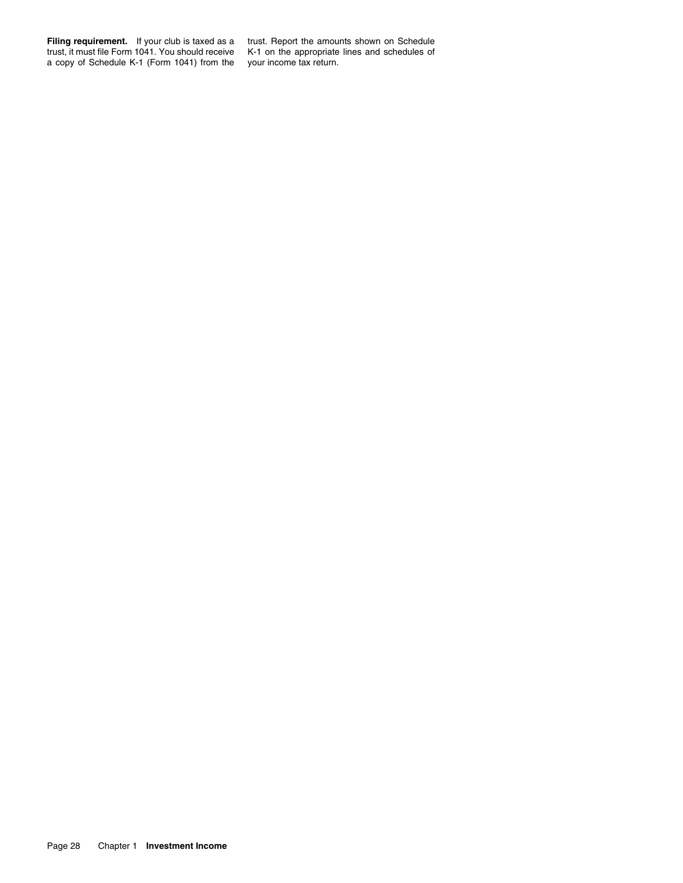**Filing requirement.** If your club is taxed as a trust. Report the amounts shown on Schedule trust, it must file Form 1041. You should receive K-1 on the appropriate lines and schedules of a copy of Schedule K-1 (Form 1041) from the your income tax return.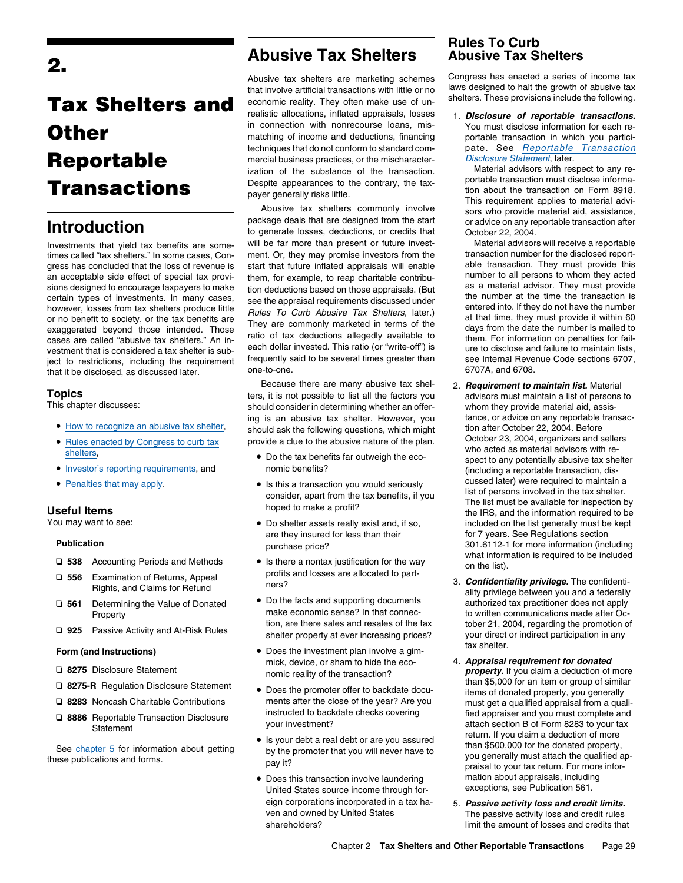times called "tax shelters." In some cases, Con- ment. Or, they may promise investors from the transaction number for the disclosed report-<br>gress has concluded that the loss of revenue is start that future inflated apprais an acceptable side effect of special tax provi-<br>sions designed to encourage taxpayers to make tion deductions based on those appraisals. (But as a material advisor. They must provide cases are called "abusive tax shelters." An in-<br>vestment that is considered a tax shelter is sub-<br>intervention of the maintain lists,<br>intervention including the requirement of the continuous of the several times greater th ject to restrictions, including the requirement frequently said to be several times greater than see Internal Revenue Code sections 6707,<br>that it he disclosed as discussed later one-to-one. that it be disclosed, as discussed later.

- How to recognize an abusive tax shelter,
- 
- Investor's reporting requirements, and
- 

- 
- 
- 
- 

- 
- **□ 8275-R** Regulation Disclosure Statement Does the promoter offer to backdate docu-
- 
- 

# **Abusive Tax Shelters Abusive Tax Shelters**<br>Abusive tax shelters are marketing schemes Congress has enacted a series of income tax

that involve artificial transactions with little or no laws designed to halt the growth of abusive tax that include the following. **Tax Shelters and** economic reality. They often make use of un-<br>realistic allocations, inflated appraisals, losses realistic allocations, inflated appraisals, losses 1. **Disclosure of reportable transactions.**<br>in connection with nonrecourse loans, mis-<br>Nou must disclose information for each rein connection with nonrecourse loans, mis-<br>matching of income and deductions, financing and portable transaction in which you partici-<br>techniques that do not conform to standard com-<br>pate. See Reportable Transaction **Reportable** mercial business practices, or the mischaracter-<br>
The substance of the transaction and the substance of the transaction and the discors with respect to any reization of the substance of the transaction. Material advisors with respect to any re-<br>Despite annearances to the contrary the tax, portable transaction must disclose informa-

**Introduction** package deals that are designed from the start or advice on any reportable transaction after **Introduction** to generate losses, deductions, or credits that October 22, 2004. Investments that yield tax benefits are some-<br>
times called "tax shelters." In some cases, Con-<br>
ment. Or, they may promise investors from the transaction number for the disclosed reportstart that future inflated appraisals will enable able transaction. They must provide this start that future inflated appraisals will enable able transaction. They must provide this sions designed to encourage taxpayers to make<br>certain types of investments. In many cases,<br>however, losses from tax shelters produce little<br>or no benefit to society, or the tax benefits are<br>exaggerated beyond those intende

Because there are many abusive tax shel- 2. *Requirement to maintain list.* Material **Topics** ters, it is not possible to list all the factors you advisors must maintain a list of persons to This chapter discusses:<br>
Should consider in determining whether an offer-<br>
whom they provide material aid, assisshould consider in determining whether an offering is an abusive tax shelter. However, you tance, or advice on any reportable transac-<br>should ask the following questions, which might tion after October 22, 2004. Before should ask the following questions, which might tion after October 22, 2004. Before<br>provide a clue to the abusive nature of the plan Cotober 23, 2004, organizers and sellers

- 
- 
- are they insured for less than their
- 538 Accounting Periods and Methods Is there a nontax justification for the way<br>
 556 Examination of Returns, Appeal profits and losses are allocated to part-<br>
Rights, and Claims for Refund ners?<br>
Rights, and Claims f
	-
- **Form (and Instructions)** Does the investment plan involve a gim-<br>mick. device. or sham to hide the eco- **4. Appraisal requirement for donated** mick, device, or sham to hide the eco-
	-
	- Is your debt a real debt or are you assured<br>than \$500,000 for the donated property.
	- Does this transaction involve laundering mation about appraisals, including United States source income through for- exceptions, see Publication 561. eign corporations incorporated in a tax ha- 5. *Passive activity loss and credit limits.* shareholders? limit the amount of losses and credits that

# **Rules To Curb**

Abusive tax shelters are marketing schemes Congress has enacted a series of income tax<br>that involve artificial transactions with little or no laws designed to halt the growth of abusive tax

pate. See Reportable Transaction<br>Disclosure Statement, later.

**Transaction must disclose information Saction Service only interest appearances to the contrary, the tax-<br>
Despite appearances to the contrary, the tax-<br>
payer generally risks little.<br>
Abusive tax shelters commonly involv** 

- Rules enacted by Congress to curb tax provide a clue to the abusive nature of the plan. October 23, 2004, organizers and sellers shelters, shelters, and sellers with re- shelters, and the plan. The tax benefits far outw • Do the tax benefits far outweigh the eco-<br>nonic benefits?<br>(including a conortable transaction discussive tax shelter) (including a reportable transaction, dis-• Penalties that may apply **Example 20** is this a transaction you would seriously cussed later) were required to maintain a • **Penalties** that may apply **a belief and the seriously** be performed to maintain a **consider** ap • Penalties that may apply example the tax benefits, if you would seriously<br>consider, apart from the tax benefits, if you list of persons involved in the tax shelter.<br>Useful Items the apply the IRS, and the information req You may want to see: • • Do shelter assets really exist and, if so, included on the list generally must be kept<br>are they insured for less than their bor 7 years. See Regulations section **Publication**<br>
purchase price?<br> **Contains the purchase price** and the service of the service of the service of the service of the service of the service of the service of the service of the service of the service of the se
	- ❏ **<sup>561</sup>** Determining the Value of Donated Do the facts and supporting documents authorized tax practitioner does not apply Property<br>
	Property<br>
	Froperty<br>
	Froperty<br>
	Froperty<br>
	The make economic sense? In that connec-<br>
	to written communications made after Oc-<br>
	to the 21, 2004, regarding the promotion of <p>Q 925</p>\n<p>Q 925</p>\n<p>Q 925</p>\n<p>Q 925</p>\n<p>Q 925</p>\n<p>Q 925</p>\n<p>Q 925</p>\n<p>Q 925</p>\n<p>Q 925</p>\n<p>Q 926</p>\n<p>Q 927</p>\n<p>Q 927</p>\n<p>Q 928</p>\n<p>Q 929</p>\n<p>Q 929</p>\n<p>Q 920</p>\n<p>Q 920</p>\n<p>Q 920</p>\n<p>Q 920</p>\n<p>Q 920</p>\n<p
- ❏ **<sup>8275</sup>** Disclosure Statement nomic reality of the transaction? *property.* If you claim a deduction of more Does the promoter offer to backdate docu-<br>ments after the close of the year? Are you must get a qualified appraisal from a qua ❏ **<sup>8283</sup>** Noncash Charitable Contributions ments after the close of the year? Are you must get a qualified appraisal from a qualiinstructed to backdate checks covering fied appraiser and you must complete and variable Transaction Disclosure<br>your investment?<br>Statement field to access the section B of Form 8283 to your tax statement<br>return. If you c See chapter 5 for information about getting<br>the promoter that you will never have to<br>the property,<br>pay it?<br>pay it?<br>pay it?<br>pay it?<br>pay it?<br>pay it?<br>pay it?<br>pay it?<br>pay it?<br>pay it?<br>pay it?<br>pay it?<br>pay it?<br>pay it?<br>pay it?<br>pa
	- The passive activity loss and credit rules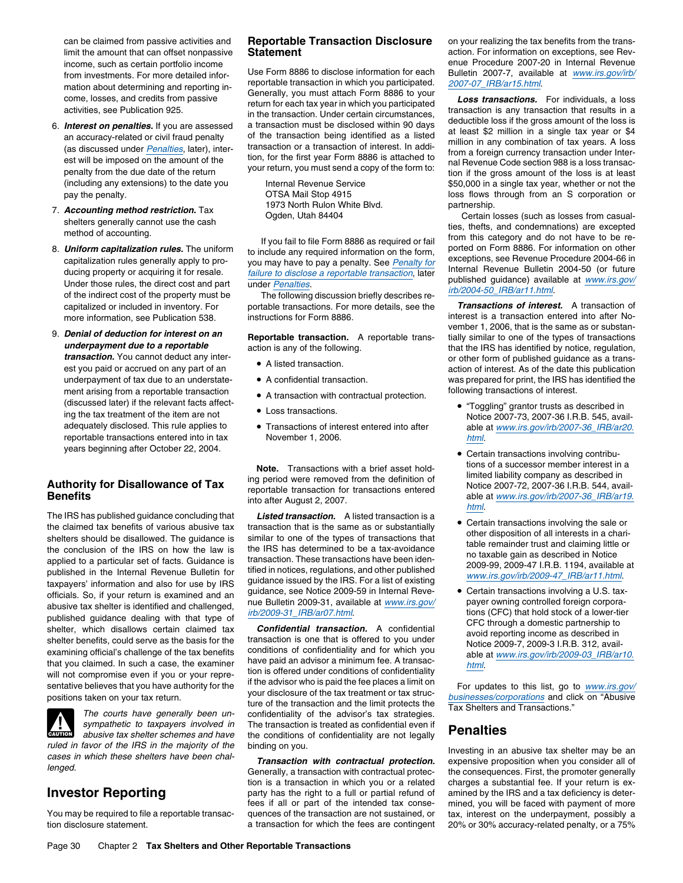income, such as certain portfolio income<br>from investments, Farmers detailed informative Procedure 2007-2008 information for each

- 
- 
- 
- est you paid or accrued on any part of an ment arising from a reportable transaction  $\bullet$  A transaction with contractual protection. following transactions of interest. (discussed later) if the relevant facts affect-<br>ing the tax transment of the item are not  $\bullet$  Loss transactions. years beginning after October 22, 2004.

The IRS has published guidance concluding that **Listed transaction.** A listed transaction is a<br>the claimed tax benefits of various abusive tax transaction that is the same as or substantially **Certain transactions** involv the claimed tax benefits of various abusive tax<br>
stransaction that is the same as or substantially<br>
the conculsion of the IRS on how the law<br>
the conculsion of the IRS on how the law is<br>
the IRS on how the law is the IRS



tion disclosure statement. <br>a transaction for which the fees are contingent 20% or 30% accuracy-related penalty, or a 75%

## can be claimed from passive activities and **Reportable Transaction Disclosure** on your realizing the tax benefits from the trans-

from investments. For more detailed infor-<br>mation about determining and reporting in-<br>mation about determining and reporting in-<br>mation about determining and reporting inmation about determining and reporting in-<br>came lesses, and arguita from possius. Generally, you must attach Form 8886 to your Come, losses, and credits from passive<br>activities, see Publication 925.<br>
The transaction of the transaction and the set of the see Publication 925.<br>
The transaction of the transaction is any transaction that results in a<br>

capitalized or included in inventory. For portable transactions. For more details, see the *Transactions of interest.* A transaction of

- 
- 
- 
- 
- reportable transactions entered into in tax November 1, 2006. Nowell be the html.

Examining official's challenge of the tax benefits<br>
that you claimed. In such a case, the examiner have paid an advisor a minimum fee. A transac-<br>
will not compromise even if you or your repre-<br>
will not compromise even i sympathetic to taxpayers involved in The transaction is treated as confidential even if The courts have generally been un-confidentiality of the advisor's tax strategies.<br>
sympathetic to taxpayers involved in The transaction is treated as confidential even if<br> **EXECUTION** abusive tax shelter schemes and have

tion is a transaction in which you or a related charges a substantial fee. If your return is ex-**Investor Reporting** party has the right to a full or partial refund of amined by the IRS and a tax deficiency is deter-<br>fees if all or part of the intended tax conse- mined, you will be faced with payment of more You may be required to file a reportable transac- quences of the transaction are not sustained, or tax, interest on the underpayment, possibly a

limit the amount that can offset nonpassive **Statement** action. For information on exceptions, see Rev-<br>income such as certain portfolio income

(including any extensions) to the date you Internal Revenue Service  $\frac{1}{100}$  a single tax year, whether or not the pay the penalty. pay the penalty. The penalty contract of the CTSA Mail Stop 4915 loss flows through from an S corporation or

7. **Accounting method restriction.** Tax 1973 North Rulon White Blvd. Certain losses (such as losses from casual-<br>shelters generally cannot use the cash the cash the cash the cash the cash the cash the cash the cash the cas capitalization rules generally apply to pro-<br>ducing property or acquiring it for resale. *failure to disclose a reportable transaction*, later<br>Under those rules, the direct cost and part under *Penalties*.<br>of the indirect

more information, see Publication 538. instructions for Form 8886. interest is a transaction entered into after No-<br>vember 1, 2006, that is the same as or substan-9. **Denial of deduction for interest on an**<br> **Reportable transaction.** A reportable transaction is any of the following.<br> **In the IRS** has identified by notice, regulation,<br> **In the IRS** has identified by notice, regulati **A** listed transaction.  $\bullet$  **A** listed transaction.  $\bullet$  **or other form of published guidance as a trans-** • underpayment of tax due to an understate- • A confidential transaction. was prepared for print, the IRS has identified the

- "Toggling" grantor trusts as described in • Loss transactions. ing the tax treatment of the item are not Notice 2007-73, 2007-36 I.R.B. 545, availadequately disclosed. This rule applies to **•** Transactions of interest entered into after able at www.irs.gov/irb/2007-36\_IRB/ar20.
- Certain transactions involving contribu-**Authority for Disallowance of Tax**<br>**Authority for Disallowance of Tax**<br>interesting period were removed from the definition of<br>inter August 2, 2007.<br>inter August 2, 2007.<br>Inter August 2, 2007.<br>Inter August 2, 2007.<br>Inter A
	-
	-

ruled in favor of the IRS in the majority of the binding on you.<br>Cases in which these shelters have been chal-**Transaction with contractual protection**. expensive proposition when you consider all of<br>Generally, a transacti mined, you will be faced with payment of more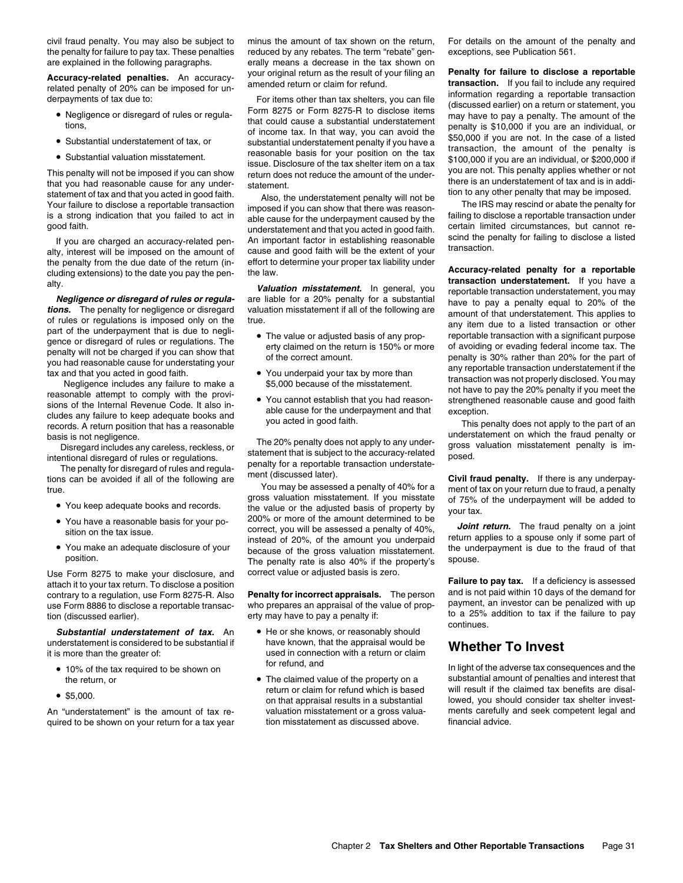the penalty for failure to pay tax. These penalties reduced by any rebates. The term "rebate" gen- exceptions, see Publication 561.<br>are explained in the following paragraphs. erally means a decrease in the tax shown on

- 
- 
- 

This penalty will not be imposed if you can show return does not reduce the amount of the under-<br>there is an understatement of tax and is in addi-<br>there is an understatement of tax and is in addithat you had reasonable cause for any under-<br>statement.

the penalty from the due date of the return (in-<br>
cluding extensions) to the date you pay the pen-<br>
alty **Accuracy-related penalty for a reportable**<br>
alty **transaction understatement.** If you have a

Since of the Internal Revenue Code. It also in the You cannot establish that you had reason-<br>cludes any failure to keep adequate books and able cause for the underpayment and that exception.<br>records. A return position that

- 
- 
- You make an adequate disclosure of your

Use Form 8275 to make your disclosure, and correct value or adjusted basis is zero. use Form 8886 to disclose a reportable transac-

**Substantial understatement of tax.** An understatement is considered to be substantial if have known, that the appraisal would be **Whether To Invest** it is more than the greater of: used in connection with a return or claim

- 
- \$5,000.

quired to be shown on your return for a tax year tion misstatement as discussed above. financial advice.

erally means a decrease in the tax shown on

• Negligence or disregard of rules or regula-<br>that could cause a substantial understatement<br>of income tax. In that way, you can avoid the<br>enalty is \$10,000 if you are an individual, or<br>Substantial understatement of tax, or Substantial understatement of tax, or substantial understatement penalty if you have a<br>Substantial valuation misstatement.<br>Substantial valuation misstatement.<br>issue. Disclosure of the tax shelter item on a tax  $$100,000$  i

statement of tax and that you acted in good faith.<br>
Your failure to disclose a reportable transaction<br>
is a strong indication that you failed to act in<br>
good faith.<br>
If you are charged an accuracy-related pen-<br>
If you are

- 
- 
- 

basis is not negligence.<br>
Disregard includes any careless, reckless, or the 20% penalty does not apply to any under-<br>
intentional disregard of rules or regulations.<br>
The penalty for disregard of rules and regula-<br>
The pena

You keep adequate books and records.<br>You have a reasonable basis for your po-<br>200% or more of the amount determined to be<br>experience the traud penalty on a joint<br>is a sessed a penalty of 40% of **Joint return.** The fraud pe You make an adequate disclosure of your because of the gross valuation misstatement. Ithe und<br>position. position. The penalty rate is also 40% if the property's spouse.

contrary to a regulation, use Form 8275-R. Also **Penalty for incorrect appraisals.** The person and is not paid within 10 days of the demand for<br>use Form 8886 to disclose a reportable transac- who prepares an appraisal of t

- 
- The claimed value of the property on a

civil fraud penalty. You may also be subject to minus the amount of tax shown on the return, For details on the amount of the penalty and

**Accuracy-related penalties.** An accuracy-<br>
related penalty of 20% can be imposed for un-<br>
derpayments of tax due to:<br>
Nedligence or disregard of rules or regula-<br>
Form 8275 or Form 8275-R to disclose items<br>
Form 8275-R to \$100,000 if you are an individual, or \$200,000 if you are not. This penalty applies whether or not

alty.<br> **Solution misstatement.** In general, you<br> **Caluation misstatement.** In general, you<br> **Caluation misstatement.** In general, you<br> **Caluation misstatement.** In general, you<br> **Caluation misstatement.** In general, you<br>
t Fine value or adjusted basis of any prop-<br>
The value or adjusted basis of any prop-<br>
penalty will not be charged if you can show that<br>
you had reasonable cause for understating your<br>
tax and that you acted in good faith.<br>

true.<br>
The true is any underpay-<br>
You may be assessed a penalty of 40% for a<br>
The ment of tax on your return due to fraud, a penalty<br>
gross valuation misstatement. If you misstate<br>
• You keep adequate books and records.<br>
•

sition on the tax issue.<br>instead of 20%, of the amount you underpaid<br>You make an adequate disclosure of your<br>You make an adequate disclosure of your<br>Mecause of the gross valuation misstatement the underpayment is due to th

**Failure to pay tax.** If a deficiency is assessed attach it to your tax return. To disclose a position tion (discussed earlier). erty may have to pay a penalty if: to a 25% addition to tax if the failure to pay<br> **Substantial understatement of tax.** An **•** He or she knows, or reasonably should continues.

• 10% of the tax required to be shown on **Integrat on Integrat on In** light of the adverse tax consequences and the the return, or **the claimed value of the property on a** substantial amount of penalties and interest that return or claim for refund which is based will result if the claimed tax benefits are disal on that appraisal results in a substantial lowed, you should consider tax shelter invest-An "understatement" is the amount of tax re- valuation misstatement or a gross valua- ments carefully and seek competent legal and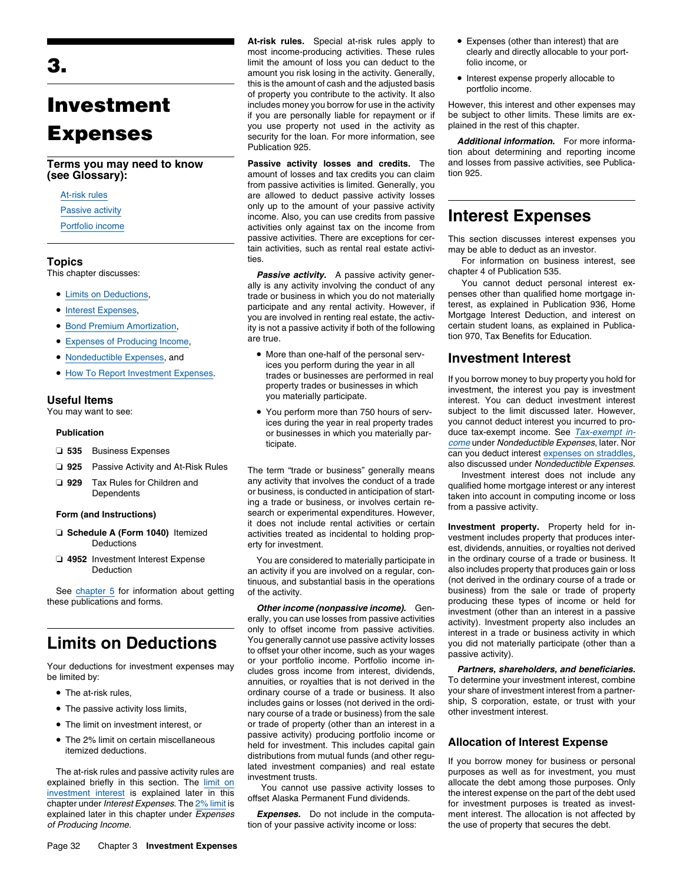- Limits on Deductions,
- 
- Bond Premium Amortization,
- 
- 
- How To Report Investment Expenses.

- 
- 
- 

- 
- 

- The at-risk rules,
- 
- The limit on investment interest, or
- 

**At-risk rules.** Special at-risk rules apply to • Expenses (other than interest) that are most income-producing activities. These rules clearly and directly allocable to your port-<br>limit the amount of loss you can deduct to the folio income, or amount you risk losing in the activity. Generally,<br>
this is the emount of each and the editorial beging **•** Interest expense properly allocable to this is the amount of cash and the adjusted basis portfolio income.<br>The property you contribute to the activity. It also portfolio income. **Investment** includes money you borrow for use in the activity However, this interest and other expenses may if you are personally liable for repayment or if be subject to other limits. These limits are exyou use property not used in the activity as plained in the rest of this chapter.<br>
Security for the loan. For more information, see **Additional information.** For more information<br>
Publication 925.<br>
Publication 925.

**Terms you may need to know Passive activity losses and credits.** The and losses from passive activities, see Publica-<br>(see Glossary): **All and Start Activity** amount of losses and tax credits you can claim tion 925. amount of the passive activities is limited. Generally, you can claim tion 925.<br>At-risk rules exam claim tion 925. The same allowed to deduct passive activity losses are allowed to deduct passive activity losses Passive activity<br>
Portfolio income<br> **Portfolio income**<br> **Portfolio income**<br> **Portfolio income**<br> **Also, you can use credits from passive**<br> **Interest Expenses** passive activities. There are exceptions for cer- This section discusses interest expenses you tain activities, such as rental real estate activi- may be able to deduct as an investor.<br>ties. For information on business inte

This chapter discusses: **Chapter discusses: chapter 4 of Publication 535.**<br>ally is any activity involving the conduct of any **Property Chapter 4 of Publication 535.** ally is any activity involving the conduct of any you cannot deduct personal interest ex-<br>trade or business in which you do not materially penses other than qualified home mortgage intrade or business in which you do not materially penses other than qualified home mortgage in-<br>participate and any rental activity. However, if sterest, as explained in Publication 936, Home **Interest Expenses, participate and any rental activity.** However, if terest, as explained in Publication 936, Home • production  $\frac{1}{2}$  are involved in renting real estate, the active Mortgage Interest Deduction, and you are involved in renting real estate, the activ- Mortgage Interest Deduction, and interest on<br>ity is not a passive activity if both of the following certain student loans, as explained in Publicaity is not a passive activity if both of the following in Certain student loans, as explained in Publica- ition 970, Tax Benefits for Education. ● Expenses of Producing Income, are true. And the expenses of Producing Income, and the expenses of Producing Income,

- Nondeductible Expenses, and  $\bullet$  More than one-half of the personal serv-• Nondeductible Expenses, and **Investment Interest** in all investment Interest in all **i**ces you perform during the year in all
	-

<p>■ 925 <b>Passive</b> Activity and At-Risk Rules</p>\n<p>■ 925 <b>Passive</b> Activity and At-Risk Rules</p>\n<p>■ 926 <b>Classive</b> Activity and At-Risk Rules</p>\n<p>■ 927 <b>Classive</b> Activity that involves the conduct of a trade<br/>opendents</p>\n<p>1928 <b>Classive</b> Activity that involves the conduct of a trade<br/>equified home mortgage interest or any interest<br/>the ratio account in computing income or loss<br/>from a passive activity.</p>\n<p>1929 <b>Classive</b> University</p>\n<p>1920 <b>Classive</b> network, and <b>Classive</b> networks, is conducted in anticipation of start-<br/>the one mortgage interest or any

tinuous, and substantial basis in the operations

Volume these publications and forms.<br> **Example the conductions**<br>
That is the distriction of the than an interest in a passive<br>
Conductions of the the set income from passive activities.<br>
Your deductions for investment expe The attack rules of a trade or business. It also your share of investment interest from a partner-<br>includes gains or losses (not derived in the ordi-<br>ship, S corporation, estate, or trust with your includes gains or losses (not derived in the ordi-<br>other investment interest.<br>
nary course of a trade or business) from the sale of the investment interest. nary course of a trade or business) from the sale or trade of property (other than an interest in a passive activity) producing portfolio income or •

of Producing Income. tion of your passive activity income or loss: the use of property that secures the debt.

- 
- 

**Topics Topics The Example See The Constant of the S.** For information on business interest, see **For information** on business interest, see **Possive activity** A passive activity coper **Chapter 4 of Publication 535**.

• How To Report Investment Expenses. trades or businesses are performed in real if you borrow money to buy property you hold for<br>property trades or businesses in which investment, the interest you pay is investment<br>you mat You may want to see: • • You perform more than 750 hours of serv-<br>ices during the year in real property trades you cannot deduct interest you incurred to proices during the year in real property trades you cannot deduct interest you incurred to pro-<br>or businesses in which you materially par-<br>quoe tax-exempt in-**Publication**<br>or businesses in which you materially par-<br>come under Nondeductible Expenses, later. Nor<br>come under Nondeductible Expenses, later. Nor come under Nondeductible Expenses, later. Nor ticipate. ❏ **<sup>535</sup>** Business Expenses can you deduct interest expenses on straddles,

it does not include rental activities or certain<br>Schedule A (Form 1040) Itemized as incidental to holding prop-<br>Deductions erty for investment. erty for investment. ext, dividends, annuities, or royalties not derived ❏ **<sup>4952</sup>** Investment Interest Expense You are considered to materially participate in in the ordinary course of a trade or business. It an activity if you are involved on a regular, con- also includes property that produces gain or loss<br>tinuous, and substantial basis in the operations (not derived in the ordinary course of a trade or See chapter 5 for information about getting of the activity.<br>
these publications and forms.

• The 2% limit on certain miscellaneous held for investment. This includes capital gain<br>
temized deductions.<br>
The at-risk rules and passive activity rules are distributions from mutual funds (and other regu-<br>
The at-risk r explained later in this chapter under Expenses *Expenses.* Do not include in the computa- ment interest. The allocation is not affected by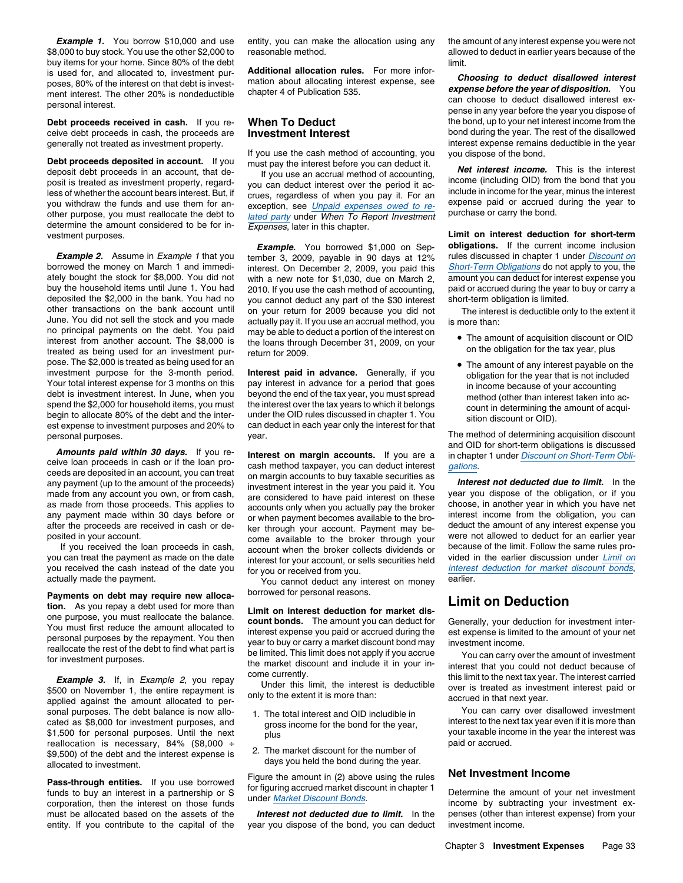\$8,000 to buy stock. You use the other \$2,000 to reasonable method. and allowed to deduct in earlier years because of the buy items for your home. Since 80% of the debt<br>is used for and allocated to investment pur-<br>**Additional allocation rules.** For more inforis used for, and allocated to, investment pur-**Additional allocation rules.** For more infor-<br>noses 80% of the interest on that debt is invest-<br>mation about allocating interest expense, see

ceive debt proceeds in cash, the proceeds are

If you use the cash method of accounting, you<br>Debt proceeds deposited in account. If you must pay the interest before you can deduct it. Net interest income. This is the interest<br>deposit debt proceeds in an account, that d deposit debt proceeds in an account, that de-<br>posit is treated as investment property, regard-<br>less of whether the account bears interest. But, if<br>vou can deduct interest over the period it ac-<br>less of whether the account other purpose, you must reallocate the debt to lated party under When To Report Investment determine the amount considered to be for in- $\overline{Express}$ , later in this chapter.<br>vestment purposes.

**Example 2.** Assume in Example 1 that you tember 3, 2009, payable in 90 days at 12% rules discussed in chapter 1 under *Discount on* borrowed the money on March 1 and immedi-<br>hterest. On December 2, 2009, you paid this Sho borrowed the money on March 1 and immedi-<br>ately bought the stock for \$8,000. You did not with a new note for \$1,030, due on March 2. amount you can deduct for interest expense you ately bought the stock for \$8,000. You did not with a new note for \$1,030, due on March 2, amount you can deduct for interest expense you<br>buy the household items until June 1. You had 2010, If you use the cash method of ac buy the household items until June 1. You had 2010. If you use the cash method of accounting, paid or accrued during the year deposited the \$2,000 in the bank. You had no<br>deposited the \$2,000 in the bank. You had no you ca deposited the \$2,000 in the bank. You had no you cannot deduct any part of the \$30 interest other transactions on the bank account until on your return for 2009 because you did not other transactions on the bank account until on your return for 2009 because you did not The interest is deductible only to the extent it<br>June. You did not sell the stock and you made actually pay it. If you use an accrual no principal payments on the debt. You paid<br>interest from another account. The \$8,000 is the loans through December 31, 2009, on your<br>treated as being used for an investment pur-<br>return for 2009 pose. The \$2,000 is treated as being used for an<br>investment purpose for the 3-month period. Interest paid in advance. Generally, if you bligation for the vear that is not included pose. The \$2,000 is treated as being used for an<br>investment purpose for the 3-month period. Interest paid in advance. Generally, if you<br>Wour total interest expense for 3 months on this pay interest in advance for a period

Payments on debt may require new alloca-<br> **Payments on debt may require new alloca-**<br> **Dorrowed for personal reasons. the value of the School of the Conduction**<br>**tion.** As you repay a debt used for more than **Limit on interest deduction for market dis-**

sonal purposes. The debt balance is now allo-<br>
cated as \$8,000 for investment purposes, and<br>
cated as \$8,000 for investment purposes, and<br>
cated as \$8,000 for investment purposes, and<br>
cated as \$8,000 for investment purpos cated as \$8,000 for investment purposes, and gross income for the bond for the year, interest to the next tax year even if it is more than<br>
\$1,500 for personal purposes. Until the next plus<br>
reallocation is necessary, 84%

**Pass-through entities.** If you use borrowed<br>funds to buy an interest in a partnership or S<br>corporation, then the interest on those funds under *Market Discount Bonds*. Determine the amount of your net investment<br>corporati must be allocated based on the assets of the *Interest not deducted due to limit.* In the penses (other than interest expense) from your entity. If you contribute to the capital of the year you dispose of the bond, you can deduct investment income.

**Example 1.** You borrow \$10,000 and use entity, you can make the allocation using any the amount of any interest expense you were not

exception, see *Unpaid expenses owed to re-* expense paid or accrued during the year to expense or carry the bond.

**Amounts paid within 30 days.** If you re-<br>
cevive loan proceeds in cash or if the loan pro-<br>
ceeds are deposited in an account, you can treat<br>
ceeds are deposited in an account, you can treat<br>
margin accounts to buy taxabl

# Figure 1. The amount of the market district count bonds. The amount you can deduct for **Controllar count bonds**. The amount you can deduct for **Controllar count bonds**. The amount you can deduct for **Controllar** on the set

- 
- 

by a choosing to deduct disallowed interest<br>poses, 80% of the interest on that debt is investigated interest.<br>ment interest. The other 20% is nondeductible chapter 4 of Publication 535.<br>personal interest.<br>personal interest **Debt proceeds received in cash.** If you re- **When To Deduct** the bond, up to your net interest income from the ceive debt proceeds in cash, the proceeds are **Investment Interest the sect of the disallowed** bond during t generally not treated as investment property.<br>If you use the cash method of accounting, you you dispose of the bond.

**Limit on interest deduction for short-term**<br>**obligations.** If the current income inclusion **Example.** You borrowed \$1,000 on Sep- **obligations.** If the current income inclusion mber 3, 2009, pavable in 90 days at 12% rules discussed in chapter 1 under *Discount on* 

- 
- 

personal purposes.<br>
year.<br>
and OID for short-term obligations is discussed<br>
and OID for short-term obligations is discussed

you can treat the payment as made on the date interest for your account, or sells securities held vided in the earlier discussion under *Limit on*<br>you received the cash instead of the date you for you or received from you.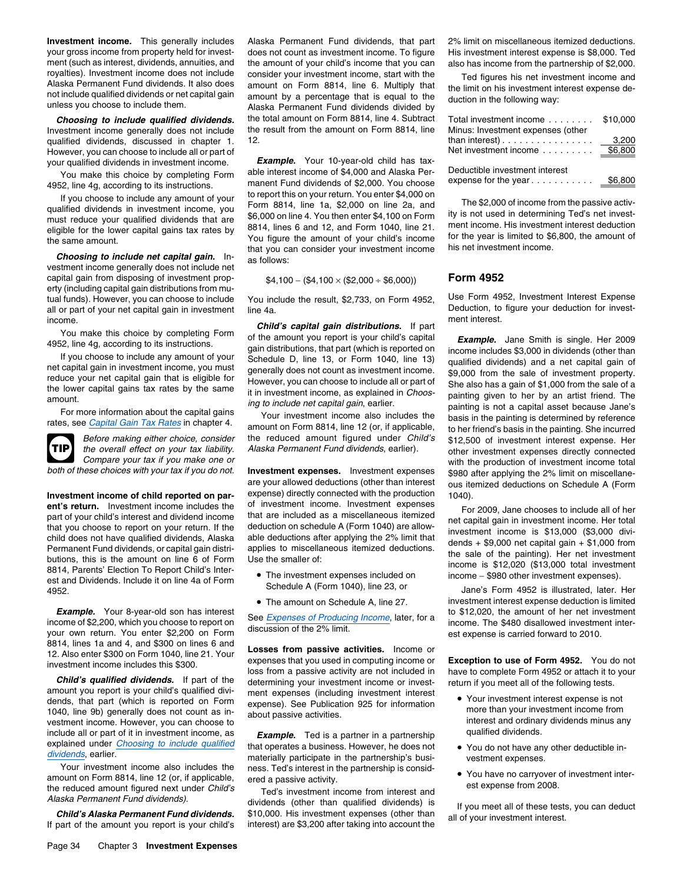your gross income from property held for invest-<br>ment (such as interest, dividends, annuities, and the amount of your child's income that you can also has income from the partnership of \$2,000. ment (such as interest, dividends, annuities, and the amount of your child's income that you can also has income from the partnership of \$2,000.<br>
royalties). Investment income does not include consider your investment inco

Investment income generally does not include qualified dividends, discussed in chapter 1. 12. However, you can choose to include all or part of Net indian both rolled in a tax-<br>vour qualified dividends in investment income. **Example.** Your 10-year-old child has tax-

vestment income generally does not include net capital gain from disposing of investment prop-<br>
\$4,100 − (\$4,100 × (\$2,000 ÷ \$6,000)) **Form 4952** erty (including capital gain distributions from mutual funds). However, you can choose to include You include the result, \$2,733, on Form 4952, Use Form 4952, Investment Interest Expense<br>all or part of your net capital gain in investment line 4a. all or part of your net capital gain in investment line 4a. Deduction, to figure your deduction, to figure income.



**Investment income of child reported on par-** expense) directly connected with the production 1040).<br> **ent's return**. Investment income includes the of investment income. Investment expenses **ent's return.** Investment income includes the of investment income. Investment expenses<br>
part of your child's interest and dividend income that are included as a miscellaneous itemized<br>
that you choose to report on your The investment expenses included on income is \$12,020 (\$13,000 total investment expenses).<br>est and Dividends. Include it on line 4a of Form Schedule A (Form 1040), line 23, or Jane's Form 4952 is illustrated, later. Her<br>4

**Example.** Your 8-year-old son has interest<br>income of \$2,200, which you choose to report on<br>your own return. You enter \$2,200 on Form discussion of the 2% limit.<br>8814. lines 1a and 4, and \$300 on lines 6 and<br>8814. lines 1a

dends, that part (which is reported on Form expense). See Publication 925 for information<br>1040, line 9b) generally does not count as in-<br>vestment income. However, you can choose to<br>include all or part of it in investment i

amount on Form 8814, line 12 (or, if applicable, ered a passive activity.<br>
the reduced amount figured next under *Child's*<br> *Alaska Permanent Fund dividends*). dividends dividends dividends dividends dividends dividends di

royalties). Investment income does not include consider your investment income, start with the Ted figures his net investment income and<br>Alaska Permanent Fund dividends It also does amount on Form 8814, line 6. Multiply th **Choosing to include qualified dividends.** the total amount on Form 8814, line 4. Subtract the stract vestment income generally does not include the result from the amount on Form 8814, line

your qualified dividends in investment income. **Example.** Your 10-year-old child has tax-<br>You make this choice by completing Form able interest income of \$4,000 and Alaska Per-You make this choice by completing Form<br>4952, line 4g, according to its instructions.<br>4952, line 4g, according to its instructions.<br>196,800<br>1992 if you choose to include any amount of your<br>qualified dividends in investment

income.<br> **Child's capital gain distributions.** If part

Before making either choice, consider the reduced amount figured under Child's \$12,500 of investment interest expense. Her<br>the overall effect on your tax liability. Alaska Permanent Fund dividends, earlier). other investme

are your allowed deductions (other than interest ous itemized deductions on Schedule A (Form expense) directly connected with the production  $1040$ 

- 
- 

8814, lines 1a and 4, and \$300 on lines 6 and<br>12. Also enter \$300 on Form 1040, line 21. Your expenses that you used in computing income or **Exception to use of Form 4952.** You do not<br>investment income includes this \$300. **Child's qualified dividends.** If part of the determining your investment income or invested and the following tests.<br>
amount you report is your child's qualified dividence of the expenses (including investment interest ex

include all or part of it in investment income, as **Example.** Ted is a partner in a partnership qualified dividends.<br>explained under *Choosing to include qualified* that operates a business. However, he does not • You do n Your investment income also includes the ness. Ted's interest in the partnership is consid-<br>ount on Form 8814, line 12 (or, if applicable, ered a passive activity.

Alaska Permanent Fund dividends). dividends (other than qualified dividends) is fit you meet all of these tests, you can deduct<br>**Child's Alaska Permanent Fund dividends.** \$10,000. His investment expenses (other than all of

**Investment income.** This generally includes Alaska Permanent Fund dividends, that part 2% limit on miscellaneous itemized deductions.

| Total investment income \$10,000<br>Minus: Investment expenses (other |       |
|-----------------------------------------------------------------------|-------|
|                                                                       | 3.200 |
| Net investment income \$6,800                                         |       |
|                                                                       |       |

From the this choice by completing Form of the amount you report is instructions.<br>
You make this choice by completing Form of the amount of your child's capital spain distributions, that part (which is reported on income i the overall effect on your tax liability. Alaska Permanent Fund dividends, earlier).<br>Compare your tax if you make one or expense or expense or or the production of investment income total both of these choices with your tax if you do not. **Investment expenses.** Investment expenses \$980 after applying the 2% limit on miscellane-<br>are your allowed deductions (other than interest ours itemized deductions on Sch

• The amount on Schedule A, line 27. investment interest expense deduction is limited

- 
- 
-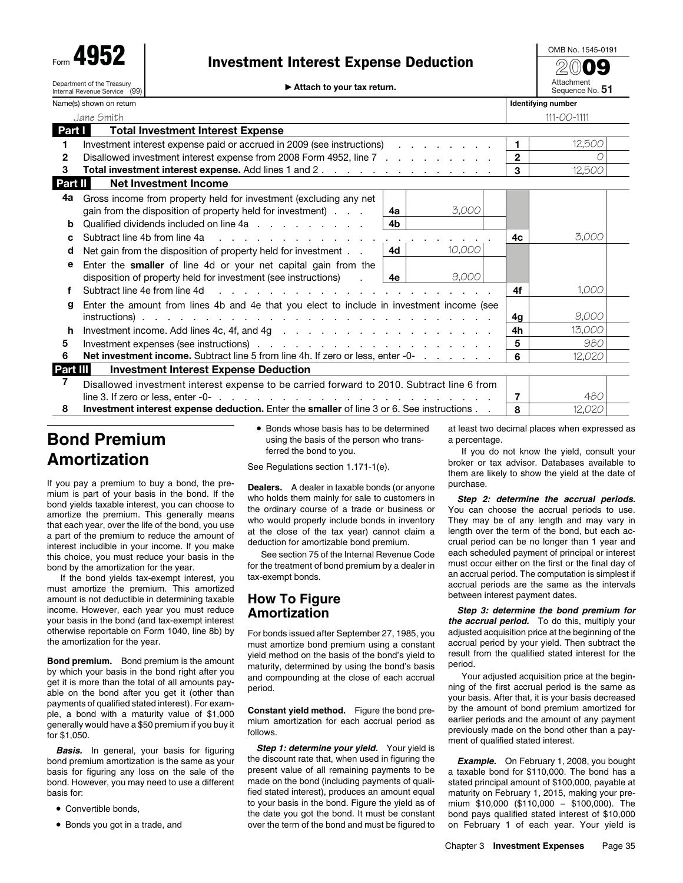Department of the Treasury Internal Revenue Service (99)

## Investment Interest Expense Deduction

OMB No. 1545-0191 **2009** Attachment

- **Attach to your tax return.**

Sequence No. **51** 

|          | Name(s) shown on return                                                                                                                                                                                            | Identifying number |             |
|----------|--------------------------------------------------------------------------------------------------------------------------------------------------------------------------------------------------------------------|--------------------|-------------|
|          | Jane Smith                                                                                                                                                                                                         |                    | 111-00-1111 |
| Part I   | <b>Total Investment Interest Expense</b>                                                                                                                                                                           |                    |             |
| 1        | Investment interest expense paid or accrued in 2009 (see instructions)                                                                                                                                             | 1.                 | 12,500      |
| 2        | Disallowed investment interest expense from 2008 Form 4952, line 7                                                                                                                                                 | $\mathbf{2}$       |             |
| З        | Total investment interest expense. Add lines 1 and 2.                                                                                                                                                              | 3                  | 12,500      |
| Part II  | <b>Net Investment Income</b>                                                                                                                                                                                       |                    |             |
| 4a       | Gross income from property held for investment (excluding any net<br>3,000<br>gain from the disposition of property held for investment).<br>4a                                                                    |                    |             |
| b        | Qualified dividends included on line 4a<br>4b                                                                                                                                                                      |                    |             |
| с        | Subtract line 4b from line 4a<br>the contract of the contract of the contract of the contract of the contract of the contract of the contract of                                                                   | 4c                 | 3,000       |
| d        | 10,000<br>4d<br>Net gain from the disposition of property held for investment                                                                                                                                      |                    |             |
| е        | Enter the smaller of line 4d or your net capital gain from the<br>9,000<br>disposition of property held for investment (see instructions)<br>4e                                                                    |                    |             |
|          | Subtract line 4e from line 4d<br>de la provincia de la provincia de la provincia de la provincia de la provincia de la provincia de la provincia                                                                   | 4f                 | 1,000       |
| g        | Enter the amount from lines 4b and 4e that you elect to include in investment income (see                                                                                                                          |                    |             |
|          |                                                                                                                                                                                                                    | 4g                 | 9,000       |
| h        |                                                                                                                                                                                                                    | 4h                 | 13,000      |
| 5        |                                                                                                                                                                                                                    | 5                  | 980         |
| 6        | Net investment income. Subtract line 5 from line 4h. If zero or less, enter -0-                                                                                                                                    | 6                  | 12,020      |
| Part III | <b>Investment Interest Expense Deduction</b>                                                                                                                                                                       |                    |             |
|          | Disallowed investment interest expense to be carried forward to 2010. Subtract line 6 from<br>$\lim_{x \to 0} 3$ . If zero or less, enter -0- $\lim_{x \to 0} 3$ . $\lim_{x \to 0} 3$ . If zero or less, enter -0- | 7                  | 480         |
| 8        | Investment interest expense deduction. Enter the smaller of line 3 or 6. See instructions.                                                                                                                         | 8                  | 12,020      |

income. However, each year you must reduce **Amortization Step 3: determine the bond premium for** your basis in the bond (and tax-exempt interest provided) and the **accrual period.** To do this, multiply your your basis in the bond (and tax-exempt interest

**Bond premium.** Bond premium is the amount<br>by which your basis in the bond right after you<br>get it is more than the total of all amounts pay-<br>get it is more than the total of all amounts pay-<br>able on the bond after you get

- 
- Bonds you got in a trade, and

• Bonds whose basis has to be determined **Bond Premium** using the basis of the person who trans- a percentage.

must amortize bond premium using a constant accrual period by your yield. Then subtract the<br>vield method on the basis of the bond's vield to result from the qualified stated interest for the

**Basis.** In general, your basis for figuring **Step 1: determine your yield.** Your yield is Indian amortization is the same as your the discount rate that, when used in figuring the bond premium amortization is the same as your the discount rate that, when used in figuring the **Example.** On February 1, 2008, you bought basis for figuring any loss on the sale of the **present value of all remaining paym** basis for figuring any loss on the sale of the present value of all remaining payments to be a taxable bond for \$110,000. The bond has a<br>bond. However, you may need to use a different made on the bond (including payments o bond. However, you may need to use a different made on the bond (including payments of quali-<br>basis for: fied stated interest), produces an amount equal maturity on February 1, 2015, making your prebasis for: fied stated interest), produces an amount equal maturity on February 1, 2015, making your preto your basis in the bond. Figure the yield as of mium \$10,000 (\$110,000 − \$100,000). The • Convertible bonds,<br>the date you got the bond. It must be constant bond pays qualified stated interest of \$10,000 the date you got the bond. It must be constant over the term of the bond and must be figured to on February 1 of each year. Your yield is

at least two decimal places when expressed as

ferred the bond to you. If you do not know the yield, consult your the yield, consult your the yield, consult your<br>See Regulations section 1.171-1(e). Them are likely to show the yield at the date of

If you pay a premium to buy a bond, the pre-<br>
mum is part of your basis in the bond, if the one of the the mainly for sale to customers in<br>
mum is part of you can choose to<br>
bond yields taxable interest, you can choose to<br>

otherwise reportable on Form 1040, line 8b) by For bonds issued after September 27, 1985, you adjusted acquisition price at the beginning of the the amortization for the year. must amortize bond premium using a constant ac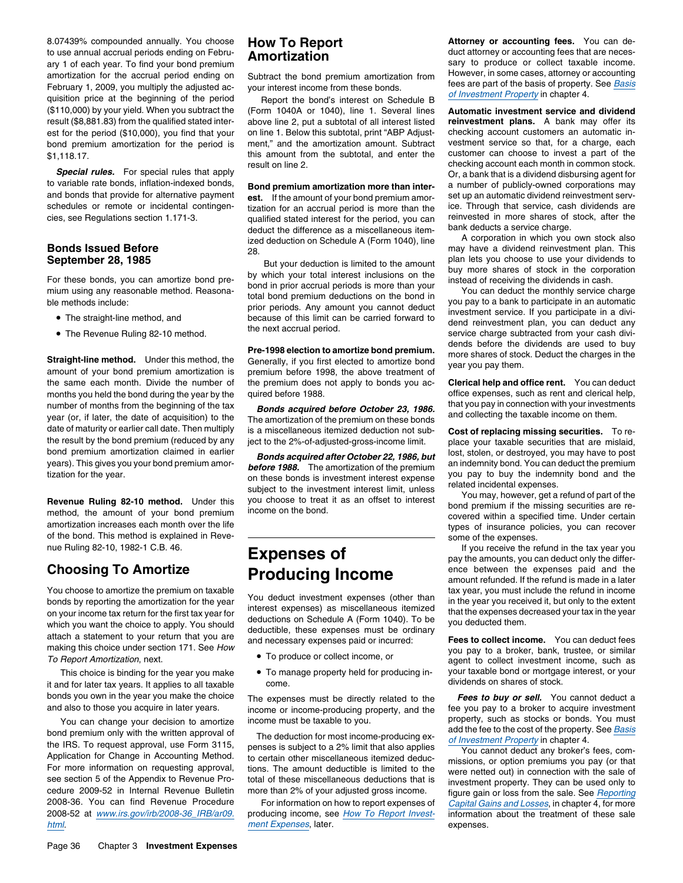8.07439% compounded annually. You choose **How To Report Attorney or accounting fees.** You can de-<br> **Amortization And Constitution** duct attorney or accounting fees that are necesto use annual accrual periods ending on Febru-<br>ary 1 of each year. To find your bond premium<br>amortization for the accrual period ending on Subtract the bond premium amortization from However, in some cases, attorney or acc amortization for the accrual period ending on<br>February 1, 2009, you multiply the adjusted ac-<br>quisition price at the beginning of the period<br>quisition price at the beginning of the period<br>Report the bond's interest on Sche

**Special rules.** For special rules that apply<br>to variable rate bonds, inflation-indexed bonds, **Bond premium amortization more than inter.** a number of publicly-owned corporations may

- 
- 

the same each month. Divide the number of the premium does not apply to bonds you ac- **Clerical help and office rent.** You can deduct months you held the bond during the year by the quired before 1988.<br>
number of months from the beginning of the tax<br> **Dends assumed before Ontaken 20, 1996** that you pay in connection with your investments number of months from the beginning of the tax<br>year (or, if later, the date of acquisition) to the<br>date of maturity or earlier call date. Then multiply<br>is a miscellaneous itemized deduction not sub-<br>cost of replacing missi date of maturity or earlier call date. Then multiply is a miscellaneous itemized deduction not sub-<br>the result by the bond premium (reduced by any ject to the 2%-of-adjusted-gross-income limit. place your taxable securitie the result by the bond premium (reduced by any ject to the 2%-of-adjusted-gross-income limit. place your taxable securities that are mislaid,<br>bond premium amortization claimed in earlier ponde acquired offer October 22, 19

of the bond. This method is explained in Reve-<br>nue Ruling 82-10, 1982-1 C.B. 46.<br>If you receive the reverses.

You choose to amortize the premium on taxable<br>bonds by reporting the amortization for the year<br>on your income tax return for the first tax year for<br>on your income tax return for the first tax year for<br>deductions on Schedul making this choice under section 171. See How and necessary expenses paid or incurred:<br>To Report Amortization, next.<br>To Report Amortization, next.<br>To Report Amortization, next.

it and for later tax years. It applies to all taxable come. bonds you own in the year you make the choice The expenses must be directly related to the **Fees to buy or sell.** You cannot deduct a and also to those you acquire in later years. income or income-producing property, and t

bond premium only with the written approval of<br>the IRS. To request approval, use Form 3115,<br>Application for Change in Accounting Method.<br>For more information on requesting approval, to certain other miscellaneous itemized

(\$110,000) by your yield. When you subtract the (Form 1040A or 1040), line 1. Several lines **Automatic investment service and dividend** above line 2, put a subtotal of all interest listed reinvestment plans. A bank may offer its est for the period (\$10,000), you find that your on line 1. Below this subtotal, print "ABP Adjust- checking account customers an automatic inbond premium amortization for the period is ment," and the amortization amount. Subtract vestment service so that, for a charge, each this amount from the subtotal, and enter the customer can choose to invest a part of the \$1,118.17. This amount from the subtotal, and enter the customer can choose to invest a part of the subtotal, and enter the customer can choose to invest a part of the subtotal, and enter the checking account each month in

to variable rate bonds, inflation-indexed bonds, **Bond premium amortization more than inter-** a number of publicly-owned corporations may<br>and bonds that provide for alternative payment est. If the amount of vour bond premi and bonds that provide for alternative payment est. If the amount of your bond premium amor-<br>Schedules or remote or incidental contingen-<br>itization for an accuration for the more than the local product of that service, cas schedules or remote or incidental contingen-<br>cies, see Regulations section 1.171-3. equalified stated interest for the period you can reinvested in more shares of stock, after the qualified stated interest for the period, you can reinvested in more shares of deducts a service charge. deduct the difference as a miscellaneous item-<br>ized deduction on Schedule A (Form 1040), line and A corporation in which you own stock also

September 28, 1985<br>
For these bonds, you can amortize bond pre-<br>
For these bonds, you can amortize bond pre-<br>
bond in prior accrual periods is more than your<br>
total bond premium deductions on the bond in<br>
total bond premiu

**Straight-line method.** Under this method, the **Pre-1998 election to amortize bond premium.** dends before the dividends are used to buy<br>amount of your bond premium amortization is premium before 1998, the above treatment o

bond premium amortization claimed in earlier<br>
years). This gives you your bond premium amor-<br>
tization for the year.<br>
tization for the year.<br>
tization for the year.<br>
tization for the year.<br>
tization for the year.<br>
tization

- 
- 

producing income, see How To Report Invest-<br>information about the treatment of these sale html. expenses, later. The ment Expenses, later. The expenses expenses.

ized deduction on Schedule A (Form 1040), line and a dividend reinvestment plan. This<br>may have a dividend reinvestment plan. This<br>Pertember 28. 1985

The straight-line method, and because of this limit can be carried forward to investment service. If you participate in a divi-<br>• The Revenue Ruling 82-10 method. the next accrual period. The next accrual period. The Reven service charge subtracted from your cash divi-<br>dends before the dividends are used to buy

**Expenses of Expenses of Expenses If** you receive the refund in the tax year you pay the amounts, you can deduct only the differ-**Choosing To Amortize ence between the expenses paid and the** <br>**Producing Income and the amount refunded**. If the refund is made in a later

agent to collect investment income, such as This choice is binding for the year you make • To manage property held for producing in-<br>nd for later tax years It applies to all taxable come.<br>come.

income or income-producing property, and the fee you pay to a broker to acquire investment income must be taxable to you. You can change your decision to amortize income must be taxable to you. The property, such as stocks or bonds. You must you must vertext of the property. See Basis or bonds. You must be used as to can compute the property.

2008-36. You can find Revenue Procedure For information on how to report expenses of Capital Gains and Losses, in chapter 4, for more 2008-52 at www.irs.gov/irb/2008-36\_IRB/ar09. producing income, see How To Report Invest-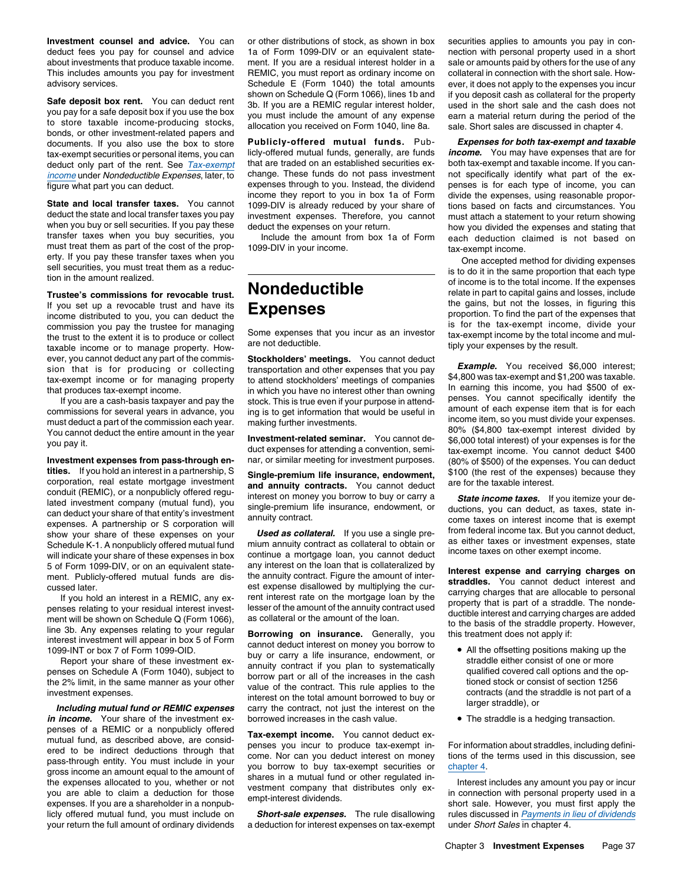shown on Schedule Q (Form 1066), lines 1b and<br>you deposit cash as collateral for the property<br>you pay for a safe deposit box if you use the box<br>to store taxable income-producing stocks,<br>bonds, or other investment-related p income under Nondeductible Expenses, later, to change. These funds do not pass investment<br>figure what part you can deduct. specifically expenses through to you. Instead, the dividend

deduct the state and local transfer taxes you pay investment expenses. Therefore, you cannot must attach a statement to your return showing<br>when you buy or sell securities. If you pay these deduct the expenses on your retu must treat them as part of the cost of the prop-<br>erty. If you pay these transfer taxes when you<br>sell securities, you must treat them as a reduc-<br>tion in the amount realized.

If you set up a revocable trust and have its<br>income distributed to you, you can deduct the<br>commission you pay the trustee for managing<br>the trust to the extent it is to produce or collect<br>the trust to the extent it is to pr ever, you cannot deduct any part of the commis- **Stockholders' meetings.** You cannot deduct

commissions for several years in advance, you ing is to get information that would be useful in amount of each expense item that is for each<br>must deduct a part of the commission each year. making further investments.<br>You c You cannot deduct the entire amount in the year<br>All rest ment-related seminar. You cannot de-

**Investment expenses from pass-through en-** nar, or similar meeting for investment purposes. (80% of \$500) of the expenses. You can deduct tities. If you hold an interest in a partnership, S single-premium life insurance e tities. If you hold an interest in a partnership, S<br>corporation, real estate mortgage investment<br>conduit (REMIC), or a nonpublicly offered regu-<br>lated investment company (mutual fund), you<br>lated investment company (mutual show your share of these expenses on your<br>Schedule K-1. A nonpublicly offered mutual fund<br>will indicate your share of these expenses in box<br>will indicate your share of these expenses in box<br>will indicate your share of thes

*in income.* Your share of the investment ex- borrowed increases in the cash value. • The straddle is a hedging transaction. penses of a REMIC or a nonpublicly offered<br>mutual fund, as described above, are consid-<br>ered to be indirect deductions through that<br>penses you incur to produce tax-exempt in-<br>penses in For information about straddles, incl licly offered mutual fund, you must include on *Short-sale expenses.* The rule disallowing rules discussed in Payments in lieu of dividends your return the full amount of ordinary dividends a deduction for interest expenses on tax-exempt under Short Sales in chapter 4.

**Investment counsel and advice.** You can or other distributions of stock, as shown in box securities applies to amounts you pay in condeduct fees you pay for counsel and advice 1a of Form 1099-DIV or an equivalent state- nection with personal property used in a short about investments that produce taxable income. ment. If you are a residual interest hold This includes amounts you pay for investment REMIC, you must report as ordinary income on collateral in connection with the short sale. Howadvisory services. Schedule E (Form 1040) the total amounts ever, it does not apply to the expenses you incur<br>shown on Schedule Q (Form 1066), lines 1b and if you deposit cash as collateral for the property

documents. If you also use the box to store **Publicly-offered mutual funds.** Pub- *Expenses for both tax-exempt and taxable* tax-exempt securities or personal items, you can licly-offered mutual funds, generally, are funds *income.* You may have expenses that are for<br>deduct only part of the rent. See Tax-exempt that are traded on an established deduct only part of the rent. See Tax-exempt that are traded on an established securities ex- both tax-exempt and taxable income. If you can-<br>income under Nondeductible Expenses, later, to change. These funds do not pass i figure what part you can deduct. expenses through to you. Instead, the dividend penses is for each type of income, you can State and local transfer taxes. You cannot 1099-DIV is already reduced by your share of tions based on facts and circumstances. You deduct the state and local transfer taxes you pay investment expenses. Therefore, you cann

sion that is for producing or collecting transportation and other expenses that you pay<br>tax-exempt income or for managing property to attend stockholders' meetings of companies<br>that produces tax-exempt income. In which you

5 of Form 1099-DIV, or on an equivalent state-<br>nearly interest on the loan that is collateralized by<br>metaclic term interest and carrying charges on<br>the amount of order interest and<br>calle the amount of the amount of order i

sale or amounts paid by others for the use of any

Trustee's commissions for revocable trust. **Nondeductible** of income is to the total income. If the expenses<br>
Trustee's commissions for revocable trust. **Nondeductible relate in part to capital gains and losses**, include

**Investment-related seminar.** You cannot de-<br>duct expenses for attending a convention, semi-<br>**Investment** expenses from pass-through en-<br>nar, or similar meeting for investment purposes. (80% of \$500) of the expenses. You c

- 
-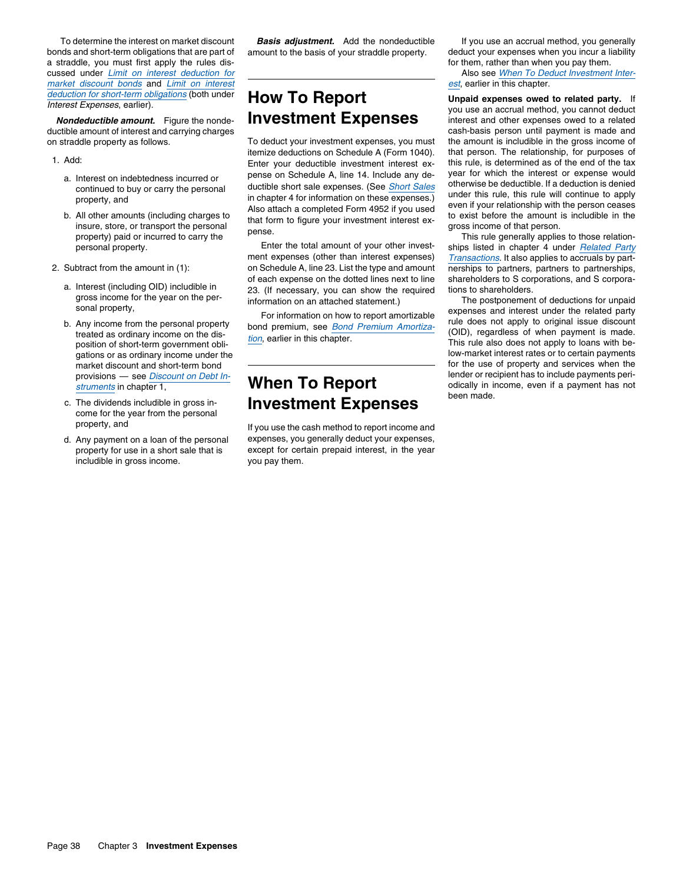bonds and short-term obligations that are part of amount to the basis of your straddle property. deduct your expenses when you incur a liability a straddle, you must first apply the rules dis-<br>a straddle, you must first ap a straddle, you must first apply the rules discussed under Limit on interest deduction for Also see When To Deduct Investment Intermarket discount bonds and Limit on interest enters and the state of the state of the state of the state of the state of the state of the state of the state of the state of the state of the state of the state of the state o

ductible amount of interest and carrying charges on straddle property as follows. To deduct your investment expenses, you must the amount is includible in the gross income of

- 
- 
- -
	- **Struments in chapter 1, Even incomposit in chapter 1, When To Report**
	- c. The dividends includible in gross in- **Investment Expenses** come for the year from the personal
	- includible in gross income. you pay them.

To determine the interest on market discount *Basis adjustment.* Add the nondeductible If you use an accrual method, you generally

# deduction for short-term obligations (both under **How To Report** Unpaid expenses owed to related party. If Unterest Expenses, earlier).

itemize deductions on Schedule A (Form 1040). that person. The relationship, for purposes of<br>Enter your deductible investment interest ex- this rule, is determined as of the end of the tax<br>Person Schedule A line 14 Include a. Interest on indebtedness incurred or<br>
continued to buy or carry the personal<br>
b. All other amounts (including charges to<br>
b. All other amounts (including charges to<br>
in chapter 4 for information on these expenses.)<br>
b.

a. Interest (including OID) includible in 23. (If necessary, you can show the required tions to shareholders.<br>gross income for the year on the per-<br>information on an attached statement.) The postponement of deductions for

property, and If you use the cash method to report income and d. Any payment on a loan of the personal expenses, you generally deduct your expenses, property for use in a short sale that is except for certain prepaid interest, in the year

**Nondeductible amount.** Figure the nonde- **Investment Expenses** interest and other expenses owed to a related actible amount of interest and carrying charges **Investment Expenses** cash-basis person until payment is made an

personal property.<br>ment expenses (other than interest expenses) Transactions It also applies to accruals by partment expenses (other than interest expenses) Transactions. It also applies to accruals by part-<br>on Schedule A, line 23. List the type and amount Therships to partners, partners to partnerships. 2. Subtract from the amount in (1): on Schedule A, line 23. List the type and amount nerships to partners, partners to partnerships, of each expense on the dotted lines next to line shareholders to S corporations, and S corpora-

gross income for the year on the per-<br>sonal property,<br>b. Any income from the personal property<br>b. Any income from the personal property<br>b. Any income from the personal property<br>treated as ordinary income on the dis-<br>positi gations or as ordinary income under the low-market interest rates or to certain payments<br>market discount and short-term bond comes and contract the low-market interest rates or to certain payments for the use of property and services when the provisions — see *Discount on Debt In-*<br>
provisions — see *Discount on Debt In-*<br> **Struments in chapter 1. When To Report** odically in income, even if a payment has not been made.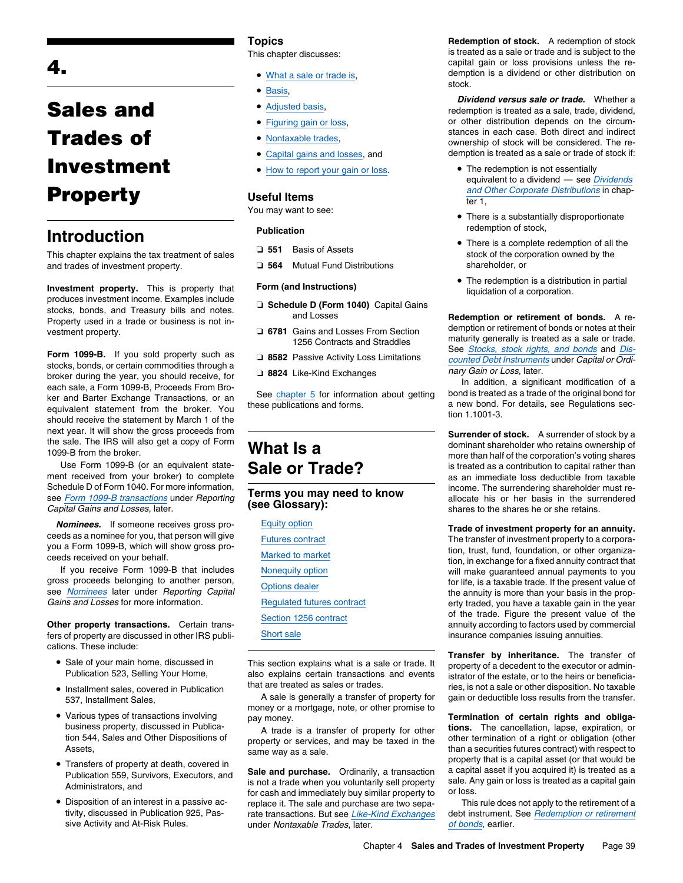# **Investment** • How to report your gain or loss. • • The redemption is not essentially

This chapter explains the tax treatment of sales  $\Box$  551 Basis of Assets stock of the corporation owned by the and trades of investment property.  $\Box$  564 Mutual Fund Distributions shareholder, or and trades of investment property. ❏ **<sup>564</sup>** Mutual Fund Distributions shareholder, or

Investment property. This is property that **Form (and Instructions)** The redemption is a distribution in partial<br>produces investment income. Examples include  $\Box$  Schedule D (Form 1040) Capital Gains<br>stocks, bonds, and Tre

**Form 1099-B.** If you sold property such as  $\overline{a}$  **assive** Activity Loss Limitations stocks, bonds, or certain commodities through a<br>broker during the year, you should receive, for broker during the year, you should rec

see <u>Form 1099-B transactions</u> under Reporting **Terms you may need to know** allocate his or her basis in the surrendered **(see Glossary):** Capital Gains and Losses, later.

**Nominees.** If someone receives gross pro-<br>
Ceeds as a nominee for you, that person will give<br>
you a Form 1099-B, which will show gross pro-<br>
Ceeds received on your behalf.<br>
Ceeds received on your behalf.<br>
Marked to market

fers of property are discussed in other IRS publi-<br>
Short sale insurance companies issuing annuities. cations. These include:

- Sale of your main home, discussed in
- Installment sales, covered in Publication
- Various types of transactions involving
- 
- Disposition of an interest in a passive ac-

- 
- Basis,
- Adjusted basis,
- Figuring gain or loss,
- 
- Capital gains and losses, and
- 

You may want to see:

- 
- 

- 
- 
- 
- 

537, Installment Sales, A sale is generally a transfer of property for gain or deductible loss results from the transfer. money or a mortgage, note, or other promise to

Disposition of an interest in a passive ac-<br>tivity, discussed in Publication 925, Pas-<br>rate transactions. But see Like-Kind Exchanges debt instrument. See Redemption or retirement tivity, discussed in Publication 925, Pas- rate transactions. But see Like-Kind Exchanges sive Activity and At-Risk Rules.<br>under Nontaxable Trades. alter. under Nontaxable Trades, later. of bonds, earlier.

**Topics Redemption of stock.** A redemption of stock This chapter discusses: is treated as a sale or trade and is subject to the<br>capital gain or loss provisions unless the recapital gain or loss provisions unless the re- **4.** • What a sale or trade is, demption is a dividend or other distribution on stock.

*Dividend versus sale or trade.* Whether a **Sales and ·** Adjusted basis, **inclusion is treated as a sale**, trade, dividend, or other distribution depends on the circum-<br>stances in each case. Both direct and indirect **Trades of** • Nontaxable trades, stances in each case. Both direct and indirect **of Trades** of stock will be considered. The redemption is treated as a sale or trade of stock if:

- equivalent to a dividend see Dividends **Property** Useful Items and Other Corporate Distributions in chap-<br> **Property** Useful Items
	- There is a substantially disproportionate
- **Introduction**<br> **Publication**<br> **Publication**<br> **Publication**<br> **Publication**<br> **Publication**<br> **Publication**<br> **Publication**<br> **Publication**<br> **Publication**<br> **Publication**<br> **Publication**<br> **Publication**<br> **Publication**<br> **Publicatio** 
	- The redemption is a distribution in partial

❏ demption or retirement of bonds or notes at their vestment property. **<sup>6781</sup>** Gains and Losses From Section maturity generally is treated as a sale or trade.<br>See Stocks, stock rights, and bonds and Dis-

next year. It will show the gross proceeds from **the same of stock.** A surrender of stock by a surrender of stock<br>the sale. The IRS will also get a copy of Form **What Is a** dominant shareholder who retains ownership of the Use Form 1099-B (or an equivalent state-<br>
ment received from your broker) to complete<br> **Sale Or Trade?** is treated as a contribution to capital rather than<br>
as an immediate loss deductible from taxable as an immediate loss deductible from taxable Schedule D of Form 1040. For more information,  $\overline{Terms}$  you may need to know income. The surrendering shareholder must re-<br>see Form 1099-B transactions under Reporting  $\overline{Terms}$  you may need to know allocate his or her b

If you receive Form 1099-B that includes  $\frac{\text{Nonequiv}}{\text{Nonequiv}}$  will make guaranteed annual payments to you gross proceeds belonging to another person, gross proceeds belonging to another person,<br>
see Nominees later under *Reporting Capital* Discussies Options dealer exact the annuity is more than your basis in the prop-<br>
Gains and Losses for more information. Regulated f erty traded, you have a taxable gain in the year Other property transactions. Certain trans-<br>
For Section 1256 contract **Contract annuity according to factors used by commercial**<br>
fers of property are discussed in other IRS publi-<br>
Short sale<br>
Short sale<br>
Short sale<br> **Sh** 

**Transfer by inheritance.** The transfer of Sale of your main home, discussed in This section explains what is a sale or trade. It property of a decedent to the executor or admin-<br>Publication 523, Selling Your Home, also explains certain transactions and events istr t are treated as sales or trades.<br>A sale is generally a transfer of property for argain or deductible loss results from the transfer.

Various types of transactions involving pay money.<br> **A** trade is a transfer of property for other **tions.** The cancellation, lapse, expiration, or business property, discussed in Publica- A trade is a transfer of property for other **tions.** The cancellation, lapse, expiration, or tion 544, Sales and Other Dispositions of property or services, and may be taxed in the other termination of a right or obligation (other<br>Assets,<br>Transfers of property at death, covered in<br>Displacion FCO Curricum Expection • Transfers of property at death, covered in<br>Publication 559, Survivors, Executors, and<br>Administrators, and is not a trade when you voluntarily sell property and a capital asset if you acquired it) is treated as a<br>Administ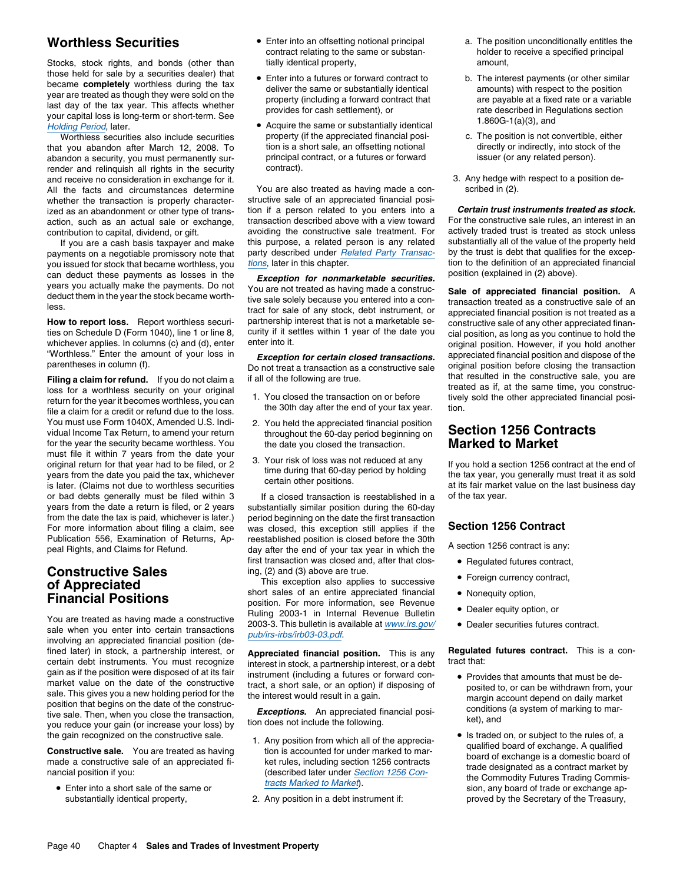Stocks, stock rights, and bonds (other than tially identical property, and the samount, those held for sale by a securities dealer) that <br>became completely worthless during the tax deliver the same or substantially identical Find the same completely worthless during the tax<br>
b. The interest payments (or other similar<br>
year are treated as though they were sold on the<br>
last day of the tax year. This affects whether<br>
your capital loss is long-ter

that you abandon after March 12, 2008. To abandon a security, you must permanently sur- principal contract, or a futures or forward issuer (or any related person). render and relinquish all rights in the security contract). and receive no consideration in exchange for it.<br>All the facts and circumstances determine You are also treated as having made a con-scribed in (2). All the facts and circumstances determine whether the transaction is properly character-<br>structive sale of an appreciated financial posiized as an abandonment or other type of trans-<br>action, such as an actual sale or exchange, transaction described above with a view toward For the constructive sale rules, an interest in an action, such as an actual sale or exchange, transaction described above with a view toward For the constructive sale rules, an interest in an

payments on a negotiable promissory note that party described under *Related Party Transac*-<br>vou issued for stock that became worthless, you *tions*, later in this chapter. The party of the definition of an appreciated fin you issued for stock that became worthless, you tions, later in this chapter. This connected for the definition of an appreciation of an appreciation of an appreciate financial financial financial financial financial finan

ties on Schedule D (Form 1040), line 1 or line 8, curity if it settles within 1 year of the date you cial position, as long as you continue to hold the whichever applies. In columns (c) and (d), enter enter into it. We wit whichever applies. In columns (c) and (d), enter enter into it. original position. However, if you hold another<br>"Worthless." Enter the amount of your loss in **Exception for certain closed transactions** appreciated financia "Worthless." Enter the amount of your loss in *Exception for certain closed transactions.* appreciated financial position and dispose of the

Filing a claim for refund. If you do not claim a<br>loss for a worthless security on your original<br>return for the year it becomes worthless, you can<br>return for the year it becomes worthless, you can<br>file a claim for a credit You must use Form 1040X, Amended U.S. Indi-<br>vidual Income Tax Return, to amend your return<br>throughout the 60-day period beginning on for the year the security became worthless. You the date you closed the transaction.<br>must file it within 7 years from the date your must file it within 7 years from the date your<br>
original return for that year had to be filed, or 2<br>
years from the date you paid the tax, whichever time during that 60-day period by holding<br>
is later. (Claims not due to w or bad debts generally must be filed within 3 If a closed transaction is reestablished in a of the tax year. years from the date a return is filed, or 2 years substantially similar position during the 60-day from the date the tax is paid, whichever is later.) period beginning on the date the first transaction For more information about filing a claim, see was closed, this exception still applies if the **Section 1256 Contract**

# **Constructive Sales** ing, (2) and (3) above are true.<br> **of Annreciated** This exception also applies to successive • Foreign currency contract,

fined later) in stock, a partnership interest, or **Appreciated financial position.** This is any **Regulated futures contract.** This is a con-<br>certain debt instruments. You must recognize interest in stock, a partnership in given to the different contract would result in a gain.<br>
Simulated that contract value on the date of the constructive<br>
sale. This gives you a new holding period for the<br>
position that begins on the date of the constructiv

- Worthless Securities **•** Enter into an offsetting notional principal a. The position unconditionally entitles the
	-
	- Worthless securities also include securities property (if the appreciated financial posi- c. The position is not convertible, either the result of the appreciated financial posi-<br>
	to the stock of the stock of the stock of

contribution to capital, dividend, or gift. avoiding the constructive sale treatment. For actively traded trust is treated as stock unless<br>If you are a cash basis taxpayer and make this purpose, a related person is any rel If you are a cash basis taxpayer and make this purpose, a related person is any related substantially all of the value of the property held<br>/ments on a negotiable promissory note that party described under *Related Party T* 

can deduct these payments as losses in the **Exception for nonmarketable securities.** position (explained in (2) above).<br>
years you actually make the payments. Do not You are not treated as having made a construc-<br>
deduct t **How to report loss.** Report worthless securi-<br>ties on Schedule D (Form 1040), line 1 or line 8, curity if it settles within 1 year of the date you cial position, as long as you continue to hold the

- 
- Fouried the appreciated infiancial position<br>throughout the 60-day period beginning on **Section 1256 Contracts**<br>**Marked to Market**
- 

Publication 556, Examination of Returns, Ap-<br>
peal Rights, and Claims for Refund. day after the end of your tax year in which the A section 1256 contract is any: first transaction was closed and, after that clos-<br>• Regulated futures contract,

**Solution Contract of Appreciated**<br>
This exception also applies to successive<br> **Financial Positions**<br> **Financial Positions**<br> **Financial Positions**<br>
position. For more information, see Revenue<br> **Pinancial Positions FITERITE POSITIONS** position. For more information, see Revenue<br>
You are treated as having made a constructive Ruling 2003-1 in Internal Revenue Bulletin<br>
sale when you enter into certain transactions and appreciated fina

- 
- 
- contract relating to the same or substan-<br>
tially identical property,<br>
amount,<br>  $\frac{1}{2}$  amount,
	-
	-
	-

Do not treat a transaction as a constructive sale original position before closing the transaction

- 
- 
- 
- 
- 

- 
- the gain recognized on the constructive sale. The constructive sale of a short sale of a short constructive sale of an appreciated fi-<br> **Constructive sale.** You are treated as having tion is accounted for under marked to m Enter into a short sale of the same or since or since the same or since of the same or since of the same or sion, any board of trade or exchange apsubstantially identical property, 2. Any position in a debt instrument if: proved by the Secretary of the Treasury,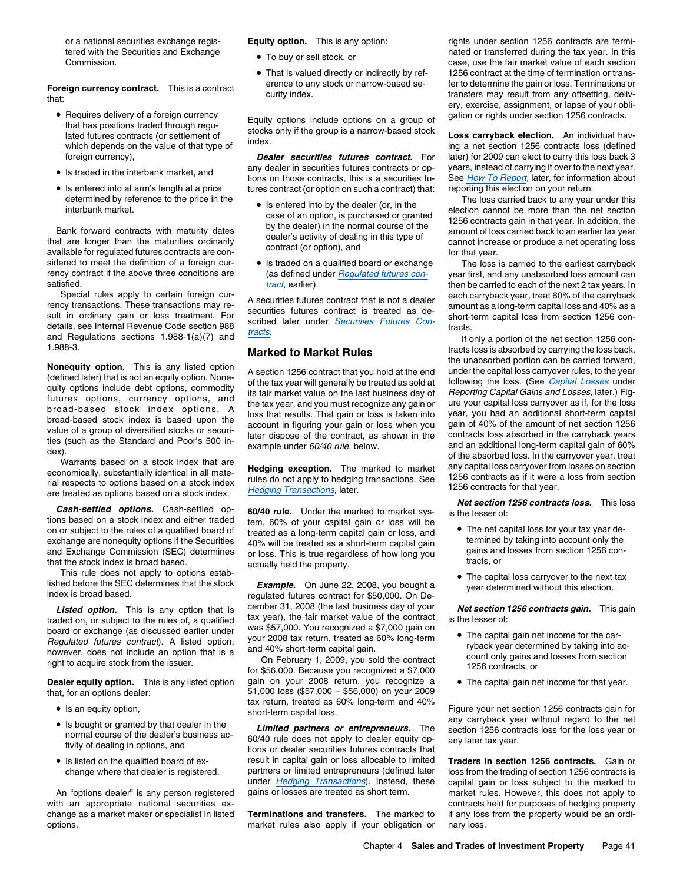- Requires delivery of a foreign currency • Requires delivery of a foreign currency<br>that has positions traded through regu-<br>lated futures contracts (or settlement of stocks only if the group is a narrow-based stock<br>which depends on the value of that type of index.
- 
- Is entered into at arm's length at a price

sidered to meet the definition of a foreign cur-<br>
e Is traded on a qualified board or exchange<br>
rency contract if the above three conditions are<br>
(as defined under *Regulated futures con-*<br>
vear first, and any unabsorbed l

Special rules apply to certain foreign currency transactions. These transactions may re-<br>
securities futures contract that is not a dealer<br>
securities futures contract is treated as de-<br>
sult in ordinary gain or loss treat

This rule does not apply to options estab-<br>lished before the SEC determines that the stock<br>index is broad based.<br>regulated futures contract for \$50,000. On De-<br>regulated futures contract for \$50,000. On De-

traded on, or subject to the rules of, a qualified tax year), the fair market value of the contract is the lesser of:<br>
board or exchange (as discussed earlier under was \$57,000. You recognized a \$7,000 gain on **•** The capi board of excitating (as discussed earlier under<br> *He capital gain* net income for the car-<br> *He capital gain* net income for the car-<br> *He capital gain* net income for the car-<br> *He capital gain* net income for the car-<br>

- 
- 
- Is listed on the qualified board of ex-

with an appropriate national securities ex-<br>
example and the contracts held for purposes of hedging property change as a market maker or specialist in listed **Terminations and transfers.** The marked to if any loss from the property would be an ordioptions. market rules also apply if your obligation or nary loss.

- 
- 

• Is traded in the interbank market, and any dealer in securities futures contracts or op-<br>tions on those contracts, this is a securities fu-<br>See How To Report, later, for information about tures contract (or option on such a contract) that: reporting this election on your return.

- 
- 

**Cash-settled options.** Cash-settled op-<br>tions based on a stock index and either traded<br>on or subject to the rules of a qualified board of<br>exchange are nonequity options if the Securities<br>and Exchange Commission (SEC) dete

Listed option. This is any option that is cember 31, 2008 (the last business day of your **Net section 1256 contracts gain.** This gain and the rules of a qualified tax year), the fair market value of the contract is the les

**Dealer equity option.** This is any listed option gain on your 2008 return, you recognize a • The capital gain net income for that year. that, for an options dealer: \$1,000 loss (\$57,000 − \$56,000) on your 2009 tax return, treated as 60% long-term and 40% <br>
short-term capital loss.

• Is bought or granted by that dealer in the<br>normal course of the dealer's business ac-<br>tivity of dealing in options, and<br>tions or dealer securities futures contracts that<br>tivity of dealing in options, and<br>tions or dealer result in capital gain or loss allocable to limited **Traders in section 1256 contracts.** Gain or partners or limited entrepreneurs (defined later loss from the trading of section 1256 contracts is

or a national securities exchange regis- **Equity option.** This is any option: rights under section 1256 contracts are termitered with the Securities and Exchange **nated or transferred during the tax year.** In this commission.<br>Commission. Commission case, use the fair market value of each section. • That is valued directly or indirectly by ref- 1256 contract at the time of termination or trans-Foreign currency contract. This is a contract erence to any stock or narrow-based se- fer to determine the gain or loss. Terminations or<br>-curity index. that: errence to any stansfers may result from any offsetting, deliv<br>-

foreign currency), *Dealer securities futures contract.* For later) for 2009 can elect to carry this loss back 3 See How To Report, later, for information about

determined by reference to the price in the  $\bullet$  Is entered into by the dealer (or, in the The loss carried back to any year under this interbank market. interbank market.<br>
Experience than the procedure of the procedure of the procedure of the procedure of the procedure of the case of an option, is purchased or granted<br>
Bank forward contracts with maturity dates<br>
that are l

rency contract if the above three conditions are (as defined under *Regulated futures con-* year first, and any unabsorbed loss amount can<br>satisfied. The next 2 tax vears in sfied. then be carried to each of the next 2 tax years. In<br>Special rules apply to certain foreign cur-<br>A carried to the next is not a deach carryback year, treat 60% of the carryback

Nonequity option. This is any listed option<br>
(defined later) that is not an equity option. None-<br>
(defined later) that is not an equity option. None-<br>
(defined later) that is not an equity option. None-<br>
(defined later) th

- 
- 

- 
- 

Is an equity option,<br>
Is an equity option, Figure your net section 1256 contracts gain for<br>
Is bought or granted by that dealer in the<br> **Limited partners or entrepreneurs.** The section 1256 contracts loss for the loss year

change where that dealer is registered. partners or limited entrepreneurs (defined later loss from the trading of section 1256 contracts is<br>under *Hedging Transactions*). Instead, these capital gain or loss subject to the under *Hedging Transactions*). Instead, these capital gain or loss subject to the marked to gains or losses are treated as short term. An "options dealer" is any person registered gains or losses are treated as short term. The market rules. However, this does not apply to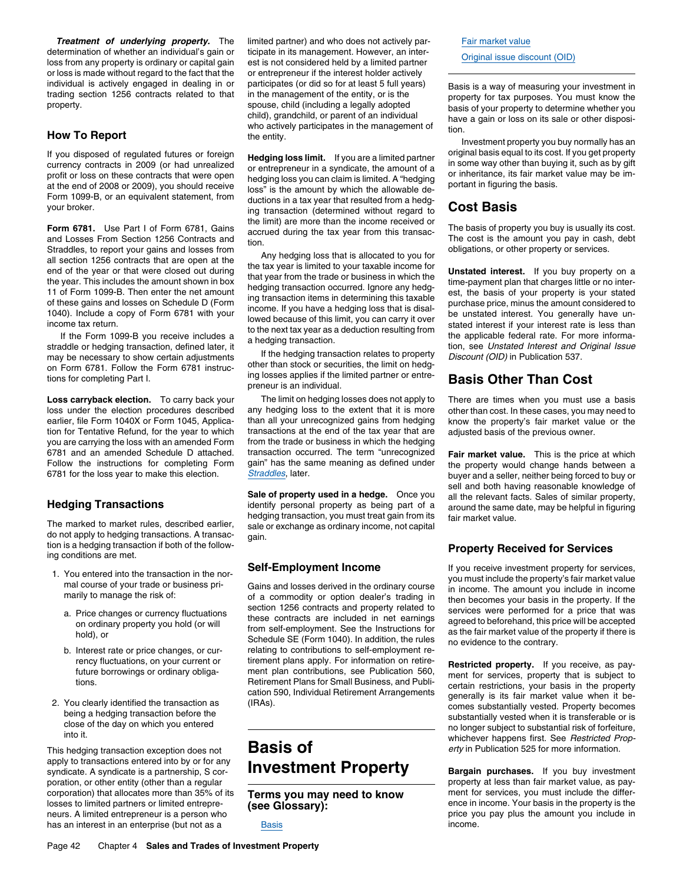*Treatment of underlying property.* The limited partner) and who does not actively par-<br>
Fair market value determination of whether an individual's gain or ticipate in its management. However, an inter-<br>loss from any property is ordinary or capital gain est is not considered held by a limited partner **Constantial** or loss is made without regard to the fact that the or entrepreneur if the interest holder actively

Form 6781. Use Part I of Form 6781, Gains<br>and Losses From Section 1256 Contracts and<br>Straddles, to report your gains and losses from Section 1256 Contracts and<br>Straddles, to report your gains and losses from

straddle or hedging transaction, defined later, it<br>may be necessary to show certain adjustments If the hedging transaction relates to property Discount (OID) in Publication 537.<br>On Form 6781, Follow the Form 6781, instruct on Form 6781. Follow the Form 6781 instruc-

**Loss carryback election.** To carry back your The limit on hedging losses does not apply to There are times when you must use a basis loss under the election procedures described any hedging loss to the extent that it is m loss under the election procedures described any hedging loss to the extent that it is more other than cost. In these cases, you may need to earlier, file Form 1040X or Form 1045, Applica- than all your unrecognized gains tion for Tentative Refund, for the year to which transactions at the end of the tax year that are adjusted basis of the previous owner.<br>you are carrying the loss with an amended Form from the trade or business in which the you are carrying the loss with an amended Form 6781 and an amended Schedule D attached. transaction occurred. The term "unrecognized **Fair market value.** This is the price at which Follow the instructions for completing Form gain" has the same meaning as defined under Follow the instructions for completing Form gain" has the same meaning as defined under the property would change hands between a<br>6781 for the loss year to make this election. Straddles, later.

- -
	-
- 

apply to transactions entered into by or for any syndicate. A syndicate is a partnership, S cor- **Investment Property Bargain purchases.** If you buy investment has an interest in an enterprise (but not as a Basis income. income.

individual is actively engaged in dealing in or<br>
trading section 1256 contracts related to that<br>
property.<br>
Fraging section 1256 contracts related to that<br>
property to tax purposes. You must know the<br>
spouse, child (includ

If you disposed of regulated futures or foreign<br>currency contracts in 2009 (or had unrealized<br>profit or loss on these contracts that were open<br>at the end of 2008 or 2009), you should receive<br>at the end of 2008 or 2009), yo

Straddles, to report your gains and losses from<br>all section 1256 contracts that are open at the<br>distribution of the text vear is limited to your taxable income for<br>the year. This includes the amount shown in box<br>the year.

ing losses applies if the limited partner or entre-<br>preneur is an individual.<br>**Basis Other Than Cost** preneur is an individual.

**Example 19 and Sole of property used in a hedge.** Once you<br> **Example 19 and both having reasonable knowledge of**<br> **Example 19 and 19 and 19 and both having reasonable knowledge of**<br> **Example 19 and 19 and 19 and 19 and 19** 

know the property's fair market value or the

buyer and a seller, neither being forced to buy or

1. You entered into the transaction in the normal course of your trade or business primal course of your trade or business primal course of your trade or business primal course of your trade or business primal course of yo

For information on retire-<br>
future borrowings or ordinary obliga-<br>
tions.<br>
2. You clearly identified the transaction as<br>
2. You clearly identified the transaction as<br>
2. You clearly identified the transaction as<br>
2. You cl Into it.<br>This hedging transaction exception does not **Basis of** erty in Publication 525 for more information.

poration, or other entity (other than a regular property at less than fair market value, as paycorporation) that allocates more than 35% of its<br>losses to limited partners or limited entrepre-**Container (Sep Glossary)**<br>losses to limited partners or limited entrepre-**Containers** (Sep Glossary) losses to limited partners or limited entrepre-<br>
neurs. A limited entrepreneur is a person who **(see Glossary): neurse and price you pay plus the amount you include in**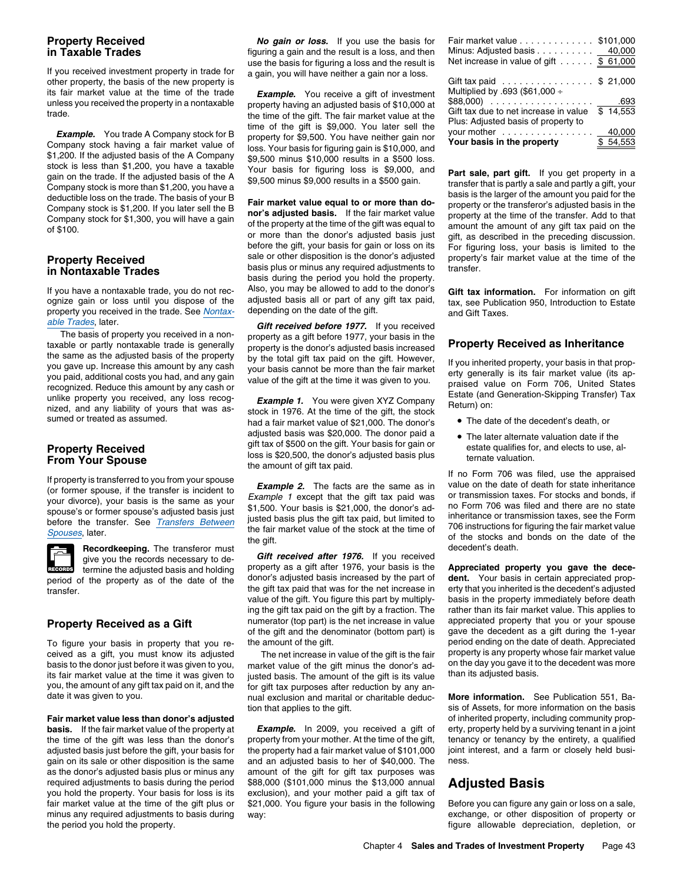If you received investment property in trade for  $a$  gain, you will have neither a gain nor a loss. other property, the basis of the new property is its fair market value at the time of the trade **Example.** You receive a gift of investment unless you received the property in a nontaxable property baying an adjusted basis of \$10,000 at unless you received the property in a nontaxable  $\frac{1}{2}$  property having an adjusted basis of \$10,000 at trade.

trade.<br> **Example.** You trade A Company stock for B<br> **Example.** You trade A Company stock for B<br>
Company stock having a fair market value of<br>
Company stock having a fair market value of<br>
Ses. You hass for figuring gain is

ognize gain or loss until you dispose of the adjusted basis all or part of any gift tax paid, tax, see Publication 950, Introduction to Estate property you received in the trade. See Nontax- depending on the date of the gi property you received in the trade. See Nontax- depending on the date of the gift. and Gift Taxes.

able Trades, later.<br>
The basis of property you received in a non-<br>
the same as the adjusted basis of the property is the donor's adjusted basis increased<br>
the same as the adjusted basis of the property is the donor's adjus



its fair market value at the time it was given to justed basis. The amount of the gift is its value you, the amount of any gift tax paid on it, and the for gift tax purposes after reduction by any anyou, the amount of any gift tax paid on it, and the for gift tax purposes after reduction by any an-<br>date it was given to you.<br>nual exclusion and marital or charitable deduc-

**Fair market value less than donor's adjusted basis.** If the fair market value of the property at *Example.* In 2009, you received a gift of erty, property held by a surviving tenant in a joint the time of the gift was less than the donor's property from your mother. At the time of the gift, tenancy or tenancy by the entirety, a qualified adjusted basis just before the gift, your basis for the property had a fair market value of \$101,000 joint interest, and a farm or closely held busigain on its sale or other disposition is the same and an adjusted basis to her of \$40,000. The ness. as the donor's adjusted basis plus or minus any amount of the gift for gift tax purposes was required adjustments to basis during the period \$88,000 (\$101,000 minus the \$13,000 annual **Adjusted Basis** you hold the property. Your basis for loss is its exclusion), and your mother paid a gift tax of fair market value at the time of the gift plus or \$21,000. You figure your basis in the following Before you can figure any gain or loss on a sale, minus any required adjustments to basis during way: exchange, or other disposition of property or way: the period you hold the property. The property example of the property of the property. The period you hold the property.

**Property Received <b>Computer** *No gain or loss.* If you use the basis for **in Taxable Trades** *in* **figuring a gain and the result is a loss, and then Minus ...** use the basis for figuring a loss and the result is

before the gift, your basis for gain or loss on its For figuring loss, your basis is limited to the sale or other disposition is the donor's adjusted property's fair market value at the time of the **Property Received** sale or other disposition is the donor's adjusted property's fair market value at the time of the in **Nontaxable Trades** basis plus or minus any required adjustments to transfer. basis during the period you hold the property. If you have a nontaxable trade, you do not rec- Also, you may be allowed to add to the donor's **Gift tax information.** For information on gift

adjusted basis was \$20,000. The donor paid a •**Property Received** gift tax of \$500 on the gift. Your basis for gain or estate qualifies for, and elects to use, al-<br> **Prom Your Spouse** the amount of gift tax paid.

**Recordkeeping.** The transferor must<br>give you the records necessary to de-<br>termine the adjusted basis and holding<br>of the property as a gift after 1976, your basis is the<br>formulation of the date of the donor's adjusted basi the gift tax paid that was for the net increase in ing the gift tax paid on the gift by a fraction. The

> market value of the gift minus the donor's ad- on the day you gave it to instance it to the day you gave it to<br>justed basis. The amount of the gift is its value than its adjusted basis. nual exclusion and marital or charitable deduc-<br>
> More information. See Publication 551, Ba-

| Fair market value \$101,000                               |          |
|-----------------------------------------------------------|----------|
| Minus: Adjusted basis 40,000                              |          |
| Net increase in value of gift \$ 61,000                   |          |
| Gift tax paid \$ 21,000<br>+ Multiplied by .693 (\$61,000 |          |
| \$88,000)                                                 | .693     |
| Gift tax due to net increase in value                     | \$14,553 |
| Plus: Adjusted basis of property to                       |          |
| your mother                                               | 40.000   |
| Your basis in the property                                | \$54,553 |
|                                                           |          |

- 
- The later alternate valuation date if the

If property is transferred to you from your spouse<br>
(or former spouse, if the transfer is incident to<br>
your divorce), your basis is the same as your<br>
spouse's or former spouse's adjusted basis just<br>
spouse's or former spou

period of the property as of the date of the donor's adjusted basis increased by the part of **dent.** Your basis in certain appreciated propvalue of the gift. You figure this part by multiply-<br>ind the dift tax paid on the gift by a fraction. The rather than its fair market value. This applies to **Property Received as a Gift** numerator (top part) is the net increase in value appreciated property that you or your spouse of the gift and the denominator (bottom part) is gave the decedent as a gift during the 1-year<br>To To figure your basis in property that you re- the amount of the gift.<br>
period ending on the date of death. Appreciated as a gift, you must know its adjusted The net increase in value of the gift is the fair property is any ceived as a gift, you must know its adjusted The net increase in value of the gift is the fair property is any property whose fair market value<br>basis to the donor just before it was given to you, market value of the gift m

tion that applies to the gift.<br>sis of Assets, for more information on the basis<br>of inherited property, including community prop-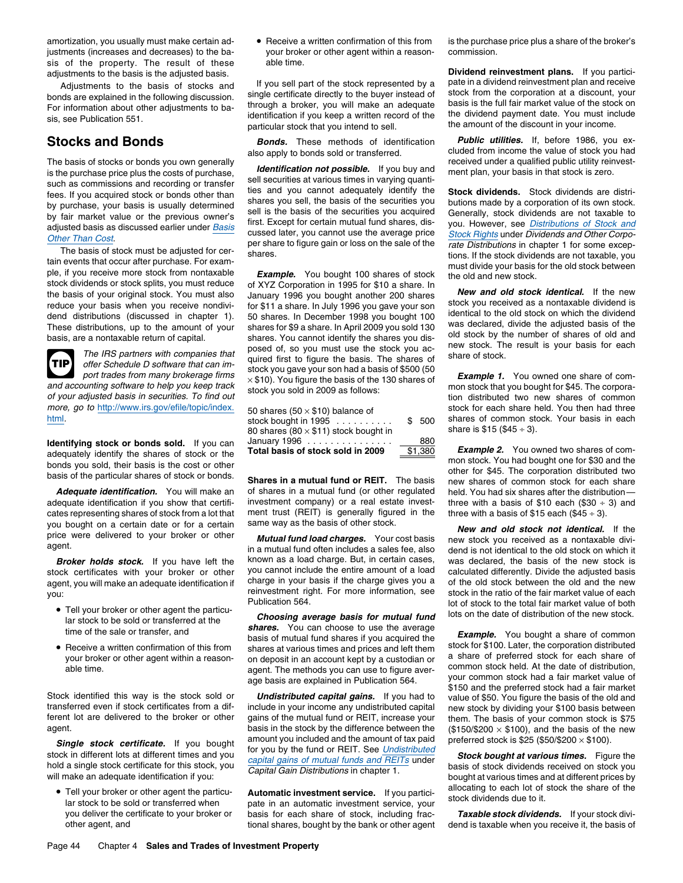justments (increases and decreases) to the ba- your broker or other agent within a reason- commission. sis of the property. The result of these able time.

The basis of stocks or bonds you own generally  $\frac{1}{2}$  *dentification not possible.* If you buy and

stock dividends or stock splits, you must reduce of XYZ Corporation in 1995 for \$10 a share. In the basis of your original stock. You must also January 1996 you bought another 200 shares

**TIP** port trades from many brokerage firms solicity you gave your solitious of solicity of the 130 shares of the 130 shares of Example 1. You owned one share of com-<br>of your adjusted basis in securities. To find out stock you s

**Identifying stock or bonds sold.** If you can

cates representing shares of stock from a lot that ment trust (REIT) is generally figured in the three with a basis of \$15 each (\$45 ÷ 3).<br>You bought on a certain date or for a certain same way as the basis of other stock you bought on a certain date or for a certain same way as the basis of other stock. **New and old stock not identical.** If the<br>price were delivered to your broker or other **Mutual fund load charges.** Your cost basis new sto

stock certificates with your broker or other you cannot include the entire amount of a load calculated differently. Divide the adjusted basis<br>agent you will make an adequate identification if charge in your basis if the ch agent, you will make an adequate identification if charge in your basis if the charge gives you a<br>reinvestment right. For more information, see

- Tell your broker or other agent the particu-Tell your broker or other agent the particu-<br>Iar stock to be sold or transferred at the **Choosing average basis for mutual fund** lots on the date of distribution of the new stock.<br> *Choosing average* to use the average
- Receive a written confirmation of this from

**Single stock certificate.** If you bought amount you included and the amount of tax paid preferred stock is \$25 (\$50/\$200 × \$100).<br>Stock in different lots at different times and you for you by the fund or REIT. See *Undis* 

amortization, you usually must make certain ad- • Receive a written confirmation of this from is the purchase price plus a share of the broker's

Adjustments to the basis of stocks and<br>bonds are explained in the following discussion.<br>For information about other adjustments to ba-<br>single certificate directly to the buyer instead of<br>For information about other adjustm

is the purchase price plus the costs of purchase,<br>such as commissions and recording or transfer<br>sell is ecurities at various times in varying quanti-<br>fees. If you acquired stock or bonds other than<br>the same you cannot adeq

the basis of your original stock. You must also January 1996 you bought another 200 shares **New and old stock identical.** If the new reduce your basis when you receive nondivi-<br>reduce your basis when you receive nondivi- f reduce your basis when you receive nondivi-<br>dend distributions (discussed in chapter 1). 50 shares. In December 1998 you gave your son<br>dend distributions (discussed in chapter 1). 50 shares. In December 1998 you bought 100

| 50 shares (50 $\times$ \$10) balance of<br>stock bought in 1995 $\ldots$<br>80 shares (80 $\times$ \$11) stock bought in | \$500   | stock for each share h<br>shares of common sto<br>share is \$15 (\$45 $\div$ 3). |
|--------------------------------------------------------------------------------------------------------------------------|---------|----------------------------------------------------------------------------------|
| January 1996 $\ldots \ldots \ldots \ldots$                                                                               | 880     |                                                                                  |
| Total basis of stock sold in 2009                                                                                        | \$1,380 | <b>Example 2.</b> You ov                                                         |

*Adequate identification.* You will make an of shares in a mutual fund (or other regulated held. You had six shares after the distribution–<br>Jequate identification if you show that certifi- investment company) or a real est adequate identification if you show that certifi- investment company) or a real estate invest-<br>cates representing shares of stock from a lot that ment trust (REIT) is generally figured in the three with a basis of \$15 eac

you: reinvestment right. For more information, see stock in the ratio of the fair market value of each<br>Publication 564.<br>In the fatcok to the total fair market value of both

time of the sale or transfer, and<br> **Example.** You bought a share of common<br>
Receive a written confirmation of this from a share a the virious times and prises of the stock for \$100. Later, the corporation distributed

transferred even if stock certificates from a dif-<br>ferent lot are delivered to the broker or other gains of the mutual fund or REIT, increase your them. The basis of your common stock is \$75 ferent lot are delivered to the broker or other gains of the mutual fund or REIT, increase your them. The basis of your common stock is \$75<br>basis in the stock by the difference between the (\$150/\$200 x \$100), and the basis basis in the stock by the difference between the  $(15150/15200 \times 100)$ , and the basis of the new amount you included and the amount of tax paid preferred stock is  $1525(15200 \times 100)$ .

Iar stock to be sold or transferred when pate in an automatic investment service, your you deliver the certificate to your broker or basis for each share of stock, including frac- *Taxable stock dividends.* If your stock diviother agent, and tional shares, bought by the bank or other agent dend is taxable when you receive it, the basis of

adjustments to the basis is the adjusted basis.<br>Adjustments to the basis of stocks and If you sell part of the stock represented by a pate in a dividend reinvestment plan and receive

**Stocks and Bonds** *Bonds.* These methods of identification *Public utilities.* If, before 1986, you exalso apply to bonds sold or transferred.<br>received under a qualified public utility reinvest-

more, go to http://www.irs.gov/efile/topic/index. stock for each share held. You then had three 50 shares (50 × \$10) balance of stock bought in 1995 . . . . . . . . . . . . . \$ 500 shares of common stock. Your basis in ea

adequately identify the shares of stock or the **Total basis of stock sold in 2009** 51,380 **Example 2.** You owned two shares of com-<br>bonds you sold, their basis is the cost or other the shares in a mutual fund or REIT. The

**Broker holds stock.** If you have left the known as a load charge. But, in certain cases, was declared, the basis of the new stock is ock is a load calculated differently. Divide the adjusted basis lot of stock to the total fair market value of both

• Receive a written confirmation of this from<br>your broker or other agent within a reason-<br>agent. The methods you can use to figure aver-<br>agent. The methods you can use to figure aver-<br>Stock identified this way is the stock

• Tell your broker or other agent the particu-<br> **Automatic investment service.** If you partici-<br>
stock dividends due to it.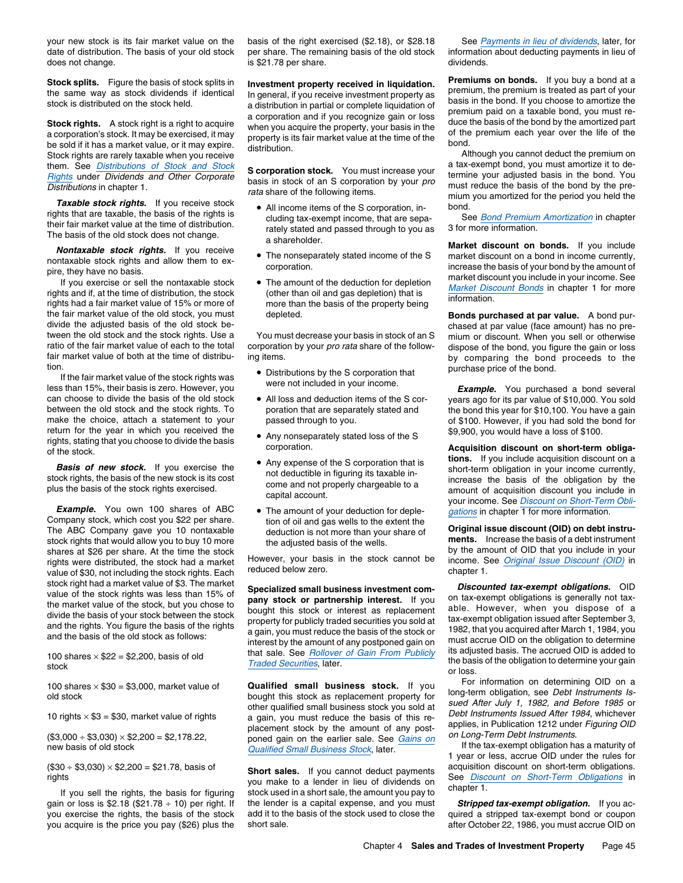date of distribution. The basis of your old stock per share. The remaining basis of the old stock information about deducting payments in lieu of does not change of the old stock information about deducting payments in lie does not change. is \$21.78 per share.

Stock rights are rarely taxable when you receive<br>Stock rights are rarely taxable when you receive<br>them. See Distributions of Stock and Stock and Stock and Stock and Stock and Stock and Stock and Stock and Stock and Stock a

rights that are taxable, the basis of the rights is<br>their fair market value at the time of distribution.<br>The basis of the old stock does not change.<br>The basis of the old stock does not change.<br>The basis of the old stock do

the fair market value of the old stock, you must depleted.<br>
divide the adjusted basis of the old stock be-<br>
divide the adjusted basis of the old stock be-<br>
divide the adjusted basis of the old stock bedivide the adjusted basis of the old stock be-<br>tween the old stock and the stock rights. Use a You must decrease your basis in stock of an S mium or discount. When you sell or otherwise

If the fair market value of the stock rights was were not included in your income.<br>Less than 15%, their basis is zero. However, you *income* were not included in your income. can choose to divide the basis of the old stock  $\bullet$  All loss and deduction items of the S cormake the choice, attach a statement to your passed through to you. The statement of \$100. However, if you had sold the bond for return for the year in which you received the <br>  $\bullet$  Any nonseparately stated loss of the S<br>  $\bullet$  Any nonseparately stated loss of the S<br>  $\bullet$  S9,900, you would have a loss of \$100. rights, stating that you choose to divide the basis corporation.<br>
corporation. **Acquisition discount on short-term obliga-** of the stock.

*Example.* You own 100 shares of ABC • The amount of your deduction for deple-<br>Company stock, which cost you \$22 per share. tion of oil and gas wells to the extent the<br>The ABC Company gave you 10 nontaxable<br>deduction is no value of \$30, not including the stock rights. Each stock right had a market value of \$3. The market stock right had a market value of \$3. The market **Specialized small business investment com-** *Discounted tax-exempt obligations.* OID

you acquire is the price you pay (\$26) plus the short sale. And the short sale. And the short sale. And the short sale.

your new stock is its fair market value on the basis of the right exercised (\$2.18), or \$28.18 See Payments in lieu of dividends, later, for

Stock splits. Figure the basis of stock splits in **Investment property received in liquidation.** Premiums on bonds. If you buy a bond at a<br>the same way as stock dividends if identical in general, if you receive investment

- All income items of the S corporation, in-<br>bond.
- 
- 

- 1. It the fair market value of the stock rights was <br>If the fair market value of the stock rights was <br>
	-
	-
	-
	-

100 shares  $\times$  \$30 = \$3,000, market value of<br>
old stock by the amount of the stock as replacement property for<br>
10 rights  $\times$  \$3 = \$30, market value of rights<br>
10 rights  $\times$  \$3 = \$30, market value of rights<br>
(\$3,000 ÷  $S<sub>1</sub>$ (\$3,000 ÷ \$3,030) × \$2,200 = \$2,178.22, exempt oned gain on the earlier sale. See *Gains on*<br>
Oualified Small Business Stock, later.<br>
1 year or less, accrue OID under the rules for

 $\frac{\$30 + \$3,030) \times \$2,200 = \$21.78$ , basis of **Short sales.** If you cannot deduct payments acquisition discount on short-term obligations.<br>you make to a lender in lieu of dividends on See *Discount on Short-Term Obligations* gain or loss is \$2.18 (\$21.78 ÷ 10) per right. If the lender is a capital expense, and you must **Stripped tax-exempt obligation.** If you acyou exercise the rights, the basis of the stock add it to the basis of the stock used to close the quired a stripped tax-exempt bond or coupon

them. See *Distributions of Stock and Stock*<br> *Rights* under *Distributions in chapter 1.*<br> *Rights* under *Distributions* in chapter 1.<br> *Rights* under *Distributions* in chapter 1.<br> *Rights* in the bond. You must amortiz

The basis of the old stock does not change.<br> **Market discount on bonds.** If you include<br> **Nontaxable stock rights.** If you receive<br> **CONS** The nonseparately stated income of the S<br> **Market discount on bonds.** If you includ Fine nonseparately stated income of the S<br>pire, they have no basis.<br>If you exercise or sell the nontaxable stock of the monte currently,<br>rights and if, at the time of distribution, the stock<br>rights and if, at the time of d

mium or discount. When you sell or otherwise ratio of the fair market value of each to the total corporation by your *pro rata* share of the follow- dispose of the bond, you figure the gain or loss<br>fair market value of both at the time of distribu- ing items. fair market value of both at the time of distribu- ing items.<br>
tion. by comparing the bond proceeds to the time of distribu-<br>
purchase price of the bond

All loss and deduction items of the S cor-<br>
poration that are separately stated and the bond this year for \$10,100. You have a gain between the old stock and the stock rights. To poration that are separately stated and the bond this year for \$10,100. You have a gain

• Any expense of the S corporation that is **tions.** If you include acquisition discount on a **Basis of new stock.** If you exercise the<br>stock rights, the basis of the new stock is its cost<br>plus the basis of the stock rights exercised.<br>plus the basis of the stock rights exercised.<br>plus the basis of the stock rights

The ABC Company gave you 10 nontaxable deduction is not more than your share of **Original issue discount (OID) on debt instru-**<br>stock rights that would allow you to buy 10 more the adjusted basis of the wells **ments.** Incr stock rights that would allow you to buy 10 more<br>shares at \$26 per share. At the time the stock<br>rights were distributed, the stock had a market However, your basis in the stock cannot be income. See *Original Issue Discoun* rights were distributed, the stock had a market However, your basis in the stock cannot be income. See *Original Issue Discount (OID)* in value of \$30, not including the stock rights. Each reduced below zero.

value of the stock rights was less than 15% of<br>the market value of the stock, but you chose to<br>divide the basis of your stock between the stock<br>divide the basis of your stock between the stock<br>and the rights<br>and the right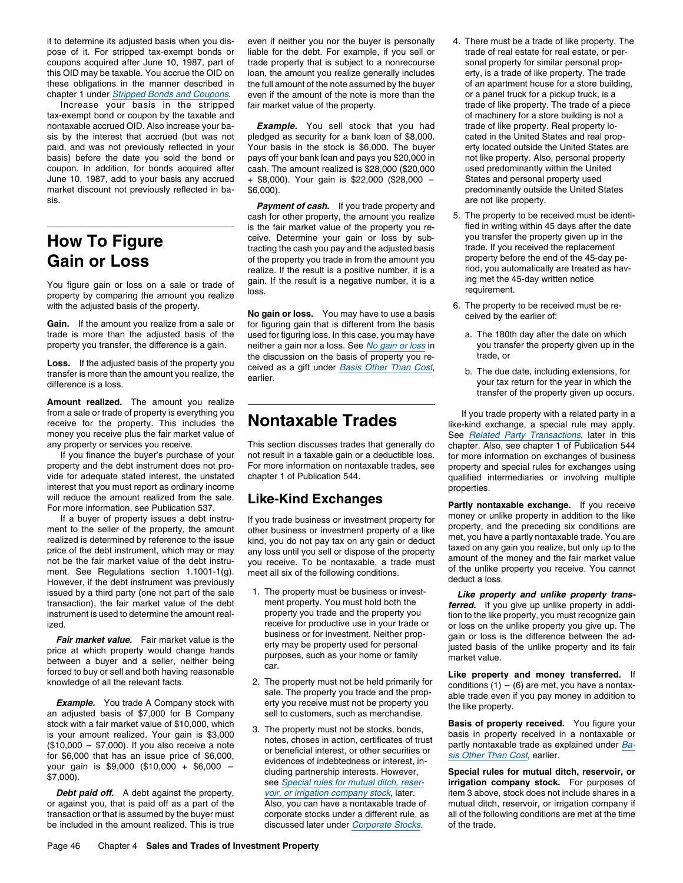it to determine its adjusted basis when you dis- even if neither you nor the buyer is personally 4. There must be a trade of like property. The pose of it. For stripped tax-exempt bonds or liable for the debt. For example, if you sell or a trade of real estate for real estate, or per-<br>coupons acquired after June 10, 1987, part of a trade property that is subject t this OID may be taxable. You accrue the OID on loan, the amount you realize generally includes erty, is a trade of like property. The trade these obligations in the manner described in the full amount of the note assumed by the buyer of an apartment house for a store building, chapter 1 under *Stripped Bonds and Coupons*. even if the amount of the note is more than the or a panel truck for a pickup truck, is a

Increase your basis in the stripped fair market value of the property. The trade of like property. The trade of a piece<br>-exempt bond or coupon by the taxable and tax-exempt bond or coupon by the taxable and nontaxable accrued OID. Also increase your ba-**Example.** You sell stock that you had trade of like property. Real property losis by the interest that accrued (but was not pledged as security for a bank loan of \$8,000. cated in the United States and real proppaid, and was not previously reflected in your Your basis in the stock is \$6,000. The buyer erty located outside the United States are basis) before the date you sold the bond or pays off your bank loan and pays you \$20,000 in not like property. Also, personal property coupon. In addition, for bonds acquired after cash. The amount realized is \$28,000 (\$20 June 10, 1987, add to your basis any accrued  $+$  \$8,000). Your gain is \$22,000 (\$28,000 – States and personal property used market discount not previously reflected in ba- \$6,000). market discount not previously reflected in ba- \$6,000). predominantly outside the United States the United States sis.

You figure gain or loss on a sale or trade of gain. If the result is a negative number, it is a ing met the 45-day written notice property by comparing the amount you realize loss. <br>with the adjusted basis of the property.

trade is more than the adjusted basis of the used for figuring loss. In this case, you may have a. The 180th day after the date on which property you transfer, the difference is a gain. <br>neither a gain nor a loss. See No gain or loss in you transfer the property given up in the

**Amount realized.** The amount you realize from a sale or trade of property is everything you receive for the property. This includes the **NONTAXADIC ITAGES** like-kind exchange, a special rule may apply. money you receive plus the fair market value of<br>any property or services you receive. This section discusses trades that generally do chapter. Also, see chapter 1 of Publication 544

If you finance the buyer's purchase of your not result in a taxable gain or a deductible loss. for more information on exchanges of business property and the debt instrument does not pro-<br>For more information on nontaxable property and the debt instrument does not pro-<br>vide for adequate stated interest, the unstated chapter 1 of Publication 544.<br>qualified intermediaries or involving multiple interest that you must report as ordinary income<br>will reduce the amount realized from the sale. **I ike-Kind Fxchanges** 

not be the fair market value of the debt instru-<br>ment. See Regulations section 1.1001-1(g). meet all six of the following conditions.<br>However if the debt instrument was previously However, if the debt instrument was previously<br>issued by a third party (one not part of the sale  $\overline{a}$  1. The property must be business or investissued by a third party (one not part of the sale 1. The property must be business or invest-<br>transaction), the fair market value of the debt ment property. You must hold both the **ferred.** If you give up unlike property i transaction), the fair market value of the debt ment property. You must hold both the *ferred.* If you give up unlike property in addi-<br>instrument is used to determine the amount real- property you trade and the property y instrument is used to determine the amount real-<br>ized. example and the property you trade or a property you trade or a property you must recognize gain

stock with a fair market value of \$10,000, which<br>
is your amount realized. Your gain is \$3,000<br>
(\$10,000 – \$7,000). If you also receive a note<br>
for \$6,000 that has an issue price of \$6,000,<br>
your gain is \$9,000 (\$10,000 +

or against you, that is paid off as a part of the Also, you can have a nontaxable trade of mutual ditch, reservoir, or irrigation company if transaction or that is assumed by the buyer must corporate stocks under a different rule, as all of the following conditions are met at the time be included in the amount realized. This is true discussed later under Corporate Stocks. of the trade.

trade property that is subject to a nonrecourse

cash. The amount realized is \$28,000 (\$20,000

**Payment of cash.** If you trade property and cash for other property, the amount you realize 5. The property to be received must be identi-<br>is the fair market value of the property you re-<br>fied in writing within 45 days after the date is the fair market value of the property you re-**How To Figure** Ceive. Determine your gain or loss by sub-<br> **How To Figure** the property termine and the adjusted basis trade. If you received the replacement<br> **Gain or Loss**<br>
of the property you trade in from the amount y Gain or Loss of the property you trade in from the amount you property before the end of the 45-day pe-<br>realize. If the result is a positive number, it is a riod, you automatically are treated as havrealize. If the result is a positive number, it is a riod, you automatically are treate<br>gain. If the result is a negative number, it is a ing met the 45-day written notice

with the adjusted basis of the property.<br>**No gain or loss.** You may have to use a basis envel by the earlier of:<br>Gain. If the amount you realize from a sale or for figuring gain that is different from the basis Loss. If the adjusted basis of the property you the discussion on the basis of property you re-<br>transfer is more than the amount you realize, the earlier. exact a gift under **Basis Other Than Cost,** b. The due date, includ

ment to the seller of the property, the amount<br>realized is determined by reference to the issue<br>price of the debt instrument, which may or may<br>not be the fair market value of the debt instru-<br>not be the fair market value o

- Fair market value. Fair market value is the business or for investment. Neither property on the unlike property you give up. The business or for investment. Neither property and no loss is the difference between the advice
- knowledge of all the relevant facts.<br>
Example. You trade A Company stock with sale. The property you trade and the prop-<br>
an adjusted basis of \$7,000 for B Company sell to customers, such as merchandise.<br>
Let trade even i
	-
- 
- 
- -
	- transfer of the property given up occurs.

**Nontaxable Trades**<br>Montaxable Trades is the kind exchange a special rule may analy chapter. Also, see chapter 1 of Publication 544 qualified intermediaries or involving multiple

will reduce the amount realized from the sale. Like-Kind Exchanges<br>For more information, see Publication 537.<br>If a buyer of property issues a debt instru- If you trade business or investment property for money or unlike pr

**Debt paid off.** A debt against the property, voir, or irrigation company stock, later. item 3 above, stock does not include shares in a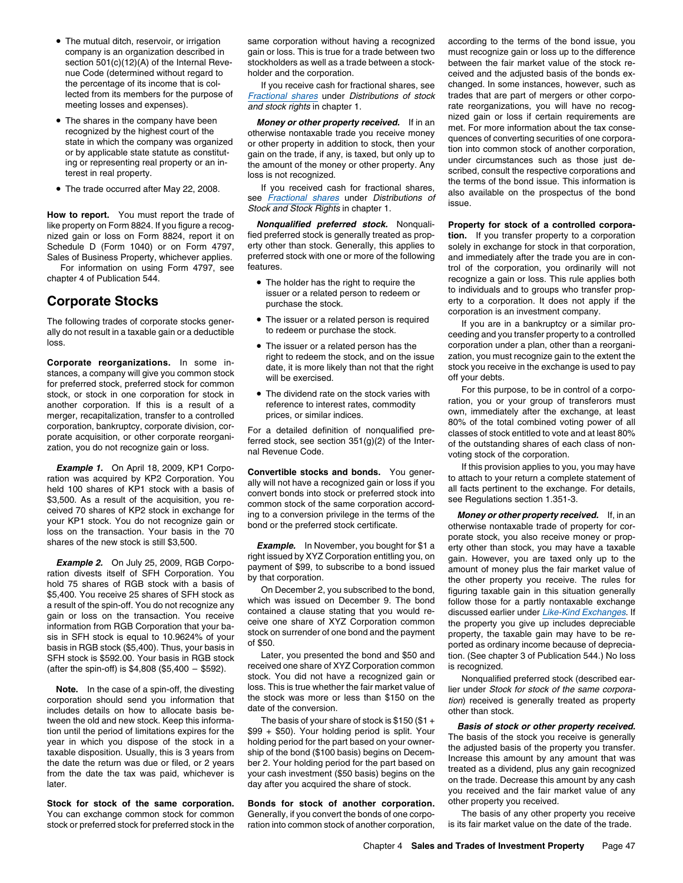- The mutual ditch, reservoir, or irrigation
- 
- The trade occurred after May 22, 2008.

like property on Form 8824. If you figure a recog- *Nonqualified preferred stock.* Nonquali- **Property for stock of a controlled corpora-**

The following trades of corporate stocks gener-<br>Ally do not result in a taxable gain or a deductible to redeem or purchase the stock. ally do not result in a taxable gain or a deductible to redeem or purchase the stock.<br>In the stock of the stock of the cereding and you transfer property to a controlled<br>In the stock of the corporation under a plan, other loss. •

**Corporate reorganizations.** In some in-<br>stances, a company will give you common stock<br>for preferred stock, preferred stock for common<br>stock, or stock in one corporation for stock in<br>stock, or stock in one corporation for another corporation. If this is a result of a<br>merger, recapitalization, transfer to a controlled prices, or similar indices.<br>corporation, bankruptcy, corporate division, cor-<br>porate acquisition, or other corporate reorgani

**Example 1.** On April 18, 2009, KP1 Corporation. You **Convertible stocks and bonds.** You generation was acquired by KP2 Corporation. You ally will not have a recognized gain or loss if you to attach to your return a comple

sis in SFH stock is equal to 10.9624% of your<br>basis in RGB stock (\$5,400). Thus, your basis in of \$50. ported as ordinary income because of deprecia-<br>SFH stock is \$592.00. Your basis in RGB stock Later, you presented the b SFH stock is \$592.00. Your basis in RGB stock Later, you presented the bond and \$50 and tion. (See chapter 3 of Publication 544.) No loss (after the spin-off) is \$4,808 (\$5,400 = \$592) received one share of XYZ Corporation

corporation should send you information that the stock was more or less than \$150 on the  $t$ ion) received is generally treated as property includes details on how to allocate basis be- date of the conversion.  $t$  other th

**Stock for stock of the same corporation. Bonds for stock of another corporation.** Other property you received.<br>You can exchange common stock for common Generally, if you convert the bonds of one corpo-<br>The basis of any You can exchange common stock for common Generally, if you convert the bonds of one corpostock or preferred stock for preferred stock in the ration into common stock of another corporation, is its fair market value on the date of the trade.

same corporation without having a recognized according to the terms of the bond issue, you company is an organization described in gain or loss. This is true for a trade between two must recognize gain or loss up to the difference<br>section 501(c)(12)(A) of the Internal Reve-stockholders as well as a trade between

• The trade occurred after May 22, 2008. If you received cash for fractional shares, also available on the prospectus of the bond<br>Stock and Stock Rights in chapter 1.<br>How to report. You must report the trade of Stock and S

nized gain or loss on Form 8824, report it on fied preferred stock is generally treated as prop- **tion.** If you transfer property to a corporation Schedule D (Form 1040) or on Form 4797, erty other than stock. Generally, this applies to solely in exchange for stock in that corporation, Sales of Business Property, whichever applies, preferred stock with one or more of Sales of Business Property, whichever applies. preferred stock with one or more of the following and immediately after the trade you are in con-

- 
- 
- 
- 

(after the spin-off) is \$4,808 (\$5,400 – \$592). received one share of XYZ Corporation common is recognized.<br>stock. You did not have a recognized gain or Nonqualified preferred stock (described ear-<br>Note in the case of a sp

between the fair market value of the stock renue Code (determined without regard to holder and the corporation. ceived and the adjusted basis of the bonds ex-<br>the percentage of its income that is col-<br>
If you receive cash for fractional shares, see changed. In some i the percentage of its income that is col-<br>If you receive cash for fractional shares, see changed. In some instances, however, such as<br>lected from its members for the purpose of Fractional shares under Distributions of stoc Fractional shares under Distributions of stock trades that are part of mergers or other corpomeeting losses and expenses). **and stock rights in chapter 1.** rate reorganizations, you will have no recog-The shares in the company have been **Money or other property received.** If in an **independent of loss if certain requirements** are **•** The shares in the town areas **•** Money or other property received. If in an **independen** • The shares in the company have been the monety or other property received. If in an ecognized by the highest court of the therwise nontaxable trade you receive money<br>state in which the company was organized or other prop

For information on using Form 4797, see features. The state of the corporation, you ordinarily will not chapter 4 of Publication 544. The holder has the right to require the recognize a gain or loss. This rule applies both •<br>issuer or a related person to redeem or to individuals and to groups who transfer prop-Corporate Stocks<br>Corporate Stocks<br>Corporate Stocks<br>Corporate Stocks<br>Corporation is an investment company.

• The issuer or a related person has the corporation under a plan, other than a reorgani-

ferred stock, see section 351(g)(2) of the Inter-<br>zation, you do not recognize gain or loss.<br>nal Revenue Code.<br>Noting stock of the corporation.

**Example 2.** On July 25, 2009, RGB Corporation entitling you, on gain. However, you are taxed only up to the<br>ration divests itself of SFH Corporation. You<br>hold 75 shares of RGB stock with a basis of<br>\$5,400. You receive 25

**Note.** In the case of a spin-off, the divesting loss. This is true whether the fair market value of lier under *Stock for stock of the same corpora*-<br>In the spin-off a spin-off, the divesting that the stock was more or le

tion until the period of limitations expires for the says of your share of stock is \$150 (\$1 +<br>
year in which you dispose of the stock in a<br>
the date the return was due or filed, or 2 years<br>
from the date the return was du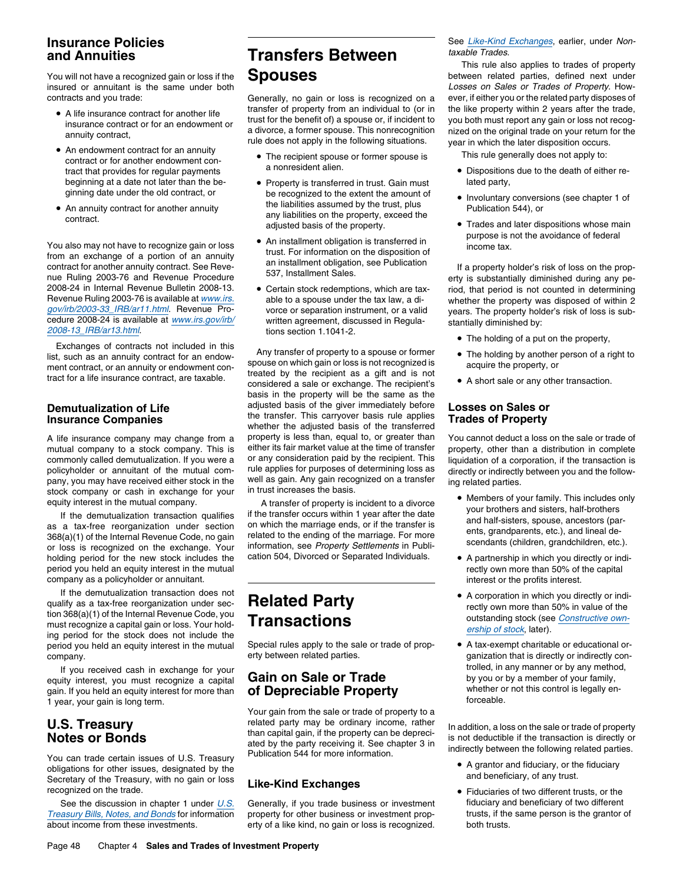- 
- An endowment contract for an annuity An endowment contract for an annuity<br>
ontract or for another endowment con-<br>
tract that provides for regular payments<br>
beginning at a date not later than the be-<br>
expressions that is transferred in trust. Gain must<br>
anonre
- 

Vou also may not have to recognize gain or loss<br>from an exchange of a portion of an annuity<br>contract for another annuity contract. See Reve-<br>nue Ruling 2003-76 and Revenue Procedure<br>nue Ruling 2003-76 and Revenue Procedure 2008-24 in Internal Revenue Bulletin 2008-13. • Certain stock redemptions, which are tax-Revenue Ruling 2003-76 is available at www.irs. able to a spouse under the tax law, a di-<br>gov/irb/2003-33\_IRB/ar11.html. Revenue Pro- vorce or separation instrument, or a valid vears. The property holder's risk of loss is gov/irb/2003-33\_IRB/ar11.html. Revenue Pro-<br>cedure 2008-24 is available at www.irs.gov/irb/<br>2008-13\_IRB/ar13.html. event in the agreement, discussed in Regula-<br>2008-13\_IRB/ar13.html. tions section 1.1041-2.

Exchanges of contracts not included in this<br>t. such as an annuity contract for an endow-<br>Express of property to a spouse or former<br>The holding by another person of a right to

mutual company to a stock company. This is either its fair market value at the time of transfer property, other than a distribution in complete commonly called demutualization. If you were a or any consideration paid by th commonly called demutualization. If you were a or any consideration paid by the recipient. This liquidation of a corporation, if the transaction is policyholder or annuitant of the mutual com- rule applies for purposes of pany, you may have received either stock in the well as gain. Any gain recognized on a transfer ing related parties.<br>stock company or cash in exchange for your in trust increases the basis. stock company or cash in exchange for your in trust increases the basis.<br>
equity interest in the mutual company. A transfer of property is incident to a divorce • Members of your family. This includes only

holding period for the new stock includes the cation 504, Divorced or Separated Individuals. • A partnership in which you directly or indi-<br>period you held an equity interest in the mutual entitial rectly own more than 50% period you held an equity interest in the mutual company as a policyholder or annuitant.  $\qquad \qquad \qquad$  interest or the profits interest.

If the demutualization transaction does not<br>alify as a tax-free reorganization under sec-<br> $\blacksquare$  **Related Party** If the definitionalization transaction does not<br>quality as a tax-free reorganization under sec-<br>tion 368(a)(1) of the Internal Revenue Code, you<br>**Transactions** external than 50% in value of the<br>outstanding stock (see *Con* tion 368(a)(1) of the Internal Revenue Code, you<br>
must recognize a capital gain or loss. Your hold-<br>
ing period for the stock does not include the<br>
period you held an equity interest in the mutual Special rules apply to th period you held an equity interest in the mutual Special rules apply to the sa<br>erty between related parties.

If you received cash in exchange for your<br>equity interest, you must recognize a capital **Gain on Sale or Trade** by you or by a member of your family,<br>gain. If you held an equity interest for more than **of Depreciable Prope** gain. If you held an equity interest for more than **of Depreciable Property** whether out the whether or not the this control is long term. 1 year, your gain is long term.

obligations for other issues, designated by the **Exchanges CONSTANDING A grantor and fiduciary**, or the fiduciary<br>
Secretary of the Treasury, with no gain or loss **Like-Kind Exchanges** and beneficiary, of any trust.<br> **CO** 

Treasury Bills, Notes, and Bonds for information property for other business or investment propabout income from these investments. erty of a like kind, no gain or loss is recognized. both trusts.

# taxable Trades. **and Annuities Transfers Between**

A life insurance contract for another life transfer of property from an individual to (or in the like property within 2 years after the trade, trust for the benefit of) a spouse or, if incident to you both must report any • A life insurance contract for another life that is the transfer of property from an individual to (or in the like property whim 2 years after the trade, insurance contract or for an endowment or the benefit of) a spouse

- 
- beginning at a date not later than the be-<br> **•** Property is transferred in trust. Gain must<br>
be recognized to the extent the amount of be recognized to the extent the amount of • Involuntary conversions (see chapter 1 of • An annuity contract for another annuity the liabilities assumed by the trust, plus • Publication 544), or
	- An installment obligation is transferred in  $\rho^{\text{unpose}}$  is income tax.
	-

list, such as an annuity contract for an endow-<br>ment contract, or an annuity or endowment con-<br>pouse on which gain or loss is not recognized is a racquire the property, or ment contract, or an annuity or endowment con-<br>tract for a life insurance contract, are taxable.<br>considered a sale or exchange. The recipient's <br>A short sale or any other transaction. considered a sale or exchange. The recipient's basis in the property will be the same as the **Demutualization of Life** adjusted basis of the giver immediately before **Losses on Sales or**<br> **Insurance Companies Companies Explorer the transfer.** This carryover basis rule applies **Trades of Property Insurance Companies Insurance Companies Insurance Companies Insurance Companies Insurance Companies Trades of Property** *Trades of Property* A life insurance company may change from a property is less than, equal to, or greater than You cannot deduct a loss on the sale or trade of multiple company to a stock company. This is either its fair market value at the rule applies for purposes of determining loss as directly or indirectly between you and the follow-<br>well as gain. Any gain recognized on a transfer ing related parties

equity interest in the mutual company. A transfer of property is incident to a divorce<br>
If the demutualization transaction qualifies if the transfer occurs within 1 year after the date<br>
as a tax-free reorganization under s

Your gain from the sale or trade of property to a<br>related party may be ordinary income, rather **U.S. Treasury**<br> **Notes or Bonds** than capital gain, if the property can be depreci-<br>
You can trade certain issues of U.S. Treasury<br>
Publication 544 for more information.<br>
Publication 544 for more information.<br>
Publication

See the discussion in chapter 1 under U.S. Generally, if you trade business or investment fiduciary and beneficiary of two different assury Bills, Notes, and Bonds for information property for other business or investment

**Insurance Policies Insurance Policies Insurance Policies Insurance Insurance Policies Insurance Policies Insurance Policies Insurance Policies Insurance Policies Insurance Policies Insurance Policies I** 

This rule also applies to trades of property You will not have a recognized gain or loss if the **Spouses Showser and the set of the Spouse** between related parties, defined next under insured or annuitant is the same under both **Spouses Spouse Example 1** and th Losses on Sales or Trades of Property. Howcontracts and you trade: Generally, no gain or loss is recognized on a ever, if either you or the related party disposes of<br>transfer of property from an individual to (or in the like property within 2 years after the trade

- 
- 
- An annuity contract for another annuity any liabilities on the property, exceed the contract.<br>
adjusted basis of the property.<br>
Parades and later dispositions whose main<br>
purpose is not the avoidance of federal

Certain stock redemptions, which are tax-<br>able to a spouse under the tax law, a di-<br>whether the property was disposed of within 2

- The holding of a put on the property,
- 
- 

- 
- 
- 
- company.<br>
erty between related parties. ganization that is directly or indirectly con-<br>
If you received cash in exchange for your<br>
If you received cash in exchange for your

- 
-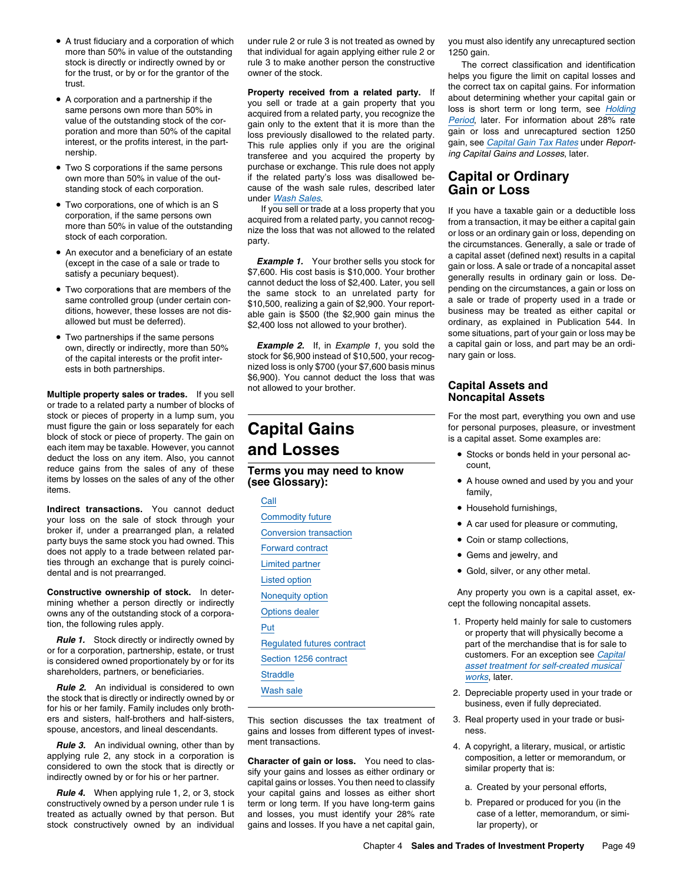- A trust fiduciary and a corporation of which
- 
- Two S corporations if the same persons
- Two corporations, one of which is an S
- An executor and a beneficiary of an estate
- Two corporations that are members of the
- Two partnerships if the same persons

**Multiple property sales or trades.** If you sell **not allowed to your brother. Capital Assets and Multiple property sales or trades.** If you sell **not allowed to your brother. Noncapital Assets** or trade to a related stock or pieces of property in a lump sum, you For the most part, everything you own and use must figure the gain or loss separately for each Capital Gains for personal purposes, pleasure, or investment block of stock or piece of property. The gain on **interpretty** and **capital assets** each item may be taxable. However, you cannot **and Losses** • Stocks or bonds held in your personal acdeduct the loss on any item. Also, you cannot **and all also and all and the set of any of these**<br>
Terms you may need to know the sales of any of the other (see Glossary):<br>
tiens by losses on the sales of any of the other ( items. Family, the contract of the contract of the contract of the contract of the family,  $\sim$ 

**Indirect transactions.** You cannot deduct<br>Vour loss on the sale of stock through your Commodity future your loss on the sale of stock through your commodity future example of a car used for pleasure or commuting. broker if, under a prearranged plan, a related Conversion transaction<br>party buys the same stock you had owned. This party buys the same stock you had owned. This  $\frac{1}{100}$  forward contract does not apply to a trade between related par-<br>  $\frac{F^{\text{OMAIG}}}{F^{\text{OMAIG}}}$  equal to be Gems and jewelry, and ties through an exchange that is purely coinci-<br>
Limited partner<br>
Limited partner<br>
Cold, silver, or any other metal. dental and is not prearranged.

**Constructive ownership of stock.** In deter-<br>
mining whether a person directly or indirectly  $\frac{Monequity option}{\text{Qptions dealer}}$  ex-<br>
owns any of the outstanding stock of a corpora-<br>
Options dealer owns any of the outstanding stock of a corpora-

**Rule 2.** An individual is considered to own Wash sale the stock that is directly or indirectly owned by or the stock that is directly or indirectly owned by or tor his or her family. Family includes only broth-<br>
For his o

**and 3.** An individual owning, other than by ment transactions. **All and the substitute 3.** A copyright, a literary, musical, or artistic applying rule 2, any stock in a corporation is change that are artistic applying rul

under rule 2 or rule 3 is not treated as owned by you must also identify any unrecaptured section more than 50% in value of the outstanding that individual for again applying either rule 2 or 1250 gain.<br>stock is directly or indirectly owned by or rule 3 to make another person the constructive The co

• A corporation and a partnership if the<br>same persons own more than 50% in<br>value of the outstanding stock of the cor-<br>pain only to the extent that it is more than the<br>poration and more than 50% of the cor-<br>poration and mo purchase or exchange. This rule does not apply own more than 50% in value of the out- if the related party's loss was disallowed be- **Capital or Ordinary** standing stock of each corporation. cause of the wash sale rules, described later **Gain or Loss** under Wash Sales.

oun, directly or indirectly, more than 50% **Example 2.** If, in *Example 1*, you sold the a capital gain or loss, and part may be an ordi-<br>of the capital interests or the profit inter-<br>of the capital interests or the profit ests in both partnerships. https://www.mized loss is only \$700 (your \$7,600 basis minus \$6,900). You cannot deduct the loss that was

**Call** 

Listed option

ers and sisters, half-brothers and half-sisters, This section discusses the tax treatment of 3. Real property used in your trade or busi-<br>spouse, ancestors, and lineal descendants. and instant losses from different types o gains and losses from different types of invest- ness.

applying rule 2, any stock in a corporation is<br>considered to own the stock that is directly or<br>indirectly owned by or for his or her partner.<br>**Rule 4.** When applying rule 1, 2, or 3, stock your capital gains and losses as constructively owned by a person under rule 1 is term or long term. If you have long-term gains b. Prepared or produced for you (in the treated as actually owned by that person. But and losses, you must identify your 28% rate case of a letter, memorandum, or simistock constructively owned by an individual gains and losses. If you have a net capital gain, lar property), or

stock is directly or indirectly owned by or rule 3 to make another person the constructive The correct classification and identification<br>for the trust, or by or for the grantor of the owner of the stock. for the trust, or by or for the grantor of the owner of the stock.<br>
trust.<br> **Property received from a related party.** If *the correct tax on capital gains*. For information **Property received from a related party.** If **a**

• Two corporations, one of which is an S<br>corporation, if the same persons own<br>more than 50% in value of the outstanding<br>stock of each corporation.<br>stock of each corporation.<br>party.<br>party.<br>party. • An executor and a beneficiary of an estate<br>
(except in the case of a sale or trade to **Example 1.** Your brother sells you stock for<br>
satisfy a pecuniary bequest).<br>  $\begin{array}{r} \text{Example 1: } \\ \text{Example 2: } \\ \text{Example 3: } \\ \text{Example 4: } \\ \text{Example 5: } \\ \text{$ • Two corporations that are members of the the same stock to an unrelated party for<br>same controlled group (under certain con-<br>ditions, however, these losses are not dis-<br>allowed but must be deferred).<br>• Two partnerships if

must figure the gain or loss separately for each **Capital Gains** for personal purposes, pleasure, or investment block of stock or piece of property. The gain on **Capital Gains** is a capital asset. Some examples are:

- 
- 
- Household furnishings,
- 
- 
- 
- 

- tion, the following rules apply.<br> **Rule 1.** Stock directly or indirectly owned by<br>
or for a corporation, partnership, estate, or trust<br>
is considered owned proportionately by or for its<br>
shareholders, partners, or benefici
	-
	-
	- -
		-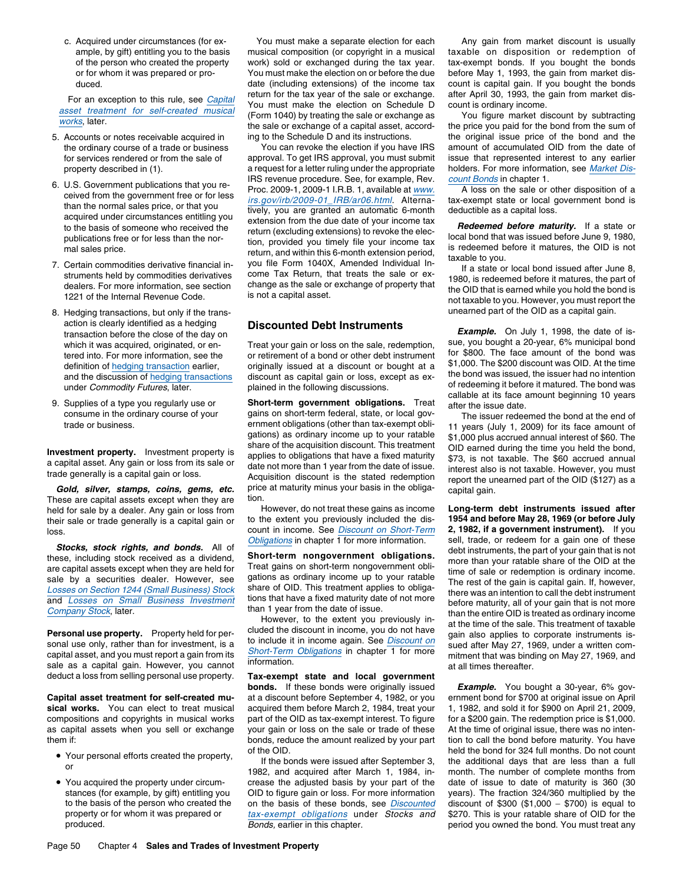- 
- 
- 
- action is clearly identified as a hedging **Discounted Debt Instruments**<br> **Example.** On July 1, 1998, the date of is-<br>
which it was acquired, originated, or en-<br> **Example.** On July 1, 1998, the date of is-<br>
which it was acq
- 

These are capital assets except when they are tion.<br>held for sale by a dealer. Any gain or loss from However, do not treat these gains as income held for sale by a dealer. Any gain or loss from However, do not treat these gains as income **Long-term debt instruments issued after**<br>their sale or trade generally is a capital gain or to the extent you previously include **count in income. See Discount on Short-Term 2, 1992, income instrument in income. See Discount on Short-Term** 

deduct a loss from selling personal use property. **Tax-exempt state and local government**

- 
- You acquired the property under circum-

ample, by gift) entitling you to the basis musical composition (or copyright in a musical taxable on disposition or redemption of of the portor of the ponds of the ponds of the bonds work) sold or exchanged during the tax year. or for whom it was prepared or pro- You must make the election on or before the due before May 1, 1993, the gain from market disduced.<br>date (including extensions) of the income tax count is capital gain. If you bought the bonds<br>return for the tax year of the sale or exchange. after April 30, 1993, the gain from market dis-For an exception to this rule, see *Capital* return for the tax year of the sale or exchange. after April 30, 1993, the gain from market dis-<br>asset treatment for self-created musical (Form 1040) by treating the sale or exc

the ordinary course of a trade or business You can revoke the election if you have IRS amount of accumulated OID from the date of for services rendered or from the sale of approval. To get IRS approval, you must submit issue that represented interest to any earlier property described in (1). a request for a letter ruling under the appropriate holders. For more information, see Market Dis-<br>IRS revenue procedure. See, for example, Rev. count Bonds in chapter 1. 6. U.S. Government publications that you re-<br>
ceived from the government free or for less<br>
than the normal sales price, or that you re-<br>
into a lower and the control of a loss on the sale or other disposition of a<br>
than t

consume in the ordinary course of your gains on short-term federal, state, or local gov-<br>trade or business.<br>The issuer redeemed the bond at the end of<br>consume in the issuer redeemed the bond at the end of trade or business. The share of the acquisitions (other than tax-exempt obli-<br>Investment property. Investment property is<br>a capital asset. Any gain or loss from its sale or<br>a capital asset. Any gain or loss from its sale o Gold, silver, stamps, coins, gems, etc. price at maturity minus your basis in the obliga- capital gain.<br>Lese are capital assets except when they are tion.

their sale or trade generally is a capital gain or to the extent you previously included the dis-<br>
count in income. See *Discount on Short-Term* 2, 1982, if a government instrument). If you

**bonds.** If these bonds were originally issued *Example.* You bought a 30-year, 6% gov-**Capital asset treatment for self-created mu-** at a discount before September 4, 1982, or you ernment bond for \$700 at original issue on April sical works. You can elect to treat musical acquired them before March 2, 1984, treat your 1, 1982, and sold it for \$900 on April 21, 2009, compositions and copyrights in musical works part of the OID as tax-exempt interes part of the OID as tax-exempt interest. To figure for a \$200 gain. The redemption price is \$1,000. as capital assets when you sell or exchange your gain or loss on the sale or trade of these At the time of original issue, there was no intenthem if: bonds, reduce the amount realized by your part tion to call the bond before maturity. You have

 Your personal efforts created the property, If the bonds were issued after September 3, the additional days that are less than a full or 1982, and acquired after March 1, 1984, in- month. The number of complete months from crease the adjusted basis by your part of the date of issue to date of maturity is 360 (30 stances (for example, by gift) entitling you OID to figure gain or loss. For more information years). The fraction 324/360 multiplied by the to the basis of the person who created the on the basis of these bonds, see Discounted discount of \$300 (\$1,000 − \$700) is equal to property or for whom it was prepared or tax-exempt obligations under Stocks and \$270. This is your ratable share of OID for the produced. **Bonds, earlier in this chapter.** produced you owned the bond. You must treat any

c. Acquired under circumstances (for ex- You must make a separate election for each Any gain from market discount is usually

5. Accounts or notes receivable acquired in ing to the Schedule D and its instructions. the original issue price of the bond and the

8. Hedging transactions, but only if the trans- unearned part of the OID as a capital gain.

which it was acquired, originated, or en-<br>tered into. For more information, see the corretirement of a bond or other debt instrument<br>definition of hedging transaction earlier, originally issued at a discount or bought at a ender commodity ratings, tater.<br>9. Supplies of a type you regularly use or **Short-term government obligations.** Treat after the issue date.

**Stocks, stock rights, and bonds.** All of  $\frac{Cbligations}{S}$  in chapter 1 for more information. Sell, trade, or redeem for a gain one of these<br>these, including stock received as a dividend,  $\frac{S}{}$  **Short-term nongovernment ob** 

• Your personal efforts created the property, of the OID.<br>If the bonds were issued after September 3, the additional days that are less than a full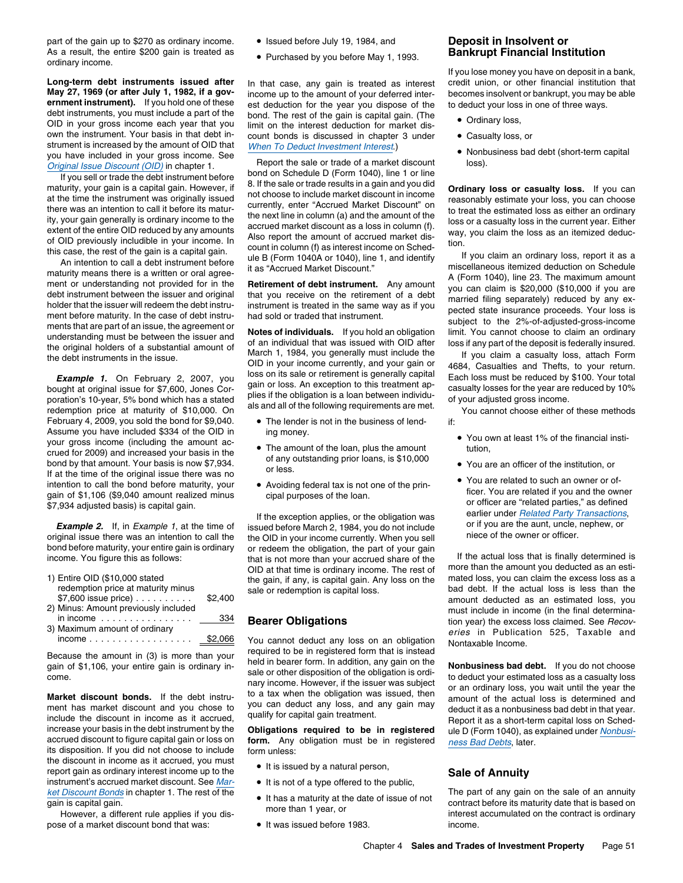part of the gain up to \$270 as ordinary income. • Issued before July 19, 1984, and **Deposit in Insolvent or**  As a result, the entire \$200 gain is treated as **a experiment of the Purchased by you before May 1, 1993. Bankrupt Financial Institution** ordinary income.

**May 27, 1969 (or after July 1, 1982, if a gov-** income up to the amount of your deferred inter- becomes insolvent or bankrupt, you may be able error or bankrupt, you may be able exaveled inter-<br>**ernment instrument).** If y **ernment instrument).** If you hold one of these est deduction for the year you dispose of the to deduct your loss in one of three ways. debt instruments, you must include a part of the bond. The rest of the gain is capital OID in your gross income each year that you • Ordinary loss, limit on the interest deduction for market disown the instrument. Your basis in that debt in-<br>strument is increased by the amount of OID that When To Deduct Investment Interest. strument is increased by the amount of OID that When To Deduct Investment Interest.)<br>vou have included in your gross income. See you have included in your gross income. See The Sale or trade of a market discount (OID) in chapter 1.<br>Original Issue Discount (OID) in chapter 1.

maturity means there is a written or oral agree-<br>ment or understanding not provided for in the<br>debt instrument of debt instrument. Any amount<br>debt instrument between the issuer and original<br>holder that the issuer will rede

February 4, 2009, you sold the bond for \$9,040. • The lender is not in the business of lend-<br>if: Assume you have included \$334 of the OID in ing money.<br>
your areas inserned final distinguish a small as a series of the financial instiyour gross income (including the amount  $ac$  • The amount of the loan, plus the amount tution, crued for 2009) and increased your basis in the the contraction of the loan, plus the amount tution, Fine amount of the loan, plus the amount tution,<br>
bond by that amount. Your basis is now \$7,934.<br>
If at the time of the original issue there was no<br>
If at the time of the original issue there was no<br>
If at the time of the

original issue there was an intention to call the the OID in your income currently. When you sell bond before maturity, your entire gain is ordinary or redeem the obligation, the part of your gain bond before maturity, your entire gain is ordinary or redeem the obligation, the part of your gain income. You figure this as follows:

| 1) Entire OID (\$10,000 stated              |         |
|---------------------------------------------|---------|
| redemption price at maturity minus          |         |
| \$7,600 issue price)                        | \$2,400 |
| 2) Minus: Amount previously included        |         |
| in income $\dots\dots\dots\dots\dots\dots$  | 334     |
| 3) Maximum amount of ordinary               |         |
| $income \ldots \ldots \ldots \ldots \ldots$ | \$2,066 |

the discount in income as it accrued, you must<br>report gain as ordinary interest income up to the<br> $\bullet$  It is issued by a natural person, It is issued by a natural person, **Sale of Annuity**<br>instrument's accrued market discount. See *Mar-* • It is not of a type offered to the public.

pose of a market discount bond that was: • It was issued before 1983. income.

- 
- Purchased by you before May 1, 1993.

bond. The rest of the gain is capital gain. (The

Criginal Issue Discount (OID) in chapter 1.<br>
If you sell or trade the debt instrument before<br>
in the sale or trade of a market discount<br>
maturity, your gain is a capital gain. However, if<br>
at the time the instrument was o

the debt instruments in the issue.<br> **Example 1.** On February 2, 2007, you loss on its sale or retirement is generally capital<br>
bought at original issue for \$7,600, Jones Cor-<br>
poration's 10-year, 5% bond which has a stated

- 
- 
- 

If the exception applies, or the obligation was<br>**Example 2.** If, in Example 1, at the time of issued before March 2, 1984, you do not include or if you are the aunt, uncle, nephew, or<br>original issue there was an intention the gain, if any, is capital gain. Any loss on the sale or redemption is capital loss. bad debt. If the actual loss is less than the

Because the amount in (3) is more than your<br>gain of \$1,106, your entire gain is ordinary in-<br>come.<br>come. However, if the issuer was subject to deduct your estimated loss as a casualty loss<br>come.<br>or an ordinary loss, you wa Market discount bonds. If the debt instruction and the atax when the obligation was issued, then amount of the actual loss is determined and negative amount of the actual loss is determined and negative amount of the actua

accrued discount to figure capital gain or loss on **form.** Any obligation must be in registered ness Bad Debts, later.<br>its disposition. If you did not choose to include form unless:

- 
- It is not of a type offered to the public,
- 
- 

If you lose money you have on deposit in a bank, Long-term debt instruments issued after In that case, any gain is treated as interest credit union, or other financial institution that May 27, 1969 (or after July 1, 1982, if a gov-<br>May 27, 1969 (or after July 1, 1982, if

- 
- 
- 

- 
- 
- intention to call the bond before maturity, your <br>gain of \$1,106 (\$9,040 amount realized minus cipal purposes of the loan.<br>\$7,934 adjusted basis) is capital gain.<br>If the exception applies, or the obligation was related *Pa*

income. You figure than your accrued share of the sectual loss that is finally determined is<br>OID at that time is ordinary income. The rest of more than the amount you deducted as an esti-OID at that time is ordinary income. The rest of more than the amount you deducted as an esti-<br>the gain, if any, is capital gain. Any loss on the mated loss, you can claim the excess loss as a amount deducted as an estimated loss, you must include in income (in the final determina-<br>Bearer Obligations **Bearer Obligations** tion year) the excess loss claimed. See *Recov*aries in Publication 525, Taxable and<br>You cannot deduct any loss on an obligation Nontaxable Income.<br>Income.

ment has market discount and you chose to you can deduct any loss, and any gain may<br>include the discount in income as it accrued, qualify for capital gain treatment.<br>Increase your basis in the debt instrument by the **Oblig** increase your basis in the debt instrument by the **Obligations required to be in registered** ule D (Form 1040), as explained under *Nonbusi*-<br>accrued discount to figure capital gain or loss on **form.** Any obligation must b

ket Discount Bonds in chapter 1. The rest of the values are the part of any gain on the sale of an annuity gain is capital gain. n is capital gain.<br>more than 1 year, or example the mate of its maturity date that is based on<br>interest accumulated on the contract is ordinary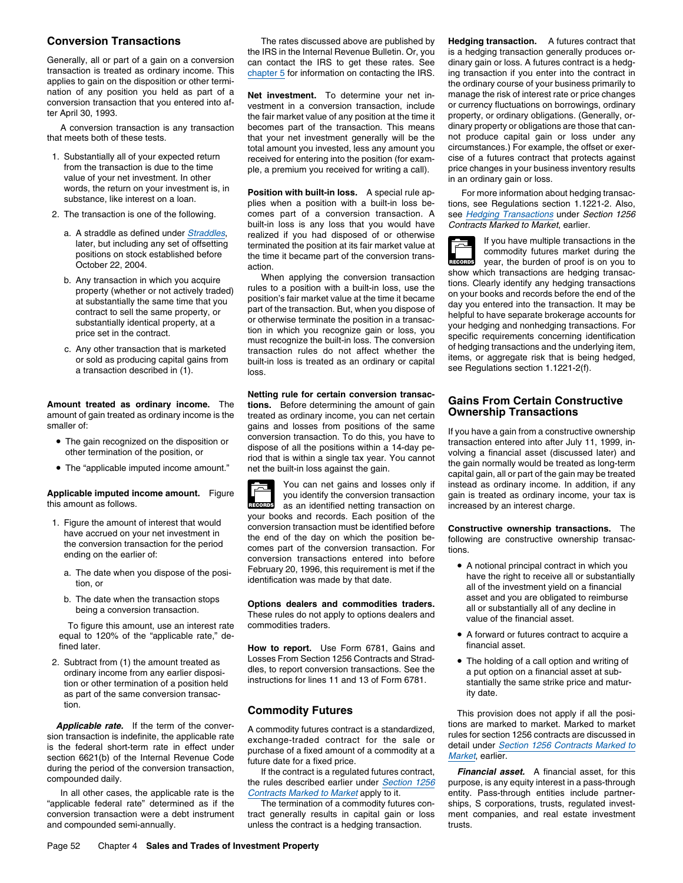- value of your net investment. In other the state of the state of the state in an ordinary gain or loss.<br>words, the return on your investment is, in **position with built in loss.** A special rule on **For more information** of
- -
	-
	-

- 
- 

**Applicable imputed income amount.** Figure you identify the conversion transaction gain is treated as ordinary income, your tax is

- 1. Figure the amount of interest that would<br>have accrued on your net investment in<br>the conversion transaction must be identified before<br>the conversion transaction. The<br>end of the day on which the position be-<br>ending are co
	-
	-

To figure this amount, use an interest rate equal to 120% of the "applicable rate," de-<br> **How to report** Lise Form 6781, Gains and **Fundal** asset.

as part of the same conversion transac- ity date. The same conversion transac-

**Applicable rate.** If the term of the convertion of the convertion and the convertion transaction is indefinite, the applicable rate and exchange-traded contract for the sale or is the federal short-term rate in effect und

that meets both of these tests. that your net investment generally will be the not produce capital gain or loss under any<br>total amount you invested. less any amount you circumstances.) For example, the offset or exertotal amount you invested, less any amount you circumstances.) For example, the offset or exer-<br>from the transaction is due to the time ple, a premium you received for writing a call). Price changes in your business invent

words, the return on your investment is, in<br>substance, like interest on a loan.<br>2. The transaction is one of the following. comes part of a conversion transaction. A see *Hedging Transactions* under *Section 1.221-2.* Also built-in loss is any loss that you would have Contracts Marked to Market, earlier. a. A straddle as defined under *Straddles*, realized if you had disposed of or otherwise<br>later, but including any set of offsetting terminated the position at its fair market value at positions on stock established before

### **Netting rule for certain conversion transac-**Amount treated as ordinary income. The **Gains Transform Certain Constructive** amount of gain **Gains From Certain Constructive**<br>amount of gain treated as ordinary income is the treated as ordinary income, you can net certai treated as ordinary income, you can net certain

smaller of: gains and losses from positions of the same<br>• The gain recognized on the disposition or<br>• the same conversion transaction. To do this, you have to • transaction entered into after July 11, 1999, in-<br>• the termi

as an identified netting transaction on increased by an interest charge.

b. The date when the transaction stops<br>being a conversion transaction. These rules do not apply to options dealers and<br>To figure this amount, use an interest rate commodities traders.<br>To figure this amount, use an interest

fined later. **How to report.** Use Form 6781, Gains and 2. Subtract from (1) the amount treated as Losses From Section 1256 Contracts and Strad- • The holding of a call option and writing of a call option and writing of a call option and writing of a call option and writing of

In all other cases, the applicable rate is the Contracts Marked to Market apply to it. entity. Pass-through entities include partner-

conversion transaction were a debt instrument tract generally results in capital gain or loss ment companies, and real estate investment and compounded semi-annually. unless the contract is a hedging transaction. trusts.

**Conversion Transactions** The rates discussed above are published by **Hedging transaction.** A futures contract that the IRS in the Internal Revenue Bulletin. Or, you is a hedging transaction generally produces or-<br>can contact the IRS to get these rates. See dinary gain or loss. A futures contract is a hedg-Generally, all or part of a gain on a conversion can contact the IRS to get these rates. See dinary gain or loss. A futures contract is a hedg-<br>transaction is treated as ordinary income. This chapter 5 for information on c transaction is treated as ordinary income. This chapter 5 for information on contacting the IRS. ing transaction if you enter into the contract in applies to gain on the disposition or other termi-<br>the ordinary course of y applies to gain on the disposition or other termi-<br>
nation of any position you held as part of a<br>
nation of any position you held as part of a<br>
Net investment To determine your pet in-<br>
manage the risk of interest rate or nation of any position you held as part of a **Net investment.** To determine your net in- manage the risk of interest rate or price changes conversion transaction that you entered into af-<br>the fair market value of any position at the time it property, or ordinary obligations. (Generally, orthe fair market value of any position at the time it eproperty, or ordinary obligations. (Generally, or-<br>becomes part of the transaction. This means elinary property or obligations are those that can-A conversion transaction is any transaction becomes part of the transaction. This means dinary property or obligations are those that can-<br>that your net investment generally will be the not produce capital gain or loss und

see Hedging Transactions under Section 1256

October 22, 2004.<br>
Any transaction in which you acquire<br>
b. Any transaction in which you acquire<br>
or the the applying the conversion transaction show which transactions are hedging transac-<br>
property (whether or not active

other termination of the position, or<br>other termination of the position, or<br>The "applicable imputed income amount." net the built-in loss against the gain. capital gain, all or part of the gain may be treated You can net gains and losses only if instead as ordinary income. In addition, if any

- A notional principal contract in which you ending on the earlier of:<br>a. The date when you dispose of the posi-<br>identification was made by that date.<br>identification was made by that date.<br>all of the investment yield on a financial
	-
- ordinary income from any earlier disposi-<br>tion or other termination of a position held instructions for lines 11 and 13 of Form 6781.<br>stantially the same strike price and matur-

tion.<br>**Commodity Futures** This provision does not apply if all the posi-

"applicable federal rate" determined as if the The termination of a commodity futures con- ships, S corporations, trusts, regulated invest-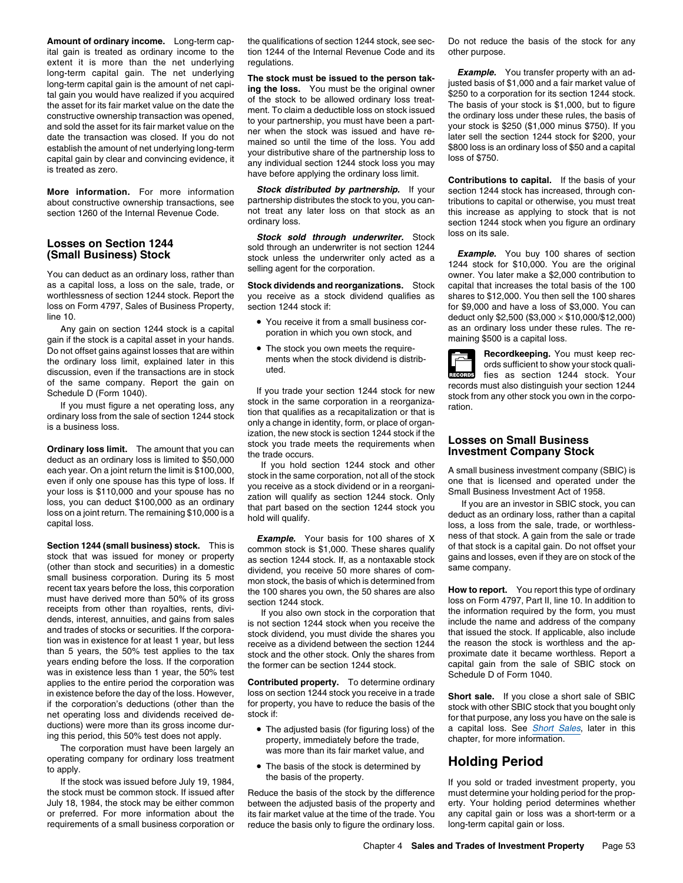**Amount of ordinary income.** Long-term cap- the qualifications of section 1244 stock, see sec- Do not reduce the basis of the stock for any ital gain is treated as ordinary income to the tion 1244 of the Internal Revenue Code and its other purpose.<br>extent it is more than the net underlying regulations. extent it is more than the net underlying long-term capital gain. The net underlying<br>the **stock must be issued to the person tak-**<br>long-term capital gain is the amount of net capi-<br>tal gain is the amount of net capital<br>the **loss.** You must be the original owner<br>th

about constructive ownership transactions, see partnership distributes the stock to you, you can-<br>section 1260 of the Internal Revenue Code. That treat any later loss on that stock as an this increase as applying to stock section 1260 of the Internal Revenue Code. not treat any<br>ordinary loss.

as a capital loss, a loss on the sale, trade, or **Stock dividends and reorganizations.** Stock capital that increases the total basis of the 100

Any gain on section 1244 stock is a capital and as an ordinary loss under the<br>gain if the stock is a capital asset in your hands.<br>Do not offset gains against losses that are within **The stock you own meets the require- C** Do not offset gains against losses that are within • The stock you own meets the require-<br>the ordinary loss limit, explained later in this ments when the stock dividend is distrib-<br>discussion, even if the transactions are

of the same company. Report the gain on<br>
Schedue DC (Form 1040).<br>
Schedue DC (Form 1040).<br>
If you trade your section 1244 stock for new<br>
If you must figure a net operating loss, any<br>
ordinary loss from the sale of section

must have derived more than 50% of its gross section 1244 stock.<br>must have derived more than 50% of its gross section 1244 stock.<br>receipts from other than royalties, rents, divi-<br>the vou also own stock in the corporation t receipts from other than royalties, rents, divi-<br>dends, interest, annuities, and gains from sales<br>and trades of stocks or securities. If the corpora-<br>and trades of stocks or securities. If the corpora-<br>stock dividend, you and trades or stocks or securities. If the corpora-<br>The corporation of the shares of stock dividend, you must divide the shares you that issued the stock is worthless and the an-<br>The reason the stock is worthless and the a tion was in existence for at least 1 year, but less receive as a dividend between the section 1244<br>than 5 years, the 50% test applies to the tax receive and the other stock. Only the shares from than 5 years, the 50% test applies to the tax stock and the other stock. Only the shares from proximate date it became worthless. Report a<br>years ending before the loss. If the corporation the former can be section 1244 sto was in existence less than 1 year, the 50% test<br>applies to the entire period the corporation was **Contributed property.** To determine ordinary applies to the entire period the corporation was in existence before the day of the loss. However, loss on section 1244 stock you receive in a trade<br>if the corporation's deductions (other than the for property, you have to reduce the basis of the stock with other SBIC st

operating company for ordinary loss treatment operating company for ordinary loss treatment **of the stock is determined by Holding Period**<br>to apply.<br>If you sold or traded investment property, you sold or traded investment property, you

**Losses on Section 1244**<br>
sold through an underwriter is not section 1244<br>
Sold through an underwriter is not section 1244<br>
Sold through an underwriter is not section 1244<br>
Sold through an underwriter is not section 1244<br>

worthlessness of section 1244 stock. Report the you receive as a stock dividend qualifies as shares to \$12,000. You then sell the 100 shares loss on Form 4797, Sales of Business Property, section 1244 stock if: for \$9,000 and have a loss of \$3,000. You can

- You receive it from a small business cor-
- 

Section 1244 (small business) stock. This is<br>stock that was issued for money or property<br>(other than stock and securities) in a domestic<br>(other than stock and securities) in a domestic<br>small business corporation. During it

- ductions) were more than its gross income dur-<br>ing this period, this 50% test does not apply.<br>The corporation must have been largely an<br>was more than its fair market value and<br>was more than its fair market value and was more than its fair market value, and
	- The basis of the stock is determined by

the stock must be common stock. If issued after Reduce the basis of the stock by the difference must determine your holding period for the prop-<br>July 18, 1984, the stock may be either common between the adjusted basis of t between the adjusted basis of the property and or preferred. For more information about the its fair market value at the time of the trade. You any capital gain or loss was a short-term or a requirements of a small business corporation or reduce the basis only to figure the ordinary loss. long-term capital gain or loss.

**More information.** For more information *Stock distributed by partnership*. If your section 1244 stock has increased, through con-<br>about constructive ownership transactions, see partnership distributes the stock to you, section 1244 stock when you figure an ordinary

line 10.<br>Any qain on section 1244 stock is a capital  $\bullet$  You receive it from a small business cor-<br>Any qain on section 1244 stock is a capital and the section is untiab you sum stack and as an ordinary loss under these r

**Example.** Your basis for 100 shares of X ness of that stock. A gain from the sale or trade<br>mmon stock is \$1,000. These shares qualify of that stock is a capital gain. Do not offset your

the former can be section 1244 stock. capital gain from the sale of SBIC stock on<br>Schedule D of Form 1040.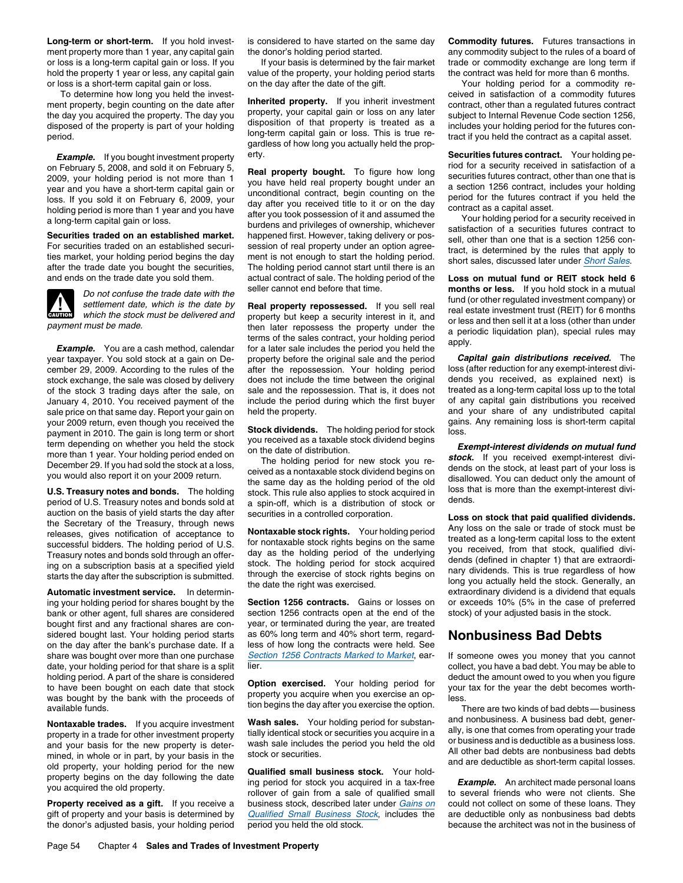ment property more than 1 year, any capital gain the donor's holding period started. any commodity subject to the rules of a board of or loss is a long-term capital gain or loss. If you if your basis is determined by the f or loss is a long-term capital gain or loss. If you



January 4, 2010. You received payment of the include the period during which the first buyer of any capital gain distributions you received<br>sale price on that same day. Report your gain on held the property. In the first b sale price on that same day. Report your gain on held the property.<br>
your 2009 return, even though you received the voltage the vertex of any temaining loss is short-term capital your 2009 return, even though you received the<br>payment in 2010. The gain is long term or short<br>term class is short-term capital the stock of the stock payment in 2010. The holding period for stock payment<br>vou received as a

period of U.S. Treasury notes and bonds sold at  $a$  spin-off, which is a distribution of stock or auction on the basis of yield starts the day after securities in a controlled corporation.

bought first and any fractional shares are con- year, or terminated during the year, are treated on the day after the bank's purchase date. If a date, your holding period for that share is a split lier. The collect of the collect, you have a bad debt. You may be able to holding period. A part of the share is considered<br>to have been bought on each date that stock **Option exercised.** Your holding period for<br>was bought by the bank with the proceeds of property you acquire when you exercise a

and your basis for the new property is deter-<br>mined, in whole or in part, by your basis in the stock or securities.<br>All other bad debts are nonbusiness bad debts<br>and are deductible as short-term capital losses. old property, your holding period for the new<br>property begins on the day following the date<br>you acquired the old property.<br>you acquired the old property.<br>you acquired the old property.<br>you acquired the old property.<br>The da

hold the property 1 year or less, any capital gain value of the property, your holding period starts the contract was held for more than 6 months. or loss is a short-term capital gain or loss. on the day after the date of the gift. Your holding period for a commodity re-

ment property, begin counting on the date after **Inherited property.** If you inherit investment contract, other than a regulated futures contract the new contract property. If you inherited property in the date of the prop the day you acquired the property. The day you<br>disposed of the property is part of your holding<br>long-term capital gain or loss. This is true re-<br>gardless of how long you actually held the prop-<br>gardless of how long you act

on February 5, 2008, and sold it on February 5,<br>
2009, your holding period is not more than 1<br>
year and you have a short-term capital gain or<br>
loss. If you sold it on February 6, 2009, your<br>
loss. If you sold it on Februar **Securities traded on an established market.** happened first. However, taking delivery or pos-<br>For securities traded on an established securi-<br>ties market, your holding period begins the day ment is not enough to start the and ends on the trade date you sold them. actual contract of sale. The holding period of the **Loss on mutual fund or REIT stock held 6**

which the stock must be delivered and<br>payment must be made.<br>payment must be made.<br>then later repossess the property under the<br>terms of the sales contract, your holding period<br>periodic liquidation plan), special rules may<br> year taxpayer. You sold stock at a gain on De- property before the original sale and the period **Capital gain distributions received.** The rember 29, 2009. According to the rules of the after the repossession. Your holding cember 29, 2009. According to the rules of the after the repossession. Your holding period loss (after reduction for any exempt-interest divi-<br>stock exchange, the sale was closed by delivery does not include the time betwe stock exchange, the sale was closed by delivery does not include the time between the original dends you received, as explained next) is<br>of the stock 3 trading days after the sale, on sale and the repossession. That is, it of the stock 3 trading days after the sale, on sale and the repossession. That is, it does not treated as a long-term capital loss up to the total

**U.S. Treasury notes and bonds.** The holding stock. This rule also applies to stock acquired in loss that is more than the exempt-interest divi-<br>period of U.S. Treasury notes and bonds sold at a spin-off, which is a distri

ing your holding period for shares bought by the **Section 1256 contracts.** Gains or losses on or exceeds 10% (5% in the case of preferred bank or other agent, full shares are considered section 1256 contracts open at the end of the stock) of your adjusted basis in the stock. sidered bought last. Your holding period starts as 60% long term and 40% short term, regard- **Nonbusiness Bad Debts** share was bought over more than one purchase Section 1256 Contracts Marked to Market, ear- If someone owes you money that you cannot

**Property received as a gift.** If you receive a business stock, described later under Gains on could not collect on some of these loans. They

**Long-term or short-term.** If you hold invest- is considered to have started on the same day **Commodity futures.** Futures transactions in

To determine how long you held the invest-<br>Interited property. If you inherit investment contract other than a requilated futures contract

**Example.** If you bought investment property erty.<br>• February 5, 2008 and sold it on February 5, example, the state of the security received in satisfaction of a

Do not confuse the trade date with the<br>
seller cannot end before that time.<br>
Settlement date, which is the date by<br>
which the stock must be delivered and<br>
property but keep a security interest in it, and<br>
or less and then

From depending on whether you held the stock winder than 1 year. Your holding period ended on the date of distribution.<br>
The holding period for new stock you received as a travel of the stock. If you received exempt-intere

auction on the basis of yield starts the day after<br>the Secretary of the Treasury, through news<br>releases, gives notification of acceptance to<br>releases, gives notification of acceptance to<br>successful bidders. The holding per

Nontaxable trades. If you acquire investment Wash sales. Your holding period for substan-<br>property in a trade for other investment property tially identical stock or securities you acquire in a lly, is one that comes from

gift of property and your basis is determined by *Qualified Small Business Stock*, includes the are deductible only as nonbusiness bad debts the donor's adjusted basis, your holding period vice period you held the old stoc the donor's adjusted basis, your holding period period you held the old stock. because the architect was not in the business of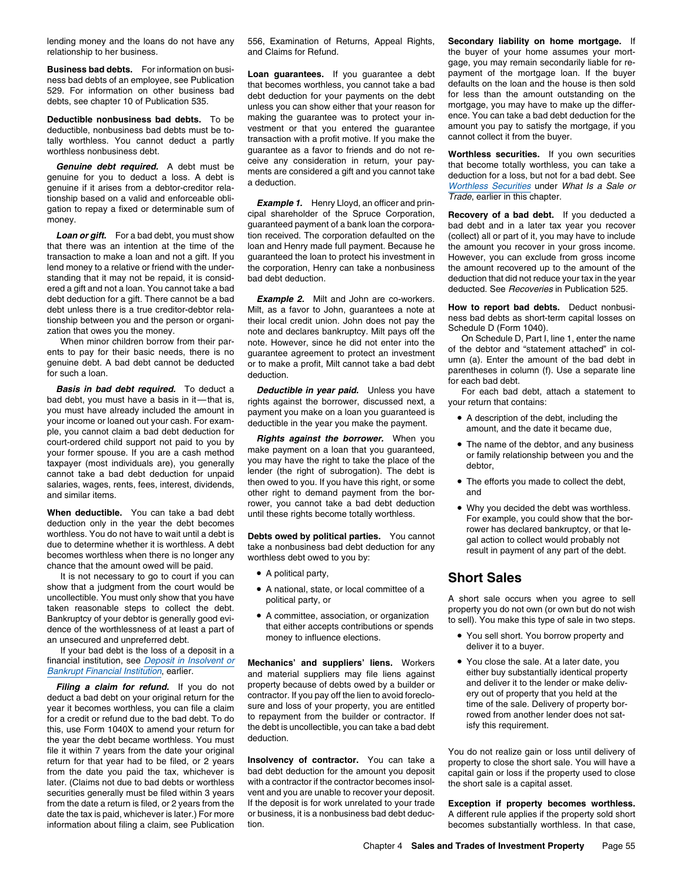**Business bad debts.** For information on busi-<br>ness bad debts of an employee, see Publication<br>529. For information on other business bad<br>629. For information on other business bad<br>64 debt deduction for your payments on the

deductible, nonbusiness bad debts must be to-<br>tally worthless. You cannot deduct a partly transaction with a profit motive. If you make the cannot collect it from the buyer.<br>worthless nonbusiness debt. guarantee as a favor

genuine for you to deduct a loss. A debt is ments are considered a gift and you cannot take<br>genuine if it arises from a debtor-creditor rela-<br>tionship based on a valid and enforceable obli-<br>Trade, earlier in this chapter.

that there was an intention at the time of the loan and Henry made full payment. Because he the amount you recover in your gross income.<br>
transaction to make a loan and not a gift. If you guaranteed the loan to protect his lend money to a relative or friend with the under- the corporation, Henry can take a nonbusiness the amount recovered up to the amount of the standing that it may not be repaid, it is consid-<br>
ered a gift and not a loan. You cannot take a bad<br>
educted. See *Recoveries* in Publication 525. ered a gift and not a loan. You cannot take a bad debt deduction for a gift. There cannot be a bad *Example 2.* Milt and John are co-workers.

**Basis in bad debt required.** To deduct a *Deductible in year paid.* Unless you have For each bad debt, attach a statement to bad debt, attach a statement to bad debt, attach a statement to bad debt, attach a statement t bad debt, you must have a basis in it—that is, rights against the borrower, discussed next, a your return that contains:<br>you must have already included the amount in payment you make on a loan you guaranteed is • A descrip your income or loaned out your cash. For exameded uctible in the year you make the payment.<br>
ple, you cannot claim a bad debt deduction for<br>
court-ordered child support not paid to you by **Fights against the borrower.** Whe court-ordered child support not paid to you by<br>your former spouse. If you are a cash method make payment on a loan that you guaranteed,<br>taxpayer (most individuals are), you generally you may have the right to take the plac cannot take a bad debt deduction for unpaid lender (the right of subrogation). The debt is<br>salaries, wages, rents, fees, interest, dividends, then owed to you. If you have this right, or some • The efforts you made to coll and similar items. The contract of the right to demand payment from the bor-

When deductible. You can take a bad debt was worthless.<br>
deduction only in the year the debt becomes<br>
worthless. For example, you could show that the bor-<br>
worthless. You do not have to wait until a debt is<br>
due to determi

It is not necessary to go to court if you can **CO P** A political party, **Short Sales** show that a judgment from the court would be uncollectible. You must only show that you have political party, or A short sale occurs when you agree to sell<br>
taken reasonable steps to collect the debt.<br>
property you do not own (or own but do not wish taken reasonable steps to collect the debt.<br>**Property of your dobter is generally good over** A committee, association, or organization Bankruptcy of your debtor is generally good evi-<br>dence of the worthlessness of at least a part of that either accepts contributions or spends dence of the worthlessness of at least a part of that either accepts contribution<br>an unsecured and unpreferred debt. money to influence elections.

the year the debt became worthless. You must deduction. file it within 7 years from the date your original end or original You do not realize gain or loss until delivery of contractor. You can take a property to close the short sale. You will have a securities generally must be filed within 3 years information about filing a claim, see Publication tion. The comes substantially worthless. In that case, that case,

lending money and the loans do not have any 556, Examination of Returns, Appeal Rights, **Secondary liability on home mortgage.** If

debt deduction for your payments on the debt for less than the amount outstanding on the debts, see chapter 10 of Publication 535.<br>
The making the quarantee was to protect your in. ence. You can take a bad debt deduction f **Deductible nonbusiness bad debts.** To be making the guarantee was to protect your in-<br>deductible nonbusiness bad debts must be to restment or that you entered the quarantee. amount you pay to satisfy the mortgage, if you worthless nonbusiness debt. guarantee as a favor to friends and do not re-<br> **Genuine debt required.** A debt must be even any consideration in return, your pay-<br>
genuine for you to deduct a loss. A debt is a deduction of a

tionship based on a valid and enforceable obli-<br>gation to repay a fixed or determinable sum of eigal shareholder of the Spruce Corporation, **Recovery of a bad debt.** If you deducted a<br>money. **Example 1.** Henry Lloyd, an of Loan or gift. For a bad debt, you must show tion received. The corporation defaulted on the (collect) all or part of it, you may have to include

debt unless there is a true creditor-debtor rela-<br>tionship between you and the person or organi-<br>their local credit union. John does not pay the<br>ness bad debts as short-term capital losses on<br>action that owes you the money

rower, you cannot take a bad debt deduction<br>until these rights become totally worthless.<br>For example you could show that the bor-

- A political party,
- A national, state, or local committee of a
- 

financial institution, see *Deposit in Insolvent or* **Mechanics' and suppliers' liens.** Workers • You close the sale. At a later date, you **Bankrupt Financial Institution**, earlier. **Moreof and material suppliers may file** and material suppliers may file liens against either buy substantially identical property<br>Broperty because of debts owed by a builder or and deliver it to the lender or make deliv-Filing a claim for refund. If you do not property because of debts owed by a builder or and deliver it to the lender or make delived<br>deduct a bad debt on your original return for the contractor. If you pay off the lien to

return for that year had to be filed, or 2 years **Insolvency of contractor.** You can take a property to close the short sale. You will have a from the date you paid the tax, whichever is bad debt deduction for the amount y from the date you paid the tax, whichever is bad debt deduction for the amount you deposit capital gain or loss if the property used to close later. (Claims not due to bad debts or worthless with a contractor if the contra later. (Claims not due to bad debts or worthless with a contractor if the contractor becomes insol-<br>securities generally must be filed within 3 years vent and you are unable to recover your deposit. from the date a return is filed, or 2 years from the If the deposit is for work unrelated to your trade **Exception if property becomes worthless.** date the tax is paid, whichever is later.) For more or business, it is a nonbusiness bad debt deduc-A different rule applies if the property sold short

relationship to her business. <br>and Claims for Refund. The buyer of your home assumes your mort-<br>gage, you may remain secondarily liable for re-

However, you can exclude from gross income

When minor children borrow from their par-<br>ents to pay for their basic needs, there is no<br>genuine debt. A bad debt cannot be deducted<br>for such a loan.<br>for such a loan.<br>deduction.<br>deduction.<br>deduction.<br>deduction.

- 
- 
- 
- 

- active of the wortheschool of at loads a part of the street of the money to influence elections.<br>an unsecured and unpreferred debt. Most in a money to influence elections.<br>If your bad debt is the loss of a deposit in a
	-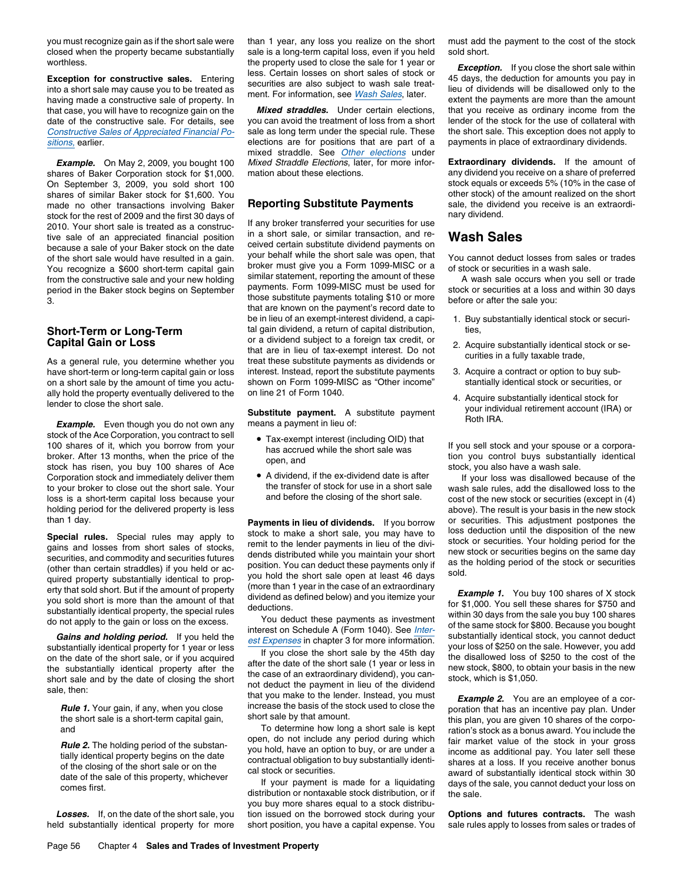closed when the property became substantially sale is a long-term capital loss, even if you held sold short.<br>worthless. exercise the sole for 1 year or

that case, you will have to recognize gain on the *Mixed straddles.* Under certain elections, that you receive as ordinary income from the date of the constructive sale. For details, see Constructive Sales of Appreciated Financial Po-<br>sitions earlier.<br>sitions earlier. sitions, earlier. **Elections** elections are for positions that are part of a

shares of Baker Corporation stock for \$1,000. mation about these elections. any dividend you receive on a share of preferred<br>On September 3, 2009, you sold short 100 On September 3, 2009, you sold short 100 stock equals or exceeds 5% (10% in the case of Short 100 stock equals or exceeds 5% (10% in the case of shares of similar Baker stock for \$1,600. You shares of similar Baker stock for \$1,600. You<br>made no other transactions involving Baker **Reporting Substitute Payments** made no other transactions involving Baker **Reporting Substitute Payments** sale, the dividend you receive is an extraordi-<br>stock for the rest of 2009 and the first 30 days of stock for the rest of 2009 and the first 30 days of<br>2010, Your short sale is treated as a construce of any broker transferred your securities for use 2010. Your short sale is treated as a construc-<br>tive sale of an approciated financial position in a short sale, or similar transaction, and retive sale of an appreciated financial position<br>because a sale of your Baker stock on the date ceived certain substitute dividend payments on<br>of the short sale would have resulted in a gain. Your behalf while the short sale of the short sale would have resulted in a gain. Your behalf while the short sale was open, that You cannot deduct losses from sale<br>You recognize a \$600 short-term capital gain broker must give you a Form 1099-MISC or a of You recognize a \$600 short-term capital gain of these must give you a Form 1099-MISC or a<br>from the constructive sale and your new bolding similar statement, reporting the amount of these

have short-term or long-term capital gain or loss interest. Instead, report the substitute payments 3. Acquire a contract or option to buy sub-<br>on a short sale by the amount of time you actu-<br>shown on Form 1099-MISC as "Ot on a short sale by the amount of time you actu-<br>ally hold the property eventually delivered to the on line 21 of Form 1040.

stock of the Ace Corporation, you contract to sell  $\bullet$  Tax-exempt interest (including OID) that Tax exempt including OID) that 100 shares of it, which you borrow from your has accrued while the short sale was If you sell stock and your spouse or a corpora-<br>broker. After 13 months, when the price of the one and broker. After 13 months, when the price of the tion open, and<br>stock has risen, you buy 100 shares of Ace stock, you also have a wash sale.<br>Corporation stock and immediately deliver them A dividend, if the ex-dividend date Corporation stock and immediately deliver them • A dividend, if the ex-dividend date is after If your loss was disallowed because of the transfer of stock for use in a short sale wash sale rules and the disallowed loss to to your broker to close out the short sale. Your the transfer of stock for use in a short sale wash sale rules, add the disallowed loss to the transfer of stock for use in a short sale wash sale rules, add the disallowed l loss is a short-term capital loss because your and before the closing of the short sale. cost of the new stock or securities (except in (4) holding period for the delivered property is less above). The result is your basis in the new stock

**Special rules.** Special rules may apply to<br>
stock to make a short sale, you may have to<br>
gains and losses from short sales of stocks,<br>
securities, and commodity and securities futures<br>
securities, and commodity and secur

Gains and holding period. If you held the<br>substantially identical stock, you cannot deduct<br>substantially identical property for 1 year or less<br>on the date of the short sale, or if you acquired<br>the substantially identical p

you must recognize gain as if the short sale were than 1 year, any loss you realize on the short must add the payment to the cost of the stock

mixed straddle. See Other elections under

from the constructive sale and your new holding<br>period in the Baker stock begins on September<br>3. The substitute payments totaling \$10 or more before or after the sale you:<br>3. That are known on the payment's record date to be in lieu of an exempt-interest dividend, a capi-<br>
1. Buy substantially identical stock or securi-**Short-Term or Long-Term** tal gain dividend, a return of capital distribution, ties,<br> **Capital Gain or Loss** or a dividend subject to a foreign tax credit, or a and contained by the containing of the **Capital Gain or Loss**<br>As a general rule, you determine whether you that are in lieu of tax-exempt interest. Do not<br>As a general rule, you determine whether you treat these substitute payments as dividends or<br>have short-te

- 
- 

you buy more shares equal to a stock distribu-*Losses.* If, on the date of the short sale, you tion issued on the borrowed stock during your **Options and futures contracts.** The wash held substantially identical property for more short position, you have a capital expense. You sale rules apply to losses from sales or trades of

worthless.<br> **Exception** If you close the short sale within<br>
less. Certain losses on short sales of stock or<br>
into a short sale may cause you to be treated as<br>
having made a constructive sale of property. In<br>
having made a

*Example.* On May 2, 2009, you bought 100 Mixed Straddle Elections, later, for more infor- **Extraordinary dividends.** If the amount of

- 
- 
- 
- ally hold the property eventually delivered to the on line 21 of Form 1040.<br>Iender to close the short sale.<br>**Example.** Even though you do not own any means a payment in lieu of:<br>**Example.** Even though you do not own any me

than 1 day.<br>**Payments in lieu of dividends.** If you borrow or securities. This adjustment postpones the If you borrow or securities. This adjustment postpones the If you borrow or securities. This adjustment postpones the

mat you make to the lender. Instead, you must<br>**Rule 1.** You are an employee of a cor-<br>the short sale is a short-term capital gain, short sale by that amount.<br>To determine how long a short sale is kept ration's stock as a h To determine how long a short sale is kept ration's stock as a bonus award. You include the **Rule 2.** The holding period of the substantially identical property begins on the date<br>of the closing of the short sale or on the<br>date of the sale of this property, whichever<br>comes first.<br>of the sale of this property, whi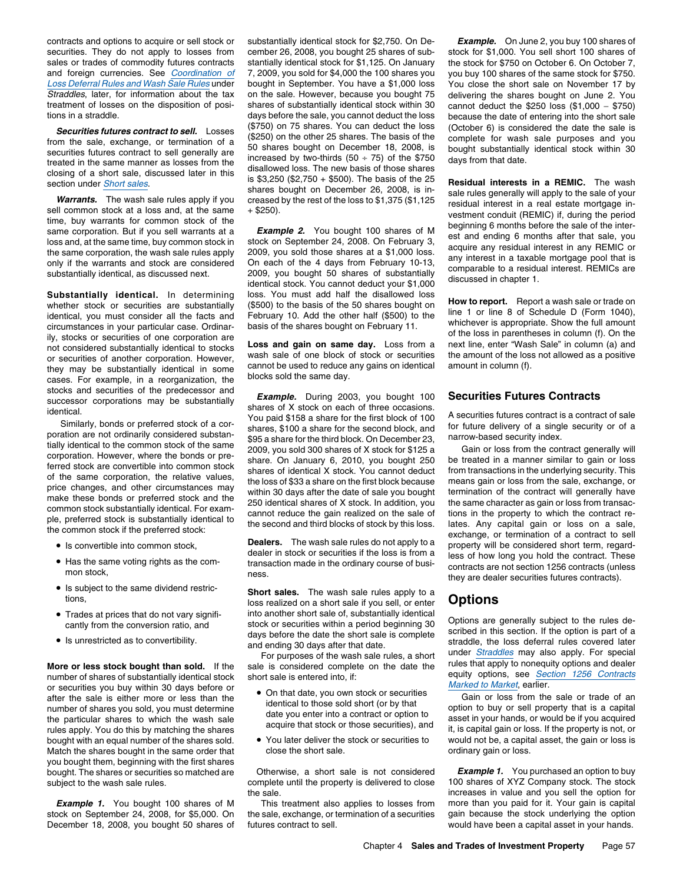whether stock or securities are substantially (\$500) to the basis of the 50 shares bought on How to report. Report a wash sale or trade on identical, you must consider all the facts and February 10. Add the other half (\$50

Similarly, bonds or preferred stock of a correction are not ordinarily constant of the second block, and for future delivery of a single security or of a<br>starts, \$100 a share for the second block, and for future delivery o

- 
- 
- Is subject to the same dividend restric-
- Trades at prices that do not vary signifi-
- 

or securities you buy within 30 days before or<br>after the sale is either more or less than the  $\bullet$  On that date, you own stock or securities Gain or loss from the sale or trade of an or that date, you own stock or securities<br>
after the sale is either more or less than the<br>
mumber of shares you sold, you must determine<br>
the particular shares to which the wash sale<br>
rules apply. You do this by matching t bought with an equal number of the shares sold. • You later deliver the stock or securities to would not be, a capital asset, the gain or loss is Match the shares bought in the same order that close the short sale. The continuity gain or loss. you bought them, beginning with the first shares bought. The shares or securities so matched are Otherwise, a short sale is not considered *Example 1.* You purchased an option to buy subject to the wash sale rules. complete until the property is delivered to close 100 shares of XYZ Company stock. The stock

December 18, 2008, you bought 50 shares of futures contract to sell. We would have been a capital asset in your hands.

securities. They do not apply to losses from cember 26, 2008, you bought 25 shares of sub-<br>sales or trades of commodity futures contracts stantially identical stock for \$1,125. On January the stock for \$750 on October 6, O sales or trades of commodity futures contracts stantially identical stock for \$1,125. On January the stock for \$750 on October 6. On October 7, and foreign currencies. See *Coordination of* 7, 2009, you sold for \$4,000 the 100 shares you you buy 100 shares of the same stock for \$750.<br>Loss Deferral Rules and Wash Sale Rules under bought in September. You have a \$1, Loss Deferral Rules and Wash Sale Rules under bought in September. You have a \$1,000 loss You close the short sale on November 17 by Straddles, later, for information about the tax on the sale. However, because you bought treatment of losses on the disposition of posi-<br>days before the sale, you cannot deduct the loss because the date of entering into the short sale days before the sale, you cannot deduct the loss because the date of entering into the short sale<br>(\$750) on 75 shares. You can deduct the loss (October 6) is considered the date the sale is **Securities futures contract to sell.** Losses (\$750) on 75 shares. You can deduct the loss (October 6) is considered the date the sale is<br>from the sale, exchange, or termination of a<br>securities futures contract to sell ge

**Substantially identical.** In determining loss. You must add half the disallowed loss

stocks and securities of the predecessor and<br>successor corporations may be substantially<br>identical.<br>Circle of a paraformed state of a paral of a paral of a paral of the predict bands are for the first block of 100

Is convertible into common stock,<br>
Is convertible into common stock,<br>
Is considered short term, regard-<br>
Is the same voting rights as the com-<br>
Is the same voting rights as the com-<br>
Is the same voting rights as the com-<br>

 Is subject to the same dividend restric- **Short sales.** The wash sale rules apply to a tions, loss realized on a short sale if you sell, or enter **Options** • Trades at prices that do not vary signifi-<br>
cantly from the conversion ratio, and<br>
stock or securities within a period beginning 30 Options are generally subject to the rules de-<br>
stradele the short sale is complete scri

- 
- 

the sale. increases in value and you sell the option for

stock on September 24, 2008, for \$5,000. On the sale, exchange, or termination of a securities

contracts and options to acquire or sell stock or substantially identical stock for \$2,750. On De- *Example.* On June 2, you buy 100 shares of delivering the shares bought on June 2. You

shares bought on December 26, 2008, is in-<br> **Shares bought on December 26, 2008**, is in-<br>
sell common stock at a loss and, at the same<br>
time, buy warrants for common stock of the<br>
same corporation. But if you sell warrants

Has the same voting rights as the com-<br>mon stock, ness. transaction made in the ordinary course of busi-<br>they are dealer securities futures contracts).

• Is unrestricted as to convertibility.<br>
and ending 30 days after that date.<br>
For purposes of the wash sale rules, a short<br>
For purposes of the wash sale rules, a short<br>
More or less stock bought than sold. If the sale is

**Example 1.** You bought 100 shares of M This treatment also applies to losses from more than you paid for it. Your gain is capital ock on September 24, 2008, for \$5,000. On the sale, exchange, or termination of a securitie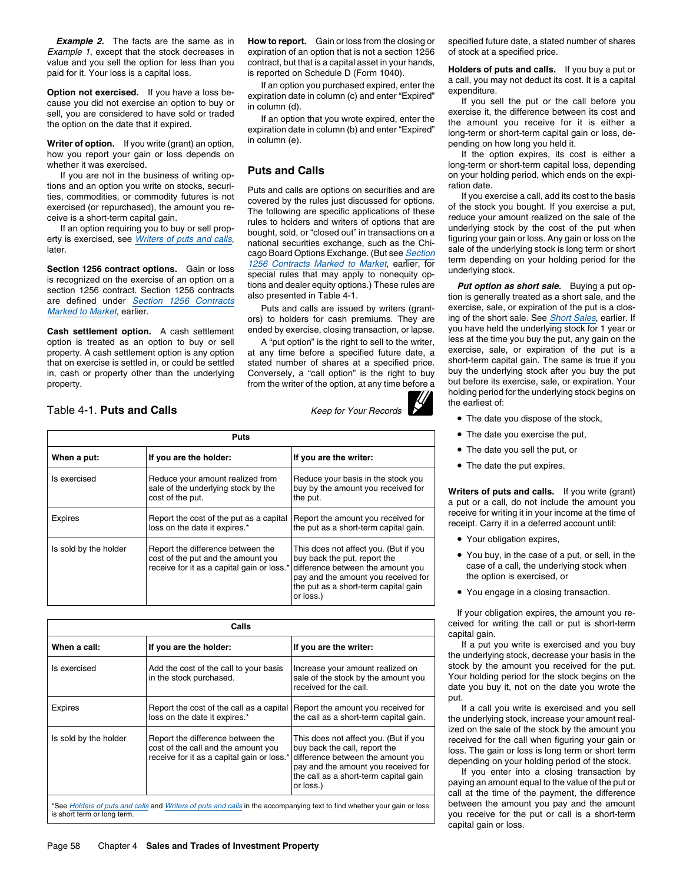Example 1, except that the stock decreases in expiration of an option that is not a section 1256 of stock at a specified price.

how you report your gain or loss depends on If the option expires, its cost is either a

tions and an option you write on stocks, securi-<br>
tions, commodity tutures is not<br>
exercised (or repurchased), the amount you re-<br>
exercised (or repurchased), the amount you re-<br>
exercised (or repurchased), the amount you



Table 4-1. Puts and Calls **Keep for Your Records** 

|                       | Puts                                                                                                                  | The date you everyour the b                                                                                                                                                                            |                                                                                                                                                                 |  |  |  |                                                                |
|-----------------------|-----------------------------------------------------------------------------------------------------------------------|--------------------------------------------------------------------------------------------------------------------------------------------------------------------------------------------------------|-----------------------------------------------------------------------------------------------------------------------------------------------------------------|--|--|--|----------------------------------------------------------------|
| When a put:           | If you are the holder:<br>If you are the writer:                                                                      |                                                                                                                                                                                                        |                                                                                                                                                                 |  |  |  | • The date you sell the put, or<br>• The date the put expires. |
| Is exercised          | Reduce your amount realized from<br>sale of the underlying stock by the<br>cost of the put.                           | Reduce your basis in the stock you<br>buy by the amount you received for<br>the put.                                                                                                                   | Writers of puts and calls. If you<br>a put or a call, do not include the                                                                                        |  |  |  |                                                                |
| Expires               | Report the cost of the put as a capital<br>loss on the date it expires.*                                              | Report the amount you received for<br>the put as a short-term capital gain.                                                                                                                            | receive for writing it in your incom<br>receipt. Carry it in a deferred acc                                                                                     |  |  |  |                                                                |
| Is sold by the holder | Report the difference between the<br>cost of the put and the amount you<br>receive for it as a capital gain or loss.* | This does not affect you. (But if you<br>buy back the put, report the<br>difference between the amount you<br>pay and the amount you received for<br>the put as a short-term capital gain<br>or loss.) | • Your obligation expires,<br>• You buy, in the case of a pu<br>case of a call, the underlying<br>the option is exercised, or<br>• You engage in a closing tran |  |  |  |                                                                |

|                             | Calls                                                                                                                   |                                                                                                                                                                                                          | ceived for writing the call or put is short-term<br>capital gain.                                                                                                                                                                                                                                                                                                |
|-----------------------------|-------------------------------------------------------------------------------------------------------------------------|----------------------------------------------------------------------------------------------------------------------------------------------------------------------------------------------------------|------------------------------------------------------------------------------------------------------------------------------------------------------------------------------------------------------------------------------------------------------------------------------------------------------------------------------------------------------------------|
| When a call:                | If you are the holder:                                                                                                  | If you are the writer:                                                                                                                                                                                   | If a put you write is exercised and you buy<br>the underlying stock, decrease your basis in the                                                                                                                                                                                                                                                                  |
| Is exercised                | Add the cost of the call to your basis<br>in the stock purchased.                                                       | Increase your amount realized on<br>sale of the stock by the amount you<br>received for the call.                                                                                                        | stock by the amount you received for the put.<br>Your holding period for the stock begins on the<br>date you buy it, not on the date you wrote the                                                                                                                                                                                                               |
| Expires                     | Report the cost of the call as a capital Report the amount you received for<br>loss on the date it expires.*            | the call as a short-term capital gain.                                                                                                                                                                   | put.<br>If a call you write is exercised and you sell<br>the underlying stock, increase your amount real-                                                                                                                                                                                                                                                        |
| Is sold by the holder       | Report the difference between the<br>cost of the call and the amount you<br>receive for it as a capital gain or loss.*  | This does not affect you. (But if you<br>buy back the call, report the<br>difference between the amount you<br>pay and the amount you received for<br>the call as a short-term capital gain<br>or loss.) | ized on the sale of the stock by the amount you<br>received for the call when figuring your gain or<br>loss. The gain or loss is long term or short term<br>depending on your holding period of the stock.<br>If you enter into a closing transaction by<br>paying an amount equal to the value of the put or<br>call at the time of the payment, the difference |
| is short term or long term. | *See Holders of puts and calls and Writers of puts and calls in the accompanying text to find whether your gain or loss |                                                                                                                                                                                                          | between the amount you pay and the amount<br>you receive for the put or call is a short-term                                                                                                                                                                                                                                                                     |

**Example 2.** The facts are the same as in **How to report.** Gain or loss from the closing or specified future date, a stated number of shares

value and you sell the option for less than you contract, but that is a capital asset in your hands,<br>
paid for it. Your loss is a capital loss.<br> **Option not exercised.** If you have a loss be-<br> **Cause** you did not exercise

whether it was exercised.<br>If you are not in the business of writing op-**Puts and Calls** If you are not in the business of writing op-<br>If you are not in the business of writing op-<br>**Puts and Calls** and Calls on your holding

and the such are defined under <u>Section 1256 Contracts</u> and the such and the put is a clos-<br>Puts and calls are issued by writers (grant- exercise, sale, or expiration of the put is a clos-<br>ors) to holders for cash premiums **Cash settlement option.** A cash settlement ended by exercise, closing transaction, or lapse. you have held the underlying stock for 1 year or option is treated as an option to buy or sell a "put option" is the right to se option is treated as an option to buy or sell<br>property. A cash settlement option is any option at any time before a specified future date, a<br>that on exercise, sale, or expiration of the put is a<br>that on exercise is settled the earliest of:

- The date you dispose of the stock,
- **•** The date you exercise the put,
- 
- The date the put expires.

**Writers of puts and calls.** If you write (grant) a put or a call, do not include the amount you receive for writing it in your income at the time of<br>receipt. Carry it in a deferred account until:

- Your obligation expires,
- $\bullet$  You buy, in the case of a put, or sell, in the case of a call, the underlying stock when the option is exercised, or
- $\bullet$  You engage in a closing transaction.

If your obligation expires, the amount you received for writing the call or put is short-term capital gain.

between the amount you pay and the amount you receive for the put or call is a short-term capital gain or loss.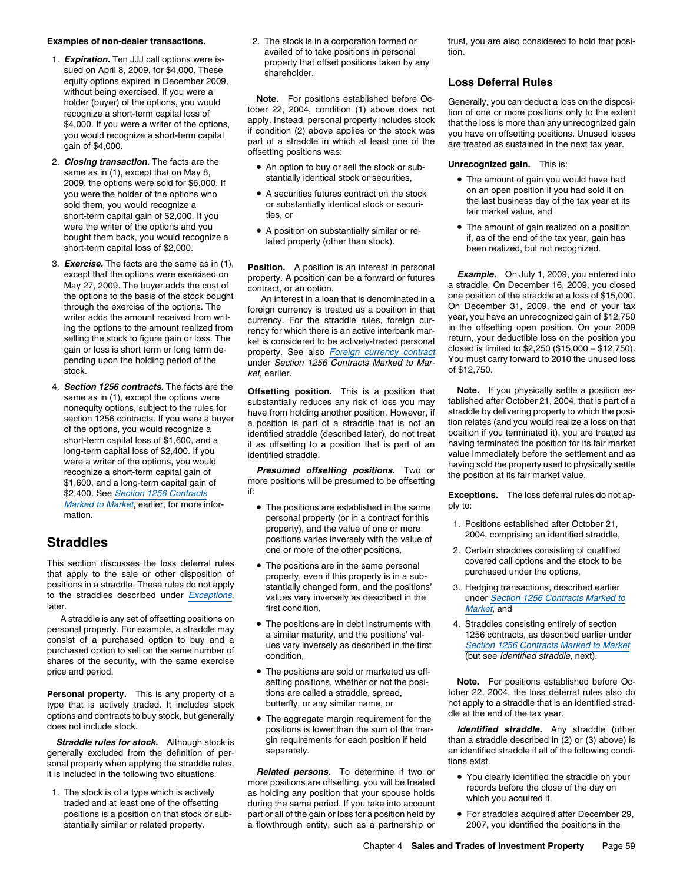- equity options expired in December 2009, **Loss Deferral Rules** without being exercised. If you were a
- 2. **Closing transaction.** The facts are the **are the** *S* An option to buy or sell the stock or sub-<br>same as in (1), except that on May 8, Same as in (1), except that on May 8,<br>
2009, the options were sold for \$6,000. If the stock or securities,<br>
you were the holder of the options who <br>
Same as in (1), except that on May 8,<br>
you were the holder of the options bought them back, you would recognize a<br>short-term capital loss of \$2,000. Interval and property (other than stock).<br>been realized, but not recognized.
- 3. **Exercise.** The facts are the same as in (1), **position.** A position is an interest in personal except that the options were exercised on property. A position can be a forward or futures May 27, 2009. The buyer adds th
- 4. **Section 1256 contracts.** The facts are the<br>
same as in (1), except the options were<br>
monequity of the substantially reduces any risk of loss you may<br>
more from holding another position. However, if<br>
section 1256 contr \$2,400. See Section 1256 Contracts if: **if:** if: **Exceptions.** The loss deferral rules do not ap-Marked to Market, earlier, for more infor-

that apply to the sale or other disposition of property, even if this property is in a sub-<br>positions in a straddle. These rules do not apply stantially changed form and the positions positions in a straddle. These rules do not apply<br>to the straddles described under *Exceptions*,<br>later.<br>tiret condition<br>tiret condition<br>firet condition

A straddle is any set of offsetting positions on<br>
personal property. For example, a straddle may<br>
a similar maturity and the positional value Free positions are in debt instruments with the strandle operation of section a similar maturity, and the positions of a purchased option to buy and a similar maturity, and the positions' val-<br>purchased option to sell on t price and period.  $\bullet$  The positions are sold or marketed as off-

type that is actively traded. It includes stock butterfly, or any similar name, or not apply to a straddle that is a<br>options and contracts to buy stock, but generally options and contracts to buy stock, but generally **.** The aggregate margin requirement for the

generally excluded from the definition of per- separately. The following strate straining conditions strategie<br>Sonal property when applying the straddle rules sonal property when applying the straddle rules,<br>it is included in the following two situations.<br>**Related persons.** To determine if two or

availed of to take positions in personal tion. 1. **Expiration.** Ten JJJ call options were is-<br>sued on April 8, 2009, for \$4,000. These shareholder.

holder (buyer) of the options, you would<br>
recognize a short-term capital loss of<br>
\$4,000. If you were a writer of the options,<br>
you would recognize a short-term capital<br>
you would recognize a short-term capital<br>
gain of \$4

- 
- you were the holder of the options who<br>sold them, you would recognize a or substantially identical stock or securi-<br>short-term capital gain of \$2,000. If you ties, or the short-term capital gain of \$2,000. If you ties, or
	-

through the exercise of the options. The foreign currency is treated as a position in that writer adds the amount received from writ-<br>ing the options to the amount received from writ-<br>selling the stock to figure gain or lo stock. of \$12,750. ket, earlier.

- The positions are established in the same ply to:<br>personal property (or in a contract for this mation.<br>
personal property (or in a contract for this<br>
property), and the value of the value of the value of the value of the value of positions varies inversely with the value of the change one or more<br>
one or more of the
	- first condition, the condition of the condition, the condition of the condition of the condition of the condition of the condition of the condition of the condition of the condition of the condition of the condition of the
	-
	-
- does not include stock. **positions** include stock. positions is lower than the sum of the mar- *Identified straddle.* Any straddle (other

*Related persons.* To determine if two or it is included in the following two situations. •The structured in the following two studions.<br>
The stock is of a type which is actively<br>
traded and at least one of the offsetting<br>
traded and at least one of the offsetting<br>
traded and at least one of the offsetting<br>
duri positions is a position on that stock or sub-<br>
part or all of the gain or loss for a position held by<br>
For straddles acquired after December 29, stantially similar or related property. a flowthrough entity, such as a partnership or 2007, you identified the positions in the

**Examples of non-dealer transactions.** 2. The stock is in a corporation formed or trust, you are also considered to hold that posi-

- 
- were the writer of the options and you  $\bullet$  A position on substantially similar or re- $\bullet$  The amount of gain realized on a position bought them back, you would recognize a  $\bullet$  lated property (other than stock) if, as of

- 
- This section discusses the loss deferral rules covered call options and the stock to be •
	-
	-

setting positions, whether or not the posi- **Note.** For positions established before Oc-**Personal property.** This is any property of a tions are called a straddle, spread, tober 22, 2004, the loss deferral rules also do type that is actively traded. It includes stock butterfly, or any similar name, or not app

**Straddle rules for stock.** Although stock is gin requirements for each position if held than a straddle described in (2) or (3) above) is an identified straddle if all of the following condi-<br>enerally excluded from the de

- 
-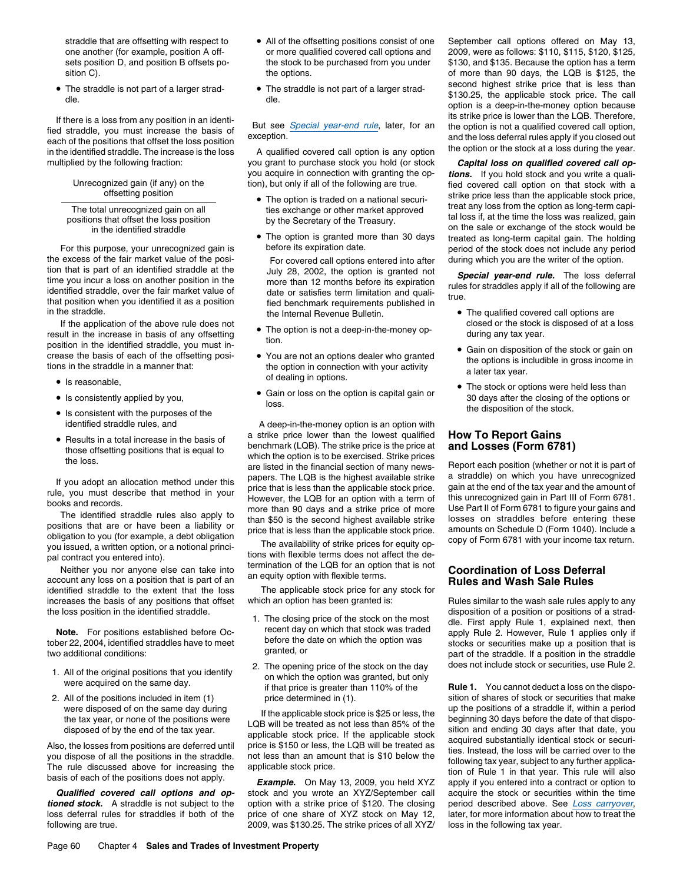If there is a loss from any position in an identi-<br>fied straddle, you must increase the basis of<br>each of the positions that offset the loss position<br>each of the positions that offset the loss position<br>in the identified str multiplied by the following fraction: you grant to purchase stock you hold (or stock *Capital loss on qualified covered call op-*

the excess of the fair market value of the posi-<br>
For covered call options entered into after during which you are the writer of the option.<br>
Univ 28, 2002, the option is granted not tion that is part of an identified straddle at the July 28, 2002, the option is granted not<br>time you incur a loss on another position in the more than 12 months before its expiration<br>identified straddle, over the fair mark

The option is not a deep-in-money operation in the identified straddle, you must in-<br>position in the identified straddle, you must in-<br>crease the basis of each of the offsetting posi-<br> $\bullet$  You are not an options dealer who

- 
- 
- Is consistent with the purposes of the
- 

increases the basis of any positions that offset which an option has been granted is: Rules similar to the wash sale rules apply to any the loss position in the identified straddle.

- 
- 2. All of the positions included in item (1).

tioned stock. A straddle is not subject to the option with a strike price of \$120. The closing period described above. See Loss carryover, loss deferral rules for straddles if both of the price of one share of XYZ stock on May 12, later, for more information about how to treat the following are true. 2009, was \$130.25. The strike prices of all XYZ/ loss in the following tax year.

- 
- 

you acquire in connection with granting the op- *tions.* If you hold stock and you write a quali-

- 
- The option is granted more than 30 days

in the straddle. **the Internal Revenue Bulletin.** • The qualified covered call options are

- 
- Franchised State of the offsetting position of the stock or gain on disposition of the stock or gain on the state the basis of each of the offsetting posi-<br>
The option in connection with your activity<br>
Solidar tax year.<br>
S • Is reasonable, example a state of dealing in options.
	- Is consistently applied by you,<br>loss. <br>loss. <br>loss.

identified straddle rules, and **A** deep-in-the-money option is an option with • Results in a total increase in the basis of a strike price lower than the lowest qualified **How To Report Gains**<br>
those offsetting positions that is equal to benchmark (LQB). The strike price is the price at **and Losses** • Results in a total increase in the basis of<br>those offsetting positions that is equal to<br>the loss.<br>the loss.<br>are listed in the financial section of many news-<br>are listed in the financial section of many news-<br>Report each

identified straddle to the extent that the loss The applicable stock price for any stock for

- 
- 2. The opening price of the stock on the day does not include stock or securities, use Rule 2.<br>
were acquired on the same day.<br>
2. All of the positions included in item (1)<br>
2. All of the positions included in item (1)<br>
2.

*Qualified covered call options and op-* stock and you wrote an XYZ/September call acquire the stock or securities within the time

straddle that are offsetting with respect to  $\bullet$  All of the offsetting positions consist of one September call options offered on May 13, one another (for example, position A off- or more qualified covered call options and 2009, were as follows: \$110, \$115, \$120, \$125, sets position D, and position B offsets po-<br>the stock to be purchased from you under \$130, and \$135. Because the option has a term sition C). The options of more than 90 days, the LQB is \$125, the LQB is \$125, the • The straddle is not part of a larger strad-<br>• The straddle is not part of a larger strade is not part of a larger strad-<br>• The strike strike that is less than all The stradule is not part of a larger strad-<br>dle. dle. dle. determines the applicable stock price. The call de. determoney option because

Unrecognized gain (if any) on the tion), but only if all of the following are true. fied covered call option on that stock with a offsetting position **Fig. 1.1** The option is traded on a national securi-<br>The total unrecogn The total unrecognized gain on all<br>positions that offset the loss position<br>positions that offset the loss position<br>by the Secretary of the Treasury. ins that offset the loss position by the Secretary of the Treasury.<br>in the identified straddle on the sale or exchange of the stock would be The option is granted more than 30 days treated as long-term capital gain. The holding<br>before its expiration date. For this purpose, your unrecognized gain is before its expiration date. exceeding period of the stock does not include any period

- If the application of the above rule does not<br>
result in the increase in basis of any offsetting<br>  $\bullet$  The option is not a deep-in-the-money op-<br>
during any tax year.
	-
	- The stock or options were held less than<br>• 30 days after the closing of the options or Is consistently applied by you, 30 days after the closing of the options or loss.<br>In loss. by the disposition of the stock. The options or loss. And the disposition of the stock.

If you adopt an allocation method under this<br>
rule, you must describe that method in your<br>
rule, you must describe that method in your<br>
However, the LQB is the highlicals estock price.<br>
However, the LQB for an option with

the loss position in the identified straddle.<br>
Note. For positions established before Oc-<br>
Note. For positions established before Oc-<br>
tober 22, 2004, identified straddles have to meet<br>
tober 22, 2004, identified straddles

were disposed of on the same day during<br>the applicable stock price is \$25 or less, the<br>disposed of by the end of the tax year.<br>Also, the losses from positions are deferred until<br>plicable stock price. If the applicable stoc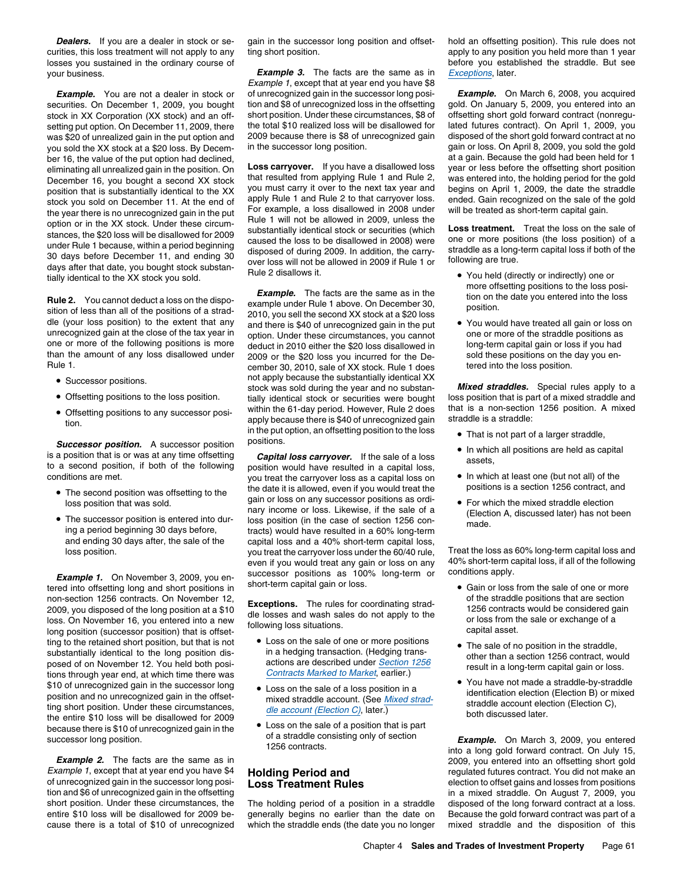curities, this loss treatment will not apply to any ting short position.<br>
losses you sustained in the ordinary course of any ting short position.<br>
losses you sustained in the ordinary course of losses you sustained in the ordinary course of **Example 3.** The facts are the same as in Exceptions, later. your business. **Example 3.** The facts are the same as in

securities. On December 1, 2009, you bought tion and \$8 of unrecognized loss in the offsetting gold. On January 5, 2009, you entered into an stock in XX Corporation (XX stock) and an off- short position. Under these circum stock in XX Corporation (XX stock) and an offsetting put option. On December 11, 2009, there the total \$10 realized loss will be disallowed for lated futures contract). On April 1, 2009, you<br>was \$20 of unrealized gain in the put option and 2009 because there is \$8 of was \$20 of unrealized gain in the put option and 2009 because there is \$8 of unrecognized gain and isposed of the short gold forward contract at no<br>you sold the XX stock at a \$20 loss. By Decem- in the successor long posit you sold the XX stock at a \$20 loss. By Decem- in the successor long position. gain or loss. On April 8, 2009, you sold the gold<br>ber 16, the value of the put option had declined. excluded by the successor long position. Th ber 16, the value of the put option had declined,<br>eliminating all unrealized gain in the position On **Loss carryover.** If you have a disallowed loss vear or less before the offsetting short position December 16, you bought a second XX stock that resulted from applying Rule 1 and Rule 2, was entered into, the holding period for the gold nosition that is substantially identical to the XX you must carry it over to the ne

die (your loss position) to the extent that any and there is \$40 of unrecognized gain in the put • You would have treated all gain or loss district one or more of the straddle positions as<br>one or more of the following posi one or more of the following positions is more deduct in 2010 either the \$20 loss disallowed in than the amount of any loss disallowed under 2009 or the \$20 loss you incurred for the De-

- 
- Offsetting positions to the loss position.
- 

Successor position. A successor position positions.<br>is a position that is or was at any time offsetting capital loss carryover. If the sale of a loss **in which all positions** are held as capital  $\frac{1}{10}$  assets, the problem of the following position, if both of the following position, if both of the following position and have resulted in a capital loss, conditions are met.

- 
- 

**Example 1.** On November 3, 2009, you en successor positions as 100% long-term or conditions apply.<br>tered into offsetting long and short positions in short-term capital gain or loss.<br>non-section 1256 contracts. On November non-section 1256 contracts. On November 12,<br>2009, you disposed of the long position at a \$10 dle losses and wash sales do not apply to the traddle positions that are section<br>loss. On November 16, you entered into a new fol ting to the retained short position, but that is not <br>substantially identical to the long position dis-<br>in a hedging transaction. (Hedging transaction and the sale of no position in the straddle, any of the relation in the straddle,<br>substantially identical to the long position dis-<br>posed of on November 12. You held both position save described under *Section 1256*<br>tions through year end, at which time there was *Co* Vou have not made a straddle-by-straddle<br>
The successor long<br>
The successor long<br>
The successor long<br>
The subset of a loss position in a<br>
Straddle-by-straddle-by-straddle<br>
identification election (Election B) or mixed<br>
on both discussed later.<br>
the entire \$10 loss will be disallowed for 2009<br>
the entire \$10 loss will be disallowed for 2009<br>
the entire \$10 loss will be disallowed for 2009

**Example 2.** The facts are the same as in 2009, you entered into an offsetting short gold<br>Example 1, except that at year end you have \$4 **Holding Period and** 2009, you entered into an offsetting short gold entire \$10 loss will be disallowed for 2009 be- generally begins no earlier than the date on Because the gold forward contract was part of a cause there is a total of \$10 of unrecognized which the straddle ends (the date you no longer mixed straddle and the disposition of this

**Dealers.** If you are a dealer in stock or se- gain in the successor long position and offset- hold an offsetting position). This rule does not

Example 1, except that at year end you have \$8 *Example.* You are not a dealer in stock or of unrecognized gain in the successor long posi- *Example.* On March 6, 2008, you acquired

eliminating all unrealized gain in the position. On **Loss carryover.** If you have a disallowed loss year or less before the offsetting short position<br>December 16, you bought a second XX stock that resulted from applying Ru position that is substantially identical to the XX<br>stock you sold on December 11. At the end of<br>stock you sold on December 11. At the end of<br>the year there is no unrecognized gain in the put<br>the year there is no unrecogniz

**Example.** The facts are the same as in the<br>
stion of less than all of the positions of a strad-<br>
example under Rule 1 above. On December 30,<br>
2010, you sell the second XX stock at a \$20 loss<br>
and there is \$40 of unrecogni than the amount of any loss disallowed under 2009 or the \$20 loss you incurred for the De-<br>Rule 1. cember 30, 2010, sale of XX stock. Bule 1 does tered into the loss position. cember 30, 2010, sale of XX stock. Rule 1 does • Successor positions. The substantially identical XX • Successor positions. stock was sold during the year and no substan-<br>tially identical stock or securities were bought loss position that is part of a mixed straddle and tially identical stock or securities were bought loss position that is part of a mixed straddle and<br>within the 61-day period. However, Rule 2 does lichat is a non-section 1256 position. A mixed ■ Offsetting positions to any successor posi-<br>
anniv because there is \$40 of unrecognized gain straddle is a straddle: offsetting positions to any successor position apply because there is \$40 of unrecognized gain strand in the put option, an offsetting position to the loss  $\bullet$  That is not part of a larger straddle,

you treat the carryover loss as a capital loss on • In which at least one (but not all) of the<br>the date it is allowed, even if you would treat the spoositions is a section 1256 contract, and • The second position was offsetting to the the date it is allowed, even if you would treat the The second position was sheet the gain or loss on any successor positions as ordi-<br>loss position that was sold. election<br>nary income or loss. Likewise, if the sale of a<br>reflection A discussed later) has not b nary income or loss. Likewise, if the sale of a (Election A, discussed later) has not been<br>• The successor position is entered into dur-<br>loss position (in the case of section 1256 con-<br>made. ing a period beginning 30 days before, tracts) would have resulted in a 60% long-term and ending 30 days after, the sale of the capital loss and a 40% short-term capital loss. capital loss and a 40% short-term capital loss, loss position.<br>
you treat the carryover loss under the 60/40 rule, Treat the loss as 60% long-term capital loss and<br>
even if you would treat any gain or loss on any 40% short-term capital loss, if all of the following even if you would treat any gain or loss on any 40% short-term c<br>successor, positions, as 100% long-term, or conditions apply.

- 
- 
- Loss on the sale of a position that is part

- Note that date, you bodyn stock based on the AX stock you sold.<br>
The AX stock you sold.<br>
The AX stock you sold.
	-

- 
- 
- 
- 

- 
- 
- You have not made a straddle-by-straddle

the entire \$10 loss will be disallowed for 2009<br>
because there is \$10 of unrecognized gain in the<br>
successor long position.<br>
Example 2. The facts are the same as in<br>
Example 2. The facts are the same as in<br>
Example 2. The Example 1, except that at year end you have \$4 **Holding Period and** regulated futures contract. You did not make an of unrecognized gain in the successor long posi- **Loss Treatment Rules** exception to offset gains and loss election to offset gains and losses from positions tion and \$6 of unrecognized gain in the offsetting<br>short position. Under these circumstances, the The holding period of a position in a straddle disposed of the long forward contract at a loss. The holding period of a position in a straddle disposed of the long forward contract at a loss.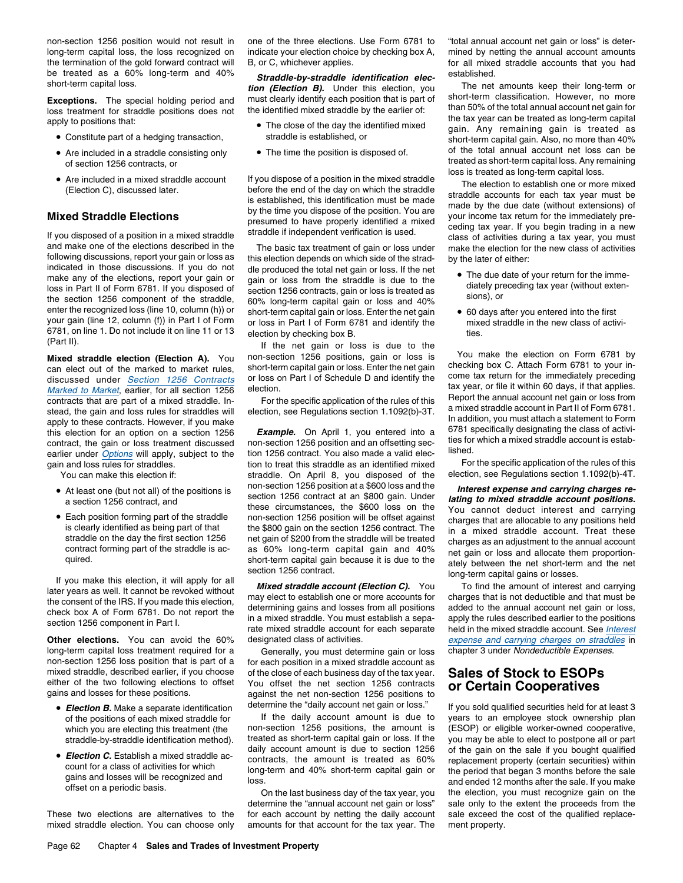- Constitute part of a hedging transaction,
- 
- Are included in a mixed straddle account

and make one of the elections described in the The basic tax treatment of gain or loss under make the election for the new class of activities following discussions, report your gain or loss as this election depends on whi following discussions, report your gain or loss as this election depends on which side of the strad- by the later of either:<br>indicated in those discussions. If you do not dle produced the total net gain or loss. If the net indicated in those discussions. If you do not dle produced the total net gain or loss. If the net make any of the elections, report your gain or gain or loss from the straddle is due to the<br>loss in Part II of Form 6781. If you disposed of section 1256 contracts, gain or loss is treated as<br>the section 1256 component of your gain (line 12, column (f)) in Part I of Form or loss in Part I of Form 6781 and identify the mixed straddle in the new class of activi-6781, on line 1. Do not include it on line 11 or 13 election by checking box B. ties.<br>(Part II).

can elect out of the marked to market rules, short-term capital gain or loss. Enter the net gain checking box C. Attach Form 6781 to your in-<br>discussed under Section 1256 Centresta or loss on Part Lof Schedule D and identi discussed under *Section 1256 Contracts* or loss on Part I of Schedule D and identify the come tax return for the immediately preceding<br>Marked to Market earlier for all section 1256 election. Marked to Market, earlier, for all section 1256 election.<br>Contracts that are part of a mixed straddle In For the specific application of the rules of this Report the annual account net gain or loss from contracts that are part of a mixed straddle. In-<br>stead, the gain and loss rules for straddles will election see Bequistions section 1,1092(b), 3T a mixed straddle account in Part II of Form 6781. stead, the gain and loss rules for straddles will election, see Regulations section 1.1092(b)-3T. a mixed straddle account in Part II of Form 6781.<br>In addition, you must attach a statement to Form apply to these contracts. However, if you make<br>this election for an option on a section 1256 **Example**. On April 1 you entered into a 6781 specifically designating the class of activithis election for an option on a section 1256 **Example**. On April 1, you entered into a 6781 specifically designating the class of activi-<br>contract, the gain or loss treatment discussed non-section 1256 position and an off

- 
- Each position forming part of the straddle

long-term capital loss treatment required for a Generally, you must determine gain or loss chapter 3 under Nondeductible Expenses.<br>non-section 1256 loss position that is part of a for each position in a mixed straddle acco non-section 1256 loss position that is part of a for each position in a mixed straddle account as mixed straddle, described earlier, if you choose of the close of each business day of the tax year. mixed straddle, described earlier, if you choose of the close of each business day of the tax year. **Sales of Stock to ESOPs**<br>either of the two following elections to offset You offset the net section 1256 contracts **or Co** 

- 
- 

be treated as a 60% long-term and 40% **Straddle-by-straddle identification elec-** established.<br> **Straddle-by-straddle identification election** you The net amounts keep their long-term or **Election B).** Under this election,

- 
- The time the position is disposed of.

If the net gain or loss is due to the Mixed straddle election (Election A). You non-section 1256 positions, gain or loss is You make the election on Form 6781 by **Mixed straddle election (Election A).** You non-section 1256 positions, gain or loss is You make t

gain and loss rules for straddles. this straddle as an identified mixed For the specific application of the rules of this straddle as an identified mixed For the specific application of the rules of this straddle. On April You can make this election if: straddle. On April 8, you disposed of the election • At least one (but not all) of the positions is non-section 1256 position at a \$600 loss and the • a section 1256 contract at an \$800 gain. Under At least one (but not all) of the positions is<br>a section 1256 position at a \$600 loss and the<br>a section 1256 contract, and<br>Each position forming part of the straddle<br>Each position forming part of the straddle<br>non-section 1

either of the two following elections to offset You offset the net section 1256 contracts **or Certain Cooperatives** gains and losses for these positions. against the net non-section 1256 positions to determine the "daily account net gain or loss." •

of the positions of each mixed straddle for If the daily account amount is due to years to an employee stock ownership plan<br>which you are electing this treatment (the non-section 1256 positions, the amount is (ESOP) or eli which you are electing this treatment (the non-section 1256 positions, the amount is (ESOP) or eligible worker-owned cooperative,<br>straddle-by-straddle identification method) treated as short-term capital gain or loss. If t straddle-by-straddle identification method). treated as short-term capital gain or loss. If the you may be able to elect to postpone all or part<br>daily account amount is due to section 1256 of the gain on the sale if you bo ■ daily account amount is due to section 1256 of the gain on the sale if you bought qualified<br>■ Election C. Establish a mixed straddle accontracts, the amount is treated as 60% replacement property (certain securities) wi

determine the "annual account net gain or loss" sale only to the extent the proceeds from the These two elections are alternatives to the for each account by netting the daily account sale exceed the cost of the qualified replacemixed straddle election. You can choose only amounts for that account for the tax year. The ment property.

non-section 1256 position would not result in one of the three elections. Use Form 6781 to "total annual account net gain or loss" is deterlong-term capital loss, the loss recognized on indicate your election choice by checking box A, mined by netting the annual account amounts the termination of the gold forward contract will B, or C, whichever applies. The the termination of the gold forward contract will B, or C, whichever applies. For all mixed straddle accounts that you had<br>be treated as a 60% long-term and 40% ctraddle by etraddle identification also established.

**Exceptions.** The special holding period and must clearly identify each position that is part of short-term classification. However, no more loss treatment for straddle positions does not the identified mixed straddle by t the tax year can be treated as long-term capital<br>apply to positions that:<br>apply to positions that:<br>apply to positions that:<br>apply to positions that: The close of the day the identified mixed gain. Any remaining gain is treated as straddle is established, or short-term capital gain. Also, no more than 40% • Are included in a straddle consisting only • The time the position is disposed of. of the total annual account net loss can be vertion is treated as short-term capital loss. Any remaining of section 1256 contracts, or loss is treated as long-term capital loss.

• Are included in a mixed straddle account<br>
(Election C), discussed later.<br> **Mixed Straddle Elections**<br>
If you dispose of a position in the mixed straddle<br>
is established, this identification must be made<br>
is established,

- 
- 

Each position forming part of the straddle non-section 1256 position will be offset against<br>is clearly identified as being part of that the \$800 gain on the section 1256 contract. The in a mixed straddle account. Treat the

straddle on the day the first section 1256 entract contract forming part of the straddle is access as an adjustment to the annual account<br>contract forming part of the straddle is access as a adjustment to the annual accoun Other elections. You can avoid the 60% designated class of activities. expense and carrying charges on straddles in

• **Election B.** Make a separate identification determine the "daily account net gain or loss." If you sold qualified securities held for at least 3 of the positions of each mixed straddle for If the daily account amount is • **Election C.** Establish a mixed straddle acception of a class of activities for which<br>count for a class of activities for which<br>gains and losses will be recognized and<br>offset on a periodic basis. On the last business day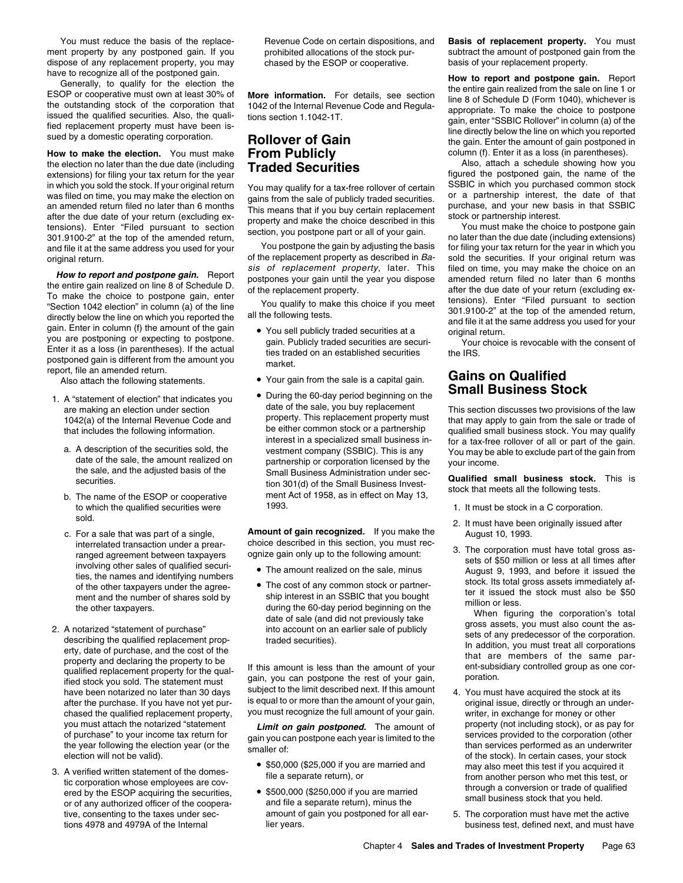ment property by any postponed gain. If you prohibited allocations of the stock pur-<br>dispose of any replacement property, you may chased by the ESOP or cooperative. basis of your replacement property. dispose of any replacement property, you may be assed by the ESOP or cooperative.<br>have to recognize all of the postponed gain.

**How to make the election.** You must make **From Publicly** column (f). Enter it as a loss (in parentheses).<br>the election no later than the due date (including **Traded Securities** Also, attach a schedule showing how you the election no later than the due date (including **Traded Securities** and a schedule showing how you extensions) for filing your tax return for the year **figured the postponed gain, the name of the** extensions) for filing in which you sold the stock. If your original return<br>was filed on time, you may make the election on<br>an amended return filed no later than 6 months<br>and amended return filed no later than 6 months<br>after the due date of your

gain. Enter in column (i) the amount of the gain<br>you are postponing or expecting to postpone.<br>Enter it as a loss (in parentheses). If the actual<br>postponed gain is different from the amount you in the market.<br>report, file a

- 1. A "statement of election" that indicates you <br>are making an election under section discusses two provisions of the law<br>1042(a) of the Internal Revenue Code and property. This replacement property must that may apply to
	-
	- to which the qualified securities were 1993. The stock in a C corporation.
	-
- For a mount realized on the sale, minus<br>
ities, the names and identifying numbers<br>
of the other taxpayers under the agree-<br>
of the other taxpayers under the agree-<br>
of the other taxpayers under the agree-<br>
of the other tax
- 3. A verified written statement of the domes-<br>
tic corporation whose employees are cov-<br>
ered by the ESOP acquiring the securities,<br>
or ered by the ESOP acquiring the securities,<br>
or of any authorized officer of the cooper

and file it at the same address you used for your You postpone the gain by adjusting the basis for filing your tax return for the year in which you<br>of the replacement property as described in Ba-sold the securities. If you original return.<br>of the replacement property as described in Ba- sold the securities. If your original return was<br>Manute repart partners asimple property of replacement property, later. This filed on time, you may make the

- 
- 
- During the 60-day period beginning on the **Small Business Stock** a. A description of the securities sold, the vestment company (SSBIC). This is any You may be able to exclude part of the gain from date of the sale, the amount realized on the sale, and the adjusted basis of the Small Bus

c. For a sale that was part of a single, **Amount of gain recognized.** If you make the  $\mu$  august 10, 1993.<br>
interrelated transaction under a prear- choice described in this section, you must rec-

- 
- 

- \$50,000 (\$25,000 if you are married and
- 

You must reduce the basis of the replace-<br>Revenue Code on certain dispositions, and **Basis of replacement property.** You must

Allow to report and postpone gain. Report and postpone gain. Report Generally, to qualify for the election the<br>
ESOP or cooperative must own at least 30% of **More information.** For details, see section<br>
the entire gain rea

**How to report and postpone gain.** Report<br>the entire gain realized on line 8 of Schedule D.<br>To make the choice to postpone gain, enter<br>"Section 1042 election" in column (a) of the line and the sense in the entire gain real

# report, file an amended return.<br>Also attach the following statements. • Your gain from the sale is a capital gain. **Gains on Qualified**

that includes the following information. be either common stock or a partnership qualified small business stock. You may qualify business in-<br>interest in a specialized small business in-<br>for a tax-free rollover of all or p interest in a specialized small business in-<br>vestment company (SSBIC). This is any you may be able to exclude part of the gain from

- 
- sold. 2. It must have been originally issued after
- interrelated transaction under a prear-<br>
ranged agreement between taxpayers ognize gain only up to the following amount:<br>
involving other sales of qualified securi-<br>
The amount realized on the sale minus and all compared a

- you must attach the notarized "statement **Limit on gain postponed.** The amount of property (not including stock), or as pay for of purchase" to your income tax return for cain you can postpone each vear is limited to the s or purchase to your income tax return for discussion of pain you can postpone each year is limited to the services provided to the corporation (other<br>the year following the election year (or the smaller of:<br>election will n of the stock). In certain cases, your stock
- tive, consenting to the taxes under sec- **5.** The corporation must have met the active amount of gain you postponed for all ear- 5. The corporation must have met the active tions 4978 and 4979A of the Internal business test, defined next, and must have lier years.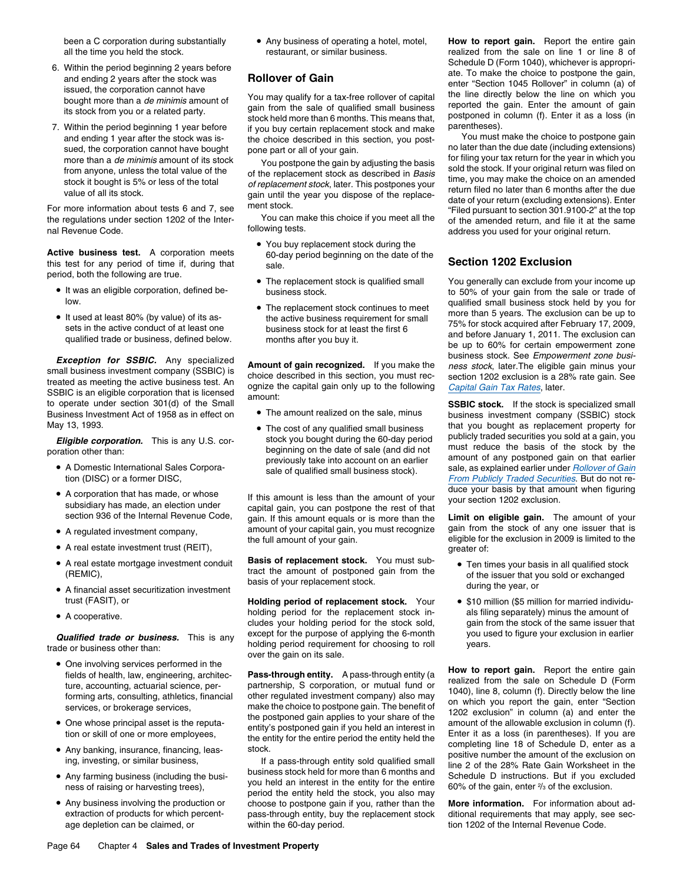- 
- 

nal Revenue Code. **Following tests.** following tests. And is address you used for your original return.

this test for any period of time if, during that sale. **Section 1202 Exclusion** period, both the following are true.<br>• The replacement stock is qualified small

- It was an eligible corporation, defined be-
- 

**Exception for SSBIC.** Any specialized<br>small business investment company (SSBIC) is<br>treated as meeting the active business test. An choice described in this section, you must rec-<br>section 1202 exclusion is a 28% rate gain. to operate under section 301(d) of the Small<br>Business Investment Act of 1958 as in effect on • The amount realized on the sale, minus business investment company (SSBIC) stock

- A Domestic International Sales Corpora-
- 
- 
- A real estate investment trust (REIT), example the state of: the state of: greater of: greater of:
- 
- A financial asset securitization investment
- 

- One involving services performed in the
- 
- 
- 
- Any business involving the production or

7. Within the period beginning 1 year before if you buy certain replacement stock and make parentheses).<br>and ending 1 year after the stock was is-<br>the choice described in this section, you post-<br>Nou must make the choice to and ending 1 year after the stock was is-<br>sued, the corporation cannot have bought mone part or all of vour gain.

- You buy replacement stock during the **Active business test.** A corporation meets 60-day period beginning on the date of the this test for any period of time if, during that sale.
	-
	-

- 
- 

• A corporation that has made, or whose if this amount is less than the amount of your section 1202 exclusion.<br>subsidiary has made, an election under capital gain, you can postpone the rest of that<br>section 936 of the Inter • A regulated investment company, amount of your capital gain, you must recognize gain from the stock of any one issuer that is

• A real estate mortgage investment conduit **Basis of replacement stock.** You must sub-

trust (FASIT), or **Holding period of replacement stock.** Your • \$10 million (\$5 million for married individu-• A cooperative. Tholding period for the replacement stock in-<br>cludes your holding period for the stock sold, and from the stock of the same issuer that cludes your holding period for the stock sold, gain from the stock of the same issuer that except for the purpose of applying the 6-month you used to figure your exclusion in earlier **Qualified trade or business.** This is any except for the purpose of applying the 6-month you us<br>trade or business other than: bolding period requirement for choosing to roll years.<br>over the gain on its sale.

• One whose principal asset is the reputa-<br>tion or skill of one or more employees,<br>http://wikipostponed gain if you held an interest in<br>the entity's postponed gain if you held an interest in<br>Enter it as a loss (in parenthe

• Any farming business (including the busi-<br>wou held an interest in the entity for the entire<br>ness of relating ar bequesting trace) you held an interest in the entity for the entire Any farming business (including the busi-<br>
you held an interest in the entity for the entity for the entity for the entity for the entity for the entit<br>  $\cos \theta$  of the gain, enter  $\frac{2}{3}$  of the exclusion. period the entity held the stock, you also may Any business involving the production or choose to postpone gain if you, rather than the **More information.** For information about ad-<br>extraction of products for which percent-<br>pass-through entity, buy the replacement stoc pass-through entity, buy the replacement stock ditional requirements that may apply, see secage depletion can be claimed, or within the 60-day period. The state of the Internal Revenue Code.

been a C corporation during substantially  $\bullet$  Any business of operating a hotel, motel, **How to report gain.** Report the entire gain all the time you held the stock. restaurant, or similar business. realized from the sale on line 1 or line 8 of<br>Schedule D (Form 1040), whichever is appropri-6. Within the period beginning 2 years before<br>and ending 2 years after the stock was<br>issued, the corporation cannot have<br>bought more than a *de minimis* amount of<br>its stock from you or a related party.<br>its stock from you o

sued, the corporation cannot have bought no later than the due date (including extensions)<br>more than a de minimis amount of its stock You postpone the gain by adjusting the basis for filing your tax return for the year in more than a *de minimis* amount of its stock<br>from anyone, unless the total value of the<br>stock it bought is 5% or less of the total<br>value of the replacement stock, later. This postpones your<br>value of all its stock.<br>For more For more information about tests 6 and 7, see<br>the regulations under section 1202 of the Inter-<br>following tests.<br>following tests.<br>and the of the amended return, and file it at the same<br>address you used for your original ret

You generally can exclude from your income up It was an eligible corporation, defined be-<br>It was an eligible corporation, defined be-<br>It business stock held by you for low. qualified small business stock held by you for •• The replacement stock continues to meet more than 5 years. The exclusion can be up to • the replacement stock continues to meet more than 5 years. The exclusion can be up to • the replacement for small and the state of t • It used at least 80% (by value) of its as-<br>sets in the active conduct of at least one<br>qualified trade or business, defined below. months after you buy it.<br>qualified trade or business, defined below. months after you buy

May 13, 1993. The cost of any qualified small business that you bought as replacement property for **Eligible corporation.** This is any U.S. cor-<br>poration other than:<br>poration other than:<br>poration other than:<br>poration other than:<br>poration other than:<br>poration other than:<br>poration other than:<br>poration other than:<br>previous A Domestic International Sales Corpora-<br>sale of qualified small business stock). Sale, as explained earlier under *Rollover of Gain*<br>From Publicly Traded Securities. But do not re-<br>From Publicly Traded Securities. But do n • A corporation that has made, or whose if this amount is less than the amount of your section 1202 exclusion.

the full amount of your gain. <br>
eligible for the exclusion in 2009 is limited to the<br>
eligible for the exclusion in 2009 is limited to the<br>
ereater of:

- A real estate mortgage investment conduit basis of replacement stock. To must sub-<br>(REMIC), tract the amount of postponed gain from the the issuer that you sold or exchanged<br>• A financial asset securitization investment
	-

• One involving services performed in the<br>
fields of health, law, engineering, architec-<br>
ture, accounting, actuarial science, per-<br>
forming arts, consulting, athletics, financial<br>
ture, accounting, actuarial science, per • Any banking, insurance, financing, leas-<br>ing, investing, or similar business, If a pass-through entity sold qualified small line 2 of the 28% Rate Gain Worksheet in the<br>line 2 of the 28% Rate Gain Worksheet in the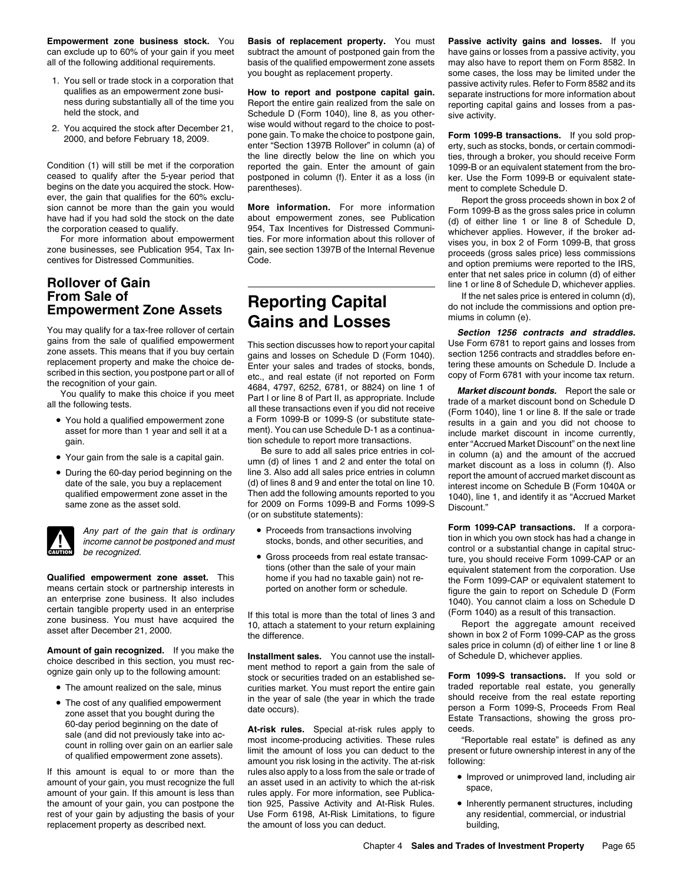can exclude up to 60% of your gain if you meet subtract the amount of postponed gain from the have gains or losses from a passive activity, you<br>all of the following additional requirements. basis of the qualified empowerme

- 
- 

begins on the date you acquired the stock. How-<br>
ever, the gain that qualifies for the 60% exclu-<br>
Report the gross proceeds

# **Rollover of Gain line 1 or line 8 of Schedule D, whichever applies. line 1 or line 8 of Schedule D, whichever applies.**

You may qualify for a tax-free rollover of certain **Section 1256** contracts and straddles. gains from the sale of qualified empowerment<br>zone assets. This means that if you buy certain<br>gains and losses on Schedule D (Form 1040). Section 1256 contracts and straddles before en-<br>replacement property and make the cho

- You hold a qualified empowerment zone
- 
- During the 60-day period beginning on the



**Qualified empowerment zone asset.** This to the difference tectographic of the same of your main took or partnership interests in the same of you had no taxable gain) not re-<br>ameans certain stock or partnership interests i

**Amount of gain recognized.** If you make the **Installment sales.** You cannot use the install-<br>choice described in this section, you must rechangle income of Schedule D, whichever applies.<br>ognize gain only up to the followi

- The amount realized on the sale, minus
- The cost of any qualified empowerment<br>
zone asset that you bought during the<br>
60-day period beginning on the date of<br>
sale (and did not previously take into ac-<br>
count in rolling over gain on an earlier sale<br>
of qualifie

amount of your gain, you must recognize the full an asset used in an activity to which the at-risk<br>amount of your gain. If this amount is less than rules apply. For more information, see Publicathe amount of your gain, you can postpone the tion 925, Passive Activity and At-Risk Rules. • Inherently permanent structures, including rest of your gain by adjusting the basis of your Use Form 6198, At-Risk Limitations, to figure any residential, commercial, or industrial replacement property as described next. the amount of loss you can deduct. building,

**Empowerment zone business stock.** You **Basis of replacement property.** You must **Passive activity gains and losses.** If you basis of the qualified empowerment zone assets

2. You acquired the stock after December 21, wise would without regard to the choice to post-<br>2000, and before February 18, 2009. pone gain. To make the choice to postpone gain, Form 1099-B transactions. If you sold prop-<br> the line directly below the line on which you ties, through a broker, you should receive Form Condition (1) will still be met if the corporation reported the gain. Enter the amount of gain 1099-B or an equivalent statement from the bro-<br>ceased to qualify after the 5-year period that postponed in column (f). Enter i

replacement property and make the choice de-<br>scribed in this section, you postpone part or all of etc., and real estate (if not reported on Form copy of Form 6781 with your income tax return.<br>the recognition of your gain.<br> You qualify to make this choice if you meet<br>all these transactions even if you did not receive<br>all the following tests.<br>all these transactions even if you did not receive<br>all the collowing tests. all these transactions even if you did not receive (Form 1040), line 1 or line 8. If the sale or trade<br>a Form 1099-B or 1099-S (or substitute state-

Be sure to add all sales price entries in col-<br>Be sure to add all sales price entries in column (a) and the amount of the accrued • Your gain from the sales in column (f) Also umn (d) of lines 1 and 2 and enter the total on and the discount as a loss in column (f). Also<br>line 3. Also add all sales price entries in column and many the amount of accrued market discount as • During the 60-day period beginning on the line 3. Also add all sales price entries in column report the amount of accrued market discount as date of the sale, you buy a replacement (d) of lines 8 and 9 and enter the tota (or on substitute statements):

- 
- Gross proceeds from real estate transac-

If this amount is equal to or more than the rules also apply to a loss from the sale or trade of • Improved or unimproved land, including air amount of your gain, you must recognize the full an asset used in an activity to

you bought as replacement property.<br>
The passive activity rules. Refer to Form 8582 and its<br>
qualifies as an empowerment zone busi-<br>
mess during substantially all of the time you<br>
Meport the entire gain realized from the s

ker. Use the Form 1099-B or equivalent state-

ever, the gain that qualifies for the 60% exclu-<br>sion cannot be more than the gain you would<br>have had if you had sold the stock on the date<br>the corporation ceased to qualify.<br>the corporation ceased to qualify.<br>Tor more inf enter that net sales price in column (d) of either

**From Sale of If the net sales price is entered in column (d), Empowerment Zone Assets Reporting Capital** do not include the commissions and option pre-<br>**Gains and Losses do not inclume** in column (e).

You hold a qualitied empowerment zone a Form 1099-B or 1099-S (or substitute state-<br>asset for more than 1 year and sell it at a ment). You can use Schedule D-1 as a continua-<br>gain.<br>Be sure to add all sales price entries in

Any part of the gain that is ordinary <br>Income cannot be postponed and must<br>be recognized.<br> **Examed and must**<br> **Examed and must**<br> **Examed and the securities, and the securities, and tion in which you own stock has had a cha** 

The amount realized on the sale of the sale of the entire gain traded reportable real estate, you generally in the vear of sale (the vear in which the trade should receive from the real estate reporting The cost of any qualified empowerment in the year of sale (the year in which the trade should receive from the real estate reporting in the vear of sale (the year in which the trade should receive from the real estate repo

- 
-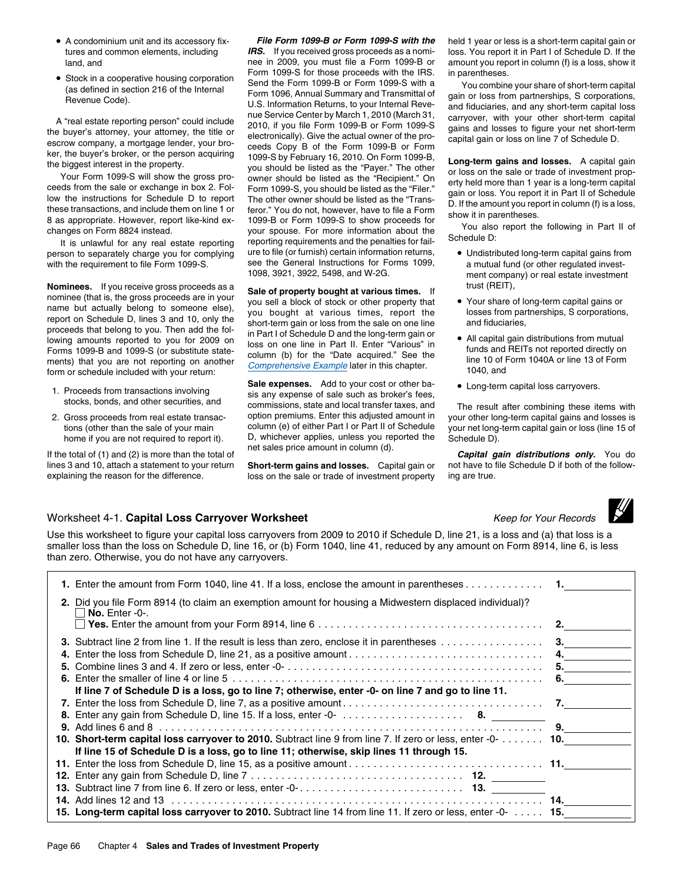- A condominium unit and its accessory fix-
- 

person to separately charge you for complying ure to file (or furnish) certain information returns, vith the requirement to file Form 1099.

**Nominees.** If you receive gross proceeds as a<br>nominee (that is, the gross proceeds are in your<br>name but actually belong to someone else),<br>report on Schedule D, lines 3 and 10, only the<br>proceeds are in you bought at vario lowing amounts reported to you for 2009 on loss on one line in Part II. Enter "Various" in<br>Forms 1099-B and 1099-S (or substitute state-<br>ments) that you are not reporting on another column (b) for the "Date acquired." See

- 
- 

If the total of (1) and (2) is more than the total of **Capital gain distributions only.** You do lines 3 and 10, attach a statement to your return **Short-term gains and losses.** Capital gain or not have to file Schedule D if both of the followexplaining the reason for the difference. loss on the sale or trade of investment property ing are true.

tures and common elements, including **IRS.** If you received gross proceeds as a nomi-<br>land. and and and and the states, show it land, and nee in 2009, you must file a Form 1099-B or amount you report in column (f) is a loss, show it • Stock in a cooperative housing corporation Form 1099-S for those proceeds with the IRS. in parentheses.<br>(as defined in soction 316 of the Internal Send the Form 1099-B or Form 1099-S with a You combine your share of shor Since the plus of the line of the Form 1099-B or Form 1099-B or Form 1099-B or Form 1099-B or Form 1099-B or Form 1099-B or Form 1099-B and That The you combine your share of short-term capital<br>Revenue Code).<br>
A "real esta with the requirement to file Form 1099-S. see the General Instructions for Forms 1099, a mutual fund (or other regulated invest-<br>ment company) or real estate investment

Sale expenses. Add to your cost or other ba- • Long-term capital loss carryovers. 1. Proceeds from transactions involving<br>sis any expense of sale such as broker's fees,<br>2. Gross proceeds from real estate transactions, state and local transfer taxes, and<br>2. Gross proceeds from real estate transaction opt home if you are not required to report it). D, whichever applies, unless you reported the Schedule D).<br>net sales price amount in column (d).

File Form 1099-B or Form 1099-S with the held 1 year or less is a short-term capital gain or

- ment company) or real estate investment
- 
- 
- 

2. Gross proceeds from real estate transac- option premiums. Enter this adjusted amount in your other long-term capital gains and losses is in estate transac- option premiums. Enter this adjusted amount in your other longtions (other than the sale of your main column (e) of either Part I or Part II of Schedule your net long-term capital gain or loss (line 15 of

### Worksheet 4-1. **Capital Loss Carryover Worksheet** Number 2008 and Number 2008 Keep for Your Records

Use this worksheet to figure your capital loss carryovers from 2009 to 2010 if Schedule D, line 21, is a loss and (a) that loss is a smaller loss than the loss on Schedule D, line 16, or (b) Form 1040, line 41, reduced by any amount on Form 8914, line 6, is less than zero. Otherwise, you do not have any carryovers.

| 1. Enter the amount from Form 1040, line 41. If a loss, enclose the amount in parentheses $\dots \dots \dots$                              |  |
|--------------------------------------------------------------------------------------------------------------------------------------------|--|
| 2. Did you file Form 8914 (to claim an exemption amount for housing a Midwestern displaced individual)?<br>No. Enter $-0$ -.               |  |
| 3. Subtract line 2 from line 1. If the result is less than zero, enclose it in parentheses $\dots \dots \dots \dots \dots$                 |  |
|                                                                                                                                            |  |
| 5. Combine lines 3 and 4. If zero or less, enter -0- $\ldots \ldots \ldots \ldots \ldots \ldots \ldots \ldots \ldots \ldots \ldots \ldots$ |  |
|                                                                                                                                            |  |
| If line 7 of Schedule D is a loss, go to line 7; otherwise, enter -0- on line 7 and go to line 11.                                         |  |
|                                                                                                                                            |  |
|                                                                                                                                            |  |
|                                                                                                                                            |  |
| 10. Short-term capital loss carryover to 2010. Subtract line 9 from line 7. If zero or less, enter -0- 10.                                 |  |
| If line 15 of Schedule D is a loss, go to line 11; otherwise, skip lines 11 through 15.                                                    |  |
|                                                                                                                                            |  |
|                                                                                                                                            |  |
|                                                                                                                                            |  |
|                                                                                                                                            |  |
| 15. Long-term capital loss carryover to 2010. Subtract line 14 from line 11. If zero or less, enter -0- 15.                                |  |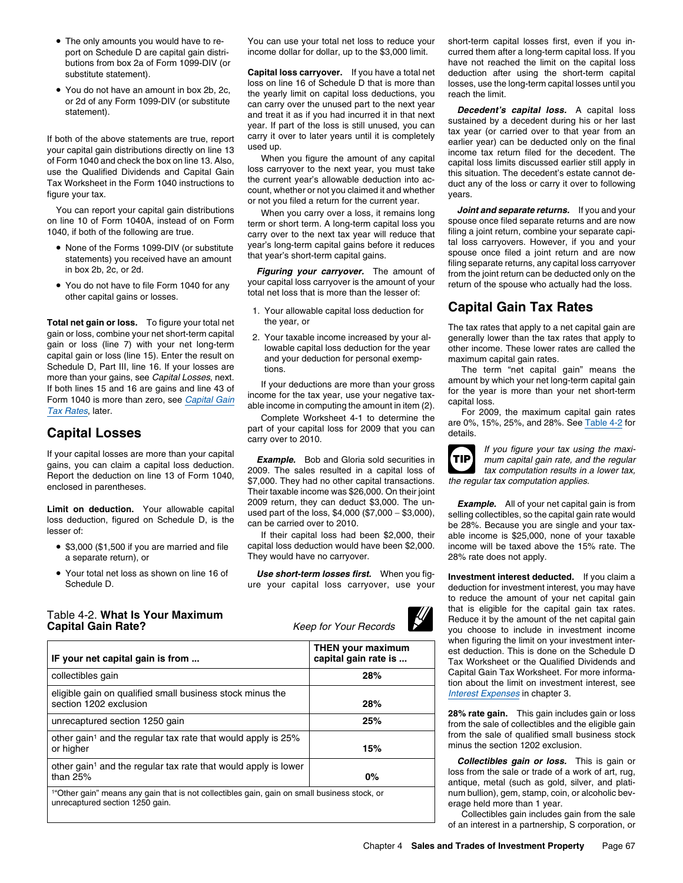- The only amounts you would have to re-
- 

You can report your capital gain distributions When you carry over a loss, it remains long *Joint and separate returns.* If you and your on line 10 of Form 1040A, instead of on Form term or short term A long-term capital

- 
- 

To figure your total net the year, or The tax rates that apply to a net capital gain are gain or loss, combine your net short-term capital and the year, or The tax rates that apply to a net capital gain are gain or loss, c Capital Losses are than your deduction for personal exemp-<br>
Schedule D, Part III, line 16. If your losses are then your deduction for personal exemp-<br>
The term "net capital gain" means the<br>
If both lines 15 and 16 are gain

- \$3,000 (\$1,500 if you are married and file
- •

**IF your net capital gain is from ... capital gain rate is ...** Tax Worksheet or the Qualified Dividends and Capital Gain Tax Worksheet. For more informa- collectibles gain **28%** eligible gain on qualified small business stock minus the Interest Expenses in chapter 3.<br>Section 1202 exclusion section 1202 exclusion **28% rate gain.** This gain includes gain or loss unrecaptured section 1250 gain **25%** *25%* **25%** *25% 25% 25% p 26% from the sale of collectibles and the eligible gain* other gain<sup>1</sup> and the regular tax rate that would apply is 25% minus the sale of qualified small business stock or higher **15%** minus the section 1202 exclusion. other gain<sup>1</sup> and the regular tax rate that would apply is lower<br>than 25% **Collectibles gain or loss.** This is gain or<br>**0% Collectibles gain or loss.** This is gain or<br>antique, metal (such as gold, silver, and plati-<sup>1</sup>"Other gain" means any gain that is not collectibles gain, gain on small business stock, or **1998** and pullion), gem, stamp, coin, or alcoholic bevunrecaptured section 1250 gain. example and the section 1250 gain. Example 1 year.

You can use your total net loss to reduce your short-term capital losses first, even if you inport on Schedule D are capital gain distri-<br>
lincome dollar for dollar, up to the \$3,000 limit. curred them aftern capital loss. If you

substitute statement). **Capital loss carryover.** If you have a total net deduction after using the short-term capital<br>loss on line 16 of Schedule D that is more than losses use the long-term capital losses until you Ioss on line 16 of Schedule D that is more than losses, use the long-term capital losses until you<br>• You do not have an amount in box 2b, 2c, the yearly limit on capital loss deductions, you reach the limit. You do not have an amount in box 2b, 2c, the yearly limit on capital loss deductions, you or 2d of any Form 1099-DIV (or substitute  $\sum_{n=1}^{\infty}$  can carry over the unused part to the next year or 2d of any Form 1099-DIV (or substitute<br>statement). and treat it as if you had incurred it in that next<br>and treat it as if you had incurred it in that next<br>year. If part of the loss is still unused, you can<br>If both of th

of Form 1040 and check the box on line 13. Also,<br>when you figure the amount of any capital<br>loss limits discussed earlier still apply in<br>this situation. The decedent's estate cannot de-<br>Tax Worksheet in the Form 1040 instru

on line 10 of Form 1040A, instead of on Form term or short term. A long-term capital loss you spouse once filed separate returns and are now<br>1040, if both of the following are true. extry over to the next tax year will re

• You do not have to file Form 1040 for any your capital loss carryover is the amount of your return of the spouse who actually had the loss. total net loss that is more than the lesser of: other capital gains or losses.

- 
- 

Report the deduction on line 13 of Form 1040, \$7,000. They had no other capital transactions. the regular tax computation applies.<br>Enclosed in parentheses. Their taxable income was \$26,000. On their joint

a separate return), or They would have no carryover. 28% rate does not apply.



butions from box 2a of Form 1099-DIV (or example and the limit on the capital loss carryover. If you have a total net deduction after using the short-term capital loss carryover. If you have a total net deduction after usi

• None of the Forms 1099-DIV (or substitute year's long-term capital gains before it reduces<br>statements) you received have an amount that year's short-term capital gains.<br>If the spouse once filed a joint return and are now

# 1. Your allowable capital loss deduction for **Capital Gain Tax Rates**

If your capital losses are more than your capital<br>gains, you can claim a capital loss deduction.<br>Report the deduction on line 13 of Form 1040,<br> $\frac{2009}{72000}$ . The sales resulted in a capital transportion results in a lo **TIP**

Limit on deduction. Your allowable capital a the search of the loss, \$4,000. The un-<br>loss deduction, figured on Schedule D, is the capital paid of the loss, \$4,000 (\$7,000 - \$3,000), selling collectibles, so the capital ga capital loss deduction would have been \$2,000. income will be taxed above the 15% rate. The

Your total net loss as shown on line 16 of **Use short-term losses first.** When you fig-<br>Schedule D. Conside D. The ure your capital loss carryover, use your deduction for investment interest, you may have to reduce the amount of your net capital gain Table 4-2. What is vour Maximum<br>Capital Gain Rate?<br>Capital Gain Rate?<br>Capital Gain Rate? When figuring the limit on your investment inter-<br> **THEN your maximum** est deduction. This is done on the Schedule D<br> **Capital gain rate is ...** Tay Worksheet or the Qualified Dividends and tion about the limit on investment interest, see

Collectibles gain includes gain from the sale of an interest in a partnership, S corporation, or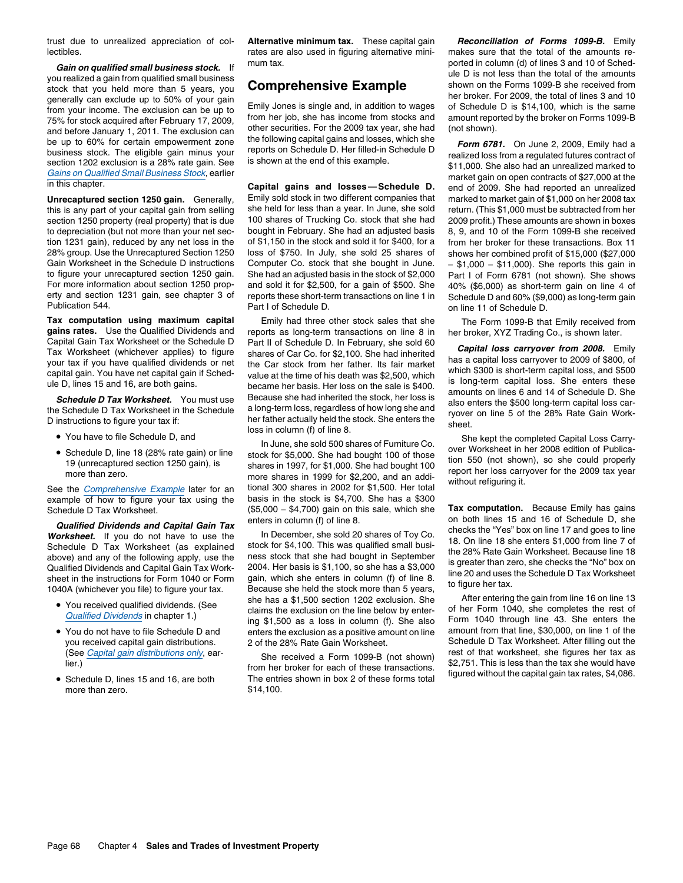lectibles. The rates are also used in figuring alternative mini- makes sure that the total of the amounts re-

from your income. The exclusion can be up to<br>75% for stock acquired after February 17, 2009, from her job, she has income from stocks and amount reported by the broker on Forms 1099-B<br>and before January 1, 2011. The exclus and before January 1, 2011. The exclusion can other securities. For the 2009 tax year, she had (not shown).<br>
be up to 60% for certain empowerment zone the following capital gains and losses, which she<br>
business stock. The

this is any part of your capital gain from selling she held for less than a year. In June, she sold return. (This \$1,000 must be subtracted from her section 1250 property (real property) that is due 100 shares of Trucking section 1250 property (real property) that is due 100 shares of Trucking Co. stock that she had 2009 profit.) These amounts are shown in boxes to depreciation (but not more than your net sec- bought in February. She had an adjusted basis 8, 9, and 10 of the Form 1099-B she received tion 1231 gain), reduced by any net loss in the of \$1,150 in the stock and sold it for \$400, for a from her broker for these transactions. Box 11 28% group. Use the Unrecaptured Section 1250 loss of \$750. In July, she sold 25 shares of shows her combined profit of \$15,000 (\$27,000 Cain Worksheet in the Schedule D instructions Computer Co. stock that she bought in Ju Gain Worksheet in the Schedule D instructions Computer Co. stock that she bought in June. – \$1,000 – \$11,000). She reports this gain in<br>to figure your unrecaptured section 1250 gain. She had an adjusted basis in the stock to figure your unrecaptured section 1250 gain. She had an adjusted basis in the stock of \$2,000 Part I of Form 6781 (not shown). She shows<br>For more information about section 1250 prop- and sold it for \$2.500, for a gain of For more information about section 1250 prop- and sold it for \$2,500, for a gain of \$500. She 40% (\$6,000) as short-term gain on line 4 of erty and section 1231 gain, see chapter 3 of reports these short-term transactions

**Tax computation using maximum capital** Emily had three other stock sales that she The Form 1099-B that Emily received from gains rates. Use the Qualified Dividends and reports as long-term transactions on line 8 in her broker, XYZ Trading Co., is shown later.<br>Capital Gain Tax Worksheet or the Schedule D Part II of Schedule D. In February, she

- 
- 

example of how to figure your tax using the basis in the stock is \$4,700. She has a \$300

**Qualified Dividends and Capital Gain Tax** enters in column (f) of line 8. on both lines 15 and 16 of Schedule D, she<br> **Worksheet**. If you do not have to use the ln December, she sold 20 shares of Toy Co.<br>
Schedule D Tax W

- 
- You do not have to file Schedule D and
- more than zero.  $$14,100$ .

Unrecaptured section 1250 gain. Generally, Emily sold stock in two different companies that marked to market gain of \$1,000 on her 2008 tax<br>this is any part of your capital gain from selling she held for less than a year.

Capital Gain Tax Worksheet or the Schedule D Part II of Schedule D. In February, she sold 60<br>Tax Worksheet (whichever applies) to figure shares of Car Co. for \$2,100. She had inherited<br>your tax if you have qualified divide **Schedule D Tax Worksheet.** You must use Because she had inherited the stock, her loss is<br>the Schedule D Tax Worksheet in the Schedule a long-term loss, regardless of how long she and<br>D instructions to figure your tax if:<br>

• Schedule D, line 18 (28% rate gain) or line<br>19 (unrecaptured section 1250 gain), is shares in 1997, for \$1,000. She had bought 100 of those<br>more than zero. the comprehensive Example later for an incompression 1250 gain), Schedule D Tax Worksheet. (\$5,000 − \$4,700) gain on this sale, which she **Tax computation.** Because Emily has gains<br>Outlified Dividends and Optifal Cain Tax Fences in column (f) of line 8. on both lines 15 and 16 of Sched

She has a \$1,500 section 1202 exclusion. She After entering the gain from line 16 on line 13<br>Claims the exclusion on the line below by enter-<br>of her Form 1040, she completes the rest of rou received qualified dividends: (Occurril claims the exclusion on the line below by enter-<br>
<u>Qualified Dividends</u> in chapter 1.) and the state of the state of the also Form 1040 through line 43. She enters the rest of in enters the exclusion as a positive amount on line you received capital gain distributions. 2 of the 28% Rate Gain Worksheet. Schedule D Tax Worksheet. After filling out the

(See Capital gain distributions only, ear-<br>Iier.)<br>She received a Form 1099-B (not shown)<br>From her broker for each of these transactions.<br>Schedule D lines 15 and 16 are both The entries shown in box 2 of these forms total<br> • Schedule D, lines 15 and 16, are both The entries shown in box 2 of these forms total

trust due to unrealized appreciation of col- **Alternative minimum tax.** These capital gain *Reconciliation of Forms 1099-B.* Emily Gain on qualified small business stock. If mum tax.<br>
you realized a gain from qualified small business<br>
stock that you held more than 5 years, you<br>
generally can exclude up to 50% of your gain<br>
from your income. The exclus

erty and section 1231 gain, see chapter 3 of reports these short-term transactions on line 1 in Schedule D and 60% (\$9,000) as long-term gain Publication 544. Publication 544.

Vou have to file Schedule D, and<br>In June, she sold 500 shares of Furniture Co.<br>■ She kept the completed Capital Loss Carry-<br>She kept the completed Capital Loss Carry-<br>She kept the completed Capital Loss Carry-<br>She kept th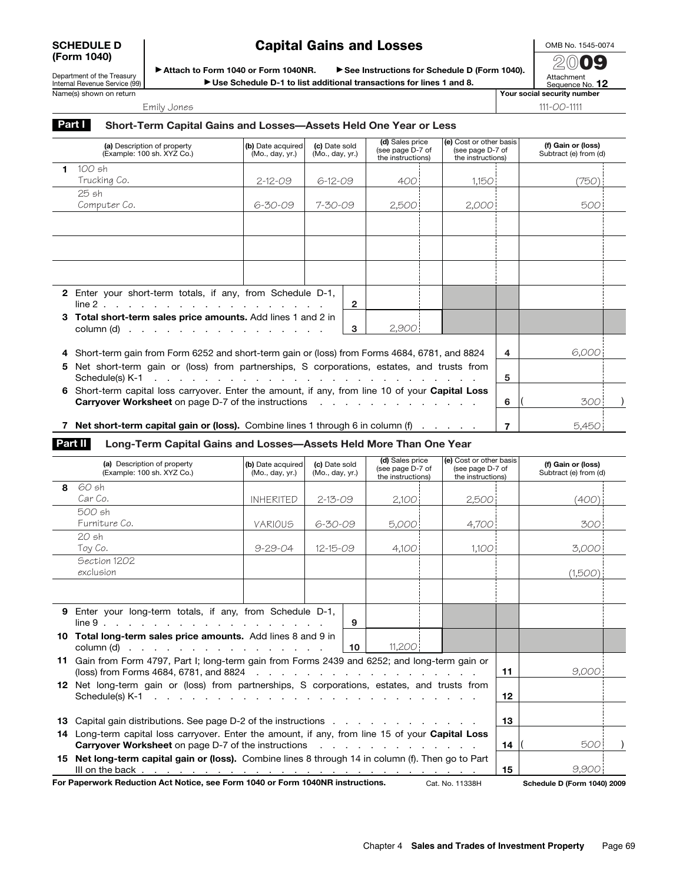### **SCHEDULE D (Form 1040)**

### Capital Gains and Losses

OMB No. 1545-0074 **2009**

Department of the Treasury Internal Revenue Service (99)

| ▶ Attach to Form 1040 or Form 1040NR. | See Instructions for Schedule D (Form 1040).                          |
|---------------------------------------|-----------------------------------------------------------------------|
|                                       | ► Use Schedule D-1 to list additional transactions for lines 1 and 8. |

Attachment Sequence No. **12** Name(s) shown on return **Your social security number Your social security number** 

Emily Jones 111-00-1111

### **Part I** Short-Term Capital Gains and Losses-Assets Held One Year or Less

| (a) Description of property<br>(Example: 100 sh. XYZ Co.)                                                                                                                                                                      | (b) Date acquired<br>(Mo., day, yr.)                                                                                                                                                                                                                                                                                                  | (c) Date sold<br>(Mo., day, yr.) |                |       |  | (d) Sales price<br>(e) Cost or other basis<br>(see page D-7 of<br>(see page D-7 of<br>the instructions)<br>the instructions) |   |       | (f) Gain or (loss)<br>Subtract (e) from (d) |
|--------------------------------------------------------------------------------------------------------------------------------------------------------------------------------------------------------------------------------|---------------------------------------------------------------------------------------------------------------------------------------------------------------------------------------------------------------------------------------------------------------------------------------------------------------------------------------|----------------------------------|----------------|-------|--|------------------------------------------------------------------------------------------------------------------------------|---|-------|---------------------------------------------|
| 100 sh<br>1.                                                                                                                                                                                                                   |                                                                                                                                                                                                                                                                                                                                       |                                  |                |       |  |                                                                                                                              |   |       |                                             |
| Trucking Co.                                                                                                                                                                                                                   | $2 - 12 - 09$                                                                                                                                                                                                                                                                                                                         | $6 - 12 - 09$                    |                | 400   |  | 1,150                                                                                                                        |   | 750)  |                                             |
| 25 sh                                                                                                                                                                                                                          |                                                                                                                                                                                                                                                                                                                                       |                                  |                |       |  |                                                                                                                              |   |       |                                             |
| Computer Co.                                                                                                                                                                                                                   | 6-30-09                                                                                                                                                                                                                                                                                                                               | 7-30-09                          |                | 2,500 |  | 2,000                                                                                                                        |   | 500   |                                             |
|                                                                                                                                                                                                                                |                                                                                                                                                                                                                                                                                                                                       |                                  |                |       |  |                                                                                                                              |   |       |                                             |
| 2 Enter your short-term totals, if any, from Schedule D-1,                                                                                                                                                                     |                                                                                                                                                                                                                                                                                                                                       |                                  |                |       |  |                                                                                                                              |   |       |                                             |
| $line 2$                                                                                                                                                                                                                       |                                                                                                                                                                                                                                                                                                                                       |                                  | $\overline{2}$ |       |  |                                                                                                                              |   |       |                                             |
|                                                                                                                                                                                                                                | 3 Total short-term sales price amounts. Add lines 1 and 2 in<br>2,900!<br>3<br>$\text{column (d)}$                                                                                                                                                                                                                                    |                                  |                |       |  |                                                                                                                              |   |       |                                             |
| 4                                                                                                                                                                                                                              | Short-term gain from Form 6252 and short-term gain or (loss) from Forms 4684, 6781, and 8824                                                                                                                                                                                                                                          |                                  |                |       |  |                                                                                                                              | 4 | 6,000 |                                             |
| Net short-term gain or (loss) from partnerships, S corporations, estates, and trusts from<br>5.<br>Schedule(s) K-1 $\cdots$ $\cdots$ $\cdots$ $\cdots$ $\cdots$ $\cdots$ $\cdots$ $\cdots$ $\cdots$ $\cdots$ $\cdots$ $\cdots$ |                                                                                                                                                                                                                                                                                                                                       |                                  |                |       |  |                                                                                                                              | 5 |       |                                             |
| 6                                                                                                                                                                                                                              | Short-term capital loss carryover. Enter the amount, if any, from line 10 of your Capital Loss<br><b>Carryover Worksheet</b> on page D-7 of the instructions enter the state of the control of the intervalse of the intervalse of the control of the control of the control of the control of the control of the control of the cont |                                  |                |       |  |                                                                                                                              | 6 | 300   |                                             |
| 7 Net short-term capital gain or (loss). Combine lines 1 through 6 in column (f)                                                                                                                                               |                                                                                                                                                                                                                                                                                                                                       |                                  |                |       |  |                                                                                                                              |   | 5,450 |                                             |

### **Part II Long-Term Capital Gains and Losses—Assets Held More Than One Year**

|                                                                | (a) Description of property<br>(Example: 100 sh. XYZ Co.)                                                                                                                                                                                                                                                                               | (b) Date acquired<br>(Mo., day, yr.) | (c) Date sold<br>(Mo., day, yr.) |                                 | (d) Sales price<br>(see page D-7 of<br>the instructions) | (e) Cost or other basis<br>(see page D-7 of<br>the instructions) |     | (f) Gain or (loss)<br>Subtract (e) from (d) |
|----------------------------------------------------------------|-----------------------------------------------------------------------------------------------------------------------------------------------------------------------------------------------------------------------------------------------------------------------------------------------------------------------------------------|--------------------------------------|----------------------------------|---------------------------------|----------------------------------------------------------|------------------------------------------------------------------|-----|---------------------------------------------|
| 8                                                              | 60 sh                                                                                                                                                                                                                                                                                                                                   |                                      |                                  |                                 |                                                          |                                                                  |     |                                             |
|                                                                | Car Co.                                                                                                                                                                                                                                                                                                                                 | <b>INHERITED</b>                     | $2 - 13 - 09$                    |                                 | 2,100<br>2,500                                           |                                                                  |     | (400`                                       |
|                                                                | 500 sh                                                                                                                                                                                                                                                                                                                                  |                                      |                                  |                                 |                                                          |                                                                  |     |                                             |
|                                                                | Furniture Co.                                                                                                                                                                                                                                                                                                                           | <b>VARIOUS</b>                       |                                  | $6 - 30 - 09$<br>5,000<br>4,700 |                                                          |                                                                  | 300 |                                             |
|                                                                | 20sh                                                                                                                                                                                                                                                                                                                                    |                                      |                                  |                                 |                                                          |                                                                  |     |                                             |
|                                                                | Toy Co.                                                                                                                                                                                                                                                                                                                                 | $9 - 29 - 04$                        | $12 - 15 - 09$                   |                                 | 4,100                                                    | 1,100                                                            |     | 3,000                                       |
|                                                                | Section 1202                                                                                                                                                                                                                                                                                                                            |                                      |                                  |                                 |                                                          |                                                                  |     |                                             |
|                                                                | exclusion                                                                                                                                                                                                                                                                                                                               |                                      |                                  |                                 |                                                          |                                                                  |     | (1,500)                                     |
|                                                                |                                                                                                                                                                                                                                                                                                                                         |                                      |                                  |                                 |                                                          |                                                                  |     |                                             |
| 9 Enter your long-term totals, if any, from Schedule D-1,<br>9 |                                                                                                                                                                                                                                                                                                                                         |                                      |                                  |                                 |                                                          |                                                                  |     |                                             |
|                                                                | 10 Total long-term sales price amounts. Add lines 8 and 9 in<br>$\text{column (d)}$                                                                                                                                                                                                                                                     |                                      |                                  | 10                              | 11,200                                                   |                                                                  |     |                                             |
|                                                                | 11 Gain from Form 4797, Part I; long-term gain from Forms 2439 and 6252; and long-term gain or                                                                                                                                                                                                                                          |                                      |                                  |                                 |                                                          |                                                                  | 11  | 9,000                                       |
|                                                                | 12 Net long-term gain or (loss) from partnerships, S corporations, estates, and trusts from<br>Schedule(s) K-1 $\ldots$ $\ldots$ $\ldots$ $\ldots$ $\ldots$ $\ldots$ $\ldots$ $\ldots$ $\ldots$ $\ldots$ $\ldots$                                                                                                                       |                                      |                                  |                                 |                                                          |                                                                  | 12  |                                             |
|                                                                | 13 Capital gain distributions. See page D-2 of the instructions                                                                                                                                                                                                                                                                         |                                      |                                  |                                 |                                                          |                                                                  | 13  |                                             |
|                                                                | 14 Long-term capital loss carryover. Enter the amount, if any, from line 15 of your Capital Loss<br><b>Carryover Worksheet</b> on page D-7 of the instructions enter the content of the content of the instructions of the content of the content of the content of the content of the content of the content of the content of content |                                      |                                  |                                 |                                                          |                                                                  | 14  | 500                                         |
|                                                                | 15 Net long-term capital gain or (loss). Combine lines 8 through 14 in column (f). Then go to Part                                                                                                                                                                                                                                      |                                      |                                  |                                 |                                                          |                                                                  | 15  | 9,900                                       |
|                                                                |                                                                                                                                                                                                                                                                                                                                         |                                      |                                  |                                 |                                                          |                                                                  |     |                                             |

**For Paperwork Reduction Act Notice, see Form 1040 or Form 1040NR instructions.** Cat. No. 11338H **Schedule D (Form 1040) 2009**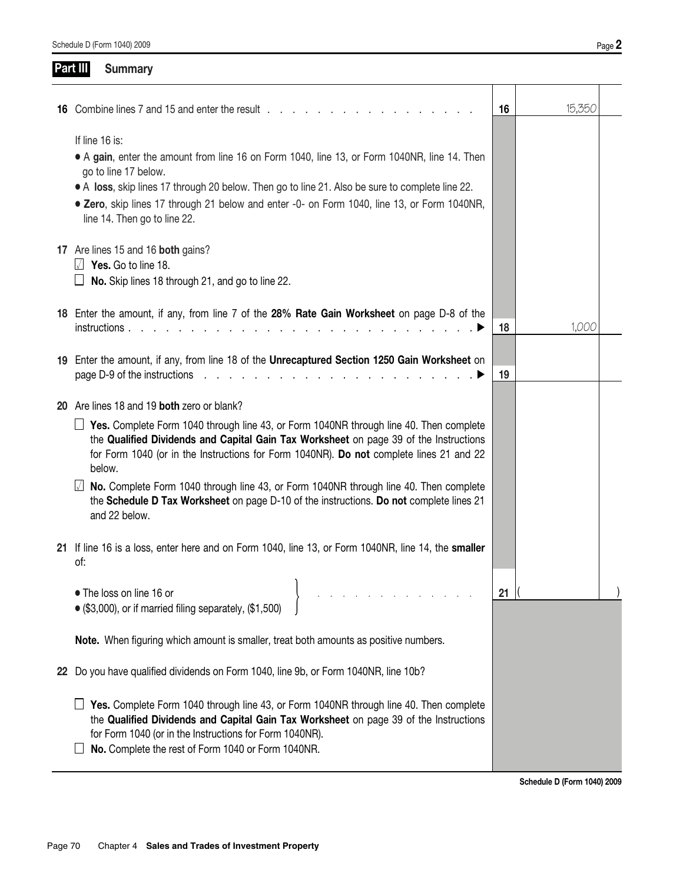## **Part III** Summary

|    | <b>16</b> Combine lines 7 and 15 and enter the result                                                                                                                                                                                                                                                                                                                    | 16     | 15,350 |
|----|--------------------------------------------------------------------------------------------------------------------------------------------------------------------------------------------------------------------------------------------------------------------------------------------------------------------------------------------------------------------------|--------|--------|
|    | If line 16 is:<br>• A gain, enter the amount from line 16 on Form 1040, line 13, or Form 1040NR, line 14. Then<br>go to line 17 below.<br>• A loss, skip lines 17 through 20 below. Then go to line 21. Also be sure to complete line 22.<br>• Zero, skip lines 17 through 21 below and enter -0- on Form 1040, line 13, or Form 1040NR,<br>line 14. Then go to line 22. |        |        |
|    | 17 Are lines 15 and 16 both gains?<br>$\sqrt{ }$ Yes. Go to line 18.<br>No. Skip lines 18 through 21, and go to line 22.                                                                                                                                                                                                                                                 |        |        |
|    | 18 Enter the amount, if any, from line 7 of the 28% Rate Gain Worksheet on page D-8 of the<br>instructions.                                                                                                                                                                                                                                                              | 18     | 1,000  |
|    | 19 Enter the amount, if any, from line 18 of the Unrecaptured Section 1250 Gain Worksheet on<br>page D-9 of the instructions.                                                                                                                                                                                                                                            | 19     |        |
|    | 20 Are lines 18 and 19 both zero or blank?                                                                                                                                                                                                                                                                                                                               |        |        |
|    | $\Box$ Yes. Complete Form 1040 through line 43, or Form 1040NR through line 40. Then complete<br>the Qualified Dividends and Capital Gain Tax Worksheet on page 39 of the Instructions<br>for Form 1040 (or in the Instructions for Form 1040NR). Do not complete lines 21 and 22<br>below.                                                                              |        |        |
|    | No. Complete Form 1040 through line 43, or Form 1040NR through line 40. Then complete<br>V<br>the Schedule D Tax Worksheet on page D-10 of the instructions. Do not complete lines 21<br>and 22 below.                                                                                                                                                                   |        |        |
|    | 21 If line 16 is a loss, enter here and on Form 1040, line 13, or Form 1040NR, line 14, the smaller<br>of:                                                                                                                                                                                                                                                               |        |        |
|    | • The loss on line 16 or<br>• (\$3,000), or if married filing separately, (\$1,500)                                                                                                                                                                                                                                                                                      | $21$ ( |        |
|    | Note. When figuring which amount is smaller, treat both amounts as positive numbers.                                                                                                                                                                                                                                                                                     |        |        |
| 22 | Do you have qualified dividends on Form 1040, line 9b, or Form 1040NR, line 10b?                                                                                                                                                                                                                                                                                         |        |        |
|    | Yes. Complete Form 1040 through line 43, or Form 1040NR through line 40. Then complete<br>the Qualified Dividends and Capital Gain Tax Worksheet on page 39 of the Instructions<br>for Form 1040 (or in the Instructions for Form 1040NR).<br>No. Complete the rest of Form 1040 or Form 1040NR.                                                                         |        |        |

**Schedule D (Form 1040) 2009**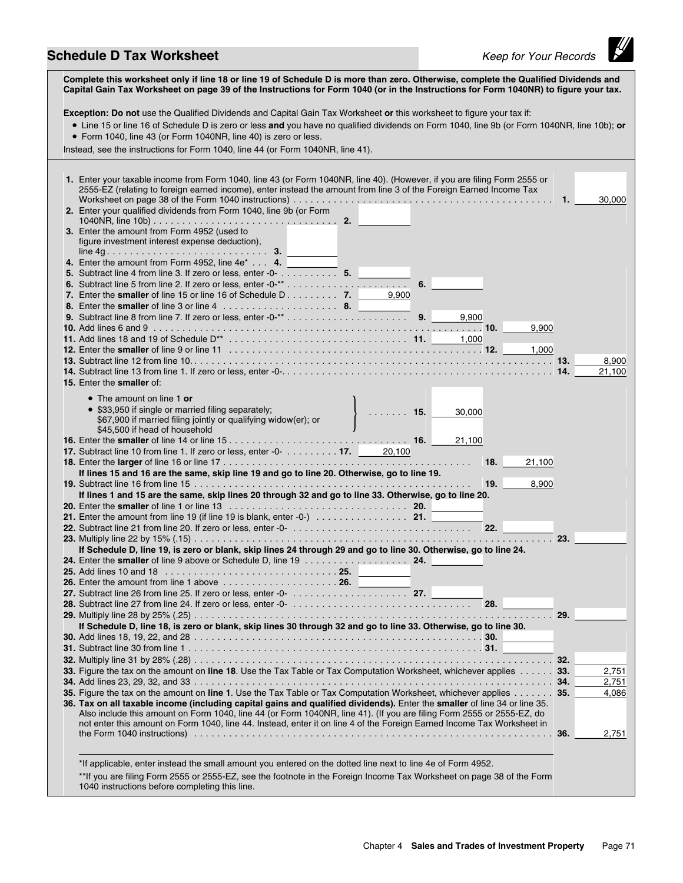# **Schedule D Tax Worksheet** Keep for Your Records

| Complete this worksheet only if line 18 or line 19 of Schedule D is more than zero. Otherwise, complete the Qualified Dividends and<br>Capital Gain Tax Worksheet on page 39 of the Instructions for Form 1040 (or in the Instructions for Form 1040NR) to figure your tax.                                                                                                                                                                                                                                                                                                                                                                                                                          |                       |
|------------------------------------------------------------------------------------------------------------------------------------------------------------------------------------------------------------------------------------------------------------------------------------------------------------------------------------------------------------------------------------------------------------------------------------------------------------------------------------------------------------------------------------------------------------------------------------------------------------------------------------------------------------------------------------------------------|-----------------------|
| Exception: Do not use the Qualified Dividends and Capital Gain Tax Worksheet or this worksheet to figure your tax if:<br>• Line 15 or line 16 of Schedule D is zero or less and you have no qualified dividends on Form 1040, line 9b (or Form 1040NR, line 10b); or<br>• Form 1040, line 43 (or Form 1040NR, line 40) is zero or less.                                                                                                                                                                                                                                                                                                                                                              |                       |
| Instead, see the instructions for Form 1040, line 44 (or Form 1040NR, line 41).                                                                                                                                                                                                                                                                                                                                                                                                                                                                                                                                                                                                                      |                       |
| 1. Enter your taxable income from Form 1040, line 43 (or Form 1040NR, line 40). (However, if you are filing Form 2555 or<br>2555-EZ (relating to foreign earned income), enter instead the amount from line 3 of the Foreign Earned Income Tax<br>2. Enter your qualified dividends from Form 1040, line 9b (or Form<br>3. Enter the amount from Form 4952 (used to<br>figure investment interest expense deduction),<br>4. Enter the amount from Form 4952, line $4e^* \ldots 4$ .<br>5. Subtract line 4 from line 3. If zero or less, enter -0- 5.<br>7. Enter the smaller of line 15 or line 16 of Schedule D. 7. 9,900<br>8. Enter the smaller of line 3 or line 4 8.<br>9.900<br>9,900<br>1,000 | 30,000<br>1.<br>8,900 |
| 15. Enter the smaller of:                                                                                                                                                                                                                                                                                                                                                                                                                                                                                                                                                                                                                                                                            | 21,100                |
| • The amount on line 1 or<br>• \$33,950 if single or married filing separately;<br>$\Big\}$ 15.<br>30,000<br>\$67,900 if married filing jointly or qualifying widow(er); or<br>\$45,500 if head of household<br>21,100<br>17. Subtract line 10 from line 1. If zero or less, enter -0- 17. 20,100<br>18.<br>21,100<br>If lines 15 and 16 are the same, skip line 19 and go to line 20. Otherwise, go to line 19.<br>8,900<br>19.<br>If lines 1 and 15 are the same, skip lines 20 through 32 and go to line 33. Otherwise, go to line 20.                                                                                                                                                            |                       |
|                                                                                                                                                                                                                                                                                                                                                                                                                                                                                                                                                                                                                                                                                                      | 23.                   |
| If Schedule D, line 19, is zero or blank, skip lines 24 through 29 and go to line 30. Otherwise, go to line 24.<br>24. Enter the smaller of line 9 above or Schedule D, line 19 24.<br><b>25.</b> Add lines 10 and 18<br>25 <sub>1</sub>                                                                                                                                                                                                                                                                                                                                                                                                                                                             |                       |
| If Schedule D, line 18, is zero or blank, skip lines 30 through 32 and go to line 33. Otherwise, go to line 30.                                                                                                                                                                                                                                                                                                                                                                                                                                                                                                                                                                                      |                       |
|                                                                                                                                                                                                                                                                                                                                                                                                                                                                                                                                                                                                                                                                                                      |                       |
|                                                                                                                                                                                                                                                                                                                                                                                                                                                                                                                                                                                                                                                                                                      | 32.                   |
| 33. Figure the tax on the amount on line 18. Use the Tax Table or Tax Computation Worksheet, whichever applies 33.                                                                                                                                                                                                                                                                                                                                                                                                                                                                                                                                                                                   | 2,751                 |
| 35. Figure the tax on the amount on line 1. Use the Tax Table or Tax Computation Worksheet, whichever applies 35.                                                                                                                                                                                                                                                                                                                                                                                                                                                                                                                                                                                    | 2,751<br>4,086        |
| 36. Tax on all taxable income (including capital gains and qualified dividends). Enter the smaller of line 34 or line 35.<br>Also include this amount on Form 1040, line 44 (or Form 1040NR, line 41). (If you are filing Form 2555 or 2555-EZ, do<br>not enter this amount on Form 1040, line 44. Instead, enter it on line 4 of the Foreign Earned Income Tax Worksheet in                                                                                                                                                                                                                                                                                                                         |                       |
|                                                                                                                                                                                                                                                                                                                                                                                                                                                                                                                                                                                                                                                                                                      | 2,751                 |
| *If applicable, enter instead the small amount you entered on the dotted line next to line 4e of Form 4952.                                                                                                                                                                                                                                                                                                                                                                                                                                                                                                                                                                                          |                       |
| **If you are filing Form 2555 or 2555-EZ, see the footnote in the Foreign Income Tax Worksheet on page 38 of the Form                                                                                                                                                                                                                                                                                                                                                                                                                                                                                                                                                                                |                       |
| 1040 instructions before completing this line.                                                                                                                                                                                                                                                                                                                                                                                                                                                                                                                                                                                                                                                       |                       |

Chapter 4 **Sales and Trades of Investment Property** Page 71

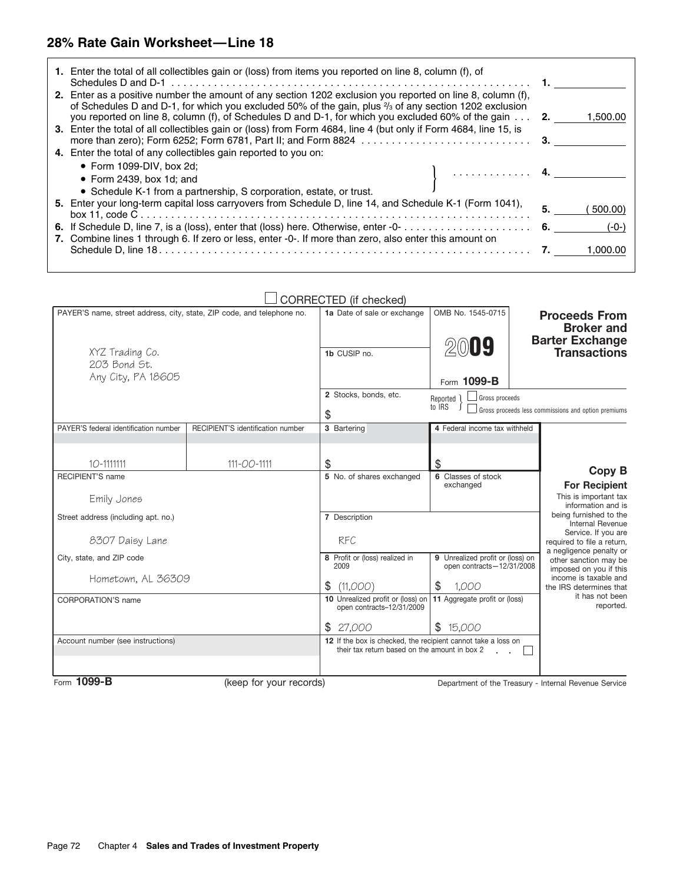# **28% Rate Gain Worksheet—Line 18**

| 1. Enter the total of all collectibles gain or (loss) from items you reported on line 8, column (f), of                                                                                                                                                                                                                                 |    |          |
|-----------------------------------------------------------------------------------------------------------------------------------------------------------------------------------------------------------------------------------------------------------------------------------------------------------------------------------------|----|----------|
| 2. Enter as a positive number the amount of any section 1202 exclusion you reported on line 8, column (f),<br>of Schedules D and D-1, for which you excluded 50% of the gain, plus $\frac{2}{3}$ of any section 1202 exclusion<br>you reported on line 8, column (f), of Schedules D and D-1, for which you excluded 60% of the gain 2. |    | 1.500.00 |
| 3. Enter the total of all collectibles gain or (loss) from Form 4684, line 4 (but only if Form 4684, line 15, is                                                                                                                                                                                                                        |    |          |
| 4. Enter the total of any collectibles gain reported to you on:                                                                                                                                                                                                                                                                         |    |          |
| $\bullet$ Form 1099-DIV, box 2d;<br>• Form 2439, box 1d; and<br>• Schedule K-1 from a partnership, S corporation, estate, or trust.                                                                                                                                                                                                     |    |          |
| 5. Enter your long-term capital loss carryovers from Schedule D, line 14, and Schedule K-1 (Form 1041),                                                                                                                                                                                                                                 | 5. | 500.00   |
| 7. Combine lines 1 through 6. If zero or less, enter -0-. If more than zero, also enter this amount on                                                                                                                                                                                                                                  |    |          |
|                                                                                                                                                                                                                                                                                                                                         |    | 1.000.00 |

|                                                                                                 |                                   | CORRECTED (if checked)                                                                                         |                                                               |                                                                            |
|-------------------------------------------------------------------------------------------------|-----------------------------------|----------------------------------------------------------------------------------------------------------------|---------------------------------------------------------------|----------------------------------------------------------------------------|
| PAYER'S name, street address, city, state, ZIP code, and telephone no.                          |                                   | 1a Date of sale or exchange                                                                                    | OMB No. 1545-0715                                             | <b>Proceeds From</b><br><b>Broker and</b><br><b>Barter Exchange</b>        |
| XYZ Trading Co.<br>203 Bond St.<br>Any City, PA 18605                                           |                                   | 1b CUSIP no.                                                                                                   | 2009                                                          | <b>Transactions</b>                                                        |
|                                                                                                 |                                   |                                                                                                                |                                                               |                                                                            |
|                                                                                                 |                                   |                                                                                                                | Form 1099-B                                                   |                                                                            |
|                                                                                                 |                                   | 2 Stocks, bonds, etc.                                                                                          | Gross proceeds<br>Reported l<br>to IRS                        |                                                                            |
|                                                                                                 |                                   | \$                                                                                                             |                                                               | Gross proceeds less commissions and option premiums                        |
| PAYER'S federal identification number                                                           | RECIPIENT'S identification number | 3 Bartering                                                                                                    | 4 Federal income tax withheld                                 |                                                                            |
|                                                                                                 |                                   |                                                                                                                |                                                               |                                                                            |
| 10-1111111                                                                                      | $111 - OO - 1111$                 | \$                                                                                                             | \$                                                            |                                                                            |
| <b>RECIPIENT'S name</b>                                                                         |                                   | 5 No. of shares exchanged                                                                                      | 6 Classes of stock<br>exchanged                               | Copy B<br><b>For Recipient</b>                                             |
| Emily Jones                                                                                     |                                   |                                                                                                                |                                                               | This is important tax<br>information and is                                |
| Street address (including apt. no.)                                                             |                                   | 7 Description                                                                                                  |                                                               | being furnished to the<br>Internal Revenue                                 |
| 8307 Daisy Lane                                                                                 |                                   | RFC                                                                                                            |                                                               | Service. If you are<br>required to file a return,                          |
| City, state, and ZIP code                                                                       |                                   | 8 Profit or (loss) realized in<br>2009                                                                         | 9 Unrealized profit or (loss) on<br>open contracts-12/31/2008 | a negligence penalty or<br>other sanction may be<br>imposed on you if this |
| Hometown, AL 36309                                                                              |                                   | \$<br>(11,000)                                                                                                 | \$<br>1.000                                                   | income is taxable and<br>the IRS determines that                           |
| <b>CORPORATION'S name</b>                                                                       |                                   | 10 Unrealized profit or (loss) on<br>open contracts-12/31/2009                                                 | 11 Aggregate profit or (loss)                                 | it has not been<br>reported.                                               |
|                                                                                                 |                                   |                                                                                                                |                                                               |                                                                            |
|                                                                                                 |                                   | \$27,000                                                                                                       | \$15,000                                                      |                                                                            |
| Account number (see instructions)                                                               |                                   | 12 If the box is checked, the recipient cannot take a loss on<br>their tax return based on the amount in box 2 |                                                               |                                                                            |
|                                                                                                 |                                   |                                                                                                                |                                                               |                                                                            |
| Form 1099-B<br>(keep for your records)<br>Department of the Treasury - Internal Revenue Service |                                   |                                                                                                                |                                                               |                                                                            |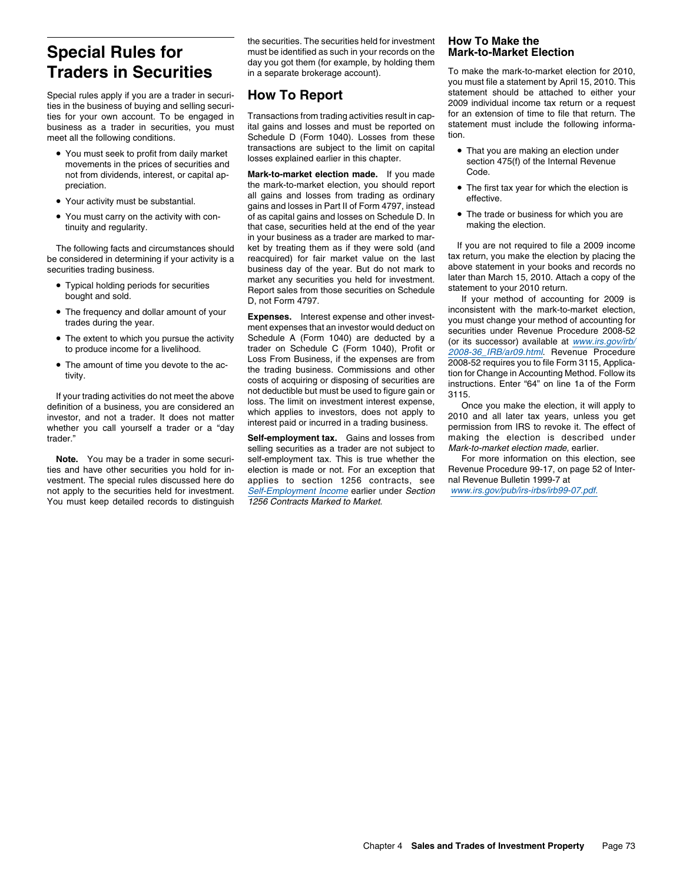ties in the business of buying and selling securi-<br>ties for your own account. To be engaged in Transactions from trading activities result in cap- for an extension of time to file that return. The ties for your own account. To be engaged in Transactions from trading activities result in cap-<br>business as a trader in securities, you must ital gains and losses and must be reported on statement must include the followin

- You must seek to profit from daily market You must seek to profit from daily market losses explained earlier in this chapter.<br>
movements in the prices of securities and securities and securities and section 475(f) of the Internal Revenue<br>
Code
- 
- 

be considered in determining if your activity is a reacquired) for fair market value on the last tax return, you make the election by placing the securities trading business on business day of the year. But do not mark to securities trading business. The statement in your business day of the year. But do not mark to

- 
- The frequency and dollar amount of your
- The extent to which you pursue the activity
- The amount of time you devote to the ac-

If your trading activities do not meet the above<br>definition of a business, you are considered an<br>investor, and not a trader. It does not matter which applies to investment interest expense,<br>whether you call yourself a trad

You must keep detailed records to distinguish 7256 Contracts Marked to Market.

the securities. The securities held for investment **How To Make the Special Rules for** must be identified as such in your records on the **Mark-to-Market Election** day you got them (for example, by holding them **Traders in Securities** in a separate brokerage account). To make the mark-to-market election for 2010,

meet all the following conditions. Schedule D (Form 1040). Losses from these transactions are subject to the limit on capital . That you are making an election under

not from dividends, interest, or capital ap-<br>
Mark-to-market election made. If you made preciation. The mark-to-market election, you should report • The first tax year for which the election is The first tax year for which the election is all gains and losses from trading as ordinary effective. •gains and losses in Part II of Form 4797, instead You must carry on the activity with con-<br>that case, securities held at the end of the year<br>tinuity and regularity.<br>making the election. in your business as a trader are marked to mar-The following facts and circumstances should ket by treating them as if they were sold (and If you are not required to file a 2009 income The formation of your activity is a reacquired) for fair market value on the last ta market any securities you held for investment. Iater than March 15, 2010. Attach a copy of the<br>• Typical holding periods for securities water on Schedule statement to your 2010 return.

The nequency and dollar amount of you<br>trades during the year.<br>The extent to which you pursue the activity<br>The extent to which you pursue the activity<br>Schedule A (Form 1040) are deducted by a<br>Consistence of the successor) a The extent to which you pursue the activity Schedule A (Form 1040) are deducted by a (or its successor) available at <u>www.irs.gov/irb/</u><br>to produce income for a livelihood. trader on Schedule C (Form 1040), Profit or  $\frac{2$ The amount of time you devote to the ac-<br>the trading business. Commissions and other<br>trading or disposing of securities are trom and other<br>costs of acquiring or disposing of securities are instructions. Enter "64" on line

trader." **Self-employment tax.** Gains and losses from making the election is described under<br>selling securities as a trader are not subject to *Mark-to-market election made*, earlier. selling securities as a trader are not subject to **Note.** You may be a trader in some securi- self-employment tax. This is true whether the For more information on this election, see ties and have other securities you hold for in-<br>vestment. The special rules discussed here do applies to section 1256 contracts, see nal Revenue Bulletin 1999-7 at applies to section 1256 contracts, see not apply to the securities held for investment. Self-Employment Income earlier under Section www.irs.gov/pub/irs-irbs/irb99-07.pdf.

you must file a statement by April 15, 2010. This Special rules apply if you are a trader in securi-<br> **How To Report** Security Statement should be attached to either your<br>
2009 individual income tax return or a request

- 
- 
- 

The from those securities on Schedule statement of your sales from those securities on Schedule Statement of your period of accounting for 2009 is<br>The from and sold. D, not Form 4797. If your method of accounting for 2009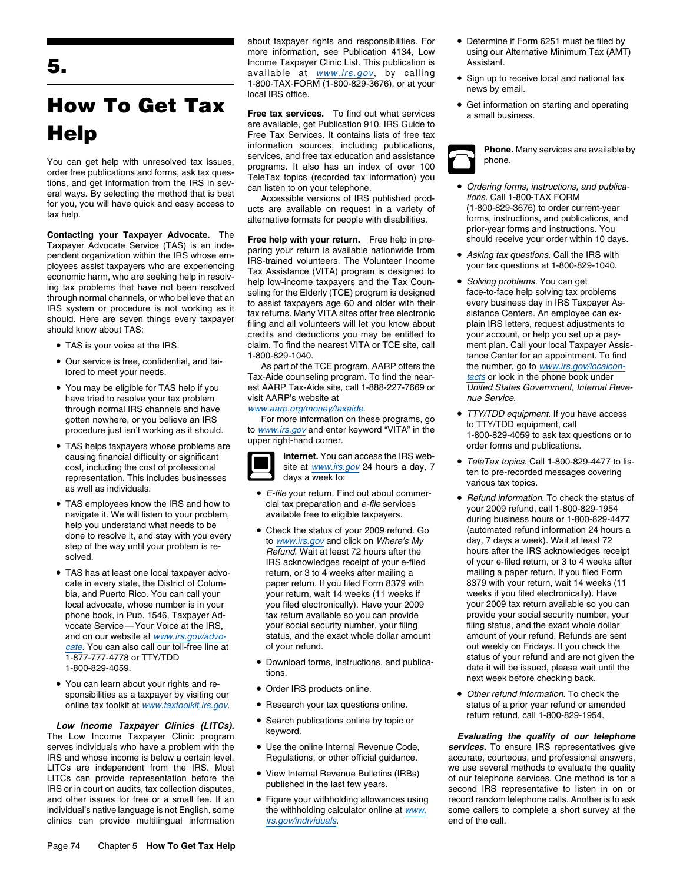# **How To Get Tax**<br>Free tax services. To find out what services a small business.

- TAS is your voice at the IRS.
- 
- You may be eligible for TAS help if you through normal IRS channels and have www.aarp.org/money/taxaide.<br>gotten nowhere, or you believe an IRS For more information on these programs, go to TTY/TDD equipment, coll
- TAS helps taxpayers whose problems are order right-hand corner.<br>● TAS helps taxpayers whose problems are order forms and publications. causing financial difficulty or significant **Internet.** You can access the IRS web-<br>cost, including the cost of professional site at www.irs.gov 24 hours a day, 7 to the the pre-receded messenges equating TeleTax topics. Call 1-800-829-4477 to lis- cost, including the cost of professional site at www.irs.gov 24 hours a day, 7 ten to pre-recorded messages covering representation. This includes businesses days a week to: various tax topics. as well as individuals. •
- TAS employees know the IRS and how to • TAS employees know the IRS and how to cial tax preparation and *e-file* services where the services<br>
navigate it. We will listen to your problem, available free to eligible taxpayers.<br>
help you understand what needs to b
- 
- You can learn about your rights and re-<br>sponsibilities as a taxpayer by visiting our

 Search publications online by topic or *Low Income Taxpayer Clinics (LITCs).* keyword. The Low Income Taxpayer Clinic program *Evaluating the quality of our telephone* serves individuals who have a problem with the . Use the online Internal Revenue Code, services. To ensure IRS representatives give

about taxpayer rights and responsibilities. For • Determine if Form 6251 must be filed by more information, see Publication 4134, Low using our Alternative Minimum Tax (AMT)<br>Income Taxpayer Clinic List. This publication is Assistant. Income Taxpayer Clinic List. This publication is Assistant.<br>
available at www.irs.gov, by calling • Sign up to receive local and national tax Sign up to recent and national tax 1-800-829-3676), or at your<br>local IRS office.

**Free tax services.** To find out what services are available, get Publication 910, IRS Guide to **Help** Free Tax Services. It contains lists of free tax<br>
information sources, including publications, Vou can get help with unresolved tax issues,<br>
order free publications and forms, ask tax ques-<br>
order free publications and forms, ask tax ques-<br>
tions, and get information from the IRS in sev-<br>
feleTax topics (recorded ta

Contacting your Taxpayer Advocate. The **Free help with your return**. Free help in pre-<br>
Taxpayer Advocate Service (TAS) is an inde-<br>
pendent organization within the IRS whose em-<br>
ployees assist taxpayers who are experienc claim. To find the nearest VITA or TCE site, call ment plan. Call your local Taxpayer Assis-

Our service is riee, commember, and tal-<br>lored to meet your needs.<br>Tax-Aide counseling program. To find the near- tacts or look in the phone book under est AARP Tax-Aide site, call 1-888-227-7669 or United States Government, Internal Reve-<br>visit AARP's website at unital Reve-nue Service. have tried to resolve your tax problem visit AARP's website at nue Service.



- $\bullet$  *E-file* your return. Find out about commer-<br>cial tax preparation and *e-file* services
- From the status of your 2009 refund. Go (automated refund information 24 hours a<br>done to resolve it, and stay with you every<br>step of the way until your problem is re-<br>solved. IRS acknowledges receipt of your e-filed of you • TAS has at least one local taxpayer advo- return, or 3 to 4 weeks after mailing a mailing a paper return. If you filed Form cate in every state, the District of Colum- paper return. If you filed Form 8379 with 8379 with your return, wait 14 weeks (11 bia, and Puerto Rico. You can call your your return, wait 14 weeks (11 weeks if weeks if you filed electronically). Have local advocate, whose number is in your you filed electronically). Have your 2009 your 2009 tax return available so you can phone book, in Pub. 1546, Taxpayer Ad- tax return available so you can provide provide your social security number, your vocate Service—Your Voice at the IRS, your social security number, your filing filing status, and the exact whole dollar<br>and on our website at www.irs.gov/advo-<br>and on our website at www.irs.gov/advo-<br>and the exact whole d and on our website at www.irs.gov/advo-status, and the exact whole dollar amount cate. You can also call our toll-free line at of your refund. The same out weekly on Fridays. If you check the
	-
	-
	-
	- Search publications online by topic or
	-
	-
- clinics can provide multilingual information irs.gov/individuals. **end of the call.** end of the call.
- 
- 
- 

- eral ways. By selecting the method that is best<br>for you, you will have quick and easy access to<br>tax help.<br>alternative formats for people with disabilities.<br>alternative formats for people with disabilities.<br>alternative form
	-
	- Our service is free, confidential, and tai-<br>
	1-800-829-1040. The mumber of the TCE program, AARP offers the the number, go to www.irs.gov/localcon-
	- gotten nowhere, or you believe an IRS<br>procedure just isn't working as it should. to www.irs.gov and enter keyword "VITA" in the<br>example isn't working as it should. to www.irs.gov and enter keyword "VITA" in the<br>example the
		-
		- Refund information. To check the status of 1-877-777-4778 or TTY/TDD <br>1-800-829-4059. Status of your refund and are not given the **status of your refund and are not given the 1-800-829-4059.** Download forms, instructions, and publica- 1-800-829-4059. date it will be issued, please wait until the tions. next week before checking back. •
		- Other refund information. To check the online tax toolkit at www.taxtoolkit.irs.gov. • Research your tax questions online. status of a prior year refund or amended<br>return refund, call 1-800-829-1954.

IRS and whose income is below a certain level. <br>Regulations, or other official guidance. <br>accurate, courteous, and professional answers, LITCs are independent from the IRS. Most <br>LITCs can provide representation before the windinhad in the last forming respectively of our telephone services. One method is for a LITCs can provide representation before the explorer the published in the last few years.<br>IRS or in court on audits, tax collection disputes, published in the last few years.<br>Second IRS representative to listen in on or and other issues for free or a small fee. If an • Figure your withholding allowances using record random telephone calls. Another is to ask individual's native language is not English, some the withholding calculator online at www. some callers to complete a short survey at the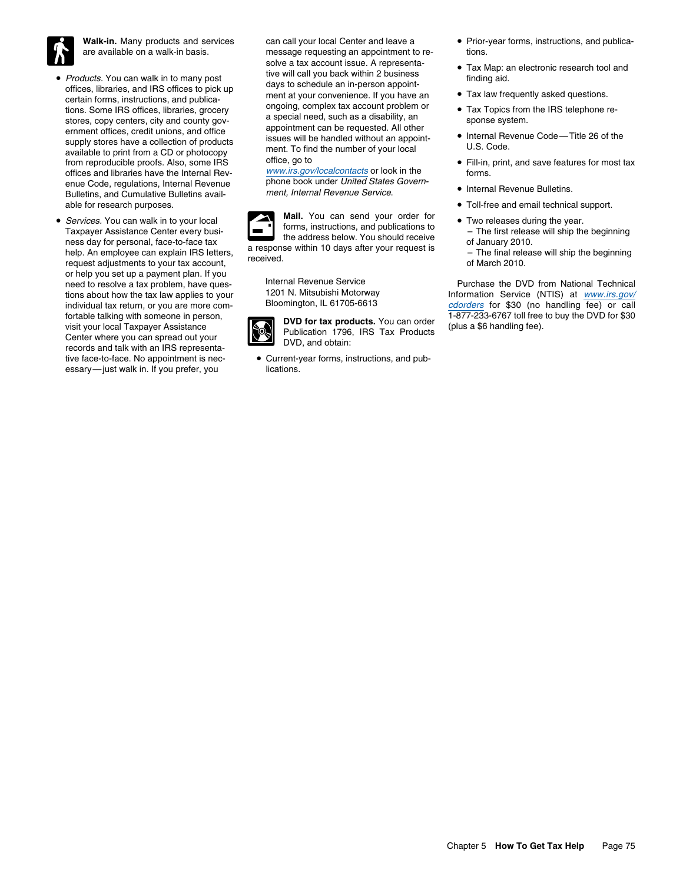

- Products. You can walk in to many post<br>
offices, libraries, and IRS offices to pick up<br>
certain forms, instructions, and publica-<br>
tions. Some IRS offices, libraries, grocery<br>
stores, come in the supply stores are comet from reproducible proofs. Also, some IRS<br>
offices and libraries have the Internal Rev-<br>
phone book under United States Govern-<br>
phone book under United States Governenue Code, regulations, Internal Revenue book under United States<br>Bulletins, and Cumulative Bulletins avail. *Internal Revenue Service*. ment, Internal Revenue Service • Internal Revenue Bulletins. Bulletins, and Cumulative Bulletins avail- . able for research purposes. • Toll-free and email technical support.
- Services. You can walk in to your local Taxpayer Assistance Center every busi-<br>
Taxpayer Assistance Center every busi-<br>
the address below. You should receive<br>
the address below. You should receive<br>
the address below. You or help you set up a payment plan. If you need to resolve a tax problem, have ques-<br>
Internal Revenue Service Purchase the DVD from National Technical<br>
There about house the Avalous problem, have ques-<br>
There are the DVD from National Technical Technical Technical fortable talking with someone in person,<br>visit your local Taxpayer Assistance<br>Center where you can spread out your<br>records and talk with an IRS representa-<br>records and talk with an IRS representa-<br>DVD, and obtain: essary-just walk in. If you prefer, you lications.

Walk-in. Many products and services can call your local Center and leave a • Prior-year forms, instructions, and publicaare available on a walk-in basis. The message requesting an appointment to resolve a tax account issue. A representa-<br>
• Tax Map: an electronic research tool and • Products. You can walk in to many post tive will call you back within 2 business Finding aid.<br>
offices libraries and IBS offices to pick up days to schedule an in-person appoint-

• *Services*. You can walk in to your local **Mail.** You can send your order for **• Mail.** You can send your order for **Forms**, instructions, and publications to



tive face-to-face. No appointment is nec- • Current-year forms, instructions, and pub-

- 
- 
- 
- 
- 
- 
- 
- 
- 
- 

tions about how the tax law applies to your 1201 N. Mitsubishi Motorway Information Service (NTIS) at www.irs.gov/<br>individual tax return or you are more com- Bloomington, IL 61705-6613 colorders for \$30 (no bandling fee) o individual tax return, or you are more com-<br>fortable talking with someone in person, **come in the second contract of the contract** of the to buy the DVD for \$30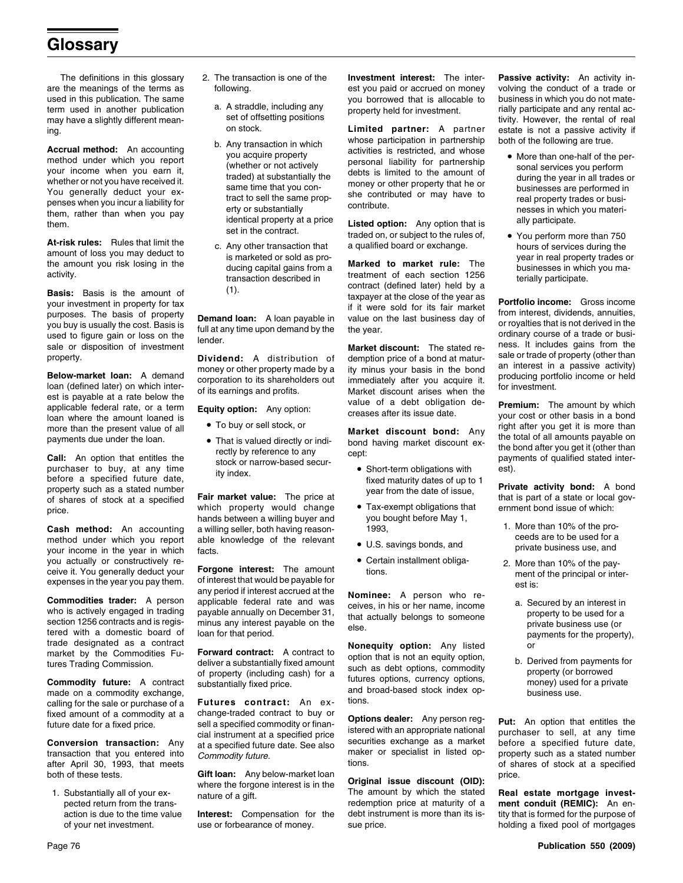## **Glossary**

whether or not actively<br>
whether or not actively<br>
whether or not actively<br>
whether or not you have received it.<br>
traded by the amount of the amount of the mount of<br>
penses when you incur a liabisoity for<br>
penses when you i

purposes. The basis of property<br>you buy is usually the cost. Basis is<br>usually the cost. Basis is full at any time upon demand by the the year.<br>sale or disposition of investment the lender.<br>Sale or disposition of investment

more than the present value of all<br>
payments due under the loan.<br> **Call:** An option that entitles the<br>
payments due under the loan.<br> **Call:** An option that entitles the<br>
payments due under the loan.<br> **Call:** An option that

your income in the year in which

by a actually or constructively re-<br>
expenses in the year you pay them. The price is the year of the pay-<br>
expenses in the year you pay them. The state of the price is the pay-<br>
expenses in the year you pay them. The state

**Commodity future:** A contract substantially fixed price.<br>
made on a commodity exchange,<br>
calling for the sale or purchase of a **Futures contract:** An ex- tions. realling for the sale or purchase of a **Futures contract:** An ex-<br>fixed amount of a commodity at a change-traded contract to buy or fixed amount of a commodity at a change-traded contract to buy or

after April 30, 1993, that meets

- -
	-
	-

- 
- 

**Cash method:** An accounting a willing seller, both having reason-<br>
method under which you report able knowledge of the relevant and reason-<br>
method under which you report able knowledge of the relevant method under which you report able knowledge of the relevant • U.S. savings bonds, and ceeds are to be used for a vour income in the vear in which facts.

Insed amount or a commodity at a specified commodity or finan-<br>future date for a fixed price. Sell a specified commodity or finan-<br>cial instrument at a specified price istered with an appropriate national purchaser to sell cial instrument at a specified price istered with an appropriate national<br>at a specified future date. See also securities exchange as a market **Conversion transaction:** Any at a specified future date. See also securities exchange as a market before a specified future date, transaction that you entered into Commodity future that the maker or specialist in listed o

The definitions in this glossary 2. The transaction is one of the **Investment interest:** The inter- **Passive activity:** An activity inare the meanings of the terms as following. est you paid or accrued on money volving the conduct of a trade or used in this publication. The same<br>term used in another publication a. A straddle, including any you borrowed that is allocable to business in which you do not mate-<br>roperty held for investment.

ing.<br>Imited partner: A partner estate is not a passive activity if<br>h Any transaction in which whose participation in partnership both of the following are true. Accrual method: An accounting b. Any transaction in which whose participation in partnership both of the following are true.<br>Accrual method: An accounting you acquire property activities is restricted, and whose **More than** method under which you report you acquire property personal liability for partnership • More than one-half of the per-<br>your income when you earn it, whether or not actively debts is limited to the amount of sonal services

**Below-market loan:** A demand<br>loan (defined later) on which inter-<br>est is payable at a rate below the<br>applicable federal rate, or a term<br>loan where the amount loaned is<br>loan where the amount loaned is<br>loan where the amount

- 
- 
- 
- 

both of these tests. **Gift loan:** Any below-market loan<br>1. Substantially all of your ex-<br>pected return from the trans-<br>pected return from the trans-<br>pected return from the trans-<br>redemption price at maturity of a **ment con** 

term used in another publication a. A straddle, including any property held for investment. The railly participate and any rental ac-<br>may have a slightly different mean-<br>on stock. **Limited partner:** A partner estate is not

- 
- 

property. **Dividend:** A distribution of demption price of a bond at matur-<br>property. **Dividend:** A distribution of demption price of a bond at matur-<br>monev or other property made by a it minus your basis in the bond an int

- 
- -
	-

Commodity future. The specialist in listed op-<br>commodity future. property such as a stated number<br>finds. property such as a stated number<br>of shares of stock at a specified

action is due to the time value **Interest:** Compensation for the debt instrument is more than its is- tity that is formed for the purpose of of your net investment. 
use or forbearance of money. 
sue price.

sue price.  $\blacksquare$ sue price.  $\blacksquare$ sue price.  $\blacksquare$   $\blacksquare$   $\blacksquare$   $\blacksquare$   $\blacksquare$   $\blacksquare$   $\blacksquare$   $\blacksquare$   $\blacksquare$   $\blacksquare$   $\blacksquare$   $\blacksquare$   $\blacksquare$   $\blacksquare$   $\blacksquare$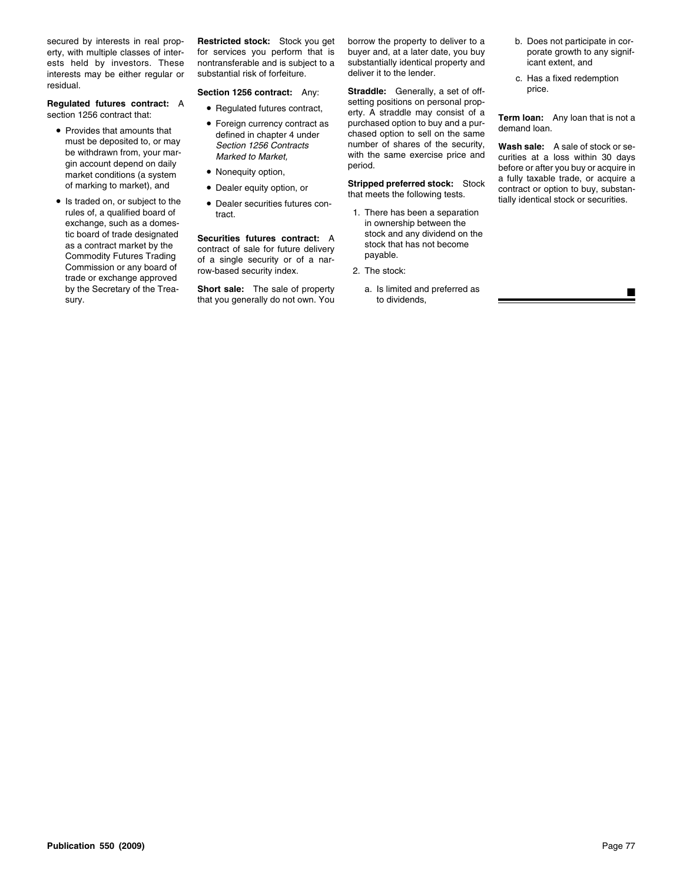interests may be either regular or substantial risk of forfeiture. **interests may be either regular or substantia**<br>**Section 1256 contract:** Any: **Straddle:** Generally, a set of off- price. price.

- Provides that amounts that<br>
must be deposited to, or may<br>
be withdrawn from, your mar-<br>
gin account depend on daily<br>
market conditions (a system<br>
of marking to market), and<br>
be aller equity option,<br>
be with the same exer
- Is traded on, or subject to the **Preader securities futures con-** indeterming look. It is traded on, or subject to the  **Preader securities** futures conexchange, such as a domes- in ownership between the trade or exchange approved

secured by interests in real prop- **Restricted stock:** Stock you get borrow the property to deliver to a b. Does not participate in corerty, with multiple classes of inter- for services you perform that is buyer and, at a later date, you buy porate growth to any signif-<br>ests held by investors. These nontransferable and is subiect to a substantially identi ests held by investors. These nontransferable and is subject to a substantially identical property interests may be either regular or substantial risk of forfeiture. deliver it to the lender.

- 
- 
- 
- 
- Dealer securities futures con-

as a contract market by the contract of sale for future delivery stock that has not become<br>Commodity Futures Trading of a single security or of a nar-<br>Commission or any board of row-based security index. 2. The stock:

by the Secretary of the Trea- **Short sale:** The sale of property a. Is limited and preferred as sury. that you generally do not own. You to dividends,

**Regulated futures contract:** A <br>setting positions on personal prop-<br>section 1256 contract that: <br>a Regulated futures contract, erry. A straddle may consist of a erty. A straddle may consist of a **Term loan:** Any loan that is not a extract that:<br>• Provides that amounts that extend in change of a strandary consist of a **Ferm loan:** Any loan that is not a •<br>• Provides that amounts t • Foreign currency contract as purchased option to buy and a pur-<br>defined in chapter 4 under chased option to sell on the same

- rules of, a qualified board of tract. 1. There has been a separation tic board of trade designated<br>as a contract market by the contract of sale for future delivery<br>contract of sale for future delivery<br>stock that has not become
	-
	-
- 
- 

• Dealer equity option, or **Stripped preferred stock:** Stock contract or option to buy, substan-<br> **• Dealer sequities futures separation** that meets the following tests.<br> **• Dealer sequities** futures separation of the foll

■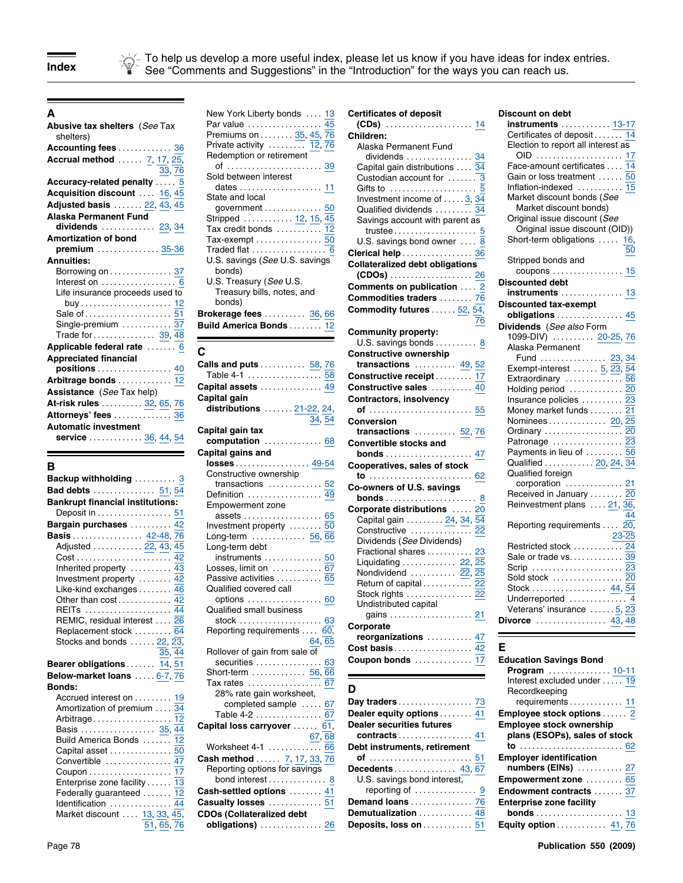To help us develop a more useful index, please let us know if you have ideas for index entries.<br>**Index** See "Comments and Suggestions" in the "Introduction" for the ways you can reach us.

| Abusive tax shelters (See Tax<br>shelters)                                 |
|----------------------------------------------------------------------------|
| Accounting fees 3                                                          |
|                                                                            |
| <b>Accrual method</b> $\frac{7}{.7}$ , $\frac{17}{.33}$ , $\frac{25}{.70}$ |
| Accuracy-related penalty                                                   |
| Acquisition discount  16, 4                                                |
| Adjusted basis  22, 43, 4                                                  |
| <b>Alaska Permanent Fund</b>                                               |
| dividends  23, 3                                                           |
| <b>Amortization of bond</b>                                                |
| premium <u>35-3</u>                                                        |
| <b>Annuities:</b>                                                          |
| Borrowing on 3                                                             |
| Interest on $\ldots$                                                       |
| Life insurance proceeds used to                                            |
|                                                                            |
|                                                                            |
|                                                                            |
|                                                                            |
| Applicable federal rate                                                    |
| <b>Appreciated financial</b>                                               |
| positions <u>4</u>                                                         |
| Arbitrage bonds  1                                                         |
| <b>Assistance</b> (See Tax help)                                           |
| At-risk rules <u>32, 65, 7</u>                                             |
| Attorneys' fees  3                                                         |
| <b>Automatic investment</b>                                                |
| <b>service</b> <u>36, 44,</u> 5                                            |

| <b>Bad debts</b> 51, 54                        |
|------------------------------------------------|
| <b>Bankrupt financial institutions:</b>        |
| Deposit in 51                                  |
| Bargain purchases  42                          |
| <b>Basis</b> 42-48, 76                         |
| Adjusted <u>22, 43, 49</u>                     |
|                                                |
| Inherited property $\dots \dots \overline{45}$ |
| Investment property  42                        |
| Like-kind exchanges 46                         |
|                                                |
|                                                |
| REMIC, residual interest 26                    |
| Replacement stock  64                          |
| Stocks and bonds $22, 23$                      |
| 35, 44                                         |
| Bearer obligations  14, 51                     |
| Below-market loans  6-7, 76                    |
| Bonds:                                         |
| Accrued interest on  19                        |
|                                                |
|                                                |
|                                                |
|                                                |
| Capital asset  50                              |
|                                                |
|                                                |
|                                                |
|                                                |
|                                                |
| Market discount  13, 33, 45                    |

|                                               | New York Liberty bonds  13                  | <b>Certificates of deposit</b>         | Discount on debt       |
|-----------------------------------------------|---------------------------------------------|----------------------------------------|------------------------|
| <b>Abusive tax shelters</b> (See Tax          | Par value  45                               |                                        | instruments            |
| shelters)                                     | Premiums on 35, 45, 76                      | Children:                              | Certificates of de     |
| Accounting fees 36                            | Private activity $\ldots \ldots 12,76$      | Alaska Permanent Fund                  | Election to repor      |
| <b>Accrual method</b> 7, 17, 25,              | Redemption or retirement                    |                                        | $OID$                  |
| 33, 76                                        |                                             | Capital gain distributions 34          | Face-amount ce         |
| Accuracy-related penalty  5                   | Sold between interest                       | Custodian account for $\dots$ 3        | Gain or loss trea      |
| Acquisition discount  16, 45                  |                                             |                                        | Inflation-indexed      |
|                                               | State and local                             | Investment income of $\dots$ 3, 34     | Market discount        |
| <b>Adjusted basis  22, 43, 45</b>             | government $\ldots \ldots \ldots \ldots 50$ | Qualified dividends  34                | Market discou          |
| Alaska Permanent Fund                         | Stripped  12, 15, 45                        | Savings account with parent as         | Original issue dis     |
| dividends $\ldots$ 23, 34                     | Tax credit bonds  12                        |                                        | Original issue         |
| <b>Amortization of bond</b>                   | Tax-exempt $\ldots \ldots \ldots \ldots 50$ | U.S. savings bond owner $\ldots$ 8     | Short-term obliga      |
| $premium \dots \dots \dots \dots \dots 35-36$ |                                             | Clerical help 36                       |                        |
| <b>Annuities:</b>                             | U.S. savings (See U.S. savings              | <b>Collateralized debt obligations</b> | Stripped bonds a       |
| Borrowing on $\dots \dots \dots \dots 37$     | bonds)                                      |                                        | coupons                |
| Interest on $\dots\dots\dots\dots\dots$ 6     | U.S. Treasury (See U.S.                     | Comments on publication  2             | <b>Discounted debt</b> |
| Life insurance proceeds used to               | Treasury bills, notes, and                  |                                        | instruments            |
|                                               | bonds)                                      | Commodities traders  76                | Discounted tax-ex      |
|                                               | Brokerage fees  36, 66                      | Commodity futures  52, 54,             | obligations            |
| Single-premium $\ldots \ldots \ldots 37$      | Build America Bonds  12                     | $\frac{76}{2}$                         | Dividends (See a       |
|                                               |                                             | <b>Community property:</b>             | 1099-DIV)              |

 $\equiv$ 

| Appreciated Illiancial                        | <b>Calls and puts  58, 76</b>                     | transactions $\ldots$ 49, 52                  |                                                 |
|-----------------------------------------------|---------------------------------------------------|-----------------------------------------------|-------------------------------------------------|
| positions 40                                  |                                                   |                                               | Exempt-interest  5, 23, 54                      |
| Arbitrage bonds  12                           |                                                   | Constructive receipt 17                       | Extraordinary  56                               |
| <b>Assistance</b> (See Tax help)              | Capital assets  49                                | Constructive sales  40                        | Holding period  20                              |
| At-risk rules  32, 65, 76                     | Capital gain                                      | <b>Contractors, insolvency</b>                | Insurance policies  23                          |
| Attorneys' fees  36                           | distributions  21-22, 24,                         |                                               | Money market funds  21                          |
| <b>Automatic investment</b>                   | 34, 54                                            | Conversion                                    | Nominees 20, 25                                 |
| service  36, 44, 54                           | Capital gain tax                                  | transactions $\ldots \ldots \ldots 52,76$     | Ordinary  20                                    |
|                                               | computation  68                                   | <b>Convertible stocks and</b>                 | Patronage  23                                   |
|                                               | Capital gains and                                 |                                               | Payments in lieu of  56                         |
|                                               | losses 49-54                                      | Cooperatives, sales of stock                  | Qualified  20, 24, 34                           |
| Backup withholding 3                          | Constructive ownership                            |                                               | Qualified foreign                               |
| <b>Bad debts</b> 51, 54                       | transactions  52                                  | Co-owners of U.S. savings                     | corporation  21                                 |
| <b>Bankrupt financial institutions:</b>       | Definition  49                                    |                                               | Received in January  20                         |
|                                               | <b>Empowerment zone</b>                           | Corporate distributions  20                   | Reinvestment plans  21, 36,                     |
| Deposit in 51                                 |                                                   | Capital gain 24, 34, 54                       |                                                 |
| Bargain purchases  42                         | Investment property  50                           | Constructive  22                              | Reporting requirements  20,                     |
| Basis 42-48, 76                               |                                                   | Dividends (See Dividends)                     | 23-25                                           |
| Adjusted  22, 43, 45                          | Long-term debt                                    | Fractional shares  23                         | Restricted stock  24                            |
|                                               | $instruments$ 50                                  | Liquidating $\ldots \ldots \ldots$ 22, 25     | Sale or trade vs. 39                            |
| Inherited property  43                        | Losses, limit on $\ldots \ldots \ldots$ 67        | Nondividend $\overline{22}$ , $\overline{25}$ | Scrip  23                                       |
| Investment property  42                       | Passive activities  65                            | Return of capital  22                         | Sold stock  20                                  |
| Like-kind exchanges  46                       | Qualified covered call                            | Stock rights  22                              | Stock  44, 54                                   |
| Other than cost 42                            | options  60                                       | Undistributed capital                         | Underreported  4                                |
| REITS  44                                     | Qualified small business                          |                                               | Veterans' insurance  5, 23                      |
| REMIC, residual interest 26                   |                                                   | Corporate                                     | Divorce  43, 48                                 |
| Replacement stock  64                         | Reporting requirements  60,                       | reorganizations  47                           |                                                 |
| Stocks and bonds  22, 23,                     | 64, 65                                            |                                               | Е                                               |
| $\overline{35}$ , 44                          | Rollover of gain from sale of                     | Coupon bonds  17                              |                                                 |
| Bearer obligations 14, 51                     | securities $\ldots \ldots \ldots \ldots 63$       |                                               | <b>Education Savings Bond</b><br>Program  10-11 |
| Below-market loans  6-7, 76                   | Short-term  56,66                                 |                                               | Interest excluded under 19                      |
| Bonds:                                        | Tax rates $\ldots \ldots \ldots \ldots \ldots 67$ | D                                             | Recordkeeping                                   |
| Accrued interest on  19                       | 28% rate gain worksheet,                          |                                               | requirements 11                                 |
| Amortization of premium 34                    | completed sample  67                              | Dealer equity options  41                     | Employee stock options  2                       |
|                                               | Table 4-2  67                                     | <b>Dealer securities futures</b>              |                                                 |
| Basis  35,44                                  | Capital loss carryover  61,                       |                                               | Employee stock ownership                        |
| Build America Bonds  12                       | 67,68                                             |                                               | plans (ESOPs), sales of stock                   |
| Capital asset  50                             | Worksheet 4-1  66                                 | Debt instruments, retirement                  |                                                 |
| Convertible  47                               | Cash method  7, 17, 33, 76                        |                                               | <b>Employer identification</b>                  |
|                                               | Reporting options for savings                     | <b>Decedents 43,67</b>                        | numbers (EINs)  27                              |
| Enterprise zone facility  13                  | bond interest 8                                   | U.S. savings bond interest,                   | Empowerment zone  65                            |
| Federally guaranteed  12                      | Cash-settled options  41                          |                                               | Endowment contracts  37                         |
| Identification  44                            | Casualty losses  51                               | Demand loans  76                              | <b>Enterprise zone facility</b>                 |
| Market discount  13, 33, 45,                  | <b>CDOs (Collateralized debt</b>                  | Demutualization  48                           |                                                 |
| $\overline{51}, \overline{65}, \overline{76}$ | obligations)  26                                  | Deposits, loss on  51                         | <b>Equity option  41,76</b>                     |
|                                               |                                                   |                                               |                                                 |

|                                                   | New York Liberty bonds  13                     | Certificates of deposit                       | <b>Discount on debt</b>                  |
|---------------------------------------------------|------------------------------------------------|-----------------------------------------------|------------------------------------------|
| <b>Abusive tax shelters</b> (See Tax              | Par value  45                                  |                                               | <b>instruments</b> 13-17                 |
| shelters)                                         | Premiums on 35, 45, 76                         | Children:                                     | Certificates of deposit14                |
| Accounting fees $\ldots \ldots \ldots \ldots 36$  | Private activity  12,76                        | Alaska Permanent Fund                         | Election to report all interest as       |
| <b>Accrual method</b> 7, 17, 25,                  | Redemption or retirement                       | dividends $\dots\dots\dots\dots\dots$ 34      |                                          |
| 33.76                                             | of  39                                         | Capital gain distributions 34                 | Face-amount certificates  14             |
|                                                   | Sold between interest                          | Custodian account for  3                      | Gain or loss treatment 50                |
| Accuracy-related penalty $\ldots$ . $5$           |                                                | Gifts to  5                                   | Inflation-indexed  15                    |
| Acquisition discount  16, 45                      | State and local                                | Investment income of  3, 34                   | Market discount bonds (See               |
| <b>Adjusted basis  22, 43, 45</b>                 | government $\ldots \ldots \ldots \ldots 50$    | Qualified dividends  34                       | Market discount bonds)                   |
| Alaska Permanent Fund                             | Stripped  12, 15, 45                           | Savings account with parent as                | Original issue discount (See             |
| dividends $\ldots$ 23, 34                         | Tax credit bonds  12                           |                                               | Original issue discount (OID))           |
| Amortization of bond                              | Tax-exempt $\ldots \ldots \ldots \ldots 50$    |                                               | Short-term obligations  16,              |
| $premium$ 35-36                                   |                                                | U.S. savings bond owner $\ldots$ 8            |                                          |
| <b>Annuities:</b>                                 | U.S. savings (See U.S. savings                 | Clerical help 36                              | Stripped bonds and                       |
| Borrowing on $\dots \dots \dots \dots 37$         | bonds)                                         | <b>Collateralized debt obligations</b>        | coupons  15                              |
| Interest on $\dots\dots\dots\dots\dots\dots$ 6    | U.S. Treasury (See U.S.                        |                                               | <b>Discounted debt</b>                   |
|                                                   | Treasury bills, notes, and                     | Comments on publication  2                    | instruments  13                          |
| Life insurance proceeds used to                   | bonds)                                         | Commodities traders  76                       |                                          |
|                                                   |                                                | Commodity futures  52, 54,                    | <b>Discounted tax-exempt</b>             |
|                                                   | Brokerage fees  36, 66                         | 76                                            | obligations  45                          |
| Single-premium $\ldots \ldots \ldots$ 37          | Build America Bonds  12                        | <b>Community property:</b>                    | Dividends (See also Form                 |
| Trade for  39, 48                                 |                                                | U.S. savings bonds $\dots \dots 8$            | 1099-DIV)  20-25, 76                     |
| Applicable federal rate  6                        | C                                              |                                               | Alaska Permanent                         |
| <b>Appreciated financial</b>                      |                                                | <b>Constructive ownership</b>                 | Fund  23, 34                             |
| $positions \ldots \ldots \ldots \ldots \ldots 40$ | <b>Calls and puts</b> 58, 76                   | transactions $\ldots \ldots \ldots$ 49, 52    | Exempt-interest  5, 23, 54               |
| Arbitrage bonds 12                                |                                                | Constructive receipt 17                       | Extraordinary  56                        |
| <b>Assistance</b> (See Tax help)                  | Capital assets  49                             | Constructive sales  40                        | Holding period  20                       |
| <b>At-risk rules</b> 32, 65, 76                   | Capital gain                                   | <b>Contractors, insolvency</b>                | Insurance policies  23                   |
| Attorneys' fees  36                               | distributions  21-22, 24,                      |                                               | Money market funds 21                    |
|                                                   | 34, 54                                         | <b>Conversion</b>                             | Nominees 20, 25                          |
| <b>Automatic investment</b>                       | Capital gain tax                               | transactions $\ldots \ldots \ldots 52, 76$    | Ordinary  20                             |
| service  36, 44, 54                               | computation  68                                | Convertible stocks and                        | Patronage  23                            |
|                                                   | Capital gains and                              |                                               | Payments in lieu of  56                  |
| в                                                 | <b>losses</b> 49-54                            | Cooperatives, sales of stock                  | Qualified  20, 24, 34                    |
|                                                   | Constructive ownership                         |                                               | Qualified foreign                        |
| Backup withholding  3                             | transactions $\ldots \ldots \ldots 52$         | Co-owners of U.S. savings                     | corporation  21                          |
| <b>Bad debts</b> 51, 54                           | Definition  49                                 |                                               | Received in January  20                  |
| <b>Bankrupt financial institutions:</b>           | Empowerment zone                               | Corporate distributions  20                   | Reinvestment plans  21, 36,              |
| Deposit in 51                                     | assets  65                                     |                                               |                                          |
| Bargain purchases  42                             | Investment property  50                        | Capital gain  24, 34, 54                      | Reporting requirements 20,               |
| <b>Basis</b> 42-48,76                             | Long-term $\ldots \ldots \ldots \ldots 56, 66$ | Constructive  22                              | 23-25                                    |
| Adjusted  22, 43, 45                              | Long-term debt                                 | Dividends (See Dividends)                     | Restricted stock  24                     |
| Cost  42                                          |                                                | Fractional shares  23                         | Sale or trade vs. 39                     |
| Inherited property  43                            |                                                | Liquidating $\ldots$ 22, 25                   | Scrip  23                                |
| Investment property  42                           | Passive activities  65                         | Nondividend $\overline{22}$ , $\overline{25}$ | Sold stock  20                           |
| Like-kind exchanges $\ldots$ 46                   | Qualified covered call                         | Return of capital 22                          |                                          |
| Other than cost 42                                |                                                | Stock rights  22                              |                                          |
| REITS  44                                         | Qualified small business                       | Undistributed capital                         | Veterans' insurance $\dots \dots 5$ , 23 |
| REMIC, residual interest  26                      |                                                | gains  21                                     | Divorce  43,48                           |
| Replacement stock  64                             | Reporting requirements  60,                    | Corporate                                     |                                          |
| Stocks and bonds  22, 23,                         | 64.65                                          | reorganizations  47                           |                                          |
| 35.44                                             | Rollover of gain from sale of                  | Cost basis  42                                | Е                                        |
| 14E<br>Rearer obligatione                         | securities                                     | Coupon bonds  17                              | <b>Education Savings Bond</b>            |

| ┚                                                 |  |
|---------------------------------------------------|--|
| Day traders 73                                    |  |
| Dealer equity options 41                          |  |
| <b>Dealer securities futures</b>                  |  |
| $contracts \ldots \ldots \ldots \ldots \ldots 41$ |  |
| <b>Debt instruments, retirement</b>               |  |
|                                                   |  |
| <b>Decedents</b> 43,67                            |  |
| U.S. savings bond interest,                       |  |
| reporting of  9                                   |  |
| Demand loans  76                                  |  |
| Demutualization  48                               |  |
| Deposits, loss on $\ldots \ldots \ldots 51$       |  |

| uni on debi                                             |                 |
|---------------------------------------------------------|-----------------|
| instruments  13-17                                      |                 |
| Certificates of deposit 14                              |                 |
| Election to report all interest as                      |                 |
|                                                         |                 |
|                                                         |                 |
|                                                         |                 |
|                                                         |                 |
| Inflation-indexed                                       |                 |
| Market discount bonds (See                              |                 |
| Market discount bonds)                                  |                 |
| Original issue discount (See                            |                 |
| Original issue discount (OID))                          |                 |
| Short-term obligations                                  | 16,             |
|                                                         | $\overline{50}$ |
|                                                         |                 |
|                                                         |                 |
|                                                         |                 |
| iscounted debt                                          |                 |
| instruments <u>13</u>                                   |                 |
| iscounted tax-exempt                                    |                 |
| obligations 45                                          |                 |
|                                                         |                 |
| <b>ividends</b> (See also Form                          |                 |
| 1099-DIV)  20-25, 76                                    |                 |
| Alaska Permanent                                        |                 |
|                                                         |                 |
|                                                         |                 |
|                                                         |                 |
|                                                         |                 |
|                                                         |                 |
|                                                         |                 |
|                                                         |                 |
|                                                         |                 |
|                                                         |                 |
|                                                         |                 |
|                                                         |                 |
| Qualified  20, 24, 34                                   |                 |
|                                                         |                 |
| Qualified foreign                                       |                 |
| corporation  21                                         |                 |
| Received in January 20                                  |                 |
| Reinvestment plans  21, 36,                             |                 |
|                                                         | $\overline{44}$ |
| Reporting requirements 20,                              |                 |
| $23 - 25$                                               |                 |
|                                                         |                 |
|                                                         |                 |
|                                                         |                 |
|                                                         |                 |
|                                                         |                 |
|                                                         |                 |
| Sold stock<br>$\frac{20}{20}$<br>Stock<br>Underreported |                 |
|                                                         |                 |
| Veterans' insurance $\dots \dots 5$ , 23                |                 |
| livorce  43,48                                          |                 |
|                                                         |                 |

| Program  10-11                   |
|----------------------------------|
| Interest excluded under 19       |
| Recordkeeping                    |
| requirements 11                  |
| <b>Employee stock options  2</b> |
| <b>Employee stock ownership</b>  |
| plans (ESOPs), sales of stock    |
| to  62                           |
| <b>Employer identification</b>   |
| numbers (EINs)  27               |
| <b>Empowerment zone</b> 65       |
| Endowment contracts  37          |
| <b>Enterprise zone facility</b>  |
|                                  |
| <b>Equity option 41, 76</b>      |
|                                  |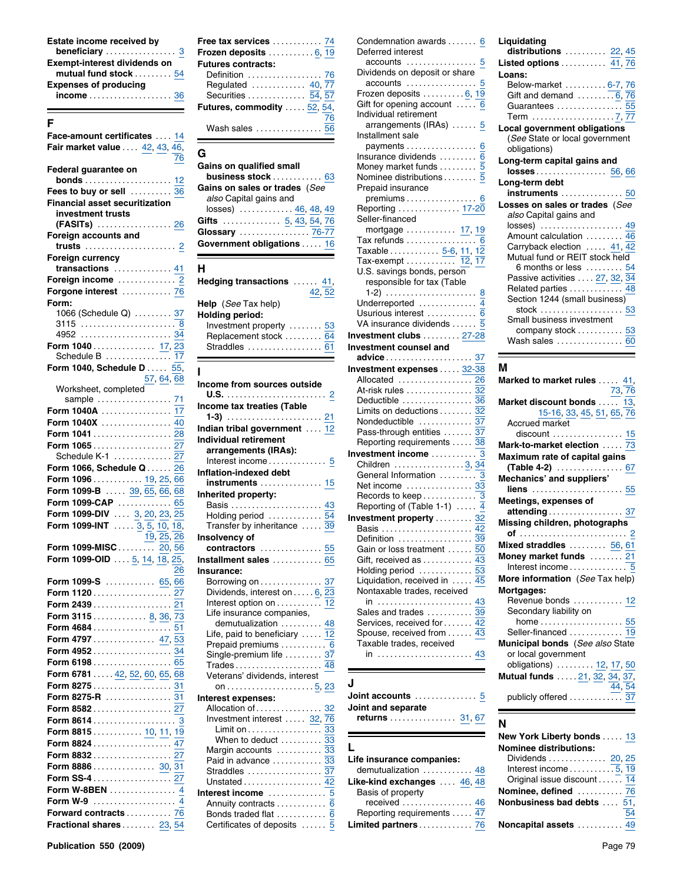| Estate income received by           |     |
|-------------------------------------|-----|
|                                     |     |
| <b>Exempt-interest dividends on</b> |     |
| mutual fund stock  54               |     |
| <b>Expenses of producing</b>        |     |
|                                     | -36 |

| Face-amount certificates  14<br>Fair market value $\frac{42}{76}$ , $\frac{43}{76}$ |  |
|-------------------------------------------------------------------------------------|--|
| Federal quarantee on                                                                |  |
|                                                                                     |  |
| Fees to buy or sell  36                                                             |  |
| <b>Financial asset securitization</b>                                               |  |
| investment trusts                                                                   |  |
|                                                                                     |  |
| Foreign accounts and                                                                |  |
| Foreign currency                                                                    |  |
| transactions $\frac{4}{1}$                                                          |  |
| Foreign income $\ldots \ldots \ldots \ldots$                                        |  |
| Forgone interest  7                                                                 |  |
| Form:                                                                               |  |
| 1066 (Schedule Q)  37                                                               |  |
|                                                                                     |  |
|                                                                                     |  |
|                                                                                     |  |
|                                                                                     |  |
|                                                                                     |  |
|                                                                                     |  |
| Worksheet, completed                                                                |  |
|                                                                                     |  |
|                                                                                     |  |
|                                                                                     |  |
|                                                                                     |  |
|                                                                                     |  |
|                                                                                     |  |
| Form 1066, Schedule Q 26                                                            |  |
| Form 1096 19, 25, 66                                                                |  |
| <b>Form 1099-B</b> $\frac{39}{65}$ , $\frac{66}{66}$ , $\frac{68}{66}$              |  |
|                                                                                     |  |
|                                                                                     |  |
| Form 1099-INT $\frac{3}{5}$ , $\frac{5}{5}$ , $\frac{10}{10}$ , $\frac{18}{5}$      |  |
|                                                                                     |  |
|                                                                                     |  |
| Form 1099-OID $\underline{5}$ , 14, $\underline{18}$ , 25<br>26                     |  |
| Form 1099-S  65, 66                                                                 |  |
| Form 1120 27                                                                        |  |
| Form 2439 $\frac{2^2}{2}$                                                           |  |
| Form 3115 …………. <u>8, 36, 7(</u>                                                    |  |
| $\frac{1}{1}$ $\frac{1}{5}$<br>Form $4684$                                          |  |
| Form 4797 <u>47, 53</u>                                                             |  |
|                                                                                     |  |
| Form 6198 65                                                                        |  |
| Form 6781  . 42, 52, 60, 65, 68                                                     |  |
| Form 8275 <u>3<sup>-</sup></u>                                                      |  |
|                                                                                     |  |
| Form 8275-R <u>31</u><br>Form 8582 27                                               |  |
| Form 8614                                                                           |  |
| Form 8815 <u>10, 11, 19</u>                                                         |  |
|                                                                                     |  |
| Form 8832 27                                                                        |  |
|                                                                                     |  |
| Form 8886 30, 3<br>Form SS-4 <u>27</u>                                              |  |
|                                                                                     |  |
|                                                                                     |  |
|                                                                                     |  |
| Forward contracts  76                                                               |  |

| Free tax services  74<br>Frozen deposits $\ldots \ldots \ldots 6, 19$ |    |
|-----------------------------------------------------------------------|----|
| <b>Futures contracts:</b>                                             |    |
| Definition $\ldots \ldots \ldots \ldots \ldots$ 76                    |    |
| Regulated  40, 77                                                     |    |
| Securities  54, 57                                                    |    |
| Futures, commodity $\ldots$ 52, 54,                                   | 76 |
|                                                                       |    |
| Э<br>Gains on qualified small<br>business stock  63                   |    |

| Gains on sales or trades (See |  |
|-------------------------------|--|
| also Capital gains and        |  |
| losses) $\ldots$ 46, 48, 49   |  |
|                               |  |
| Glossary  76-77               |  |
| Government obligations  16    |  |
|                               |  |

| Hedging transactions  41<br>42, 52 |  |
|------------------------------------|--|
| Help (See Tax help)                |  |
| Holding period:                    |  |
| Investment property  53            |  |
| Replacement stock  64              |  |
|                                    |  |

| 57, 64, 68                                    | Income from sources outside                           | Allocated  26                                    | Marked to market rules  41.     |
|-----------------------------------------------|-------------------------------------------------------|--------------------------------------------------|---------------------------------|
| Worksheet, completed                          |                                                       | At-risk rules 32                                 | 73,76                           |
| sample  71                                    | Income tax treaties (Table                            | Deductible  36                                   | Market discount bonds  13.      |
| Form 1040A  17                                |                                                       | Limits on deductions $\overline{32}$             | 15-16, 33, 45, 51, 65, 76       |
|                                               |                                                       | Nondeductible  37                                | Accrued market                  |
| Form 1041  28                                 | Indian tribal government  12                          | Pass-through entities  37                        | discount  15                    |
|                                               | <b>Individual retirement</b>                          | Reporting requirements  38                       | Mark-to-market election  73     |
|                                               | arrangements (IRAs):                                  | Investment income  3                             | Maximum rate of capital gains   |
| Form 1066, Schedule Q 26                      | Interest income 5                                     | Children  3, 34                                  | (Table 4-2)  67                 |
| Form 1096 19, 25, 66                          | Inflation-indexed debt                                | General Information  3                           | Mechanics' and suppliers'       |
| Form 1099-B  39, 65, 66, 68                   |                                                       |                                                  | liens  55                       |
|                                               | Inherited property:                                   | Records to keep 3                                | Meetings, expenses of           |
|                                               | Basis  43                                             | Reporting of (Table 1-1)  4                      | attending 37                    |
| Form 1099-DIV  3, 20, 23, 25                  | Holding period  54                                    | Investment property  32                          | Missing children, photographs   |
| Form 1099-INT $\ldots$ 3, 5, 10, 18,          | Transfer by inheritance  39                           | Basis  42                                        |                                 |
| $\overline{19}, \overline{25}, \overline{26}$ | Insolvency of                                         | Definition  39                                   |                                 |
| Form 1099-MISC 20, 56                         | contractors $\dots\dots\dots\dots \dots$ 55           | Gain or loss treatment  50                       | Mixed straddles  56, 61         |
| Form 1099-OID  5, 14, 18, 25,                 | Installment sales  65                                 | Gift, received as  43                            | Money market funds  21          |
| 26                                            | Insurance:                                            |                                                  |                                 |
|                                               | Borrowing on  37                                      | Liquidation, received in  45                     | More information (See Tax help) |
| Form 1120 27                                  | Dividends, interest on  6, 23                         | Nontaxable trades, received                      | Mortgages:                      |
| Form 2439 21                                  | Interest option on  12                                | in  43                                           | Revenue bonds  12               |
| Form 3115 8, 36, 73                           | Life insurance companies,                             |                                                  | Secondary liability on          |
| Form 4684 51                                  | demutualization  48                                   | Services, received for $\ldots$ $\frac{1}{42}$   | home 55                         |
| Form 4797  47, 53                             | Life, paid to beneficiary  12                         | Spouse, received from  43                        | Seller-financed  19             |
| Form 4952 34                                  |                                                       | Taxable trades, received                         | Municipal bonds (See also State |
|                                               | Single-premium life  37                               | in  43                                           | or local government             |
|                                               | Trades 48                                             |                                                  | obligations)  12, 17, 50        |
| Form 6781 <u>42, 52, 60, 65, 68</u>           | Veterans' dividends, interest                         | J                                                | Mutual funds  21, 32, 34, 37,   |
|                                               |                                                       |                                                  | 44.54                           |
| Form 8275-R $\ldots$ , 31                     | Interest expenses:                                    |                                                  |                                 |
| Form 8582 27                                  | Allocation of  32                                     | Joint and separate                               |                                 |
| Form 8614 3                                   | Investment interest  . 32, $\overline{76}$            | returns  31, 67                                  | N                               |
| Form 8815 10, 11, 19                          |                                                       |                                                  | New York Liberty bonds  13      |
| Form 8824 47                                  | When to deduct $\ldots \ldots \overline{33}$          |                                                  | <b>Nominee distributions:</b>   |
|                                               | Margin accounts  33                                   |                                                  | Dividends  20, 25               |
| Form 8886 30, 31                              | Paid in advance $\ldots \ldots \ldots \overline{33}$  | Life insurance companies:<br>demutualization  48 |                                 |
| Form SS-4 27                                  | Straddles $\ldots \ldots \ldots \ldots \frac{37}{37}$ |                                                  | Original issue discount  14     |
| Form $W$ -8BEN 4                              | Unstated 42                                           | Like-kind exchanges  46, 48<br>Basis of property | Nominee, defined  76            |
| Form W-9 $\dots\dots\dots\dots\dots\dots4$    |                                                       | received $\ldots$ 46                             | Nonbusiness bad debts 51.       |
| Forward contracts $\ldots \ldots \ldots 76$   | Bonds traded flat $\ldots \ldots \ldots$ 6            | Reporting requirements  47                       |                                 |
| Fractional shares 23, 54                      |                                                       |                                                  |                                 |
|                                               | Certificates of deposits $\ldots$ 5                   |                                                  | Noncapital assets  49           |

| Estate income received by                                  |                                               | Condemnation awards  6                               | Liquidating                                            |
|------------------------------------------------------------|-----------------------------------------------|------------------------------------------------------|--------------------------------------------------------|
| beneficiary  3                                             | Frozen deposits  6, 19                        | Deferred interest                                    | distributions  22, 45                                  |
| Exempt-interest dividends on                               | <b>Futures contracts:</b>                     |                                                      | Listed options  41,76                                  |
| mutual fund stock  54                                      |                                               | Dividends on deposit or share                        | Loans:                                                 |
| <b>Expenses of producing</b>                               | Regulated  40, 77                             |                                                      | Below-market  6-7, 76                                  |
| $income \ldots \ldots \ldots \ldots \ldots \ldots 36$      |                                               | Frozen deposits  6, 19                               | Gift and demand $\ldots \ldots \ldots \ldots$ 6, 76    |
|                                                            | Futures, commodity  52, 54,                   | Gift for opening account  6                          | Guarantees  55                                         |
|                                                            |                                               | Individual retirement                                |                                                        |
|                                                            | Wash sales  56                                | arrangements (IRAs)  5                               | Local government obligations                           |
| Face-amount certificates  14                               |                                               | Installment sale                                     | (See State or local government                         |
| Fair market value <u>42, 43, 46,</u>                       | G                                             | payments $\ldots \ldots \ldots \ldots \ldots 6$      | obligations)                                           |
| 76                                                         |                                               | Insurance dividends $\ldots \ldots \ldots$ 6         | Long-term capital gains and                            |
| Federal guarantee on                                       | Gains on qualified small                      | Money market funds  5                                |                                                        |
|                                                            | business stock $\ldots$ . $\ldots$ . 63       | Nominee distributions  5                             | Long-term debt                                         |
| Fees to buy or sell  36                                    | Gains on sales or trades (See                 | Prepaid insurance                                    | instruments  50                                        |
| Financial asset securitization                             | also Capital gains and                        | premiums $6$                                         | Losses on sales or trades (See                         |
| investment trusts                                          | losses)  46, 48, 49                           | Reporting  17-20                                     | also Capital gains and                                 |
| (FASITs)  26                                               |                                               | Seller-financed                                      |                                                        |
| Foreign accounts and                                       | Glossary  76-77                               | mortgage $17, 19$                                    | Amount calculation  46                                 |
|                                                            | Government obligations  16                    | Tax refunds $\ldots \ldots \ldots \ldots \ldots \ 6$ | Carryback election  41, 42                             |
| Foreign currency                                           |                                               | Taxable  5-6, 11, 12<br>Tax-exempt  12, 17           | Mutual fund or REIT stock held                         |
| transactions  41                                           | н.                                            | U.S. savings bonds, person                           | 6 months or less  54                                   |
| Foreign income  2                                          | Hedging transactions  41,                     | responsible for tax (Table                           | Passive activities  27, 32, 34                         |
| Forgone interest  76                                       | 42, 52                                        |                                                      | Related parties  48                                    |
| Form:                                                      | <b>Help</b> ( <i>See</i> Tax help)            | Underreported  4                                     | Section 1244 (small business)                          |
| 1066 (Schedule Q)  37                                      | <b>Holding period:</b>                        | Usurious interest  6                                 |                                                        |
| 3115  8                                                    | Investment property  53                       | VA insurance dividends  5                            | Small business investment                              |
|                                                            | Replacement stock  64                         | Investment clubs  27-28                              | company stock  53                                      |
| Form 1040 17, 23                                           | Straddles  61                                 |                                                      | Wash sales  60                                         |
|                                                            |                                               |                                                      |                                                        |
|                                                            |                                               | Investment counsel and                               |                                                        |
|                                                            |                                               | advice 37                                            |                                                        |
| Form 1040, Schedule D  55,                                 |                                               | Investment expenses 32-38                            | м                                                      |
| 57, 64, 68                                                 | Income from sources outside                   | Allocated  26                                        | Marked to market rules  41,                            |
| Worksheet, completed                                       |                                               | At-risk rules  32                                    | 73, 76                                                 |
|                                                            | Income tax treaties (Table                    | Deductible $\ldots \ldots \ldots \ldots \ldots$ 36   | Market discount bonds  13,                             |
| Form 1040A  17                                             |                                               | Limits on deductions  32                             | 15-16, 33, 45, 51, 65, 76                              |
| Form 1040X  40                                             | Indian tribal government  12                  | Nondeductible  37                                    | Accrued market                                         |
| Form 1041  28                                              | <b>Individual retirement</b>                  | Pass-through entities  37                            |                                                        |
| Form 1065 27                                               | arrangements (IRAs):                          | Reporting requirements  38                           | Mark-to-market election  73                            |
| Schedule K-1  27                                           |                                               | Investment income  3                                 | Maximum rate of capital gains                          |
| Form 1066, Schedule Q 26                                   | Inflation-indexed debt                        | Children  3, 34                                      |                                                        |
| Form 1096 19, 25, 66                                       |                                               | General Information  3                               | Mechanics' and suppliers'                              |
| Form 1099-B  39, 65, 66, 68                                | Inherited property:                           | Net income  33                                       | liens  55                                              |
| Form 1099-CAP  65                                          | Basis  43                                     | Records to keep 3                                    | Meetings, expenses of                                  |
| Form 1099-DIV  3, 20, 23, 25                               | Holding period  54                            | Reporting of (Table 1-1)  4                          | attending 37                                           |
| Form 1099-INT $\ldots$ 3, 5, 10, 18,                       | Transfer by inheritance  39                   | Investment property  32<br>Basis  42                 | Missing children, photographs                          |
|                                                            | Insolvency of                                 |                                                      |                                                        |
| $\frac{19}{19}$ , $\frac{25}{26}$<br>Form 1099-MISC 20, 56 | contractors $\dots\dots\dots\dots\dots 55$    | Gain or loss treatment 50                            | Mixed straddles  56, 61                                |
|                                                            | Installment sales $\dots\dots\dots 65$        | Gift, received as  43                                | Money market funds  21                                 |
| Form 1099-OID  5, 14, 18, 25,<br>26                        | Insurance:                                    |                                                      | Interest income 5                                      |
|                                                            | Borrowing on 37                               | Liquidation, received in  45                         | More information (See Tax help)                        |
| Form 1120 27                                               | Dividends, interest on 6, 23                  | Nontaxable trades, received                          | Mortgages:                                             |
|                                                            |                                               | in  43                                               | Revenue bonds  12                                      |
| Form 2439  21                                              | Life insurance companies,                     | Sales and trades  39                                 | Secondary liability on                                 |
| Form 3115 8, 36, 73                                        | demutualization  48                           | Services, received for $\overline{42}$               | home 55                                                |
| Form 4684 51                                               | Life, paid to beneficiary $\overline{12}$     | Spouse, received from $\dots$ 43                     | Seller-financed  19                                    |
| Form 4797  47, 53                                          | Single-premium life $\ldots \ldots \ldots$ 37 | Taxable trades, received                             | Municipal bonds (See also State<br>or local government |

| Life insurance companies:           |  |
|-------------------------------------|--|
| demutualization  48                 |  |
| Like-kind exchanges $\ldots$ 46, 48 |  |
| Basis of property                   |  |
| received  46                        |  |
| Reporting requirements 47           |  |
| Limited partners 76                 |  |

| Liguidating                                   |
|-----------------------------------------------|
| distributions $\ldots \ldots \ldots$ 22, 45   |
| Listed options $\ldots \ldots \ldots 41,76$   |
| Loans:                                        |
| Below-market  6-7, 76                         |
| Gift and demand $\ldots \ldots \ldots 6$ , 76 |
| Guarantees  55                                |
|                                               |
| <b>Local government obligations</b>           |
| (See State or local government                |
| obligations)                                  |
| Long-term capital gains and                   |
| losses 56,66                                  |
| Long-term debt                                |
| instruments  50                               |
| Losses on sales or trades (See                |
| also Capital gains and                        |
|                                               |
| Amount calculation  46                        |
| Carryback election  41, 42                    |
| Mutual fund or REIT stock held                |
| 6 months or less  54                          |
| Passive activities  27, 32, 34                |
| Related parties  48                           |
| Section 1244 (small business)                 |
|                                               |
| Small business investment                     |
| company stock  53                             |
| Wash sales  60                                |

| Marked to market rules $\dots$ 41.                          |
|-------------------------------------------------------------|
| $\overline{73}, \overline{76}$                              |
|                                                             |
|                                                             |
| Accrued market                                              |
| discount  15                                                |
| Mark-to-market election  73                                 |
| Maximum rate of capital gains                               |
| (Table 4-2)  67                                             |
| Mechanics' and suppliers'                                   |
| liens <u>55</u>                                             |
| Meetings, expenses of                                       |
| attending  37                                               |
| Missing children, photographs                               |
|                                                             |
| Mixed straddles  56, 61                                     |
| Money market funds  21                                      |
| Interest income 5                                           |
| More information (See Tax help)                             |
| Mortgages:                                                  |
| Revenue bonds  12                                           |
| Secondary liability on                                      |
| home 55                                                     |
| Seller-financed $\ldots \ldots \ldots \ldots \overline{19}$ |
| Municipal bonds (See also State                             |
|                                                             |
| or local government                                         |
| obligations)  12, 17, 50                                    |
| Mutual funds <u>21, 32, 34, 37</u>                          |
|                                                             |
|                                                             |

| New York Liberty bonds  13                 |
|--------------------------------------------|
| <b>Nominee distributions:</b>              |
| Dividends  20, 25                          |
| Interest income $\dots \dots \dots 5$ , 19 |
| Original issue discount  14                |
| Nominee, defined  76                       |
| Nonbusiness bad debts  51,                 |
| 54                                         |
| Noncapital assets  49                      |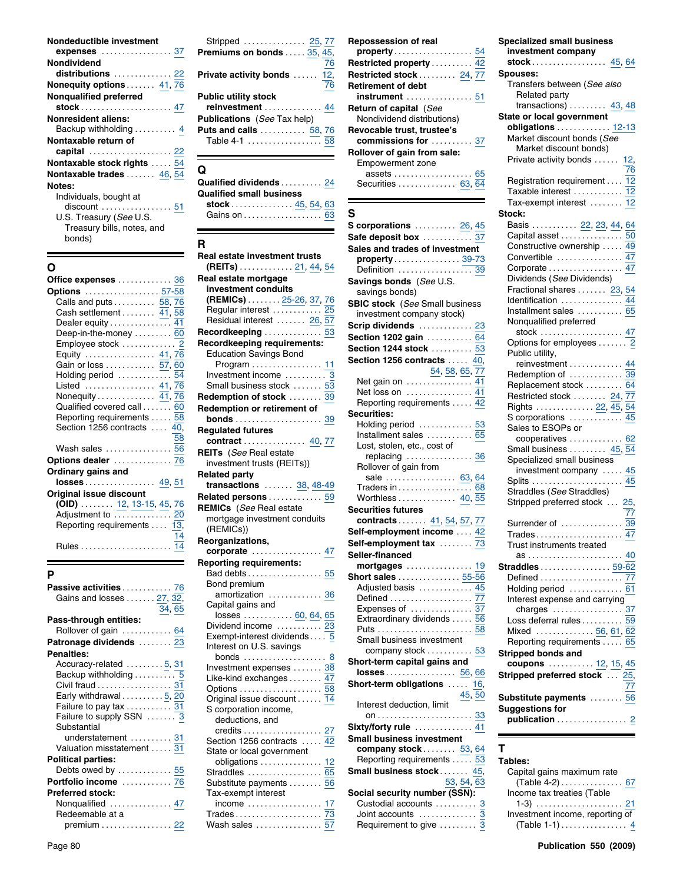| Nondeductible investment      |
|-------------------------------|
| expenses  3                   |
| Nondividend                   |
| distributions  22             |
| Nonequity options  41, 76     |
| <b>Nonqualified preferred</b> |
|                               |
| <b>Nonresident aliens:</b>    |
| Backup withholding            |
| Nontaxable return of          |
| capital  22                   |
| Nontaxable stock rights  54   |
| Nontaxable trades  46, 54     |
| Notes:                        |
| Individuals, bought at        |
|                               |
| U.S. Treasury (See U.S.       |
| Treasury bills, notes, and    |
|                               |

| Office expenses  36                               |  |
|---------------------------------------------------|--|
| Options  57-58                                    |  |
| Calls and puts  58, 76                            |  |
| Cash settlement $\overline{41}$ , $\overline{55}$ |  |
| Dealer equity 41                                  |  |
| Deep-in-the-money 60                              |  |
|                                                   |  |
| Equity  41, 76                                    |  |
| Gain or loss 57, 60                               |  |
| Holding period  54                                |  |
| Listed  41, 76                                    |  |
| Nonequity 41, 76                                  |  |
| Qualified covered call 60                         |  |
| Reporting requirements 58                         |  |
| Section 1256 contracts $\overline{40}$            |  |
| - 58                                              |  |
|                                                   |  |
| Options dealer  76                                |  |
| Ordinary gains and                                |  |
| losses <u>49, 51</u>                              |  |
| Original issue discount                           |  |
| (OID) $\ldots$ 12, 13-15, 45, 76                  |  |
|                                                   |  |
| Reporting requirements 13                         |  |
| 14                                                |  |
|                                                   |  |

| Passive activities 76                     |
|-------------------------------------------|
| Gains and losses 27, 32,                  |
| 34, 65                                    |
| Pass-through entities:                    |
| Rollover of gain  64                      |
| Patronage dividends  23                   |
| Penalties:                                |
| Accuracy-related 5, 31                    |
| Backup withholding $\ldots \ldots \ldots$ |
| Civil fraud 31                            |
| Early withdrawal $\frac{5}{20}$           |
| Failure to pay tax 31                     |
| Failure to supply SSN 3                   |
| Substantial                               |
| understatement  31                        |
| Valuation misstatement  31                |
| <b>Political parties:</b>                 |
| Debts owed by  55                         |
| Portfolio income  76                      |
| Preferred stock:                          |
| Nonqualified  47                          |
| Redeemable at a                           |
| premium 22                                |

| Stripped  25, 77<br>Premiums on bonds  35, 45,<br>76 |  |
|------------------------------------------------------|--|
| Private activity bonds  12,                          |  |
| <b>Public utility stock</b>                          |  |
| reinvestment  44                                     |  |
| <b>Publications</b> (See Tax help)                   |  |
| <b>Puts and calls  58,76</b><br>Table 4-1  58        |  |
|                                                      |  |

| <b>ntaxable trades</b> 46, 54             |                                 |                    |        |
|-------------------------------------------|---------------------------------|--------------------|--------|
| rtes:                                     | Qualified dividends  24         | Securities  63, 64 | Regi   |
| Individuals, bought at                    | <b>Qualified small business</b> |                    | Taxa   |
| discount $\ldots \ldots \ldots \ldots 51$ |                                 |                    | Tax-   |
| U.S. Treasury ( <i>See</i> U.S.           | Gains on 63 $\bullet$           |                    | Stock: |
|                                           |                                 |                    |        |

|                                                   | <b>Heal estate investment trusts</b>       | property 39-73                             | Convertible  47                              |
|---------------------------------------------------|--------------------------------------------|--------------------------------------------|----------------------------------------------|
|                                                   | $(REITS)$ 21, 44, 54                       | Definition  39                             |                                              |
| fice expenses …………… 36                            | Real estate mortgage                       | Savings bonds (See U.S.                    | Dividends (See Dividends)                    |
| <b>otions</b> 57-58                               | investment conduits                        | savings bonds)                             | Fractional shares  23, 54                    |
| Calls and puts $\ldots \ldots \ldots 58,76$       | <b>(REMICs)</b> 25-26, 37, 76              | <b>SBIC stock</b> (See Small business      | Identification  44                           |
| Cash settlement  41, 58                           | Regular interest  25                       | investment company stock)                  | Installment sales  65                        |
| Dealer equity 41                                  | Residual interest  26, 57                  | Scrip dividends  23                        | Nonqualified preferred                       |
| Deep-in-the-money  60                             | Recordkeeping  53                          | <b>Section 1202 gain</b> 64                |                                              |
| Employee stock  2                                 | <b>Recordkeeping requirements:</b>         | <b>Section 1244 stock  53</b>              | Options for employees 2                      |
| Equity  41,76                                     | <b>Education Savings Bond</b>              | Section 1256 contracts  40,                | Public utility,                              |
| Gain or loss 57, 60                               | Program  11                                |                                            | reinvestment  44                             |
| Holding period $\ldots \ldots \ldots$             | Investment income  3                       | 54, 58, 65, 77                             | Redemption of  39                            |
| Listed  41, <i>7</i> 6                            | Small business stock 53                    | Net gain on  41                            | Replacement stock  64                        |
| Nonequity 41,76                                   | Redemption of stock  39                    | Net loss on $\dots\dots\dots\dots\dots$ 41 | Restricted stock  24, 77                     |
| Qualified covered call  60                        | Redemption or retirement of                | Reporting requirements  42                 | Rights  22, 45, 54                           |
| Reporting requirements  58                        |                                            | Securities:                                | S corporations  45                           |
| Section 1256 contracts  40,                       | <b>Regulated futures</b>                   |                                            | Sales to ESOPs or                            |
|                                                   | <b>contract</b> 40,77                      | Installment sales  65                      | cooperatives  62                             |
| Wash sales $\dots\dots\dots\dots\ 56$             | <b>REITs</b> (See Real estate)             | Lost, stolen, etc., cost of                | Small business  45, 54                       |
| otions dealer  76                                 | investment trusts (REITs))                 | replacing $\ldots \ldots \ldots \ldots 36$ | Specialized small business                   |
| dinary gains and                                  |                                            | Rollover of gain from                      | investment company  45                       |
| losses 49, 51                                     | <b>Related party</b>                       | sale  63, 64                               |                                              |
| iginal issue discount                             | transactions  38, 48-49                    | Traders in 68                              | Straddles (See Straddles)                    |
| <b>(OID)</b> 12, 13-15, 45, 76                    | Related persons  59                        | Worthless  40, 55                          | Stripped preferred stock  25,                |
| Adjustment to  20                                 | <b>REMICs</b> (See Real estate             | <b>Securities futures</b>                  |                                              |
| Reporting requirements  13,                       | mortgage investment conduits               | contracts 41, 54, 57, 77                   | Surrender of  39                             |
|                                                   | (REMICs))                                  | Self-employment income  42                 | Trades 47                                    |
|                                                   | Reorganizations,                           | Self-employment tax  73                    | Trust instruments treated                    |
|                                                   | corporate  47                              | Seller-financed                            |                                              |
|                                                   | <b>Reporting requirements:</b>             | <b>mortgages</b> 19                        | Straddles  59-62                             |
|                                                   | Bad debts  55                              | <b>Short sales</b> 55-56                   | Defined  77                                  |
| $\textsf{ssive activities}\dots\dots\dots\quad76$ | Bond premium                               | Adjusted basis  45                         |                                              |
| Gains and losses  27, 32,                         | amortization  36                           | Defined  77                                | Interest expense and carrying                |
| 34, 65                                            | Capital gains and                          |                                            | charges  37                                  |
| ss-through entities:                              | losses  60, 64, 65                         | Extraordinary dividends  56                | Loss deferral rules 59                       |
| Rollover of gain  64                              | Dividend income  23                        |                                            | Mixed  56, 61, 62                            |
|                                                   | Exempt-interest dividends 5                | Small business investment                  | Reporting requirements  65                   |
| tronage dividends  23                             | Interest on U.S. savings                   | company stock  53                          |                                              |
| nalties:                                          | bonds  8                                   | Short-term capital gains and               | Stripped bonds and                           |
| Accuracy-related 5, 31                            | Investment expenses  38                    | losses 56, 66                              | coupons  12, 15, 45                          |
| Backup withholding $\ldots \ldots \ldots 5$       | Like-kind exchanges $\dots \dots$ 47       |                                            | Stripped preferred stock  25,                |
| Civil fraud 31                                    |                                            | <b>Short-term obligations</b> 16,          |                                              |
| Early withdrawal5, 20                             | Original issue discount  14                | 45, 50                                     | Substitute payments  56                      |
| Failure to pay tax 31                             | S corporation income,                      | Interest deduction, limit                  | <b>Suggestions for</b>                       |
| Failure to supply SSN 3                           | deductions, and                            |                                            |                                              |
| Substantial                                       | credits 27                                 | Sixty/forty rule  41                       |                                              |
| understatement  31                                | Section 1256 contracts  42                 | <b>Small business investment</b>           |                                              |
| Valuation misstatement 31                         | State or local government                  | company stock $53,64$                      | Τ                                            |
| litical parties:                                  | obligations  12                            | Reporting requirements  53                 | Tables:                                      |
| Debts owed by $\dots\dots\dots \dots 55$          |                                            | Small business stock 45,                   | Capital gains maximum rate                   |
|                                                   | Substitute payments  56                    | 53, 54, 63                                 | $(Table 4-2) \ldots \ldots \ldots \ldots 67$ |
| eferred stock:                                    | Tax-exempt interest                        | Social security number (SSN):              | Income tax treaties (Table                   |
| Nonqualified  47                                  | income  17                                 | Custodial accounts  3                      |                                              |
| Redeemable at a                                   |                                            |                                            |                                              |
|                                                   |                                            | Joint accounts  3                          | Investment income, reporting of              |
| premium 22                                        | Wash sales $\dots\dots\dots\dots \quad 57$ | Requirement to give  3                     |                                              |

| Nondeductible investment                       | Stripped  25, 77                     | Repossession of real                    | <b>Specialized small business</b>   |
|------------------------------------------------|--------------------------------------|-----------------------------------------|-------------------------------------|
| 37<br>$expenses$                               | Premiums on bonds  35, 45,           |                                         | investment company                  |
| Nondividend                                    | 76                                   |                                         | 45, 64                              |
| $distributions \ldots \ldots \ldots \ldots 22$ | <b>Private activity bonds</b><br>12, | Restricted stock<br>24, 77              | Spouses:                            |
| Nonequity options 41,76                        | 76                                   | <b>Retirement of debt</b>               | Transfers between (See also         |
| Nonqualified preferred                         | <b>Public utility stock</b>          | $instrument \dots \dots \dots \dots 51$ | Related party                       |
|                                                | reinvestment44                       | Return of capital (See                  | transactions) $\ldots$ 43, 48       |
| Nonresident aliens:                            | <b>Publications</b> (See Tax help)   | Nondividend distributions)              | State or local government           |
| Backup withholding $\ldots \ldots \ldots$ 4    | <b>Puts and calls</b> 58, 76         | Revocable trust, trustee's              | <b>obligations</b> 12-13            |
| Nontaxable return of                           | Table 4-1  58                        | commissions for  37                     | Market discount bonds (See          |
| <b>capital</b> 22                              |                                      | Rollover of gain from sale:             | Market discount bonds)              |
| Nontaxable stock rights  54                    |                                      | Empowerment zone                        | Private activity bonds  12,         |
| Nontaxable trades  46, 54                      | Q                                    | assets 65                               |                                     |
| <b>Notes:</b>                                  | Qualified dividends  24              | Securities  63, 64                      | Registration requirement 12         |
|                                                |                                      |                                         | $\overline{10}$<br>Tavahla interest |

| Treasury bills, notes, and                                                     |                                                   | S corporations $\ldots$ 26, 45                         | Basis  22, 23, 44, 64           |
|--------------------------------------------------------------------------------|---------------------------------------------------|--------------------------------------------------------|---------------------------------|
| bonds)                                                                         |                                                   | Safe deposit box  37                                   | Capital asset  50               |
|                                                                                | R.                                                | Sales and trades of investment                         | Constructive ownership  49      |
|                                                                                | Real estate investment trusts                     | property 39-73                                         | Convertible  47                 |
|                                                                                | $(REITS)$ 21, 44, 54                              | Definition  39                                         | Corporate  47                   |
| <b>Office expenses</b> 36                                                      | Real estate mortgage                              | Savings bonds (See U.S.                                | Dividends (See Dividends)       |
| Options  57-58                                                                 | investment conduits                               | savings bonds)                                         | Fractional shares  23, 54       |
| Calls and puts $58, 76$                                                        | (REMICs)  25-26, 37, 76                           | <b>SBIC stock</b> (See Small business                  | Identification  44              |
| Cash settlement $\overline{4}1,58$                                             | Regular interest  25                              | investment company stock)                              | Installment sales  65           |
| Dealer equity  41                                                              | Residual interest  26, 57                         | Scrip dividends  23                                    | Nonqualified preferred          |
| Deep-in-the-money  60                                                          | Recordkeeping  53                                 | Section 1202 gain  64                                  |                                 |
|                                                                                | <b>Recordkeeping requirements:</b>                |                                                        | Options for employees 2         |
| Equity  41,76                                                                  | <b>Education Savings Bond</b>                     | Section 1244 stock  53                                 | Public utility,                 |
| Gain or loss  57,60                                                            | Program  11                                       | Section 1256 contracts  40,                            | reinvestment  44                |
| Holding period  54                                                             | Investment income  3                              | 54, 58, 65, 77                                         | Redemption of  39               |
| Listed  41,76                                                                  | Small business stock  53                          | Net gain on  41                                        | Replacement stock  64           |
| Nonequity 41,76                                                                | Redemption of stock  39                           | Net loss on  41                                        | Restricted stock  24, 77        |
| Qualified covered call  60                                                     | Redemption or retirement of                       | Reporting requirements  42                             | Rights  22, 45, 54              |
| Reporting requirements  58                                                     | <b>bonds</b> 39                                   | <b>Securities:</b>                                     | S corporations  45              |
| Section 1256 contracts  40,                                                    | <b>Regulated futures</b>                          | Holding period  53                                     | Sales to ESOPs or               |
|                                                                                | contract  40, 77                                  | Installment sales  65                                  | cooperatives  62                |
|                                                                                | <b>REITs</b> (See Real estate                     | Lost, stolen, etc., cost of                            | Small business  45, 54          |
| Options dealer  76                                                             | investment trusts (REITs))                        | replacing $\ldots \ldots \ldots \ldots 36$             | Specialized small business      |
| Ordinary gains and                                                             | <b>Related party</b>                              | Rollover of gain from                                  | investment company  45          |
|                                                                                | <b>transactions</b> 38, 48-49                     | sale  63, 64                                           |                                 |
| Original issue discount                                                        | Related persons 59                                |                                                        | Straddles (See Straddles)       |
| (OID) $\ldots$ $\ldots$ $\frac{12}{13}$ , $\frac{13-15}{15}$ , $\frac{45}{16}$ | <b>REMICs</b> (See Real estate                    | Worthless  40, 55                                      | Stripped preferred stock  25,   |
| Adjustment to  20                                                              | mortgage investment conduits                      | <b>Securities futures</b>                              |                                 |
| Reporting requirements 13,                                                     | (REMICs))                                         | contracts 41, 54, 57, 77                               | Surrender of  39                |
|                                                                                | Reorganizations,                                  | Self-employment income  42                             |                                 |
|                                                                                | corporate  47                                     | Self-employment tax  73                                | Trust instruments treated       |
|                                                                                |                                                   | Seller-financed                                        |                                 |
|                                                                                | <b>Reporting requirements:</b>                    | mortgages  19                                          | <b>Straddles</b> 59-62          |
|                                                                                | Bad debts 55                                      | <b>Short sales</b> 55-56                               | Defined  77                     |
| Passive activities 76                                                          | Bond premium<br>amortization  36                  | Adjusted basis  45                                     | Holding period  61              |
| Gains and losses  27, 32,                                                      | Capital gains and                                 |                                                        | Interest expense and carrying   |
| 34,65                                                                          |                                                   |                                                        | charges  37                     |
| Pass-through entities:                                                         | losses  60, 64, 65                                | Extraordinary dividends  56                            | Loss deferral rules 59          |
| Rollover of gain  64                                                           | Exempt-interest dividends5                        |                                                        | Mixed  56, 61, 62               |
| Patronage dividends  23                                                        | Interest on U.S. savings                          | Small business investment                              | Reporting requirements  65      |
| Penalties:                                                                     | bonds  8                                          | company stock  53                                      | Stripped bonds and              |
| Accuracy-related 5, 31                                                         | Investment expenses  38                           | Short-term capital gains and                           | coupons  12, 15, 45             |
| Backup withholding  5                                                          | Like-kind exchanges 47                            | losses 56,66                                           | Stripped preferred stock  25,   |
| Civil fraud 31                                                                 |                                                   | Short-term obligations  16,                            |                                 |
| Early withdrawal $5, 20$                                                       | Original issue discount  14                       | 45, 50                                                 | Substitute payments  56         |
| Failure to pay tax  31                                                         | S corporation income,                             | Interest deduction, limit                              | <b>Suggestions for</b>          |
| Failure to supply SSN  3                                                       | deductions, and                                   |                                                        | publication                     |
| Substantial                                                                    | 27                                                | Sixty/forty rule  41                                   |                                 |
| understatement  31                                                             | Section 1256 contracts  42                        | <b>Small business investment</b>                       |                                 |
| Valuation misstatement  31                                                     | State or local government                         | company stock 53, 64                                   | т                               |
| <b>Political parties:</b>                                                      | obligations  12                                   | Reporting requirements  53                             | Tables:                         |
| Debts owed by  55                                                              | Straddles $\ldots \ldots \ldots \ldots \ldots$ 65 | Small business stock 45,                               | Capital gains maximum rate      |
| Portfolio income  76                                                           |                                                   |                                                        |                                 |
|                                                                                | Substitute payments  56                           | 53, 54, 63                                             |                                 |
| <b>Preferred stock:</b>                                                        |                                                   |                                                        | Income tax treaties (Table      |
|                                                                                | Tax-exempt interest<br>income  17                 | Social security number (SSN):<br>Custodial accounts  3 |                                 |
| Nonqualified  47<br>Redeemable at a                                            |                                                   | Joint accounts $\dots\dots\dots\dots$ 3                | Investment income, reporting of |

| ndeductible investment                                     | Stripped  25, 77                   | <b>Repossession of real</b>                       | <b>Specialized small business</b> |
|------------------------------------------------------------|------------------------------------|---------------------------------------------------|-----------------------------------|
| $express \dots \dots \dots \dots \ 37$                     | Premiums on bonds  35, 45,         | property $\ldots \ldots \ldots \ldots \ldots 54$  | investment company                |
| ndividend                                                  | 76                                 | Restricted property  42                           | stock 45,64                       |
| distributions  22                                          | Private activity bonds  12,        | Restricted stock  24, 77                          | Spouses:                          |
| onequity options  41,76                                    | 76                                 | <b>Retirement of debt</b>                         | Transfers between (See also       |
| nqualified preferred                                       | <b>Public utility stock</b>        | $instrument \dots \dots \dots \dots \dots 51$     | Related party                     |
| stock 47                                                   | reinvestment  44                   | Return of capital (See                            | transactions) $\ldots$ 43, 48     |
| nresident aliens:                                          | <b>Publications</b> (See Tax help) | Nondividend distributions)                        | State or local government         |
| Backup withholding  4                                      |                                    |                                                   | obligations  12-13                |
| ntaxable return of                                         |                                    | Revocable trust, trustee's<br>commissions for  37 | Market discount bonds (See        |
|                                                            |                                    |                                                   | Market discount bonds)            |
| <b>capital</b> 22                                          |                                    | Rollover of gain from sale:                       | Private activity bonds  12,       |
| intaxable stock rights  54                                 | Q                                  | Empowerment zone                                  |                                   |
| <b>ntaxable trades</b> 46, 54                              | Qualified dividends  24            | assets 65                                         | Registration requirement 12       |
| vtes:                                                      |                                    | Securities  63, 64                                | Taxable interest  12              |
| Individuals, bought at                                     | <b>Qualified small business</b>    |                                                   | Tax-exempt interest  12           |
|                                                            | stock 45, 54, 63                   | s                                                 | Stock:                            |
| U.S. Treasury (See U.S.                                    | Gains on  63                       |                                                   |                                   |
| Treasury bills, notes, and                                 |                                    | S corporations  26, 45                            | Basis  22, 23, 44, 64             |
| bonds)                                                     | R.                                 | Safe deposit box  37                              | Capital asset  50                 |
|                                                            |                                    | Sales and trades of investment                    | Constructive ownership  49        |
|                                                            | Real estate investment trusts      | property 39-73                                    | Convertible  47                   |
|                                                            | (REITs)  21, 44, 54                | Definition  39                                    | Corporate  47                     |
| fice expenses $\,\ldots\,\ldots\,\ldots\,\,36$             | Real estate mortgage               | Savings bonds (See U.S.                           | Dividends (See Dividends)         |
| <b>tions</b> 57-58                                         | investment conduits                | savings bonds)                                    | Fractional shares  23, 54         |
| Calls and puts $\ldots \ldots \ldots 58,76$                | (REMICs)  25-26, 37, 76            | <b>SBIC stock</b> (See Small business             | Identification  44                |
| $\textsf{Cash} \textsf{setllement} \ldots \ldots \; 41,58$ | Regular interest  25               | investment company stock)                         | Installment sales  65             |
| Dealer equity  41                                          | Residual interest  26, 57          | Scrip dividends  23                               | Nonqualified preferred            |
| Deep-in-the-money  60                                      | Recordkeeping  53                  | Section 1202 gain  64                             | stock  47                         |
| Employee stock $\ldots \ldots \ldots \overline{2}$         | Recordkeeping requirements:        | Section 1244 stock  53                            | Options for employees 2           |
| Equity  41,76                                              | <b>Education Savings Bond</b>      | Section 1256 contracts  40,                       | Public utility,                   |
| Gain or loss 57, 60                                        | Program  11                        |                                                   | reinvestment  44                  |
| Holding period $\ldots \ldots \ldots 54$                   | Investment income  3               | 54, 58, 65, 77                                    | Redemption of  39                 |
| Listed  41, $\overline{76}$                                | Small business stock 53            | Net gain on  41                                   | Replacement stock  64             |
| Nonequity 41,76                                            | Redemption of stock  39            | Net loss on  41                                   | Restricted stock  24, 77          |
| Qualified covered call  60                                 | Redemption or retirement of        | Reporting requirements  42                        | Rights  22, 45, 54                |
| Reporting requirements  58                                 | <b>bonds</b> 39                    | Securities:                                       | S corporations  45                |
| Section 1256 contracts  40,                                | <b>Regulated futures</b>           | Holding period  53                                | Sales to ESOPs or                 |
| 58                                                         | contract $40, 77$                  |                                                   | cooperatives  62                  |
|                                                            | <b>REITs</b> (See Real estate      | Lost, stolen, etc., cost of                       | Small business  45, 54            |
| otions dealer  76                                          | investment trusts (REITs))         | replacing  36                                     | Specialized small business        |
| dinary gains and                                           | <b>Related party</b>               | Rollover of gain from                             | investment company  45            |
| losses 49,51                                               | transactions  38, 48-49            | sale  63, 64                                      | Splits  45                        |
| iginal issue discount                                      |                                    |                                                   | Straddles (See Straddles)         |
| (OID) $\ldots \ldots \frac{12}{13}$ , 13-15, 45, 76        | Related persons 59                 | Worthless  40, 55                                 | Stripped preferred stock  25,     |
| Adjustment to …………… 20                                     | <b>REMICs</b> (See Real estate     | <b>Securities futures</b>                         |                                   |
| Reporting requirements  13,                                | mortgage investment conduits       | contracts 41, 54, 57, 77                          |                                   |
|                                                            | (REMICs))                          | Self-employment income  42                        |                                   |
|                                                            | Reorganizations,                   | Self-employment tax  73                           | Trust instruments treated         |
|                                                            | corporate  47                      | Seller-financed                                   |                                   |
|                                                            | <b>Reporting requirements:</b>     |                                                   | <b>Straddles</b> 59-62            |
|                                                            | Bad debts  55                      | <b>Short sales  55-56</b>                         |                                   |
| issive activities 76 $\,$                                  | Bond premium                       | Adjusted basis  45                                | Holding period  61                |
| Gains and losses $\ldots \ldots 27, 32,$                   | amortization  36                   |                                                   | Interest expense and carrying     |
| 34, 65                                                     | Capital gains and                  |                                                   |                                   |
| ss-through entities:                                       | losses  60, 64, 65                 | Extraordinary dividends  56                       |                                   |
| Rollover of gain  64                                       |                                    |                                                   | Mixed  56, 61, $62$               |
| tronage dividends  23                                      | Exempt-interest dividends5         | Small business investment                         | Reporting requirements  65        |
| nalties:                                                   | Interest on U.S. savings           | company stock  53                                 | <b>Stripped bonds and</b>         |
| Accuracy-related 5, 31                                     | bonds  8                           | Short-term capital gains and                      | coupons  12, 15, 45               |
| Backup withholding  5                                      | Investment expenses  38            | losses 56,66                                      | Stripped preferred stock  25,     |
| Civil fraud 31                                             | Like-kind exchanges  47            | Short-term obligations  16,                       | 77                                |
| Early withdrawal5, 20                                      | Options  58                        | 45, 50                                            |                                   |
| Failure to pay tax  31                                     | Original issue discount  14        | Interest deduction, limit                         | Substitute payments  56           |
| Failure to supply SSN  3                                   | S corporation income,              |                                                   | <b>Suggestions for</b>            |
| Substantial                                                | deductions, and<br>cardite<br>27   | Sixty/forty rule  41                              |                                   |
|                                                            |                                    |                                                   |                                   |

| Capital gains maximum rate                   |  |
|----------------------------------------------|--|
| $(Table 4-2) \ldots \ldots \ldots \ldots 67$ |  |
| Income tax treaties (Table                   |  |
|                                              |  |
| Investment income, reporting of              |  |
|                                              |  |
|                                              |  |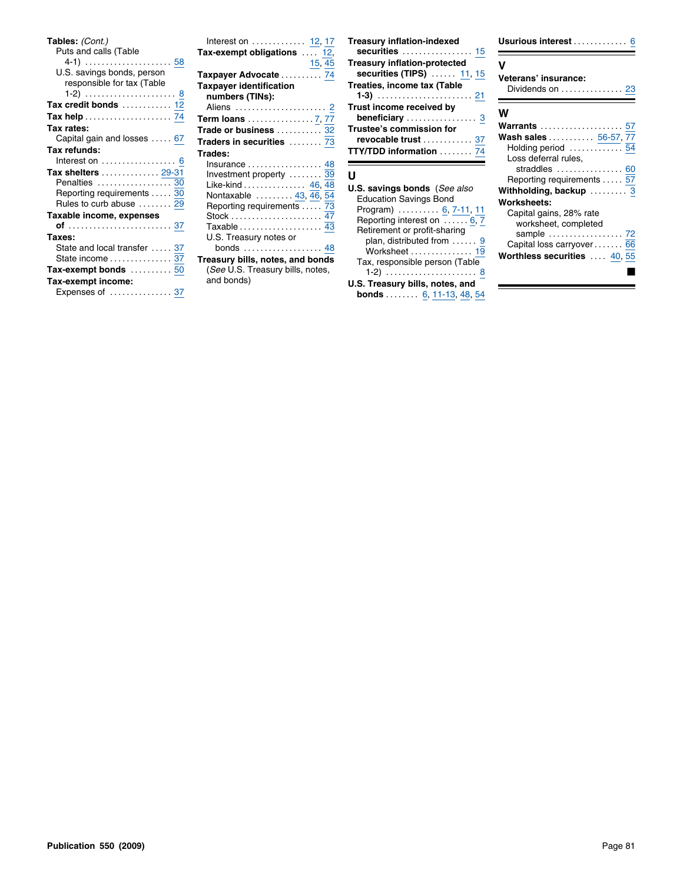| Tables: (Cont.)                                | Interest on $\ldots \ldots \ldots$ 12, 17             | <b>Treasury inflation-indexed</b>                      | Usurious interest  6                  |
|------------------------------------------------|-------------------------------------------------------|--------------------------------------------------------|---------------------------------------|
| Puts and calls (Table                          | Tax-exempt obligations  12,                           | securities $\ldots \ldots \ldots \ldots \frac{15}{15}$ |                                       |
|                                                | 15, 45                                                | <b>Treasury inflation-protected</b>                    |                                       |
| U.S. savings bonds, person                     | Taxpayer Advocate  74                                 | securities (TIPS) $\ldots$ 11, 15                      | Veterans' insurance:                  |
| responsible for tax (Table                     | <b>Taxpayer identification</b>                        | Treaties, income tax (Table                            | Dividends on  23                      |
|                                                | numbers (TINs):                                       |                                                        |                                       |
| Tax credit bonds  12                           |                                                       |                                                        | W                                     |
|                                                | Term loans $\ldots \ldots \ldots \ldots \ldots$ 7, 77 |                                                        |                                       |
| Tax rates:                                     | Trade or business  32                                 | Trustee's commission for                               | <b>Warrants</b> 57                    |
| Capital gain and losses  67                    | Traders in securities  73                             |                                                        | Wash sales  56-57, 77                 |
| Tax refunds:                                   | Trades:                                               | <b>TTY/TDD information</b> 74                          | Holding period $\dots \dots \dots 54$ |
|                                                | Insurance $\ldots \ldots \ldots \ldots \ldots$        |                                                        | Loss deferral rules,                  |
| Tax shelters  29-31                            | Investment property  39                               | u                                                      |                                       |
| Penalties  30                                  | Like-kind 46, 48                                      | <b>U.S. savings bonds</b> (See also                    | Reporting requirements 57             |
| Reporting requirements  30                     | Nontaxable  43, 46, 54                                | <b>Education Savings Bond</b>                          | Withholding, backup  3                |
| Rules to curb abuse  29                        | Reporting requirements  73                            | Program)  6, 7-11, 11                                  | <b>Worksheets:</b>                    |
| Taxable income, expenses                       |                                                       | Reporting interest on  6, 7                            | Capital gains, 28% rate               |
|                                                | Taxable 43                                            | Retirement or profit-sharing                           | worksheet, completed                  |
| Taxes:                                         | U.S. Treasury notes or                                | plan, distributed from  9                              | sample  72                            |
| State and local transfer  37                   |                                                       | Worksheet 19                                           | Capital loss carryover 66             |
| State income  37                               | Treasury bills, notes, and bonds                      | Tax, responsible person (Table                         | Worthless securities  40, 55          |
| Tax-exempt bonds  50                           | (See U.S. Treasury bills, notes,                      |                                                        |                                       |
| Tax-exempt income:                             | and bonds)                                            | U.S. Treasury bills, notes, and                        |                                       |
| Expenses of $\dots\dots\dots\dots\frac{37}{2}$ |                                                       | <b>bonds</b> 6.11-13.48.54                             |                                       |

| Interest on $\dots \dots \dots 12, 17$            |  |
|---------------------------------------------------|--|
| Fax-exempt obligations  12,                       |  |
| 15, 45                                            |  |
| <b>Faxpayer Advocate  74</b>                      |  |
| <b>Faxpayer identification</b>                    |  |
| numbers (TINs):                                   |  |
|                                                   |  |
| <b>Ferm loans</b> 7,77                            |  |
| Frade or business  32                             |  |
| <b>Traders in securities</b> 73                   |  |
| <b>Trades:</b>                                    |  |
| $Insurance \ldots \ldots \ldots \ldots \ldots 48$ |  |
| Investment property  39                           |  |
| Like-kind 46, $\overline{48}$                     |  |
| Nontaxable  43, 46, 54                            |  |
| Reporting requirements 73                         |  |
| Stock  47                                         |  |
| Taxable  43                                       |  |
| U.S. Treasury notes or                            |  |
| bonds  48                                         |  |
| <b>Freasury bills, notes, and bonds</b>           |  |
| (See U.S. Treasury bills, notes,                  |  |
| and bonds)                                        |  |

| Tables: (Cont.)                                                                   | Interest on $\dots \dots \dots \dots$ 12, 17                                                                                                                                                                                                                                               | <b>Treasury inflation-indexed</b>                                                                       | Usurious interest  6                     |
|-----------------------------------------------------------------------------------|--------------------------------------------------------------------------------------------------------------------------------------------------------------------------------------------------------------------------------------------------------------------------------------------|---------------------------------------------------------------------------------------------------------|------------------------------------------|
| Puts and calls (Table<br>U.S. savings bonds, person<br>responsible for tax (Table | Tax-exempt obligations  12,<br>15, 45<br>Taxpayer Advocate  74<br><b>Taxpayer identification</b><br>numbers (TINs):                                                                                                                                                                        | <b>Treasury inflation-protected</b><br>securities (TIPS) $\ldots$ 11, 15<br>Treaties, income tax (Table | Veterans' insurance:<br>Dividends on  23 |
| Tax credit bonds $\ldots \ldots \ldots 12$                                        |                                                                                                                                                                                                                                                                                            | Trust income received by                                                                                | W                                        |
|                                                                                   |                                                                                                                                                                                                                                                                                            | beneficiary $\ldots \ldots \ldots \ldots 3$                                                             |                                          |
| Tax rates:                                                                        | Trade or business  32                                                                                                                                                                                                                                                                      | Trustee's commission for                                                                                | <b>Warrants</b> 57                       |
| Capital gain and losses  67                                                       | Traders in securities  73                                                                                                                                                                                                                                                                  | revocable trust                                                                                         | <b>Wash sales  56-57, 77</b>             |
| Tax refunds:                                                                      | Trades:                                                                                                                                                                                                                                                                                    | <b>TTY/TDD information</b> 74                                                                           | Holding period $\ldots \ldots \ldots 54$ |
| Interest on $\dots\dots\dots\dots\dots\dots$ 6                                    | Insurance $\dots \dots \dots \dots \dots$ 48                                                                                                                                                                                                                                               | _______                                                                                                 | Loss deferral rules,                     |
| Tax shelters 29-31                                                                | Investment property  39 U                                                                                                                                                                                                                                                                  |                                                                                                         |                                          |
|                                                                                   | $\frac{1}{2}$ iko kind and $\frac{1}{2}$ and $\frac{1}{2}$ and $\frac{1}{2}$ and $\frac{1}{2}$ and $\frac{1}{2}$ and $\frac{1}{2}$ and $\frac{1}{2}$ and $\frac{1}{2}$ and $\frac{1}{2}$ and $\frac{1}{2}$ and $\frac{1}{2}$ and $\frac{1}{2}$ and $\frac{1}{2}$ and $\frac{1}{2}$ and $\$ |                                                                                                         | Reporting requirements 57                |

## **U.S. savings bonds** (See also Education Savings Bond Rules to curb abuse ........ <sup>29</sup> Education Savings Bond **Worksheets:** Reporting requirements ..... <sup>73</sup> Program) .......... 6, 7-11, <sup>11</sup> **Taxable income, expenses** Capital gains, 28% rate Stock ...................... <sup>47</sup> Reporting interest on ...... 6, <sup>7</sup> **of** ......................... <sup>37</sup> worksheet, completed Taxable .................... <sup>43</sup> Retirement or profit-sharing sample .................. <sup>72</sup> **Taxes:** U.S. Treasury notes or plan, distributed from ...... <sup>9</sup> Capital loss carryover ....... <sup>66</sup> State and local transfer ..... <sup>37</sup> bonds ................... <sup>48</sup> Worksheet ............... <sup>19</sup> plan, distributed from .......  $\frac{9}{12}$ <br>Tax, responsible person (Table<br>1-2) **Tax-exempt income:** and bonds) **U.S. Treasury bills, notes, and** Expenses of ............... <sup>37</sup> **bonds** ........ 6, 11-13, 48, <sup>54</sup>

| Veterans' insurance:<br>Dividends on  23 |
|------------------------------------------|
| W                                        |
| Warrants  57                             |
| Wash sales  56-57, 77                    |
| Holding period $\ldots \ldots \ldots 54$ |
| Loss deferral rules,                     |
| straddles  60                            |
| Reporting requirements  57               |
| Withholding, backup  3                   |
| Worksheets:                              |
| Capital gains, 28% rate                  |
| worksheet, completed                     |
| sample  72                               |
| Capital loss carryover  66               |
| Worthless securities  40, 55             |
|                                          |